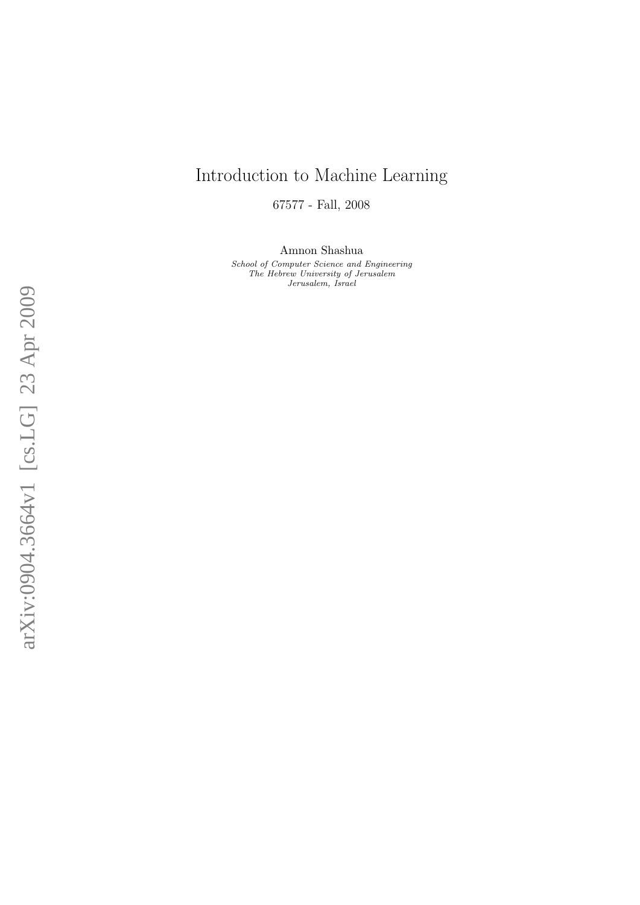## Introduction to Machine Learning

67577 - Fall, 2008

Amnon Shashua

School of Computer Science and Engineering The Hebrew University of Jerusalem Jerusalem, Israel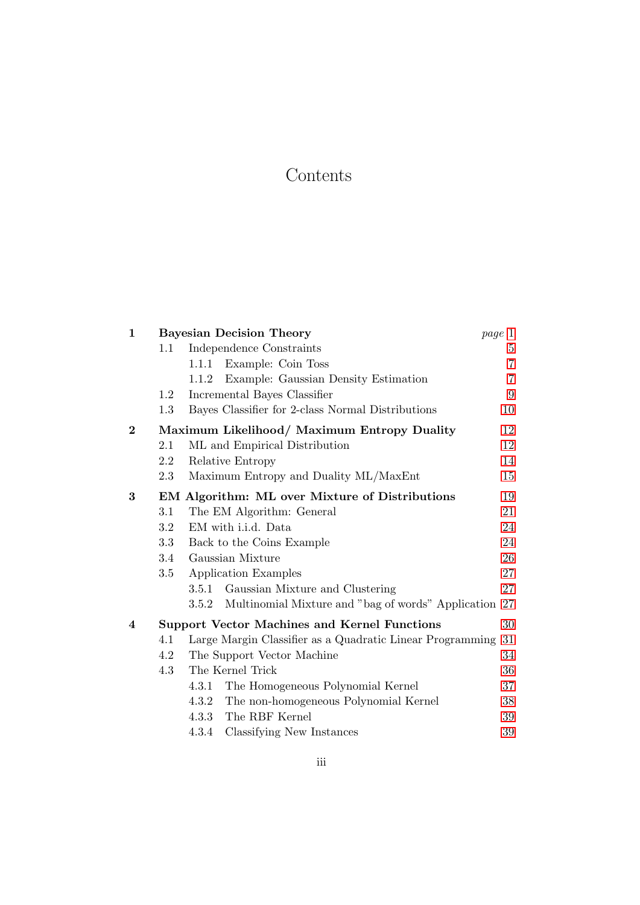# Contents

| $\mathbf{1}$ | <b>Bayesian Decision Theory</b><br>page 1      |                                                                |                |  |  |
|--------------|------------------------------------------------|----------------------------------------------------------------|----------------|--|--|
|              | 1.1                                            | Independence Constraints                                       |                |  |  |
|              |                                                | Example: Coin Toss<br>1.1.1                                    | $\overline{7}$ |  |  |
|              |                                                | Example: Gaussian Density Estimation<br>1.1.2                  | 7              |  |  |
|              | 1.2                                            | Incremental Bayes Classifier                                   | 9              |  |  |
|              | 1.3                                            | Bayes Classifier for 2-class Normal Distributions              | 10             |  |  |
| $\bf{2}$     | Maximum Likelihood/ Maximum Entropy Duality    |                                                                |                |  |  |
|              | $2.1\,$                                        | ML and Empirical Distribution                                  | 12             |  |  |
|              | 2.2                                            | Relative Entropy                                               | 14             |  |  |
|              | 2.3                                            | Maximum Entropy and Duality ML/MaxEnt                          | 15             |  |  |
| 3            | EM Algorithm: ML over Mixture of Distributions |                                                                |                |  |  |
|              | 3.1                                            | The EM Algorithm: General                                      | 21             |  |  |
|              | $3.2\,$                                        | EM with i.i.d. Data                                            | 24             |  |  |
|              | 3.3                                            | Back to the Coins Example                                      | 24             |  |  |
|              | 3.4                                            | Gaussian Mixture                                               |                |  |  |
|              | 3.5                                            | Application Examples                                           |                |  |  |
|              |                                                | 3.5.1 Gaussian Mixture and Clustering                          | 27             |  |  |
|              |                                                | Multinomial Mixture and "bag of words" Application 27<br>3.5.2 |                |  |  |
| 4            |                                                | <b>Support Vector Machines and Kernel Functions</b>            | 30             |  |  |
|              | 4.1                                            | Large Margin Classifier as a Quadratic Linear Programming      | 31             |  |  |
|              | 4.2                                            | The Support Vector Machine<br>34                               |                |  |  |
|              | 4.3                                            | The Kernel Trick<br>36                                         |                |  |  |
|              |                                                | The Homogeneous Polynomial Kernel<br>4.3.1                     | 37             |  |  |
|              |                                                | 4.3.2 The non-homogeneous Polynomial Kernel                    | 38             |  |  |
|              |                                                | The RBF Kernel<br>4.3.3                                        | 39             |  |  |
|              |                                                | Classifying New Instances<br>4.3.4                             | 39             |  |  |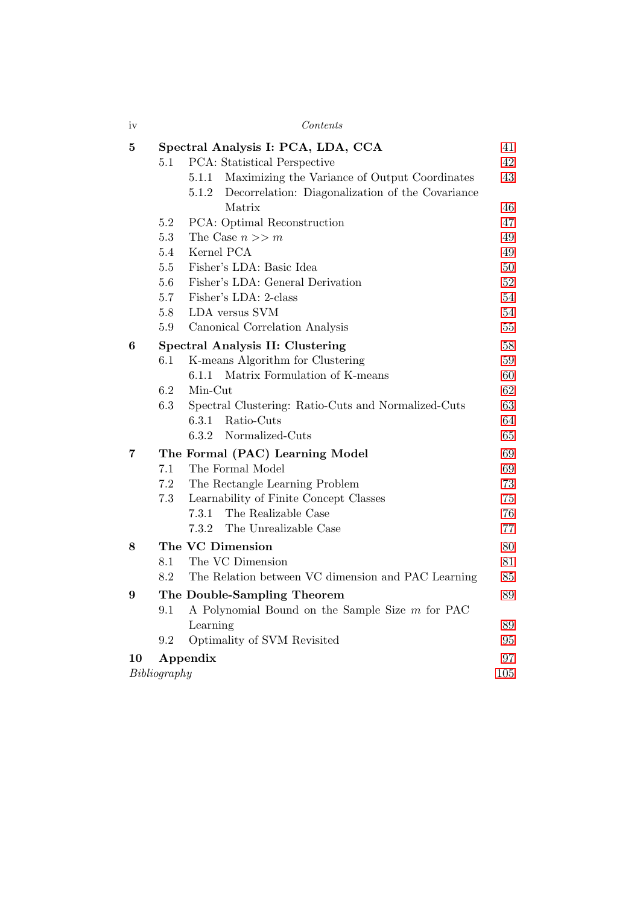| iv               | Contents<br>41                                               |          |  |  |  |
|------------------|--------------------------------------------------------------|----------|--|--|--|
| $\bf{5}$         | Spectral Analysis I: PCA, LDA, CCA                           |          |  |  |  |
|                  | PCA: Statistical Perspective<br>5.1                          | 42       |  |  |  |
|                  | 5.1.1 Maximizing the Variance of Output Coordinates<br>5.1.2 | 43       |  |  |  |
|                  | Decorrelation: Diagonalization of the Covariance<br>Matrix   | 46       |  |  |  |
|                  | PCA: Optimal Reconstruction<br>5.2                           | 47       |  |  |  |
|                  | 5.3<br>The Case $n >> m$                                     | 49       |  |  |  |
|                  | Kernel PCA<br>5.4                                            | 49       |  |  |  |
|                  | 5.5<br>Fisher's LDA: Basic Idea                              | 50       |  |  |  |
|                  | 5.6<br>Fisher's LDA: General Derivation                      | 52       |  |  |  |
|                  | 5.7<br>Fisher's LDA: 2-class                                 | 54       |  |  |  |
|                  | 5.8<br>LDA versus SVM                                        | 54       |  |  |  |
|                  | 5.9<br>Canonical Correlation Analysis                        | 55       |  |  |  |
| $\boldsymbol{6}$ | Spectral Analysis II: Clustering                             |          |  |  |  |
|                  | K-means Algorithm for Clustering<br>6.1                      | 59       |  |  |  |
|                  | Matrix Formulation of K-means<br>6.1.1                       | 60       |  |  |  |
|                  | 6.2<br>Min-Cut                                               | 62       |  |  |  |
|                  | 6.3<br>Spectral Clustering: Ratio-Cuts and Normalized-Cuts   | 63       |  |  |  |
|                  | Ratio-Cuts<br>6.3.1                                          | 64       |  |  |  |
|                  | 6.3.2<br>Normalized-Cuts                                     | 65       |  |  |  |
| $\overline{7}$   | The Formal (PAC) Learning Model                              | 69       |  |  |  |
|                  | The Formal Model<br>7.1                                      | 69       |  |  |  |
|                  | 7.2<br>The Rectangle Learning Problem                        | 73       |  |  |  |
|                  | 7.3<br>Learnability of Finite Concept Classes                | 75       |  |  |  |
|                  | The Realizable Case<br>7.3.1                                 | 76       |  |  |  |
|                  | The Unrealizable Case<br>7.3.2                               | 77       |  |  |  |
| 8                | The VC Dimension                                             | 80       |  |  |  |
|                  | The VC Dimension<br>8.1                                      | 81       |  |  |  |
|                  | 8.2<br>The Relation between VC dimension and PAC Learning    | 85       |  |  |  |
| $\boldsymbol{9}$ | The Double-Sampling Theorem                                  | 89       |  |  |  |
|                  | 9.1<br>A Polynomial Bound on the Sample Size m for PAC       |          |  |  |  |
|                  | Learning                                                     | 89       |  |  |  |
|                  | Optimality of SVM Revisited<br>9.2                           | 95<br>97 |  |  |  |
| 10               | Appendix                                                     |          |  |  |  |
| Bibliography     |                                                              |          |  |  |  |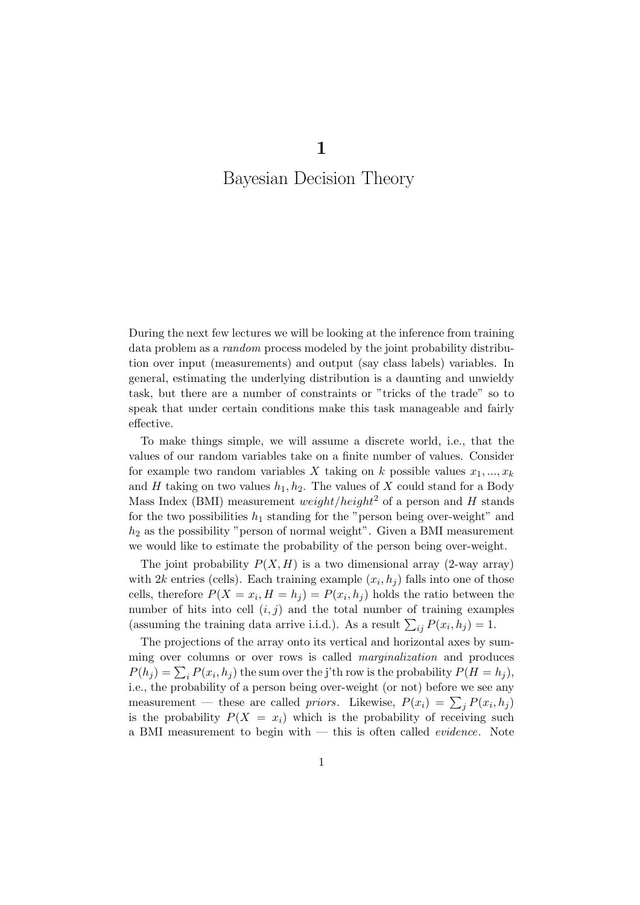# <span id="page-4-0"></span>Bayesian Decision Theory

During the next few lectures we will be looking at the inference from training data problem as a random process modeled by the joint probability distribution over input (measurements) and output (say class labels) variables. In general, estimating the underlying distribution is a daunting and unwieldy task, but there are a number of constraints or "tricks of the trade" so to speak that under certain conditions make this task manageable and fairly effective.

To make things simple, we will assume a discrete world, i.e., that the values of our random variables take on a finite number of values. Consider for example two random variables X taking on k possible values  $x_1, ..., x_k$ and H taking on two values  $h_1, h_2$ . The values of X could stand for a Body Mass Index (BMI) measurement *weight/height*<sup>2</sup> of a person and H stands for the two possibilities  $h_1$  standing for the "person being over-weight" and  $h_2$  as the possibility "person of normal weight". Given a BMI measurement we would like to estimate the probability of the person being over-weight.

The joint probability  $P(X, H)$  is a two dimensional array (2-way array) with  $2k$  entries (cells). Each training example  $(x_i, h_j)$  falls into one of those cells, therefore  $P(X = x_i, H = h_j) = P(x_i, h_j)$  holds the ratio between the number of hits into cell  $(i, j)$  and the total number of training examples (assuming the training data arrive i.i.d.). As a result  $\sum_{ij} P(x_i, h_j) = 1$ .

The projections of the array onto its vertical and horizontal axes by summing over columns or over rows is called marginalization and produces  $P(h_j) = \sum_i P(x_i, h_j)$  the sum over the j'th row is the probability  $P(H = h_j)$ , i.e., the probability of a person being over-weight (or not) before we see any measurement — these are called *priors*. Likewise,  $P(x_i) = \sum_j P(x_i, h_j)$ is the probability  $P(X = x_i)$  which is the probability of receiving such a BMI measurement to begin with — this is often called evidence. Note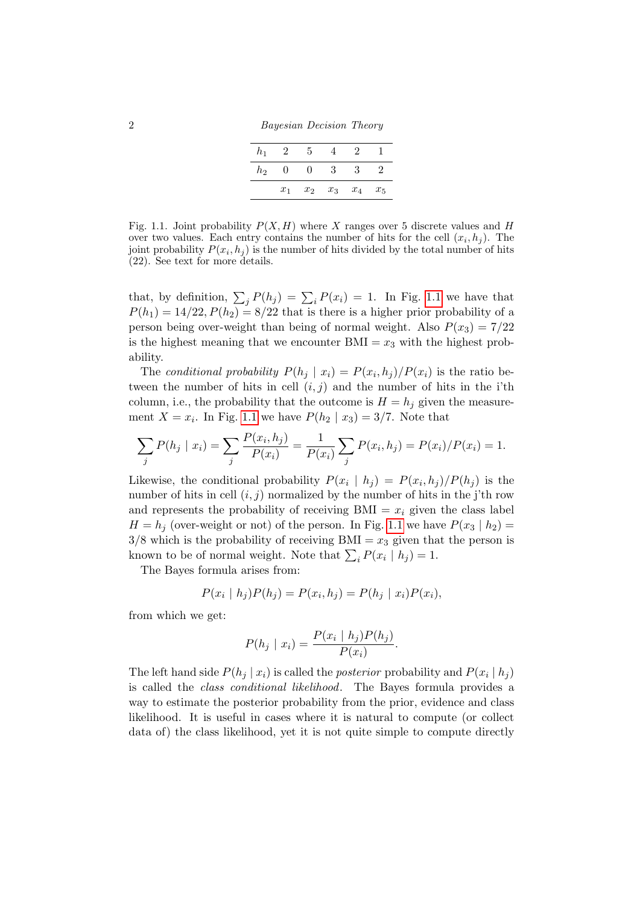2 Bayesian Decision Theory

| $h_1$ | 2     | 5        |       | $\dot{2}$ |       |
|-------|-------|----------|-------|-----------|-------|
| $h_2$ | O     | $^{(1)}$ | 3     | 3         |       |
|       | $x_1$ | $x_2$    | $x_3$ | $x_4$     | $x_5$ |

<span id="page-5-0"></span>Fig. 1.1. Joint probability  $P(X, H)$  where X ranges over 5 discrete values and H over two values. Each entry contains the number of hits for the cell  $(x_i, h_j)$ . The joint probability  $P(x_i, h_j)$  is the number of hits divided by the total number of hits (22). See text for more details.

that, by definition,  $\sum_j P(h_j) = \sum_i P(x_i) = 1$ . In Fig. [1.1](#page-5-0) we have that  $P(h_1) = 14/22, P(h_2) = 8/22$  that is there is a higher prior probability of a person being over-weight than being of normal weight. Also  $P(x_3) = 7/22$ is the highest meaning that we encounter  $\text{BMI} = x_3$  with the highest probability.

The conditional probability  $P(h_j | x_i) = P(x_i, h_j)/P(x_i)$  is the ratio between the number of hits in cell  $(i, j)$  and the number of hits in the i'th column, i.e., the probability that the outcome is  $H = h_j$  given the measurement  $X = x_i$ . In Fig. [1.1](#page-5-0) we have  $P(h_2 | x_3) = 3/7$ . Note that

$$
\sum_{j} P(h_j \mid x_i) = \sum_{j} \frac{P(x_i, h_j)}{P(x_i)} = \frac{1}{P(x_i)} \sum_{j} P(x_i, h_j) = P(x_i) / P(x_i) = 1.
$$

Likewise, the conditional probability  $P(x_i | h_j) = P(x_i, h_j)/P(h_j)$  is the number of hits in cell  $(i, j)$  normalized by the number of hits in the j'th row and represents the probability of receiving  $\text{BMI} = x_i$  given the class label  $H = h_i$  (over-weight or not) of the person. In Fig. [1.1](#page-5-0) we have  $P(x_3 | h_2)$  $3/8$  which is the probability of receiving BMI =  $x_3$  given that the person is known to be of normal weight. Note that  $\sum_i P(x_i | h_j) = 1$ .

The Bayes formula arises from:

$$
P(x_i | h_j)P(h_j) = P(x_i, h_j) = P(h_j | x_i)P(x_i),
$$

from which we get:

$$
P(h_j \mid x_i) = \frac{P(x_i \mid h_j)P(h_j)}{P(x_i)}.
$$

The left hand side  $P(h_j | x_i)$  is called the *posterior* probability and  $P(x_i | h_j)$ is called the class conditional likelihood. The Bayes formula provides a way to estimate the posterior probability from the prior, evidence and class likelihood. It is useful in cases where it is natural to compute (or collect data of) the class likelihood, yet it is not quite simple to compute directly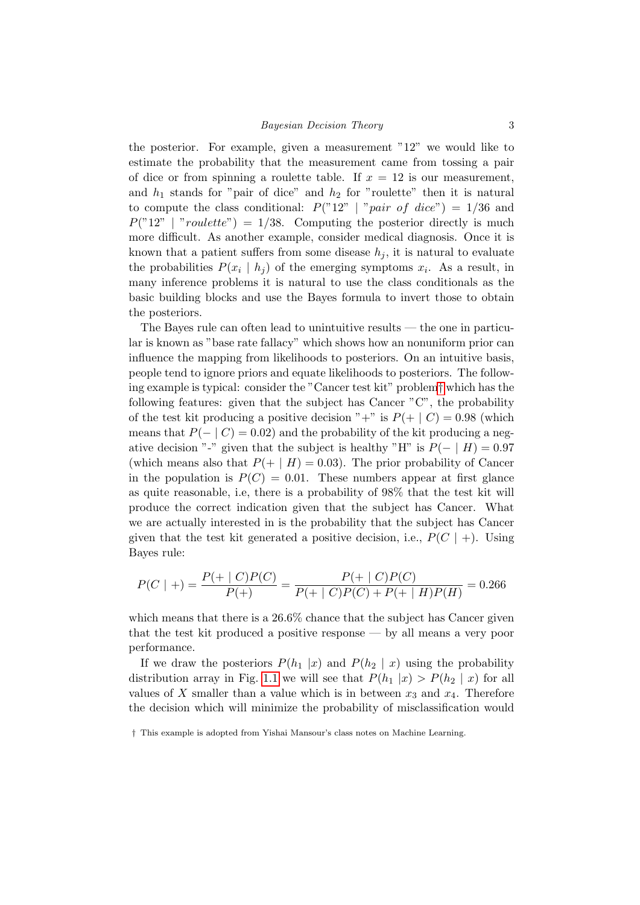the posterior. For example, given a measurement "12" we would like to estimate the probability that the measurement came from tossing a pair of dice or from spinning a roulette table. If  $x = 12$  is our measurement, and  $h_1$  stands for "pair of dice" and  $h_2$  for "roulette" then it is natural to compute the class conditional:  $P("12" | "pair of dice") = 1/36$  and  $P("12" | "roulette") = 1/38$ . Computing the posterior directly is much more difficult. As another example, consider medical diagnosis. Once it is known that a patient suffers from some disease  $h_i$ , it is natural to evaluate the probabilities  $P(x_i | h_j)$  of the emerging symptoms  $x_i$ . As a result, in many inference problems it is natural to use the class conditionals as the basic building blocks and use the Bayes formula to invert those to obtain the posteriors.

The Bayes rule can often lead to unintuitive results — the one in particular is known as "base rate fallacy" which shows how an nonuniform prior can influence the mapping from likelihoods to posteriors. On an intuitive basis, people tend to ignore priors and equate likelihoods to posteriors. The following example is typical: consider the "Cancer test kit" problem[†](#page-6-0) which has the following features: given that the subject has Cancer "C", the probability of the test kit producing a positive decision "+" is  $P(+ \mid C) = 0.98$  (which means that  $P(- | C) = 0.02$  and the probability of the kit producing a negative decision "-" given that the subject is healthy "H" is  $P(- \mid H) = 0.97$ (which means also that  $P(+ | H) = 0.03$ ). The prior probability of Cancer in the population is  $P(C) = 0.01$ . These numbers appear at first glance as quite reasonable, i.e, there is a probability of 98% that the test kit will produce the correct indication given that the subject has Cancer. What we are actually interested in is the probability that the subject has Cancer given that the test kit generated a positive decision, i.e.,  $P(C \mid +)$ . Using Bayes rule:

$$
P(C \mid +) = \frac{P(+ \mid C)P(C)}{P(+)} = \frac{P(+ \mid C)P(C)}{P(+ \mid C)P(C) + P(+ \mid H)P(H)} = 0.266
$$

which means that there is a 26.6% chance that the subject has Cancer given that the test kit produced a positive response — by all means a very poor performance.

If we draw the posteriors  $P(h_1 |x)$  and  $P(h_2 | x)$  using the probability distribution array in Fig. [1.1](#page-5-0) we will see that  $P(h_1 |x) > P(h_2 | x)$  for all values of X smaller than a value which is in between  $x_3$  and  $x_4$ . Therefore the decision which will minimize the probability of misclassification would

<span id="page-6-0"></span><sup>†</sup> This example is adopted from Yishai Mansour's class notes on Machine Learning.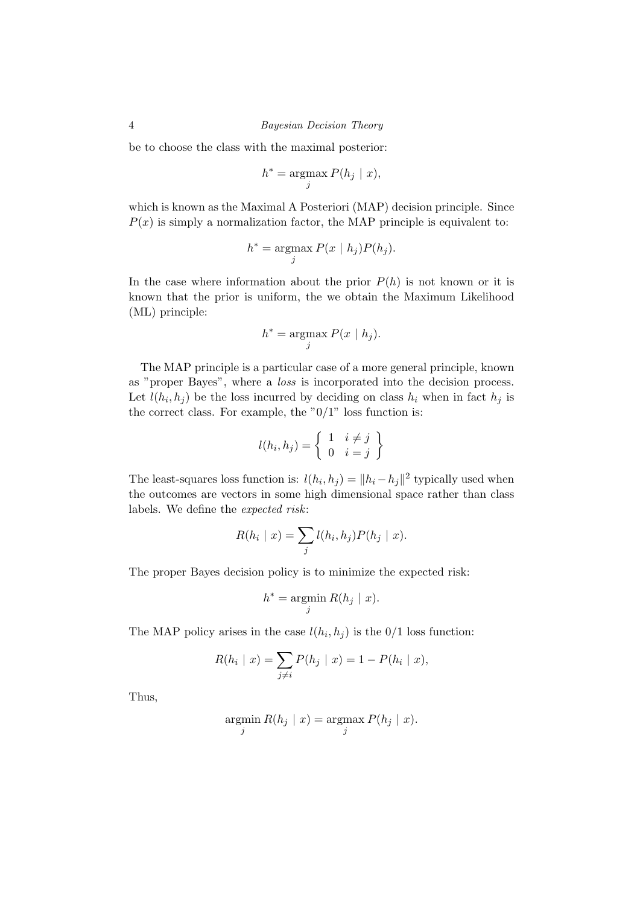be to choose the class with the maximal posterior:

$$
h^* = \operatorname*{argmax}_{j} P(h_j \mid x),
$$

which is known as the Maximal A Posteriori (MAP) decision principle. Since  $P(x)$  is simply a normalization factor, the MAP principle is equivalent to:

$$
h^* = \operatorname*{argmax}_{j} P(x \mid h_j) P(h_j).
$$

In the case where information about the prior  $P(h)$  is not known or it is known that the prior is uniform, the we obtain the Maximum Likelihood (ML) principle:

$$
h^* = \underset{j}{\text{argmax}} P(x \mid h_j).
$$

The MAP principle is a particular case of a more general principle, known as "proper Bayes", where a loss is incorporated into the decision process. Let  $l(h_i, h_j)$  be the loss incurred by deciding on class  $h_i$  when in fact  $h_j$  is the correct class. For example, the " $0/1$ " loss function is:

$$
l(h_i, h_j) = \left\{ \begin{array}{ll} 1 & i \neq j \\ 0 & i = j \end{array} \right\}
$$

The least-squares loss function is:  $l(h_i, h_j) = ||h_i - h_j||^2$  typically used when the outcomes are vectors in some high dimensional space rather than class labels. We define the expected risk:

$$
R(h_i \mid x) = \sum_j l(h_i, h_j) P(h_j \mid x).
$$

The proper Bayes decision policy is to minimize the expected risk:

$$
h^* = \operatorname*{argmin}_{j} R(h_j \mid x).
$$

The MAP policy arises in the case  $l(h_i, h_j)$  is the  $0/1$  loss function:

$$
R(h_i | x) = \sum_{j \neq i} P(h_j | x) = 1 - P(h_i | x),
$$

Thus,

$$
\operatorname*{argmin}_{j} R(h_j \mid x) = \operatorname*{argmax}_{j} P(h_j \mid x).
$$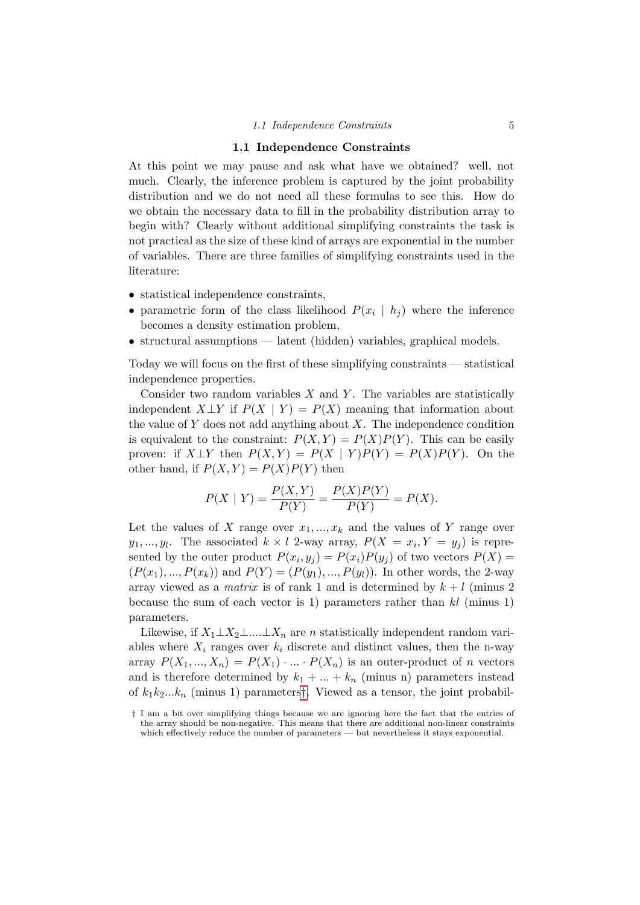#### 1.1 Independence Constraints

<span id="page-8-0"></span>At this point we may pause and ask what have we obtained? well, not much. Clearly, the inference problem is captured by the joint probability distribution and we do not need all these formulas to see this. How do we obtain the necessary data to fill in the probability distribution array to begin with? Clearly without additional simplifying constraints the task is not practical as the size of these kind of arrays are exponential in the number of variables. There are three families of simplifying constraints used in the literature:

- statistical independence constraints,
- parametric form of the class likelihood  $P(x_i | h_j)$  where the inference becomes a density estimation problem,
- structural assumptions latent (hidden) variables, graphical models.

Today we will focus on the first of these simplifying constraints — statistical independence properties.

Consider two random variables  $X$  and  $Y$ . The variables are statistically independent  $X \perp Y$  if  $P(X \mid Y) = P(X)$  meaning that information about the value of  $Y$  does not add anything about  $X$ . The independence condition is equivalent to the constraint:  $P(X, Y) = P(X)P(Y)$ . This can be easily proven: if  $X \perp Y$  then  $P(X, Y) = P(X | Y)P(Y) = P(X)P(Y)$ . On the other hand, if  $P(X, Y) = P(X)P(Y)$  then

$$
P(X | Y) = \frac{P(X, Y)}{P(Y)} = \frac{P(X)P(Y)}{P(Y)} = P(X).
$$

Let the values of X range over  $x_1, ..., x_k$  and the values of Y range over  $y_1, ..., y_l$ . The associated  $k \times l$  2-way array,  $P(X = x_i, Y = y_j)$  is represented by the outer product  $P(x_i, y_j) = P(x_i)P(y_j)$  of two vectors  $P(X) =$  $(P(x_1),..., P(x_k))$  and  $P(Y) = (P(y_1),..., P(y_l))$ . In other words, the 2-way array viewed as a *matrix* is of rank 1 and is determined by  $k + l$  (minus 2) because the sum of each vector is 1) parameters rather than  $kl$  (minus 1) parameters.

Likewise, if  $X_1 \perp X_2 \perp ... \perp X_n$  are n statistically independent random variables where  $X_i$  ranges over  $k_i$  discrete and distinct values, then the n-way array  $P(X_1, ..., X_n) = P(X_1) \cdot ... \cdot P(X_n)$  is an outer-product of n vectors and is therefore determined by  $k_1 + ... + k_n$  (minus n) parameters instead of  $k_1k_2...k_n$  (minus 1) parameters<sup>[†](#page-8-1)</sup>. Viewed as a tensor, the joint probabil-

<span id="page-8-1"></span><sup>†</sup> I am a bit over simplifying things because we are ignoring here the fact that the entries of the array should be non-negative. This means that there are additional non-linear constraints which effectively reduce the number of parameters — but nevertheless it stays exponential.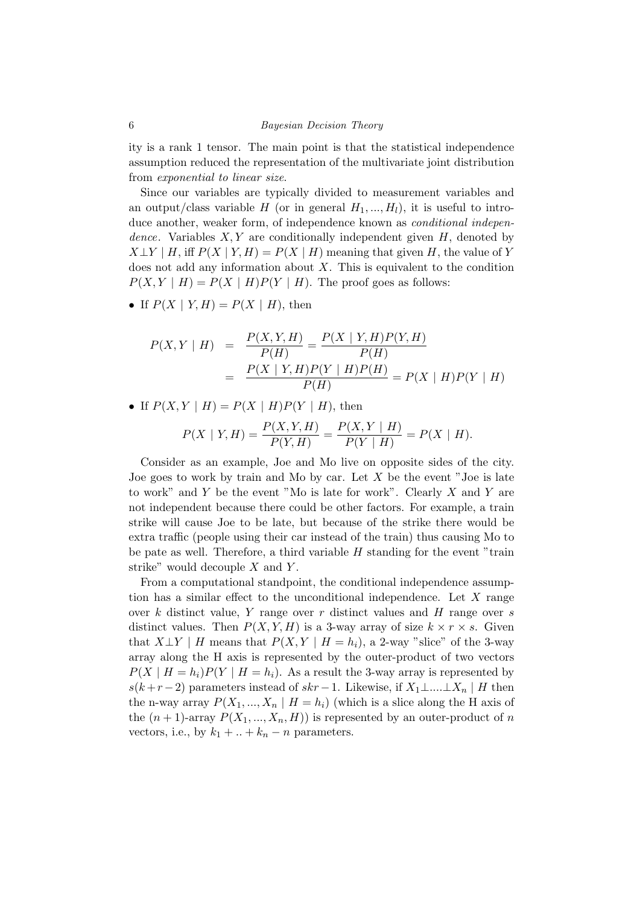ity is a rank 1 tensor. The main point is that the statistical independence assumption reduced the representation of the multivariate joint distribution from exponential to linear size.

Since our variables are typically divided to measurement variables and an output/class variable H (or in general  $H_1, ..., H_l$ ), it is useful to introduce another, weaker form, of independence known as *conditional indepen*dence. Variables  $X, Y$  are conditionally independent given  $H$ , denoted by  $X \perp Y \mid H$ , iff  $P(X \mid Y, H) = P(X \mid H)$  meaning that given H, the value of Y does not add any information about  $X$ . This is equivalent to the condition  $P(X, Y | H) = P(X | H)P(Y | H)$ . The proof goes as follows:

• If  $P(X \mid Y, H) = P(X \mid H)$ , then

$$
P(X, Y | H) = \frac{P(X, Y, H)}{P(H)} = \frac{P(X | Y, H)P(Y, H)}{P(H)}
$$
  
= 
$$
\frac{P(X | Y, H)P(Y | H)P(H)}{P(H)} = P(X | H)P(Y | H)
$$

• If  $P(X, Y | H) = P(X | H)P(Y | H)$ , then

$$
P(X | Y, H) = \frac{P(X, Y, H)}{P(Y, H)} = \frac{P(X, Y | H)}{P(Y | H)} = P(X | H).
$$

Consider as an example, Joe and Mo live on opposite sides of the city. Joe goes to work by train and Mo by car. Let  $X$  be the event "Joe is late to work" and Y be the event "Mo is late for work". Clearly  $X$  and  $Y$  are not independent because there could be other factors. For example, a train strike will cause Joe to be late, but because of the strike there would be extra traffic (people using their car instead of the train) thus causing Mo to be pate as well. Therefore, a third variable  $H$  standing for the event "train strike" would decouple  $X$  and  $Y$ .

From a computational standpoint, the conditional independence assumption has a similar effect to the unconditional independence. Let  $X$  range over  $k$  distinct value,  $Y$  range over  $r$  distinct values and  $H$  range over  $s$ distinct values. Then  $P(X, Y, H)$  is a 3-way array of size  $k \times r \times s$ . Given that  $X \perp Y \mid H$  means that  $P(X, Y \mid H = h_i)$ , a 2-way "slice" of the 3-way array along the H axis is represented by the outer-product of two vectors  $P(X \mid H = h_i)P(Y \mid H = h_i)$ . As a result the 3-way array is represented by  $s(k+r-2)$  parameters instead of  $skr-1$ . Likewise, if  $X_1 \perp ... \perp X_n \mid H$  then the n-way array  $P(X_1, ..., X_n | H = h_i)$  (which is a slice along the H axis of the  $(n + 1)$ -array  $P(X_1, ..., X_n, H)$  is represented by an outer-product of n vectors, i.e., by  $k_1 + ... + k_n - n$  parameters.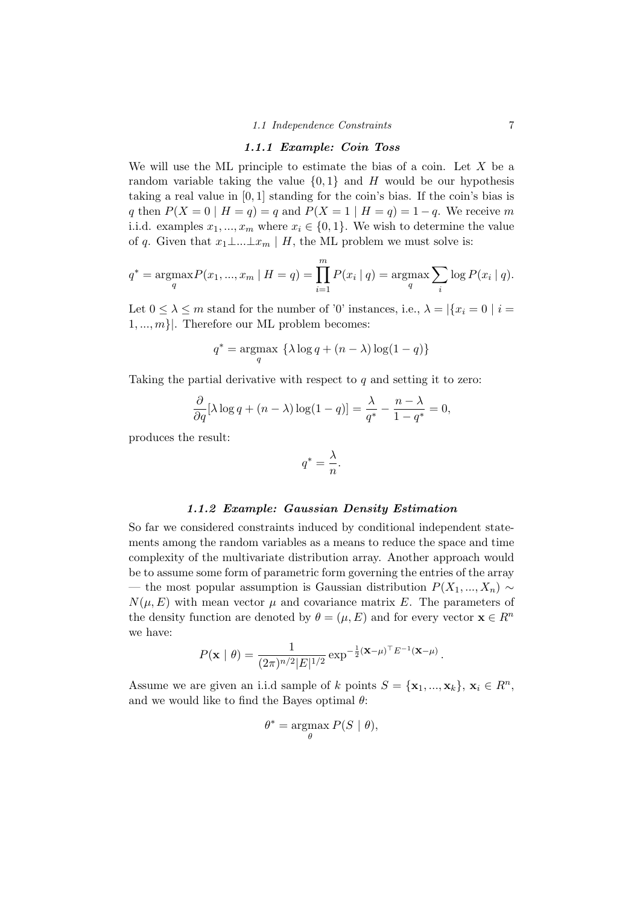#### 1.1.1 Example: Coin Toss

<span id="page-10-0"></span>We will use the ML principle to estimate the bias of a coin. Let  $X$  be a random variable taking the value  $\{0,1\}$  and H would be our hypothesis taking a real value in [0, 1] standing for the coin's bias. If the coin's bias is q then  $P(X = 0 | H = q) = q$  and  $P(X = 1 | H = q) = 1 - q$ . We receive m i.i.d. examples  $x_1, ..., x_m$  where  $x_i \in \{0, 1\}$ . We wish to determine the value of q. Given that  $x_1 \perp ... \perp x_m \mid H$ , the ML problem we must solve is:

$$
q^* = \underset{q}{\text{argmax}} P(x_1, ..., x_m \mid H = q) = \prod_{i=1}^m P(x_i \mid q) = \underset{q}{\text{argmax}} \sum_i \log P(x_i \mid q).
$$

Let  $0 \leq \lambda \leq m$  stand for the number of '0' instances, i.e.,  $\lambda = |\{x_i = 0 \mid i =$  $1, ..., m$ . Therefore our ML problem becomes:

$$
q^* = \underset{q}{\operatorname{argmax}} \ \left\{ \lambda \log q + (n - \lambda) \log(1 - q) \right\}
$$

Taking the partial derivative with respect to  $q$  and setting it to zero:

$$
\frac{\partial}{\partial q}[\lambda \log q + (n - \lambda) \log(1 - q)] = \frac{\lambda}{q^*} - \frac{n - \lambda}{1 - q^*} = 0,
$$

produces the result:

$$
q^* = \frac{\lambda}{n}.
$$

#### 1.1.2 Example: Gaussian Density Estimation

<span id="page-10-1"></span>So far we considered constraints induced by conditional independent statements among the random variables as a means to reduce the space and time complexity of the multivariate distribution array. Another approach would be to assume some form of parametric form governing the entries of the array — the most popular assumption is Gaussian distribution  $P(X_1, ..., X_n) \sim$  $N(\mu, E)$  with mean vector  $\mu$  and covariance matrix E. The parameters of the density function are denoted by  $\theta = (\mu, E)$  and for every vector  $\mathbf{x} \in R^n$ we have:

$$
P(\mathbf{x} \mid \theta) = \frac{1}{(2\pi)^{n/2} |E|^{1/2}} \exp^{-\frac{1}{2}(\mathbf{x} - \mu)^{\top} E^{-1}(\mathbf{x} - \mu)}.
$$

Assume we are given an i.i.d sample of k points  $S = {\mathbf{x}_1, ..., \mathbf{x}_k}$ ,  $\mathbf{x}_i \in R^n$ , and we would like to find the Bayes optimal  $\theta$ :

$$
\theta^* = \underset{\theta}{\operatorname{argmax}} P(S \mid \theta),
$$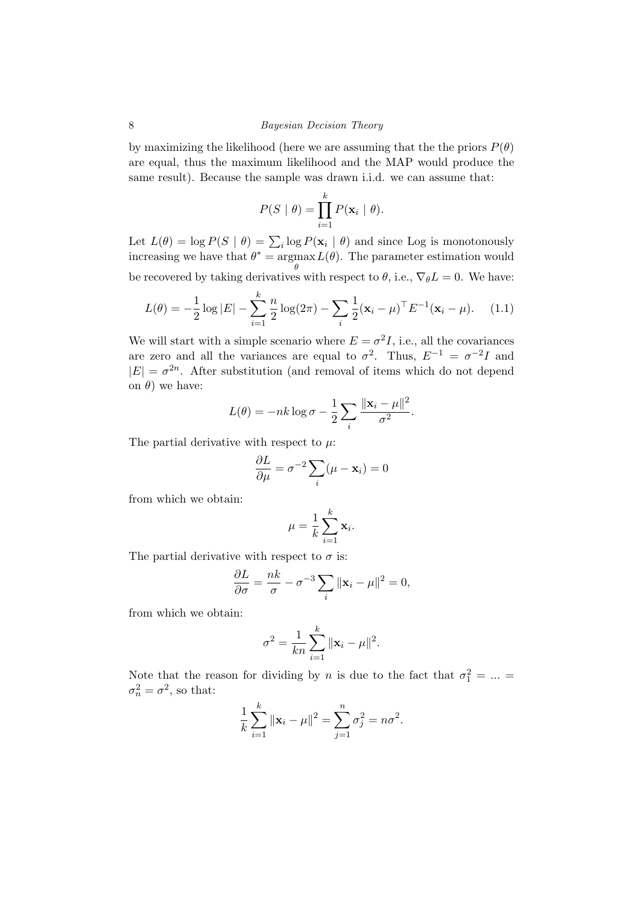by maximizing the likelihood (here we are assuming that the the priors  $P(\theta)$ ) are equal, thus the maximum likelihood and the MAP would produce the same result). Because the sample was drawn i.i.d. we can assume that:

$$
P(S | \theta) = \prod_{i=1}^{k} P(\mathbf{x}_i | \theta).
$$

Let  $L(\theta) = \log P(S | \theta) = \sum_i \log P(\mathbf{x}_i | \theta)$  and since Log is monotonously increasing we have that  $\theta^* = \text{argmax}$ θ  $L(\theta)$ . The parameter estimation would be recovered by taking derivatives with respect to  $\theta$ , i.e.,  $\nabla_{\theta}L = 0$ . We have:

<span id="page-11-0"></span>
$$
L(\theta) = -\frac{1}{2}\log|E| - \sum_{i=1}^{k} \frac{n}{2}\log(2\pi) - \sum_{i} \frac{1}{2}(\mathbf{x}_{i} - \mu)^{\top} E^{-1}(\mathbf{x}_{i} - \mu).
$$
 (1.1)

We will start with a simple scenario where  $E = \sigma^2 I$ , i.e., all the covariances are zero and all the variances are equal to  $\sigma^2$ . Thus,  $E^{-1} = \sigma^{-2}I$  and  $|E| = \sigma^{2n}$ . After substitution (and removal of items which do not depend on  $\theta$ ) we have:

$$
L(\theta) = -nk \log \sigma - \frac{1}{2} \sum_{i} \frac{\|\mathbf{x}_i - \mu\|^2}{\sigma^2}.
$$

The partial derivative with respect to  $\mu$ :

$$
\frac{\partial L}{\partial \mu} = \sigma^{-2} \sum_{i} (\mu - \mathbf{x}_i) = 0
$$

from which we obtain:

$$
\mu = \frac{1}{k} \sum_{i=1}^{k} \mathbf{x}_i.
$$

The partial derivative with respect to  $\sigma$  is:

$$
\frac{\partial L}{\partial \sigma} = \frac{nk}{\sigma} - \sigma^{-3} \sum_{i} ||\mathbf{x}_i - \mu||^2 = 0,
$$

from which we obtain:

$$
\sigma^2 = \frac{1}{kn} \sum_{i=1}^k ||\mathbf{x}_i - \mu||^2.
$$

Note that the reason for dividing by n is due to the fact that  $\sigma_1^2 = ... =$  $\sigma_n^2 = \sigma^2$ , so that:

$$
\frac{1}{k}\sum_{i=1}^{k} \|\mathbf{x}_i - \mu\|^2 = \sum_{j=1}^{n} \sigma_j^2 = n\sigma^2.
$$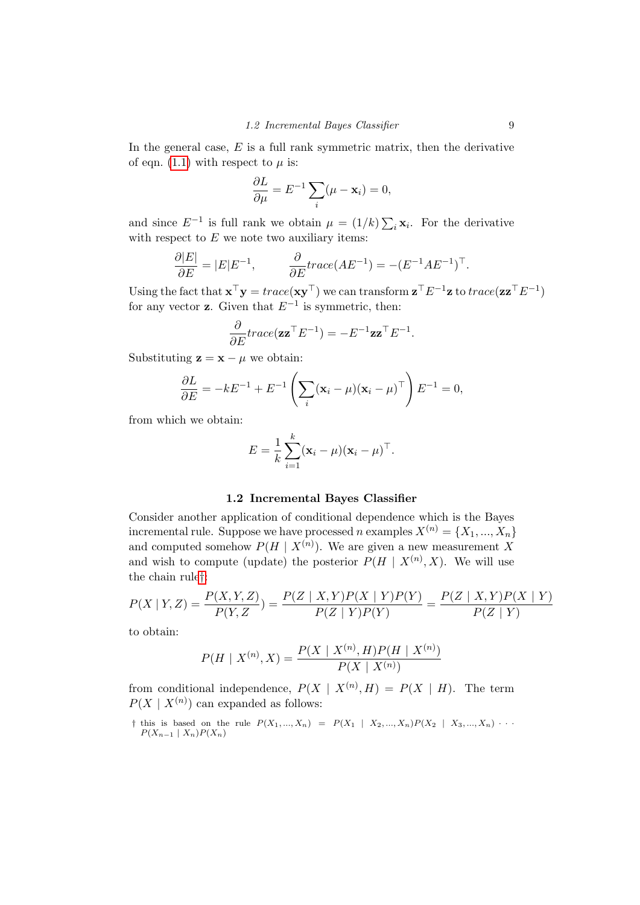In the general case,  $E$  is a full rank symmetric matrix, then the derivative of eqn. [\(1.1\)](#page-11-0) with respect to  $\mu$  is:

$$
\frac{\partial L}{\partial \mu} = E^{-1} \sum_{i} (\mu - \mathbf{x}_i) = 0,
$$

and since  $E^{-1}$  is full rank we obtain  $\mu = (1/k) \sum_i \mathbf{x}_i$ . For the derivative with respect to  $E$  we note two auxiliary items:

$$
\frac{\partial |E|}{\partial E} = |E|E^{-1}, \qquad \frac{\partial}{\partial E}trace(AE^{-1}) = -(E^{-1}AE^{-1})^{\top}.
$$

Using the fact that  $\mathbf{x}^\top \mathbf{y} = trace(\mathbf{x}\mathbf{y}^\top)$  we can transform  $\mathbf{z}^\top E^{-1}\mathbf{z}$  to  $trace(\mathbf{z}\mathbf{z}^\top E^{-1})$ for any vector **z**. Given that  $E^{-1}$  is symmetric, then:

$$
\frac{\partial}{\partial E}trace(\mathbf{z}\mathbf{z}^\top E^{-1}) = -E^{-1}\mathbf{z}\mathbf{z}^\top E^{-1}.
$$

Substituting  $\mathbf{z} = \mathbf{x} - \mu$  we obtain:

$$
\frac{\partial L}{\partial E} = -kE^{-1} + E^{-1} \left( \sum_{i} (\mathbf{x}_i - \mu) (\mathbf{x}_i - \mu)^{\top} \right) E^{-1} = 0,
$$

from which we obtain:

$$
E = \frac{1}{k} \sum_{i=1}^{k} (\mathbf{x}_i - \mu)(\mathbf{x}_i - \mu)^{\top}.
$$

#### 1.2 Incremental Bayes Classifier

<span id="page-12-0"></span>Consider another application of conditional dependence which is the Bayes incremental rule. Suppose we have processed n examples  $X^{(n)} = \{X_1, ..., X_n\}$ and computed somehow  $P(H \mid X^{(n)})$ . We are given a new measurement X and wish to compute (update) the posterior  $P(H \mid X^{(n)}, X)$ . We will use the chain rule[†](#page-12-1):

$$
P(X | Y, Z) = \frac{P(X, Y, Z)}{P(Y, Z)} = \frac{P(Z | X, Y)P(X | Y)P(Y)}{P(Z | Y)P(Y)} = \frac{P(Z | X, Y)P(X | Y)}{P(Z | Y)}
$$

to obtain:

$$
P(H \mid X^{(n)}, X) = \frac{P(X \mid X^{(n)}, H)P(H \mid X^{(n)})}{P(X \mid X^{(n)})}
$$

from conditional independence,  $P(X \mid X^{(n)}, H) = P(X \mid H)$ . The term  $P(X \mid X^{(n)})$  can expanded as follows:

<span id="page-12-1"></span>† this is based on the rule  $P(X_1, ..., X_n) = P(X_1 | X_2, ..., X_n)P(X_2 | X_3, ..., X_n) \cdots$  $P(X_{n-1} | X_n)P(X_n)$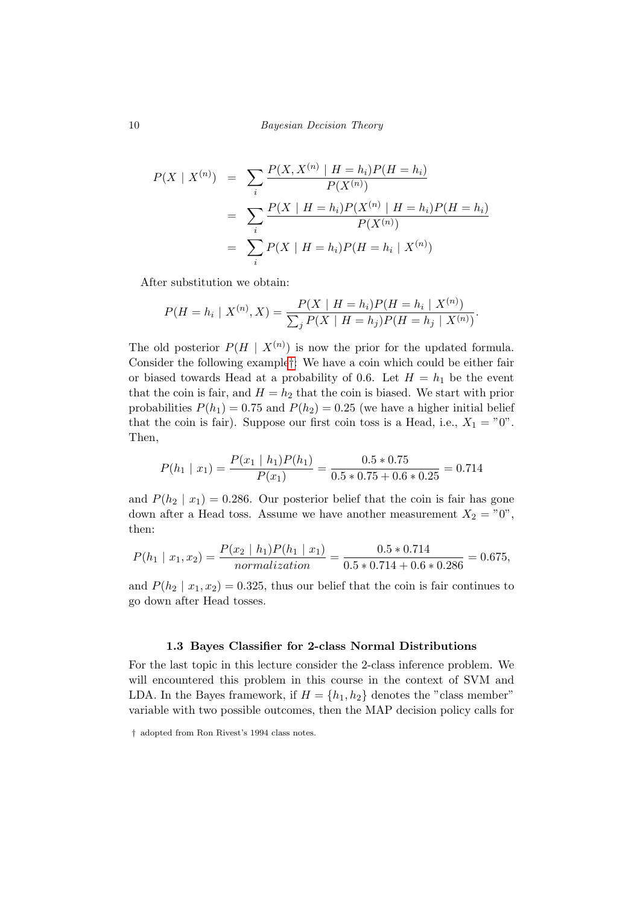$$
P(X \mid X^{(n)}) = \sum_{i} \frac{P(X, X^{(n)} \mid H = h_i)P(H = h_i)}{P(X^{(n)})}
$$
  
= 
$$
\sum_{i} \frac{P(X \mid H = h_i)P(X^{(n)} \mid H = h_i)P(H = h_i)}{P(X^{(n)})}
$$
  
= 
$$
\sum_{i} P(X \mid H = h_i)P(H = h_i \mid X^{(n)})
$$

After substitution we obtain:

$$
P(H = h_i | X^{(n)}, X) = \frac{P(X | H = h_i)P(H = h_i | X^{(n)})}{\sum_j P(X | H = h_j)P(H = h_j | X^{(n)})}.
$$

The old posterior  $P(H \mid X^{(n)})$  is now the prior for the updated formula. Consider the following example[†](#page-13-1): We have a coin which could be either fair or biased towards Head at a probability of 0.6. Let  $H = h_1$  be the event that the coin is fair, and  $H = h_2$  that the coin is biased. We start with prior probabilities  $P(h_1) = 0.75$  and  $P(h_2) = 0.25$  (we have a higher initial belief that the coin is fair). Suppose our first coin toss is a Head, i.e.,  $X_1 = "0"$ . Then,

$$
P(h_1 | x_1) = \frac{P(x_1 | h_1)P(h_1)}{P(x_1)} = \frac{0.5 * 0.75}{0.5 * 0.75 + 0.6 * 0.25} = 0.714
$$

and  $P(h_2 \mid x_1) = 0.286$ . Our posterior belief that the coin is fair has gone down after a Head toss. Assume we have another measurement  $X_2 = "0",$ then:

$$
P(h_1 \mid x_1, x_2) = \frac{P(x_2 \mid h_1)P(h_1 \mid x_1)}{normalization} = \frac{0.5 * 0.714}{0.5 * 0.714 + 0.6 * 0.286} = 0.675,
$$

and  $P(h_2 | x_1, x_2) = 0.325$ , thus our belief that the coin is fair continues to go down after Head tosses.

#### 1.3 Bayes Classifier for 2-class Normal Distributions

<span id="page-13-0"></span>For the last topic in this lecture consider the 2-class inference problem. We will encountered this problem in this course in the context of SVM and LDA. In the Bayes framework, if  $H = \{h_1, h_2\}$  denotes the "class member" variable with two possible outcomes, then the MAP decision policy calls for

<span id="page-13-1"></span><sup>†</sup> adopted from Ron Rivest's 1994 class notes.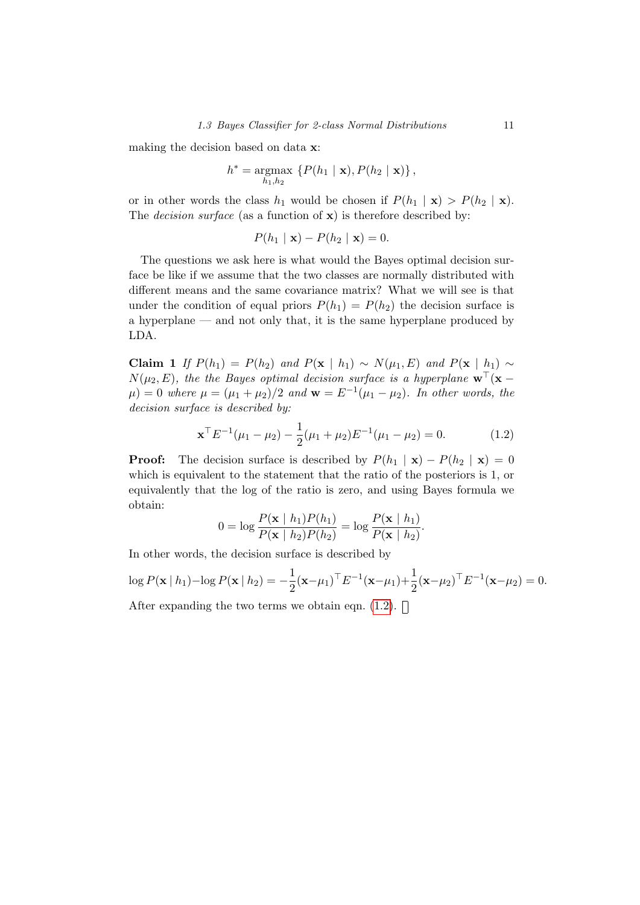making the decision based on data x:

$$
h^* = \underset{h_1, h_2}{\operatorname{argmax}} \left\{ P(h_1 \mid \mathbf{x}), P(h_2 \mid \mathbf{x}) \right\},\,
$$

or in other words the class  $h_1$  would be chosen if  $P(h_1 | \mathbf{x}) > P(h_2 | \mathbf{x})$ . The *decision surface* (as a function of  $\mathbf{x}$ ) is therefore described by:

$$
P(h_1 \mid \mathbf{x}) - P(h_2 \mid \mathbf{x}) = 0.
$$

The questions we ask here is what would the Bayes optimal decision surface be like if we assume that the two classes are normally distributed with different means and the same covariance matrix? What we will see is that under the condition of equal priors  $P(h_1) = P(h_2)$  the decision surface is a hyperplane — and not only that, it is the same hyperplane produced by LDA.

Claim 1 If  $P(h_1) = P(h_2)$  and  $P(\mathbf{x} \mid h_1) \sim N(\mu_1, E)$  and  $P(\mathbf{x} \mid h_1) \sim$  $N(\mu_2, E)$ , the the Bayes optimal decision surface is a hyperplane  $\mathbf{w}^{\top}(\mathbf{x} \mu$ ) = 0 where  $\mu = (\mu_1 + \mu_2)/2$  and  $\mathbf{w} = E^{-1}(\mu_1 - \mu_2)$ . In other words, the decision surface is described by:

<span id="page-14-0"></span>
$$
\mathbf{x}^{\top} E^{-1}(\mu_1 - \mu_2) - \frac{1}{2}(\mu_1 + \mu_2) E^{-1}(\mu_1 - \mu_2) = 0.
$$
 (1.2)

**Proof:** The decision surface is described by  $P(h_1 | \mathbf{x}) - P(h_2 | \mathbf{x}) = 0$ which is equivalent to the statement that the ratio of the posteriors is 1, or equivalently that the log of the ratio is zero, and using Bayes formula we obtain:

$$
0 = \log \frac{P(\mathbf{x} \mid h_1) P(h_1)}{P(\mathbf{x} \mid h_2) P(h_2)} = \log \frac{P(\mathbf{x} \mid h_1)}{P(\mathbf{x} \mid h_2)}.
$$

In other words, the decision surface is described by

$$
\log P(\mathbf{x} \mid h_1) - \log P(\mathbf{x} \mid h_2) = -\frac{1}{2} (\mathbf{x} - \mu_1)^{\top} E^{-1} (\mathbf{x} - \mu_1) + \frac{1}{2} (\mathbf{x} - \mu_2)^{\top} E^{-1} (\mathbf{x} - \mu_2) = 0.
$$
  
After expanding the two terms we obtain eqn. (1.2).  $\Box$ 

expanding the two terms we obtain eqn.  $(1.2)$ .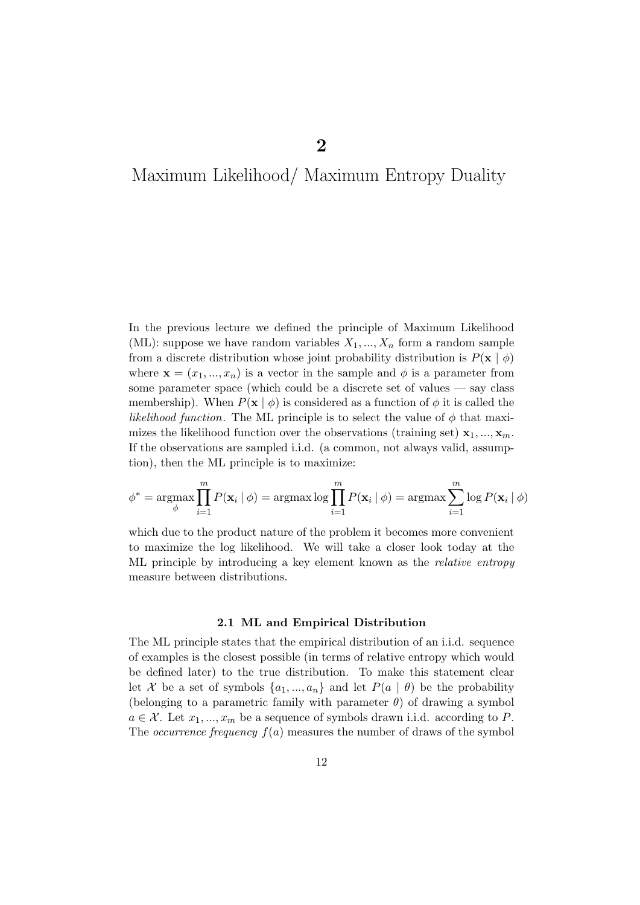## <span id="page-15-0"></span>Maximum Likelihood/ Maximum Entropy Duality

In the previous lecture we defined the principle of Maximum Likelihood (ML): suppose we have random variables  $X_1, ..., X_n$  form a random sample from a discrete distribution whose joint probability distribution is  $P(\mathbf{x} \mid \phi)$ where  $\mathbf{x} = (x_1, ..., x_n)$  is a vector in the sample and  $\phi$  is a parameter from some parameter space (which could be a discrete set of values — say class membership). When  $P(\mathbf{x} \mid \phi)$  is considered as a function of  $\phi$  it is called the likelihood function. The ML principle is to select the value of  $\phi$  that maximizes the likelihood function over the observations (training set)  $x_1, ..., x_m$ . If the observations are sampled i.i.d. (a common, not always valid, assumption), then the ML principle is to maximize:

$$
\phi^* = \operatorname*{argmax}_{\phi} \prod_{i=1}^{m} P(\mathbf{x}_i | \phi) = \operatorname*{argmax}_{i=1} \log \prod_{i=1}^{m} P(\mathbf{x}_i | \phi) = \operatorname*{argmax}_{i=1} \sum_{i=1}^{m} \log P(\mathbf{x}_i | \phi)
$$

which due to the product nature of the problem it becomes more convenient to maximize the log likelihood. We will take a closer look today at the ML principle by introducing a key element known as the relative entropy measure between distributions.

#### 2.1 ML and Empirical Distribution

<span id="page-15-1"></span>The ML principle states that the empirical distribution of an i.i.d. sequence of examples is the closest possible (in terms of relative entropy which would be defined later) to the true distribution. To make this statement clear let X be a set of symbols  $\{a_1, ..., a_n\}$  and let  $P(a | \theta)$  be the probability (belonging to a parametric family with parameter  $\theta$ ) of drawing a symbol  $a \in \mathcal{X}$ . Let  $x_1, ..., x_m$  be a sequence of symbols drawn i.i.d. according to P. The *occurrence frequency*  $f(a)$  measures the number of draws of the symbol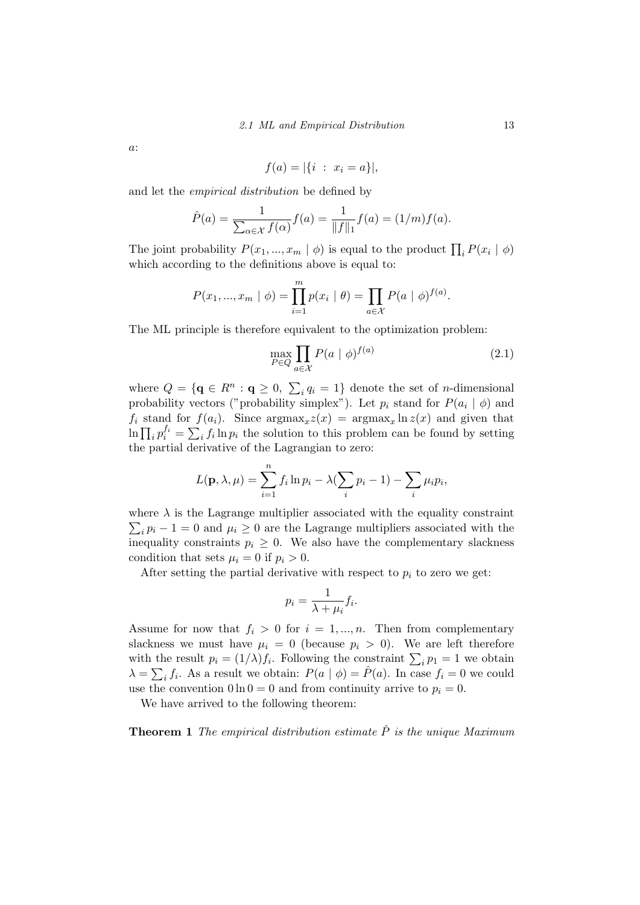a:

$$
f(a) = |\{i : x_i = a\}|,
$$

and let the empirical distribution be defined by

$$
\hat{P}(a) = \frac{1}{\sum_{\alpha \in \mathcal{X}} f(\alpha)} f(a) = \frac{1}{\|f\|_1} f(a) = (1/m) f(a).
$$

The joint probability  $P(x_1, ..., x_m | \phi)$  is equal to the product  $\prod_i P(x_i | \phi)$ which according to the definitions above is equal to:

$$
P(x_1, ..., x_m | \phi) = \prod_{i=1}^m p(x_i | \theta) = \prod_{a \in \mathcal{X}} P(a | \phi)^{f(a)}.
$$

The ML principle is therefore equivalent to the optimization problem:

$$
\max_{P \in Q} \prod_{a \in \mathcal{X}} P(a \mid \phi)^{f(a)} \tag{2.1}
$$

where  $Q = \{ \mathbf{q} \in R^n : \mathbf{q} \ge 0, \sum_i q_i = 1 \}$  denote the set of *n*-dimensional probability vectors ("probability simplex"). Let  $p_i$  stand for  $P(a_i | \phi)$  and  $f_i$  stand for  $f(a_i)$ . Since  $\arg \max_x z(x) = \arg \max_x \ln z(x)$  and given that  $\ln \prod_i p_i^{f_i} = \sum_i f_i \ln p_i$  the solution to this problem can be found by setting the partial derivative of the Lagrangian to zero:

$$
L(\mathbf{p}, \lambda, \mu) = \sum_{i=1}^{n} f_i \ln p_i - \lambda (\sum_i p_i - 1) - \sum_i \mu_i p_i,
$$

where  $\lambda$  is the Lagrange multiplier associated with the equality constraint  $\sum_i p_i - 1 = 0$  and  $\mu_i \ge 0$  are the Lagrange multipliers associated with the inequality constraints  $p_i \geq 0$ . We also have the complementary slackness condition that sets  $\mu_i = 0$  if  $p_i > 0$ .

After setting the partial derivative with respect to  $p_i$  to zero we get:

<span id="page-16-0"></span>
$$
p_i = \frac{1}{\lambda + \mu_i} f_i.
$$

Assume for now that  $f_i > 0$  for  $i = 1, ..., n$ . Then from complementary slackness we must have  $\mu_i = 0$  (because  $p_i > 0$ ). We are left therefore with the result  $p_i = (1/\lambda) f_i$ . Following the constraint  $\sum_i p_i = 1$  we obtain  $\lambda = \sum_i f_i$ . As a result we obtain:  $P(a | \phi) = \hat{P}(a)$ . In case  $f_i = 0$  we could use the convention  $0 \ln 0 = 0$  and from continuity arrive to  $p_i = 0$ .

We have arrived to the following theorem:

**Theorem 1** The empirical distribution estimate  $\hat{P}$  is the unique Maximum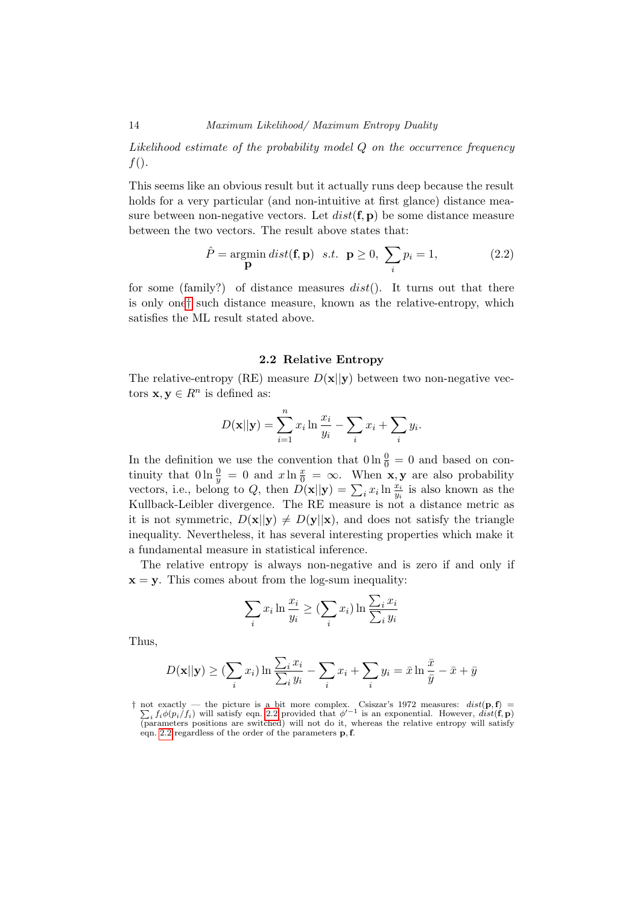Likelihood estimate of the probability model Q on the occurrence frequency  $f()$ .

This seems like an obvious result but it actually runs deep because the result holds for a very particular (and non-intuitive at first glance) distance measure between non-negative vectors. Let  $dist(\mathbf{f}, \mathbf{p})$  be some distance measure between the two vectors. The result above states that:

<span id="page-17-2"></span>
$$
\hat{P} = \underset{\mathbf{p}}{\text{argmin}} \; dist(\mathbf{f}, \mathbf{p}) \quad s.t. \quad \mathbf{p} \ge 0, \; \sum_{i} p_i = 1, \tag{2.2}
$$

for some (family?) of distance measures  $dist()$ . It turns out that there is only one[†](#page-17-1) such distance measure, known as the relative-entropy, which satisfies the ML result stated above.

#### 2.2 Relative Entropy

<span id="page-17-0"></span>The relative-entropy (RE) measure  $D(x||y)$  between two non-negative vectors  $\mathbf{x}, \mathbf{y} \in R^n$  is defined as:

$$
D(\mathbf{x}||\mathbf{y}) = \sum_{i=1}^{n} x_i \ln \frac{x_i}{y_i} - \sum_i x_i + \sum_i y_i.
$$

In the definition we use the convention that  $0 \ln \frac{0}{0} = 0$  and based on continuity that  $0 \ln \frac{0}{y} = 0$  and  $x \ln \frac{x}{0} = \infty$ . When **x**, **y** are also probability vectors, i.e., belong to Q, then  $D(\mathbf{x}||\mathbf{y}) = \sum_i x_i \ln \frac{x_i}{y_i}$  is also known as the Kullback-Leibler divergence. The RE measure is not a distance metric as it is not symmetric,  $D(\mathbf{x}||\mathbf{y}) \neq D(\mathbf{y}||\mathbf{x})$ , and does not satisfy the triangle inequality. Nevertheless, it has several interesting properties which make it a fundamental measure in statistical inference.

The relative entropy is always non-negative and is zero if and only if  $x = y$ . This comes about from the log-sum inequality:

$$
\sum_{i} x_i \ln \frac{x_i}{y_i} \geq (\sum_{i} x_i) \ln \frac{\sum_{i} x_i}{\sum_{i} y_i}
$$

Thus,

$$
D(\mathbf{x}||\mathbf{y}) \geq (\sum_{i} x_i) \ln \frac{\sum_{i} x_i}{\sum_{i} y_i} - \sum_{i} x_i + \sum_{i} y_i = \bar{x} \ln \frac{\bar{x}}{\bar{y}} - \bar{x} + \bar{y}
$$

<span id="page-17-1"></span><sup>†</sup> not exactly — the picture is a bit more complex. Csiszar's 1972 measures:  $dist(\mathbf{p}, \mathbf{f}) =$  $\sum_i f_i \phi(p_i/f_i)$  will satisfy eqn. [2.2](#page-17-2) provided that  $\phi'^{-1}$  is an exponential. However,  $dist(\mathbf{f}, \mathbf{p})$ (parameters positions are switched) will not do it, whereas the relative entropy will satisfy eqn. [2.2](#page-17-2) regardless of the order of the parameters p,f.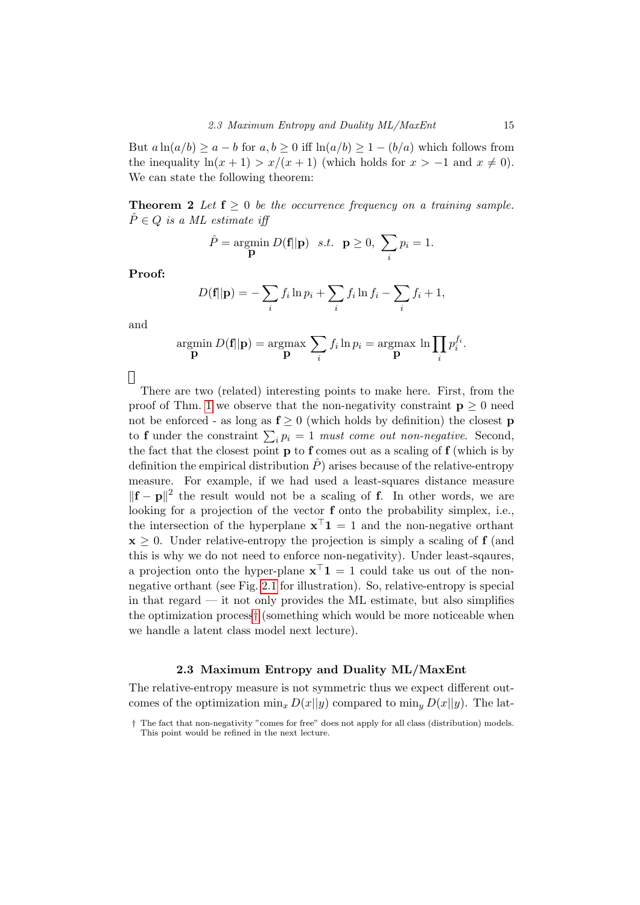But  $a \ln(a/b) > a - b$  for  $a, b > 0$  iff  $\ln(a/b) > 1 - (b/a)$  which follows from the inequality  $\ln(x + 1) > x/(x + 1)$  (which holds for  $x > -1$  and  $x \neq 0$ ). We can state the following theorem:

**Theorem 2** Let  $f \geq 0$  be the occurrence frequency on a training sample.  $\hat{P} \in Q$  is a ML estimate iff

$$
\hat{P} = \underset{\mathbf{p}}{\text{argmin}} \ D(\mathbf{f}||\mathbf{p}) \quad s.t. \quad \mathbf{p} \ge 0, \ \sum_{i} p_i = 1.
$$

Proof:

$$
D(\mathbf{f}||\mathbf{p}) = -\sum_{i} f_i \ln p_i + \sum_{i} f_i \ln f_i - \sum_{i} f_i + 1,
$$

and

$$
\underset{\mathbf{p}}{\operatorname{argmin}}\ D(\mathbf{f}||\mathbf{p}) = \underset{\mathbf{p}}{\operatorname{argmax}}\ \sum_{i} f_i \ln p_i = \underset{\mathbf{p}}{\operatorname{argmax}}\ \ln \prod_i p_i^{f_i}.
$$

 $\Box$ 

There are two (related) interesting points to make here. First, from the proof of Thm. [1](#page-16-0) we observe that the non-negativity constraint  $p \geq 0$  need not be enforced - as long as  $f \ge 0$  (which holds by definition) the closest **p** to **f** under the constraint  $\sum_i p_i = 1$  must come out non-negative. Second, the fact that the closest point  $\bf{p}$  to  $\bf{f}$  comes out as a scaling of  $\bf{f}$  (which is by definition the empirical distribution  $\hat{P}$ ) arises because of the relative-entropy measure. For example, if we had used a least-squares distance measure  $||\mathbf{f} - \mathbf{p}||^2$  the result would not be a scaling of f. In other words, we are looking for a projection of the vector f onto the probability simplex, i.e., the intersection of the hyperplane  $\mathbf{x}^{\top} \mathbf{1} = 1$  and the non-negative orthant  $x \geq 0$ . Under relative-entropy the projection is simply a scaling of **f** (and this is why we do not need to enforce non-negativity). Under least-sqaures, a projection onto the hyper-plane  $\mathbf{x}^{\top} \mathbf{1} = 1$  could take us out of the nonnegative orthant (see Fig. [2.1](#page-19-0) for illustration). So, relative-entropy is special in that regard — it not only provides the ML estimate, but also simplifies the optimization process[†](#page-18-1) (something which would be more noticeable when we handle a latent class model next lecture).

#### 2.3 Maximum Entropy and Duality ML/MaxEnt

<span id="page-18-0"></span>The relative-entropy measure is not symmetric thus we expect different outcomes of the optimization  $\min_x D(x||y)$  compared to  $\min_y D(x||y)$ . The lat-

<span id="page-18-1"></span><sup>†</sup> The fact that non-negativity "comes for free" does not apply for all class (distribution) models. This point would be refined in the next lecture.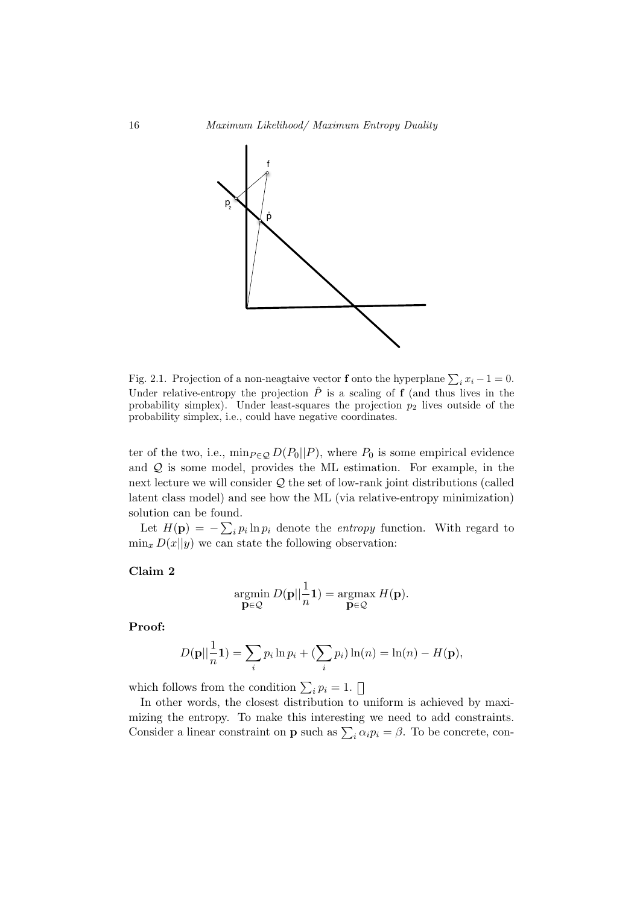

<span id="page-19-0"></span>Fig. 2.1. Projection of a non-neagtaive vector **f** onto the hyperplane  $\sum_i x_i - 1 = 0$ . Under relative-entropy the projection  $\hat{P}$  is a scaling of **f** (and thus lives in the probability simplex). Under least-squares the projection  $p_2$  lives outside of the probability simplex, i.e., could have negative coordinates.

ter of the two, i.e.,  $\min_{P \in \mathcal{Q}} D(P_0||P)$ , where  $P_0$  is some empirical evidence and  $Q$  is some model, provides the ML estimation. For example, in the next lecture we will consider Q the set of low-rank joint distributions (called latent class model) and see how the ML (via relative-entropy minimization) solution can be found.

Let  $H(\mathbf{p}) = -\sum_i p_i \ln p_i$  denote the *entropy* function. With regard to  $\min_x D(x||y)$  we can state the following observation:

Claim 2

$$
\underset{\mathbf{p}\in\mathcal{Q}}{\operatorname{argmin}}\ D(\mathbf{p}||\frac{1}{n}\mathbf{1})=\underset{\mathbf{p}\in\mathcal{Q}}{\operatorname{argmax}}\ H(\mathbf{p}).
$$

Proof:

$$
D(\mathbf{p}||\frac{1}{n}\mathbf{1}) = \sum_{i} p_i \ln p_i + (\sum_{i} p_i) \ln(n) = \ln(n) - H(\mathbf{p}),
$$

which follows from the condition  $\sum_i p_i = 1$ .

In other words, the closest distribution to uniform is achieved by maximizing the entropy. To make this interesting we need to add constraints. Consider a linear constraint on **p** such as  $\sum_i \alpha_i p_i = \beta$ . To be concrete, con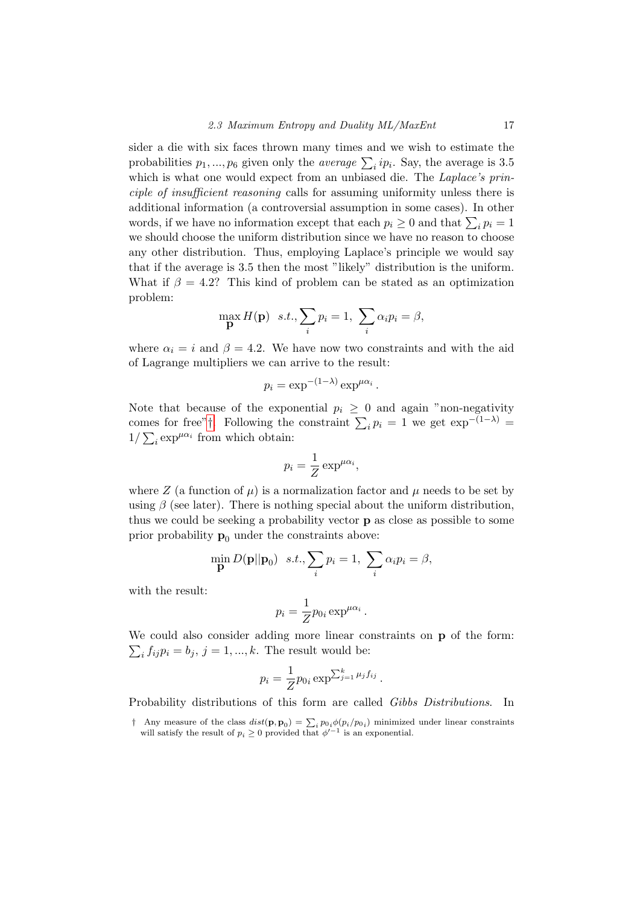sider a die with six faces thrown many times and we wish to estimate the probabilities  $p_1, ..., p_6$  given only the *average*  $\sum_i i p_i$ . Say, the average is 3.5 which is what one would expect from an unbiased die. The *Laplace's prin*ciple of insufficient reasoning calls for assuming uniformity unless there is additional information (a controversial assumption in some cases). In other words, if we have no information except that each  $p_i \geq 0$  and that  $\sum_i p_i = 1$ we should choose the uniform distribution since we have no reason to choose any other distribution. Thus, employing Laplace's principle we would say that if the average is 3.5 then the most "likely" distribution is the uniform. What if  $\beta = 4.2$ ? This kind of problem can be stated as an optimization problem:

$$
\max_{\mathbf{p}} H(\mathbf{p}) \quad s.t., \sum_{i} p_i = 1, \sum_{i} \alpha_i p_i = \beta,
$$

where  $\alpha_i = i$  and  $\beta = 4.2$ . We have now two constraints and with the aid of Lagrange multipliers we can arrive to the result:

$$
p_i = \exp^{-(1-\lambda)} \exp^{\mu \alpha_i}.
$$

Note that because of the exponential  $p_i \geq 0$  and again "non-negativity" comes for free"[†](#page-20-0). Following the constraint  $\sum_i p_i = 1$  we get  $\exp^{-(1-\lambda)} =$  $1/\sum_i \exp^{\mu \alpha_i}$  from which obtain:

$$
p_i = \frac{1}{Z} \exp^{\mu \alpha_i},
$$

where Z (a function of  $\mu$ ) is a normalization factor and  $\mu$  needs to be set by using  $\beta$  (see later). There is nothing special about the uniform distribution, thus we could be seeking a probability vector p as close as possible to some prior probability  $\mathbf{p}_0$  under the constraints above:

$$
\min_{\mathbf{p}} D(\mathbf{p}||\mathbf{p}_0) \quad s.t., \sum_i p_i = 1, \sum_i \alpha_i p_i = \beta,
$$

with the result:

$$
p_i = \frac{1}{Z} p_{0i} \exp^{\mu \alpha_i}.
$$

We could also consider adding more linear constraints on **p** of the form:  $\sum_i f_{ij} p_i = b_j, j = 1, ..., k.$  The result would be:

$$
p_i = \frac{1}{Z} p_{0i} \exp^{\sum_{j=1}^k \mu_j f_{ij}}.
$$

Probability distributions of this form are called Gibbs Distributions. In

<span id="page-20-0"></span><sup>&</sup>lt;sup>†</sup> Any measure of the class  $dist(\mathbf{p}, \mathbf{p}_0) = \sum_i p_{0i} \phi(p_i/p_{0i})$  minimized under linear constraints will satisfy the result of  $p_i \geq 0$  provided that  $\phi'^{-1}$  is an exponential.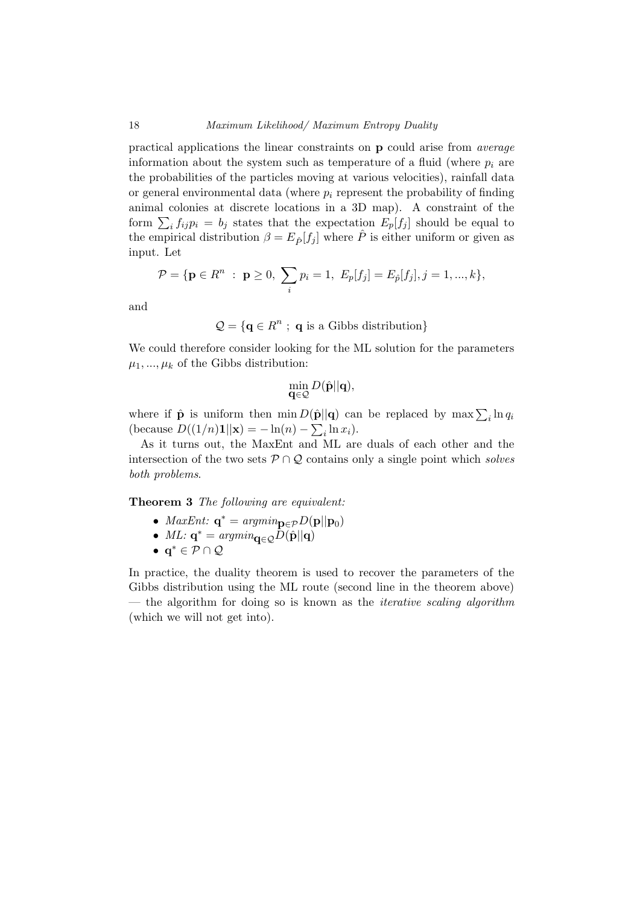practical applications the linear constraints on p could arise from average information about the system such as temperature of a fluid (where  $p_i$  are the probabilities of the particles moving at various velocities), rainfall data or general environmental data (where  $p_i$  represent the probability of finding animal colonies at discrete locations in a 3D map). A constraint of the form  $\sum_i f_{ij} p_i = b_j$  states that the expectation  $E_p[f_j]$  should be equal to the empirical distribution  $\beta = E_{\hat{P}}[f_j]$  where  $\hat{P}$  is either uniform or given as input. Let

$$
\mathcal{P} = \{ \mathbf{p} \in R^n : \mathbf{p} \ge 0, \sum_i p_i = 1, E_p[f_j] = E_{\hat{p}}[f_j], j = 1, ..., k \},\
$$

and

$$
\mathcal{Q} = \{ \mathbf{q} \in R^n ; \ \mathbf{q} \text{ is a Gibbs distribution} \}
$$

We could therefore consider looking for the ML solution for the parameters  $\mu_1, ..., \mu_k$  of the Gibbs distribution:

$$
\min_{\mathbf{q}\in\mathcal{Q}}D(\hat{\mathbf{p}}||\mathbf{q}),
$$

where if  $\hat{\mathbf{p}}$  is uniform then  $\min D(\hat{\mathbf{p}}||\mathbf{q})$  can be replaced by  $\max \sum_{i} \ln q_i$ (because  $D((1/n)\mathbf{1}||\mathbf{x}) = -\ln(n) - \sum_i \ln x_i$ ).

As it turns out, the MaxEnt and ML are duals of each other and the intersection of the two sets  $P \cap Q$  contains only a single point which solves both problems.

Theorem 3 The following are equivalent:

- *MaxEnt*:  $\mathbf{q}^* = argmin_{\mathbf{p} \in \mathcal{P}} D(\mathbf{p}||\mathbf{p}_0)$
- ML:  $\mathbf{q}^* = argmin_{\mathbf{q} \in \mathcal{Q}} \tilde{D}(\hat{\mathbf{p}}||\mathbf{q})$
- $q^* \in \mathcal{P} \cap \mathcal{Q}$

In practice, the duality theorem is used to recover the parameters of the Gibbs distribution using the ML route (second line in the theorem above) — the algorithm for doing so is known as the *iterative scaling algorithm* (which we will not get into).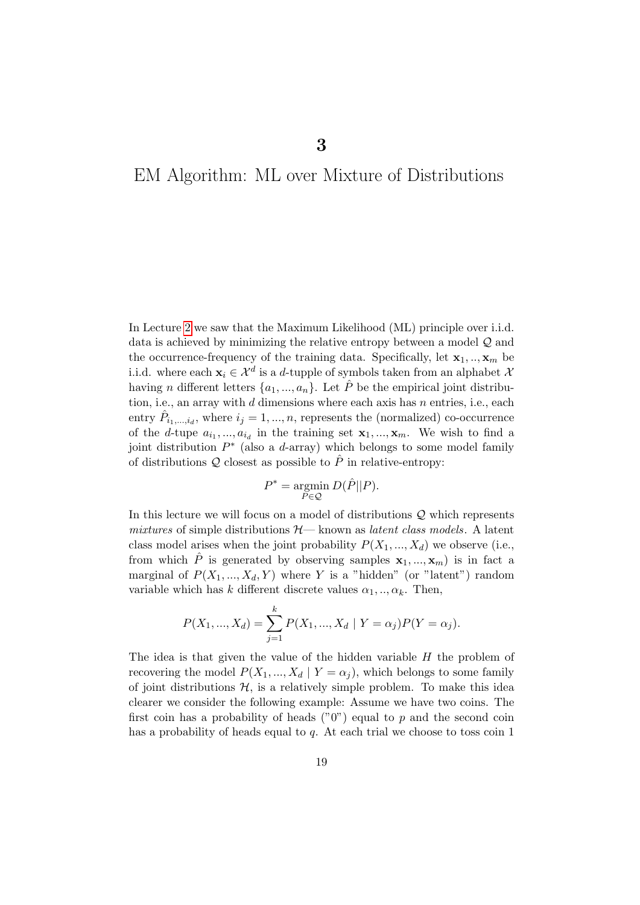## <span id="page-22-0"></span>EM Algorithm: ML over Mixture of Distributions

In Lecture [2](#page-15-0) we saw that the Maximum Likelihood (ML) principle over i.i.d. data is achieved by minimizing the relative entropy between a model Q and the occurrence-frequency of the training data. Specifically, let  $\mathbf{x}_1, \dots, \mathbf{x}_m$  be i.i.d. where each  $\mathbf{x}_i \in \mathcal{X}^d$  is a d-tupple of symbols taken from an alphabet  $\lambda$ having *n* different letters  $\{a_1, ..., a_n\}$ . Let  $\hat{P}$  be the empirical joint distribution, i.e., an array with  $d$  dimensions where each axis has  $n$  entries, i.e., each entry  $\hat{P}_{i_1,\dots,i_d}$ , where  $i_j = 1, \dots, n$ , represents the (normalized) co-occurrence of the d-tupe  $a_{i_1},...,a_{i_d}$  in the training set  $\mathbf{x}_1,...,\mathbf{x}_m$ . We wish to find a joint distribution  $P^*$  (also a d-array) which belongs to some model family of distributions  $Q$  closest as possible to  $\hat{P}$  in relative-entropy:

$$
P^* = \underset{P \in \mathcal{Q}}{\operatorname{argmin}} \ D(\hat{P} || P).
$$

In this lecture we will focus on a model of distributions  $\mathcal Q$  which represents mixtures of simple distributions  $H$ — known as *latent class models*. A latent class model arises when the joint probability  $P(X_1, ..., X_d)$  we observe (i.e., from which  $\hat{P}$  is generated by observing samples  $x_1, ..., x_m$  is in fact a marginal of  $P(X_1, ..., X_d, Y)$  where Y is a "hidden" (or "latent") random variable which has k different discrete values  $\alpha_1, \ldots, \alpha_k$ . Then,

$$
P(X_1, ..., X_d) = \sum_{j=1}^{k} P(X_1, ..., X_d | Y = \alpha_j) P(Y = \alpha_j).
$$

The idea is that given the value of the hidden variable H the problem of recovering the model  $P(X_1, ..., X_d | Y = \alpha_j)$ , which belongs to some family of joint distributions  $H$ , is a relatively simple problem. To make this idea clearer we consider the following example: Assume we have two coins. The first coin has a probability of heads  $("0")$  equal to p and the second coin has a probability of heads equal to  $q$ . At each trial we choose to toss coin 1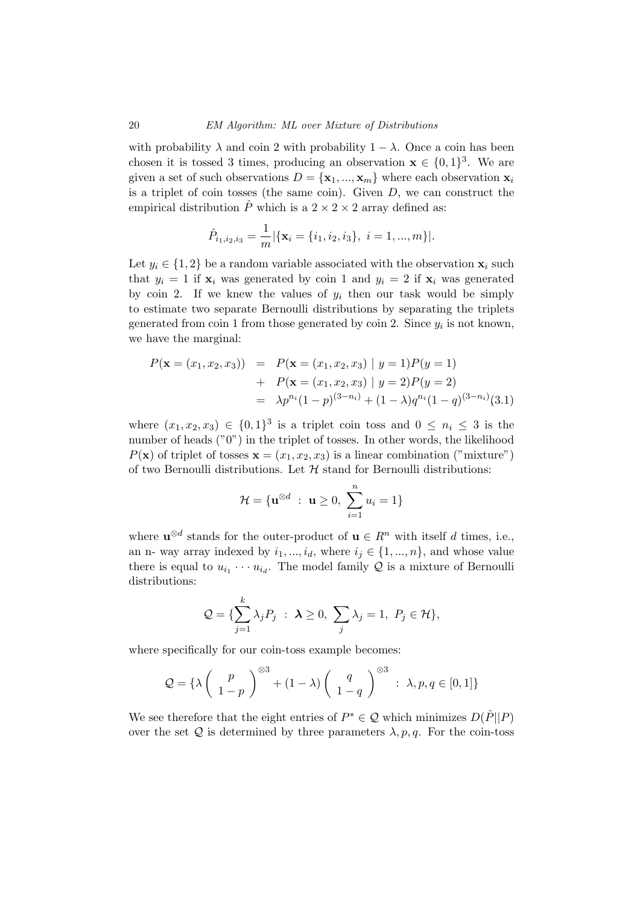with probability  $\lambda$  and coin 2 with probability  $1 - \lambda$ . Once a coin has been chosen it is tossed 3 times, producing an observation  $\mathbf{x} \in \{0,1\}^3$ . We are given a set of such observations  $D = {\mathbf{x}_1, ..., \mathbf{x}_m}$  where each observation  $\mathbf{x}_i$ is a triplet of coin tosses (the same coin). Given  $D$ , we can construct the empirical distribution  $\hat{P}$  which is a  $2 \times 2 \times 2$  array defined as:

$$
\hat{P}_{i_1,i_2,i_3} = \frac{1}{m} |\{\mathbf{x}_i = \{i_1,i_2,i_3\}, i = 1,...,m\}|.
$$

Let  $y_i \in \{1,2\}$  be a random variable associated with the observation  $x_i$  such that  $y_i = 1$  if  $\mathbf{x}_i$  was generated by coin 1 and  $y_i = 2$  if  $\mathbf{x}_i$  was generated by coin 2. If we knew the values of  $y_i$  then our task would be simply to estimate two separate Bernoulli distributions by separating the triplets generated from coin 1 from those generated by coin 2. Since  $y_i$  is not known, we have the marginal:

$$
P(\mathbf{x} = (x_1, x_2, x_3)) = P(\mathbf{x} = (x_1, x_2, x_3) | y = 1)P(y = 1)
$$
  
+ 
$$
P(\mathbf{x} = (x_1, x_2, x_3) | y = 2)P(y = 2)
$$
  
= 
$$
\lambda p^{n_i} (1-p)^{(3-n_i)} + (1-\lambda) q^{n_i} (1-q)^{(3-n_i)} (3.1)
$$

where  $(x_1, x_2, x_3) \in \{0, 1\}^3$  is a triplet coin toss and  $0 \leq n_i \leq 3$  is the number of heads ("0") in the triplet of tosses. In other words, the likelihood  $P(\mathbf{x})$  of triplet of tosses  $\mathbf{x} = (x_1, x_2, x_3)$  is a linear combination ("mixture") of two Bernoulli distributions. Let  $H$  stand for Bernoulli distributions:

$$
\mathcal{H} = \{ \mathbf{u}^{\otimes d} : \ \mathbf{u} \ge 0, \ \sum_{i=1}^{n} u_i = 1 \}
$$

where  $\mathbf{u}^{\otimes d}$  stands for the outer-product of  $\mathbf{u} \in \mathbb{R}^n$  with itself d times, i.e., an n- way array indexed by  $i_1, ..., i_d$ , where  $i_j \in \{1, ..., n\}$ , and whose value there is equal to  $u_{i_1} \cdots u_{i_d}$ . The model family  $\mathcal Q$  is a mixture of Bernoulli distributions:

$$
\mathcal{Q} = \{\sum_{j=1}^k \lambda_j P_j \; : \; \mathbf{\lambda} \ge 0, \; \sum_j \lambda_j = 1, \; P_j \in \mathcal{H} \},\
$$

where specifically for our coin-toss example becomes:

$$
Q = \left\{ \lambda \begin{pmatrix} p \\ 1-p \end{pmatrix} \right\}^{\otimes 3} + (1-\lambda) \begin{pmatrix} q \\ 1-q \end{pmatrix}^{\otimes 3} : \lambda, p, q \in [0,1] \right\}
$$

We see therefore that the eight entries of  $P^* \in \mathcal{Q}$  which minimizes  $D(\hat{P}||P)$ over the set Q is determined by three parameters  $\lambda$ , p, q. For the coin-toss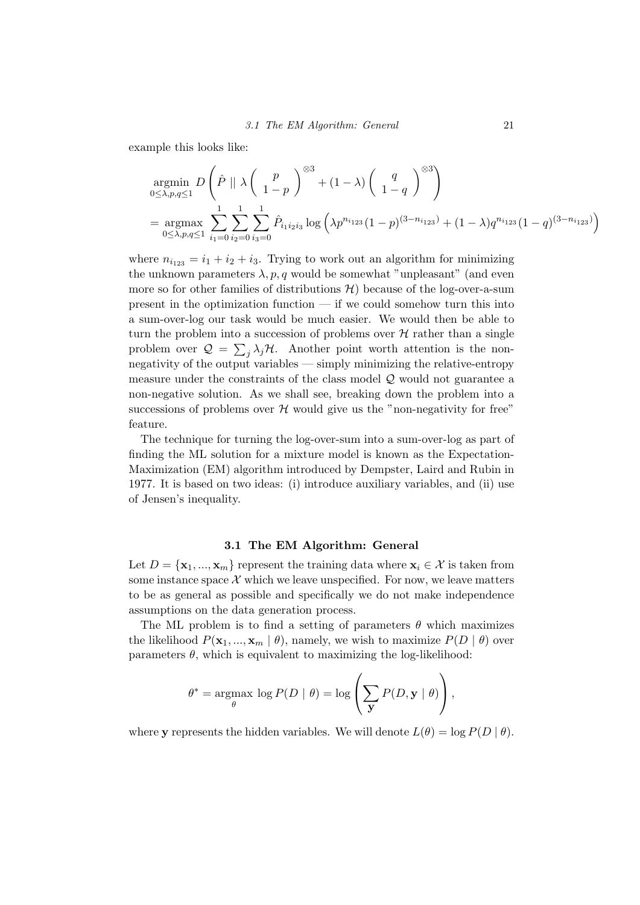example this looks like:

$$
\underset{0 \le \lambda, p,q \le 1}{\text{argmin}} D\left(\hat{P} \mid \lambda \left(\begin{array}{c} p \\ 1-p \end{array}\right)^{\otimes 3} + (1-\lambda) \left(\begin{array}{c} q \\ 1-q \end{array}\right)^{\otimes 3}\right)
$$
\n
$$
= \underset{0 \le \lambda, p,q \le 1}{\text{argmax}} \sum_{i_1=0}^{1} \sum_{i_2=0}^{1} \sum_{i_3=0}^{1} \hat{P}_{i_1 i_2 i_3} \log \left(\lambda p^{n_{i_1 2 3}} (1-p)^{(3-n_{i_1 2 3})} + (1-\lambda) q^{n_{i_1 2 3}} (1-q)^{(3-n_{i_1 2 3})}\right)
$$

where  $n_{i_{123}} = i_1 + i_2 + i_3$ . Trying to work out an algorithm for minimizing the unknown parameters  $\lambda$ , p, q would be somewhat "unpleasant" (and even more so for other families of distributions  $H$ ) because of the log-over-a-sum present in the optimization function  $\frac{d}{dx}$  is could somehow turn this into a sum-over-log our task would be much easier. We would then be able to turn the problem into a succession of problems over  $H$  rather than a single problem over  $\mathcal{Q} = \sum_j \lambda_j \mathcal{H}$ . Another point worth attention is the nonnegativity of the output variables — simply minimizing the relative-entropy measure under the constraints of the class model Q would not guarantee a non-negative solution. As we shall see, breaking down the problem into a successions of problems over  $H$  would give us the "non-negativity for free" feature.

The technique for turning the log-over-sum into a sum-over-log as part of finding the ML solution for a mixture model is known as the Expectation-Maximization (EM) algorithm introduced by Dempster, Laird and Rubin in 1977. It is based on two ideas: (i) introduce auxiliary variables, and (ii) use of Jensen's inequality.

#### 3.1 The EM Algorithm: General

<span id="page-24-0"></span>Let  $D = {\mathbf{x}_1, ..., \mathbf{x}_m}$  represent the training data where  $\mathbf{x}_i \in \mathcal{X}$  is taken from some instance space  $\mathcal X$  which we leave unspecified. For now, we leave matters to be as general as possible and specifically we do not make independence assumptions on the data generation process.

The ML problem is to find a setting of parameters  $\theta$  which maximizes the likelihood  $P(\mathbf{x}_1, ..., \mathbf{x}_m | \theta)$ , namely, we wish to maximize  $P(D | \theta)$  over parameters  $\theta$ , which is equivalent to maximizing the log-likelihood:

$$
\theta^* = \underset{\theta}{\text{argmax}} \log P(D | \theta) = \log \left( \sum_{\mathbf{y}} P(D, \mathbf{y} | \theta) \right),
$$

where y represents the hidden variables. We will denote  $L(\theta) = \log P(D | \theta)$ .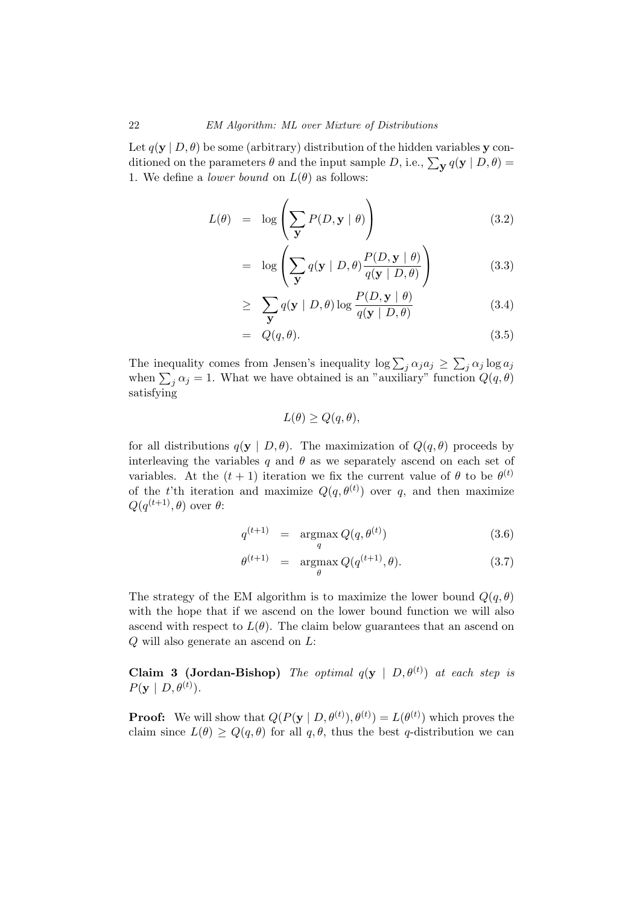Let  $q(y | D, \theta)$  be some (arbitrary) distribution of the hidden variables y conditioned on the parameters  $\theta$  and the input sample D, i.e.,  $\sum_{\mathbf{y}} q(\mathbf{y} \mid D, \theta) =$ 1. We define a *lower bound* on  $L(\theta)$  as follows:

$$
L(\theta) = \log \left( \sum_{\mathbf{y}} P(D, \mathbf{y} | \theta) \right) \tag{3.2}
$$

$$
= \log \left( \sum_{\mathbf{y}} q(\mathbf{y} \mid D, \theta) \frac{P(D, \mathbf{y} \mid \theta)}{q(\mathbf{y} \mid D, \theta)} \right) \tag{3.3}
$$

$$
\geq \sum_{\mathbf{y}} q(\mathbf{y} \mid D, \theta) \log \frac{P(D, \mathbf{y} \mid \theta)}{q(\mathbf{y} \mid D, \theta)} \tag{3.4}
$$

$$
= Q(q, \theta). \tag{3.5}
$$

The inequality comes from Jensen's inequality  $\log \sum_j \alpha_j a_j \geq \sum_j \alpha_j \log a_j$ when  $\sum_j \alpha_j = 1$ . What we have obtained is an "auxiliary" function  $Q(q, \theta)$ satisfying

$$
L(\theta) \ge Q(q, \theta),
$$

for all distributions  $q(y | D, \theta)$ . The maximization of  $Q(q, \theta)$  proceeds by interleaving the variables q and  $\theta$  as we separately ascend on each set of variables. At the  $(t + 1)$  iteration we fix the current value of  $\theta$  to be  $\theta^{(t)}$ of the t'th iteration and maximize  $Q(q, \theta^{(t)})$  over q, and then maximize  $Q(q^{(t+1)}, \theta)$  over  $\theta$ :

$$
q^{(t+1)} = \underset{q}{\operatorname{argmax}} Q(q, \theta^{(t)}) \tag{3.6}
$$

$$
\theta^{(t+1)} = \underset{\theta}{\operatorname{argmax}} Q(q^{(t+1)}, \theta). \tag{3.7}
$$

The strategy of the EM algorithm is to maximize the lower bound  $Q(q, \theta)$ with the hope that if we ascend on the lower bound function we will also ascend with respect to  $L(\theta)$ . The claim below guarantees that an ascend on Q will also generate an ascend on L:

**Claim 3 (Jordan-Bishop)** The optimal  $q(y | D, \theta^{(t)})$  at each step is  $P(\mathbf{y} \mid D, \theta^{(t)})$ .

**Proof:** We will show that  $Q(P(\mathbf{y} \mid D, \theta^{(t)}), \theta^{(t)}) = L(\theta^{(t)})$  which proves the claim since  $L(\theta) \ge Q(q, \theta)$  for all  $q, \theta$ , thus the best q-distribution we can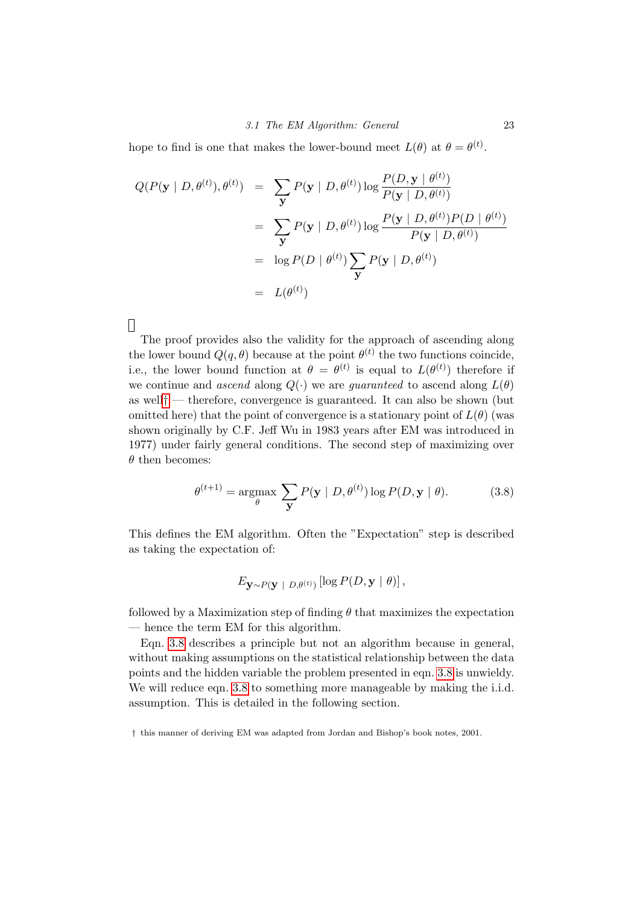hope to find is one that makes the lower-bound meet  $L(\theta)$  at  $\theta = \theta^{(t)}$ .

$$
Q(P(\mathbf{y} \mid D, \theta^{(t)}), \theta^{(t)}) = \sum_{\mathbf{y}} P(\mathbf{y} \mid D, \theta^{(t)}) \log \frac{P(D, \mathbf{y} \mid \theta^{(t)})}{P(\mathbf{y} \mid D, \theta^{(t)})}
$$
  
= 
$$
\sum_{\mathbf{y}} P(\mathbf{y} \mid D, \theta^{(t)}) \log \frac{P(\mathbf{y} \mid D, \theta^{(t)}) P(D \mid \theta^{(t)})}{P(\mathbf{y} \mid D, \theta^{(t)})}
$$
  
= 
$$
\log P(D \mid \theta^{(t)}) \sum_{\mathbf{y}} P(\mathbf{y} \mid D, \theta^{(t)})
$$
  
= 
$$
L(\theta^{(t)})
$$

 $\Box$ 

The proof provides also the validity for the approach of ascending along the lower bound  $Q(q, \theta)$  because at the point  $\theta^{(t)}$  the two functions coincide, i.e., the lower bound function at  $\theta = \theta^{(t)}$  is equal to  $L(\theta^{(t)})$  therefore if we continue and ascend along  $Q(\cdot)$  we are *quaranteed* to ascend along  $L(\theta)$ as well<sup>[†](#page-26-0)</sup> — therefore, convergence is guaranteed. It can also be shown (but omitted here) that the point of convergence is a stationary point of  $L(\theta)$  (was shown originally by C.F. Jeff Wu in 1983 years after EM was introduced in 1977) under fairly general conditions. The second step of maximizing over  $\theta$  then becomes:

<span id="page-26-1"></span>
$$
\theta^{(t+1)} = \underset{\theta}{\operatorname{argmax}} \sum_{\mathbf{y}} P(\mathbf{y} \mid D, \theta^{(t)}) \log P(D, \mathbf{y} \mid \theta). \tag{3.8}
$$

This defines the EM algorithm. Often the "Expectation" step is described as taking the expectation of:

$$
E_{\mathbf{y} \sim P(\mathbf{y} | D, \theta^{(t)})} [\log P(D, \mathbf{y} | \theta)],
$$

followed by a Maximization step of finding  $\theta$  that maximizes the expectation — hence the term EM for this algorithm.

Eqn. [3.8](#page-26-1) describes a principle but not an algorithm because in general, without making assumptions on the statistical relationship between the data points and the hidden variable the problem presented in eqn. [3.8](#page-26-1) is unwieldy. We will reduce eqn. [3.8](#page-26-1) to something more manageable by making the i.i.d. assumption. This is detailed in the following section.

<span id="page-26-0"></span><sup>†</sup> this manner of deriving EM was adapted from Jordan and Bishop's book notes, 2001.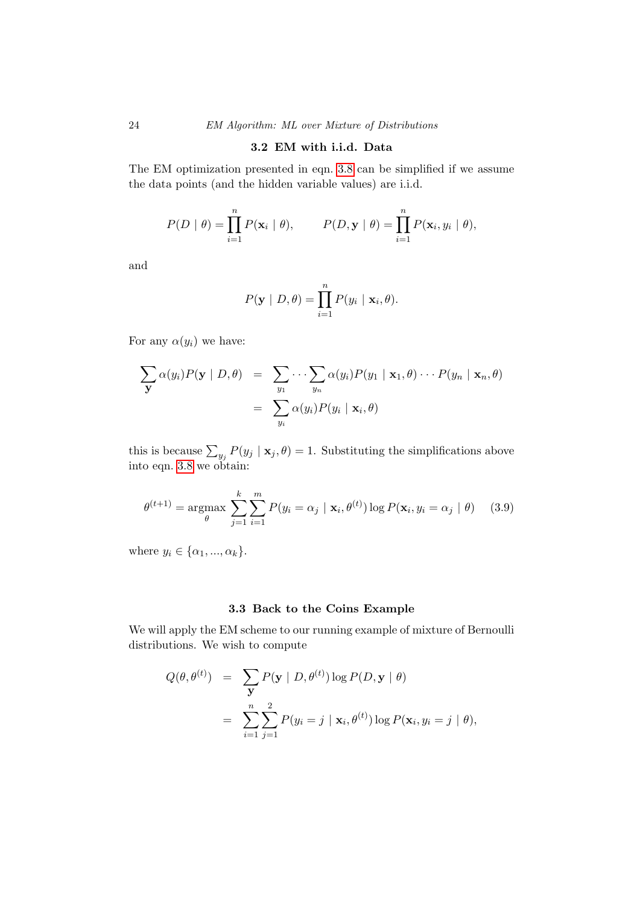#### 3.2 EM with i.i.d. Data

<span id="page-27-0"></span>The EM optimization presented in eqn. [3.8](#page-26-1) can be simplified if we assume the data points (and the hidden variable values) are i.i.d.

$$
P(D | \theta) = \prod_{i=1}^{n} P(\mathbf{x}_i | \theta), \qquad P(D, \mathbf{y} | \theta) = \prod_{i=1}^{n} P(\mathbf{x}_i, y_i | \theta),
$$

and

$$
P(\mathbf{y} \mid D, \theta) = \prod_{i=1}^{n} P(y_i \mid \mathbf{x}_i, \theta).
$$

For any  $\alpha(y_i)$  we have:

$$
\sum_{\mathbf{y}} \alpha(y_i) P(\mathbf{y} | D, \theta) = \sum_{y_1} \cdots \sum_{y_n} \alpha(y_i) P(y_1 | \mathbf{x}_1, \theta) \cdots P(y_n | \mathbf{x}_n, \theta)
$$
  
= 
$$
\sum_{y_i} \alpha(y_i) P(y_i | \mathbf{x}_i, \theta)
$$

this is because  $\sum_{y_j} P(y_j | \mathbf{x}_j, \theta) = 1$ . Substituting the simplifications above into eqn. [3.8](#page-26-1) we obtain:

<span id="page-27-2"></span>
$$
\theta^{(t+1)} = \underset{\theta}{\operatorname{argmax}} \sum_{j=1}^{k} \sum_{i=1}^{m} P(y_i = \alpha_j \mid \mathbf{x}_i, \theta^{(t)}) \log P(\mathbf{x}_i, y_i = \alpha_j \mid \theta) \quad (3.9)
$$

where  $y_i \in {\alpha_1, ..., \alpha_k}$ .

#### 3.3 Back to the Coins Example

<span id="page-27-1"></span>We will apply the EM scheme to our running example of mixture of Bernoulli distributions. We wish to compute

$$
Q(\theta, \theta^{(t)}) = \sum_{\mathbf{y}} P(\mathbf{y} | D, \theta^{(t)}) \log P(D, \mathbf{y} | \theta)
$$
  
= 
$$
\sum_{i=1}^{n} \sum_{j=1}^{2} P(y_i = j | \mathbf{x}_i, \theta^{(t)}) \log P(\mathbf{x}_i, y_i = j | \theta),
$$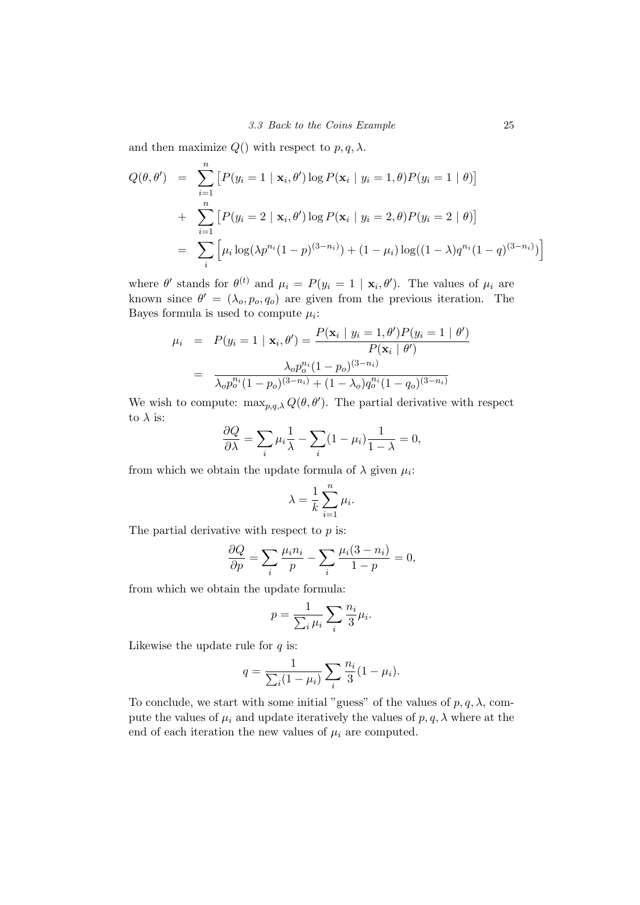and then maximize  $Q()$  with respect to  $p, q, \lambda$ .

$$
Q(\theta, \theta') = \sum_{i=1}^{n} [P(y_i = 1 | \mathbf{x}_i, \theta') \log P(\mathbf{x}_i | y_i = 1, \theta) P(y_i = 1 | \theta)]
$$
  
+ 
$$
\sum_{i=1}^{n} [P(y_i = 2 | \mathbf{x}_i, \theta') \log P(\mathbf{x}_i | y_i = 2, \theta) P(y_i = 2 | \theta)]
$$
  
= 
$$
\sum_{i} [\mu_i \log(\lambda p^{n_i} (1 - p)^{(3 - n_i)}) + (1 - \mu_i) \log((1 - \lambda) q^{n_i} (1 - q)^{(3 - n_i)})]
$$

where  $\theta'$  stands for  $\theta^{(t)}$  and  $\mu_i = P(y_i = 1 | \mathbf{x}_i, \theta')$ . The values of  $\mu_i$  are known since  $\theta' = (\lambda_o, p_o, q_o)$  are given from the previous iteration. The Bayes formula is used to compute  $\mu_i$ :

$$
\mu_i = P(y_i = 1 | \mathbf{x}_i, \theta') = \frac{P(\mathbf{x}_i | y_i = 1, \theta')P(y_i = 1 | \theta')}{P(\mathbf{x}_i | \theta')}
$$

$$
= \frac{\lambda_o p_o^{n_i} (1 - p_o)^{(3 - n_i)}}{\lambda_o p_o^{n_i} (1 - p_o)^{(3 - n_i)} + (1 - \lambda_o) q_o^{n_i} (1 - q_o)^{(3 - n_i)}}
$$

We wish to compute:  $\max_{p,q,\lambda} Q(\theta, \theta')$ . The partial derivative with respect to  $\lambda$  is:

$$
\frac{\partial Q}{\partial \lambda} = \sum_{i} \mu_i \frac{1}{\lambda} - \sum_{i} (1 - \mu_i) \frac{1}{1 - \lambda} = 0,
$$

from which we obtain the update formula of  $\lambda$  given  $\mu_i$ :

$$
\lambda = \frac{1}{k} \sum_{i=1}^{n} \mu_i.
$$

The partial derivative with respect to p is:

$$
\frac{\partial Q}{\partial p} = \sum_{i} \frac{\mu_i n_i}{p} - \sum_{i} \frac{\mu_i (3 - n_i)}{1 - p} = 0,
$$

from which we obtain the update formula:

$$
p = \frac{1}{\sum_{i} \mu_i} \sum_{i} \frac{n_i}{3} \mu_i.
$$

Likewise the update rule for  $q$  is:

$$
q = \frac{1}{\sum_{i} (1 - \mu_i)} \sum_{i} \frac{n_i}{3} (1 - \mu_i).
$$

To conclude, we start with some initial "guess" of the values of  $p, q, \lambda$ , compute the values of  $\mu_i$  and update iteratively the values of  $p, q, \lambda$  where at the end of each iteration the new values of  $\mu_i$  are computed.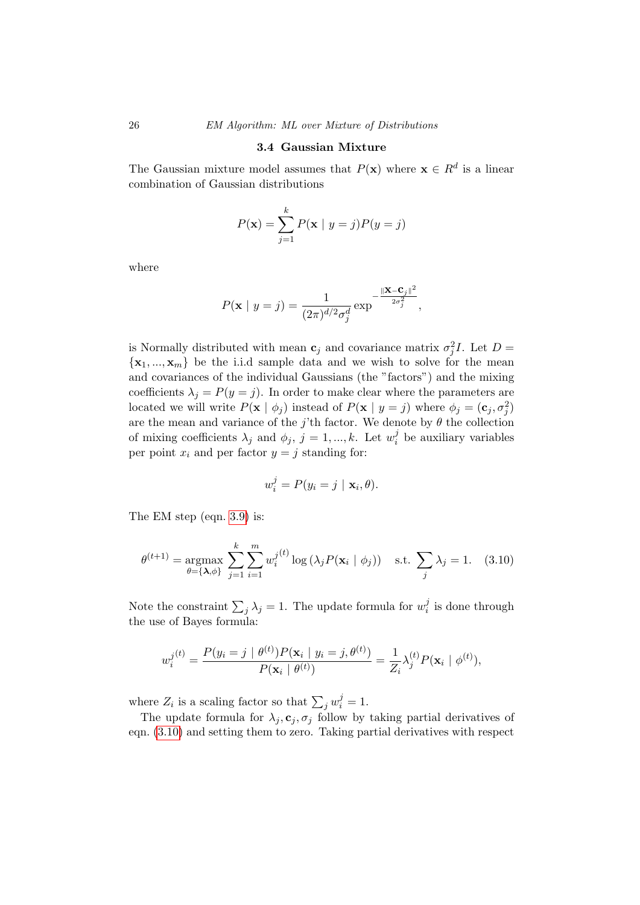#### 3.4 Gaussian Mixture

<span id="page-29-0"></span>The Gaussian mixture model assumes that  $P(x)$  where  $x \in R^d$  is a linear combination of Gaussian distributions

$$
P(\mathbf{x}) = \sum_{j=1}^{k} P(\mathbf{x} \mid y = j) P(y = j)
$$

where

$$
P(\mathbf{x} \mid y = j) = \frac{1}{(2\pi)^{d/2} \sigma_j^d} \exp^{-\frac{\|\mathbf{X} - \mathbf{C}_j\|^2}{2\sigma_j^2}},
$$

is Normally distributed with mean  $\mathbf{c}_j$  and covariance matrix  $\sigma_j^2 I$ . Let  $D =$  $\{x_1, ..., x_m\}$  be the i.i.d sample data and we wish to solve for the mean and covariances of the individual Gaussians (the "factors") and the mixing coefficients  $\lambda_j = P(y = j)$ . In order to make clear where the parameters are located we will write  $P(\mathbf{x} \mid \phi_j)$  instead of  $P(\mathbf{x} \mid y = j)$  where  $\phi_j = (\mathbf{c}_j, \sigma_j^2)$ are the mean and variance of the j'th factor. We denote by  $\theta$  the collection of mixing coefficients  $\lambda_j$  and  $\phi_j$ ,  $j = 1, ..., k$ . Let  $w_i^j$  $i$  be auxiliary variables per point  $x_i$  and per factor  $y = j$  standing for:

$$
w_i^j = P(y_i = j \mid \mathbf{x}_i, \theta).
$$

The EM step (eqn. [3.9\)](#page-27-2) is:

<span id="page-29-1"></span>
$$
\theta^{(t+1)} = \underset{\theta = \{\lambda, \phi\}}{\operatorname{argmax}} \sum_{j=1}^{k} \sum_{i=1}^{m} w_i^{j(t)} \log \left(\lambda_j P(\mathbf{x}_i \mid \phi_j)\right) \quad \text{s.t.} \sum_{j} \lambda_j = 1. \tag{3.10}
$$

Note the constraint  $\sum_j \lambda_j = 1$ . The update formula for  $w_i^j$  $i_i$  is done through the use of Bayes formula:

$$
w_i^{j(t)} = \frac{P(y_i = j \mid \theta^{(t)}) P(\mathbf{x}_i \mid y_i = j, \theta^{(t)})}{P(\mathbf{x}_i \mid \theta^{(t)})} = \frac{1}{Z_i} \lambda_j^{(t)} P(\mathbf{x}_i \mid \phi^{(t)}),
$$

where  $Z_i$  is a scaling factor so that  $\sum_j w_i^j = 1$ .

The update formula for  $\lambda_j, \mathbf{c}_j, \sigma_j$  follow by taking partial derivatives of eqn. [\(3.10\)](#page-29-1) and setting them to zero. Taking partial derivatives with respect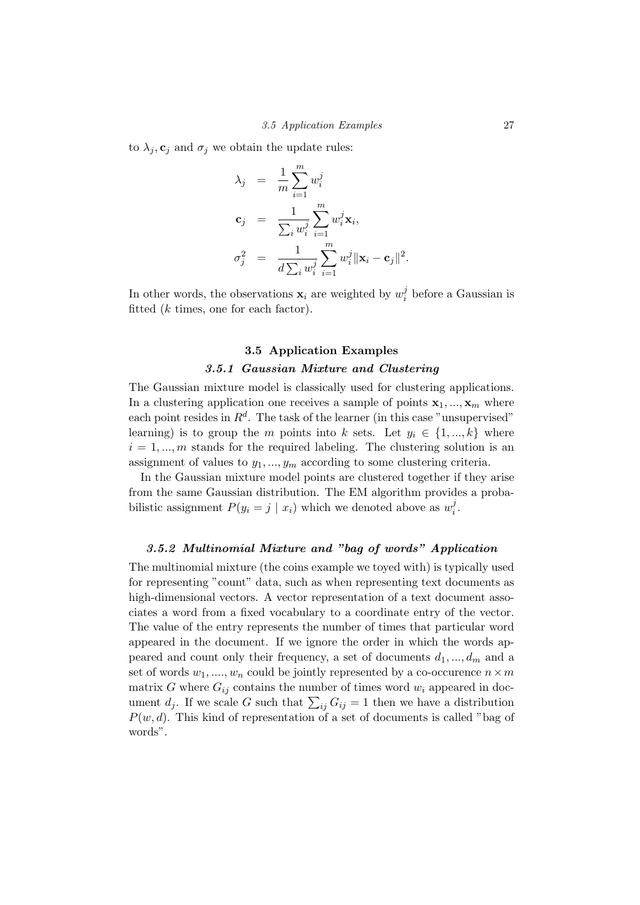to  $\lambda_i$ ,  $\mathbf{c}_i$  and  $\sigma_i$  we obtain the update rules:

$$
\lambda_j = \frac{1}{m} \sum_{i=1}^m w_i^j
$$
  
\n
$$
\mathbf{c}_j = \frac{1}{\sum_i w_i^j} \sum_{i=1}^m w_i^j \mathbf{x}_i,
$$
  
\n
$$
\sigma_j^2 = \frac{1}{d \sum_i w_i^j} \sum_{i=1}^m w_i^j \|\mathbf{x}_i - \mathbf{c}_j\|^2.
$$

In other words, the observations  $\mathbf{x}_i$  are weighted by  $w_i^j$  $i<sub>i</sub><sup>j</sup>$  before a Gaussian is fitted (k times, one for each factor).

### 3.5 Application Examples 3.5.1 Gaussian Mixture and Clustering

<span id="page-30-1"></span><span id="page-30-0"></span>The Gaussian mixture model is classically used for clustering applications. In a clustering application one receives a sample of points  $x_1, ..., x_m$  where each point resides in  $R^d$ . The task of the learner (in this case "unsupervised" learning) is to group the m points into k sets. Let  $y_i \in \{1, ..., k\}$  where  $i = 1, \dots, m$  stands for the required labeling. The clustering solution is an assignment of values to  $y_1, ..., y_m$  according to some clustering criteria.

In the Gaussian mixture model points are clustered together if they arise from the same Gaussian distribution. The EM algorithm provides a probabilistic assignment  $P(y_i = j \mid x_i)$  which we denoted above as  $w_i^j$  $\frac{j}{i}$ .

#### <span id="page-30-2"></span>3.5.2 Multinomial Mixture and "bag of words" Application

The multinomial mixture (the coins example we toyed with) is typically used for representing "count" data, such as when representing text documents as high-dimensional vectors. A vector representation of a text document associates a word from a fixed vocabulary to a coordinate entry of the vector. The value of the entry represents the number of times that particular word appeared in the document. If we ignore the order in which the words appeared and count only their frequency, a set of documents  $d_1, ..., d_m$  and a set of words  $w_1, ..., w_n$  could be jointly represented by a co-occurence  $n \times m$ matrix G where  $G_{ij}$  contains the number of times word  $w_i$  appeared in document  $d_j$ . If we scale G such that  $\sum_{ij} G_{ij} = 1$  then we have a distribution  $P(w, d)$ . This kind of representation of a set of documents is called "bag of words".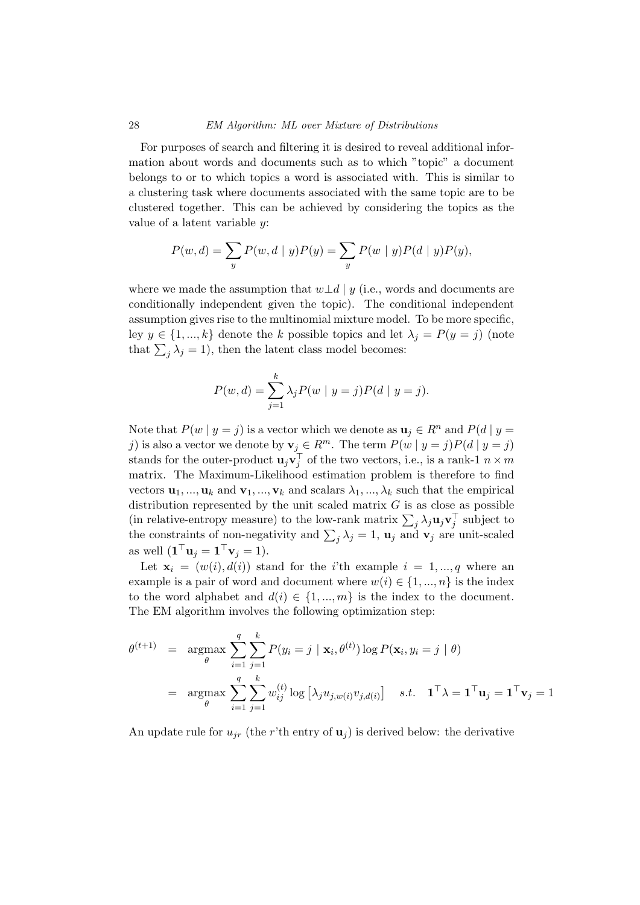For purposes of search and filtering it is desired to reveal additional information about words and documents such as to which "topic" a document belongs to or to which topics a word is associated with. This is similar to a clustering task where documents associated with the same topic are to be clustered together. This can be achieved by considering the topics as the value of a latent variable y:

$$
P(w, d) = \sum_{y} P(w, d | y) P(y) = \sum_{y} P(w | y) P(d | y) P(y),
$$

where we made the assumption that  $w\perp d$  | y (i.e., words and documents are conditionally independent given the topic). The conditional independent assumption gives rise to the multinomial mixture model. To be more specific, ley  $y \in \{1, ..., k\}$  denote the k possible topics and let  $\lambda_j = P(y = j)$  (note that  $\sum_j \lambda_j = 1$ , then the latent class model becomes:

$$
P(w, d) = \sum_{j=1}^{k} \lambda_j P(w | y = j) P(d | y = j).
$$

Note that  $P(w | y = j)$  is a vector which we denote as  $u_i \in R^n$  and  $P(d | y = j)$ j) is also a vector we denote by  $\mathbf{v}_j \in R^m$ . The term  $P(w | y = j)P(d | y = j)$ stands for the outer-product  $\mathbf{u}_j \mathbf{v}_j^{\top}$  of the two vectors, i.e., is a rank-1  $n \times m$ matrix. The Maximum-Likelihood estimation problem is therefore to find vectors  $\mathbf{u}_1, ..., \mathbf{u}_k$  and  $\mathbf{v}_1, ..., \mathbf{v}_k$  and scalars  $\lambda_1, ..., \lambda_k$  such that the empirical distribution represented by the unit scaled matrix  $G$  is as close as possible (in relative-entropy measure) to the low-rank matrix  $\sum_j \lambda_j \mathbf{u}_j \mathbf{v}_j^{\top}$  subject to the constraints of non-negativity and  $\sum_j \lambda_j = 1$ ,  $\mathbf{u}_j$  and  $\mathbf{v}_j$  are unit-scaled as well  $(\mathbf{1}^\top \mathbf{u}_j = \mathbf{1}^\top \mathbf{v}_j = 1).$ 

Let  $\mathbf{x}_i = (w(i), d(i))$  stand for the *i*'th example  $i = 1, ..., q$  where an example is a pair of word and document where  $w(i) \in \{1, ..., n\}$  is the index to the word alphabet and  $d(i) \in \{1, ..., m\}$  is the index to the document. The EM algorithm involves the following optimization step:

$$
\theta^{(t+1)} = \underset{\theta}{\operatorname{argmax}} \sum_{i=1}^{q} \sum_{j=1}^{k} P(y_i = j \mid \mathbf{x}_i, \theta^{(t)}) \log P(\mathbf{x}_i, y_i = j \mid \theta)
$$

$$
= \underset{\theta}{\operatorname{argmax}} \sum_{i=1}^{q} \sum_{j=1}^{k} w_{ij}^{(t)} \log \left[ \lambda_j u_{j,w(i)} v_{j,d(i)} \right] \quad s.t. \quad \mathbf{1}^\top \lambda = \mathbf{1}^\top \mathbf{u}_j = \mathbf{1}^\top \mathbf{v}_j = 1
$$

An update rule for  $u_{ir}$  (the r'th entry of  $u_i$ ) is derived below: the derivative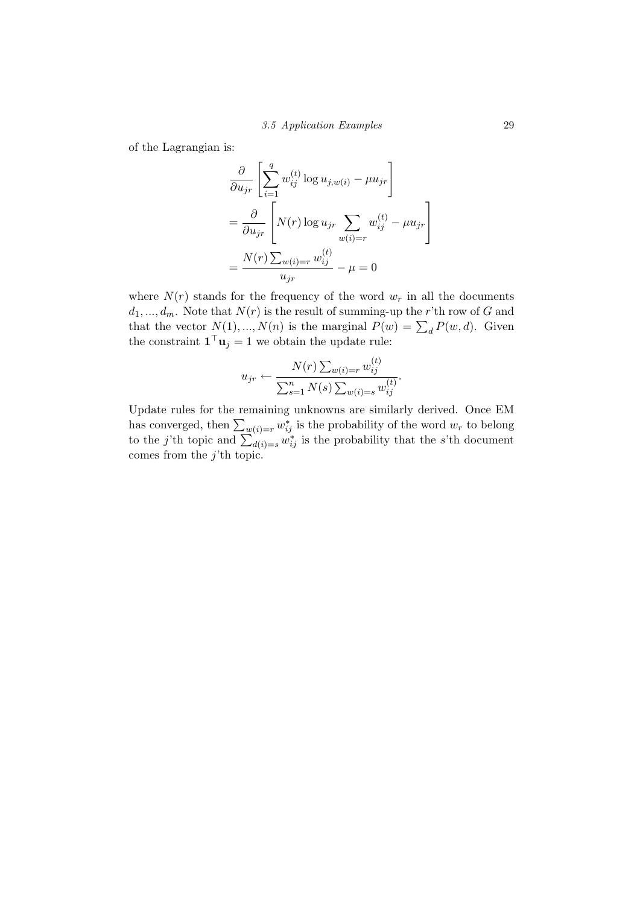of the Lagrangian is:

$$
\frac{\partial}{\partial u_{jr}} \left[ \sum_{i=1}^{q} w_{ij}^{(t)} \log u_{j,w(i)} - \mu u_{jr} \right]
$$

$$
= \frac{\partial}{\partial u_{jr}} \left[ N(r) \log u_{jr} \sum_{w(i)=r} w_{ij}^{(t)} - \mu u_{jr} \right]
$$

$$
= \frac{N(r) \sum_{w(i)=r} w_{ij}^{(t)}}{u_{jr}} - \mu = 0
$$

where  $N(r)$  stands for the frequency of the word  $w_r$  in all the documents  $d_1, ..., d_m$ . Note that  $N(r)$  is the result of summing-up the r'th row of G and that the vector  $N(1),...,N(n)$  is the marginal  $P(w) = \sum_{d} P(w, d)$ . Given the constraint  $\mathbf{1}^\top \mathbf{u}_j = 1$  we obtain the update rule:

$$
u_{jr} \leftarrow \frac{N(r) \sum_{w(i)=r} w_{ij}^{(t)}}{\sum_{s=1}^{n} N(s) \sum_{w(i)=s} w_{ij}^{(t)}}.
$$

Update rules for the remaining unknowns are similarly derived. Once EM has converged, then  $\sum_{w(i)=r} w_{ij}^*$  is the probability of the word  $w_r$  to belong to the j'th topic and  $\sum_{d(i)=s}^{\infty} w_{ij}^*$  is the probability that the s'th document comes from the  $j$ <sup>th</sup> topic.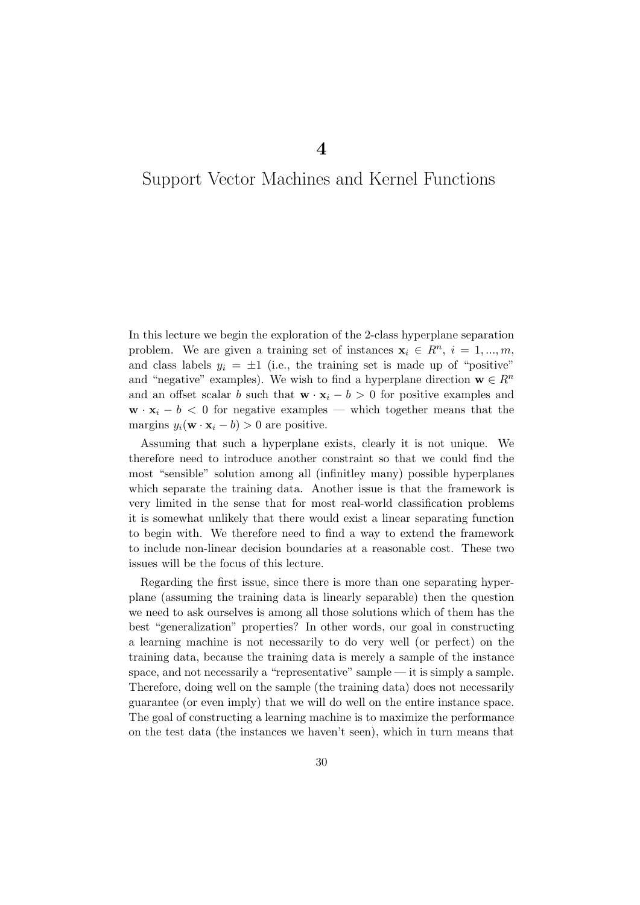4

## <span id="page-33-0"></span>Support Vector Machines and Kernel Functions

In this lecture we begin the exploration of the 2-class hyperplane separation problem. We are given a training set of instances  $\mathbf{x}_i \in \mathbb{R}^n$ ,  $i = 1, ..., m$ , and class labels  $y_i = \pm 1$  (i.e., the training set is made up of "positive" and "negative" examples). We wish to find a hyperplane direction  $\mathbf{w} \in \mathbb{R}^n$ and an offset scalar b such that  $\mathbf{w} \cdot \mathbf{x}_i - b > 0$  for positive examples and  $\mathbf{w} \cdot \mathbf{x}_i - b \leq 0$  for negative examples — which together means that the margins  $y_i(\mathbf{w} \cdot \mathbf{x}_i - b) > 0$  are positive.

Assuming that such a hyperplane exists, clearly it is not unique. We therefore need to introduce another constraint so that we could find the most "sensible" solution among all (infinitley many) possible hyperplanes which separate the training data. Another issue is that the framework is very limited in the sense that for most real-world classification problems it is somewhat unlikely that there would exist a linear separating function to begin with. We therefore need to find a way to extend the framework to include non-linear decision boundaries at a reasonable cost. These two issues will be the focus of this lecture.

Regarding the first issue, since there is more than one separating hyperplane (assuming the training data is linearly separable) then the question we need to ask ourselves is among all those solutions which of them has the best "generalization" properties? In other words, our goal in constructing a learning machine is not necessarily to do very well (or perfect) on the training data, because the training data is merely a sample of the instance space, and not necessarily a "representative" sample — it is simply a sample. Therefore, doing well on the sample (the training data) does not necessarily guarantee (or even imply) that we will do well on the entire instance space. The goal of constructing a learning machine is to maximize the performance on the test data (the instances we haven't seen), which in turn means that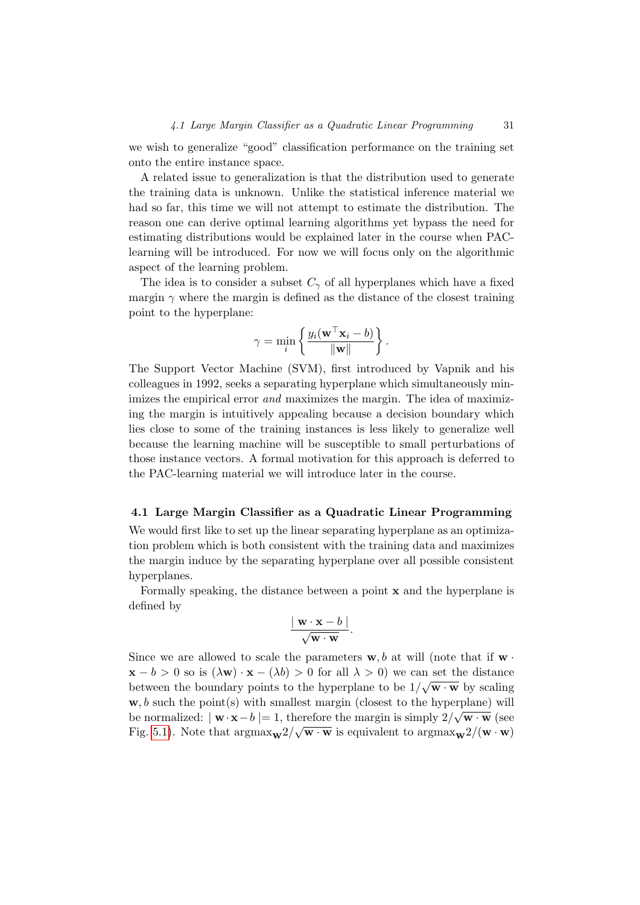we wish to generalize "good" classification performance on the training set onto the entire instance space.

A related issue to generalization is that the distribution used to generate the training data is unknown. Unlike the statistical inference material we had so far, this time we will not attempt to estimate the distribution. The reason one can derive optimal learning algorithms yet bypass the need for estimating distributions would be explained later in the course when PAClearning will be introduced. For now we will focus only on the algorithmic aspect of the learning problem.

The idea is to consider a subset  $C_{\gamma}$  of all hyperplanes which have a fixed margin  $\gamma$  where the margin is defined as the distance of the closest training point to the hyperplane:

$$
\gamma = \min_i \left\{ \frac{y_i(\mathbf{w}^\top \mathbf{x}_i - b)}{\|\mathbf{w}\|} \right\}.
$$

The Support Vector Machine (SVM), first introduced by Vapnik and his colleagues in 1992, seeks a separating hyperplane which simultaneously minimizes the empirical error *and* maximizes the margin. The idea of maximizing the margin is intuitively appealing because a decision boundary which lies close to some of the training instances is less likely to generalize well because the learning machine will be susceptible to small perturbations of those instance vectors. A formal motivation for this approach is deferred to the PAC-learning material we will introduce later in the course.

#### <span id="page-34-0"></span>4.1 Large Margin Classifier as a Quadratic Linear Programming

We would first like to set up the linear separating hyperplane as an optimization problem which is both consistent with the training data and maximizes the margin induce by the separating hyperplane over all possible consistent hyperplanes.

Formally speaking, the distance between a point x and the hyperplane is defined by

$$
\frac{\vert \mathbf{w} \cdot \mathbf{x} - b \vert}{\sqrt{\mathbf{w} \cdot \mathbf{w}}}.
$$

Since we are allowed to scale the parameters  $\mathbf{w}, b$  at will (note that if  $\mathbf{w}$ .  $\mathbf{x} - b > 0$  so is  $(\lambda \mathbf{w}) \cdot \mathbf{x} - (\lambda b) > 0$  for all  $\lambda > 0$ ) we can set the distance between the boundary points to the hyperplane to be  $1/\sqrt{\mathbf{w} \cdot \mathbf{w}}$  by scaling  $\mathbf{w}, b$  such the point(s) with smallest margin (closest to the hyperplane) will be normalized:  $|\mathbf{w} \cdot \mathbf{x} - b| = 1$ , therefore the margin is simply  $2/\sqrt{\mathbf{w} \cdot \mathbf{w}}$  (see Fig. [5.1\)](#page-54-0). Note that  $\text{argmax}_{\mathbf{w}} 2/\sqrt{\mathbf{w} \cdot \mathbf{w}}$  is equivalent to  $\text{argmax}_{\mathbf{w}} 2/(\mathbf{w} \cdot \mathbf{w})$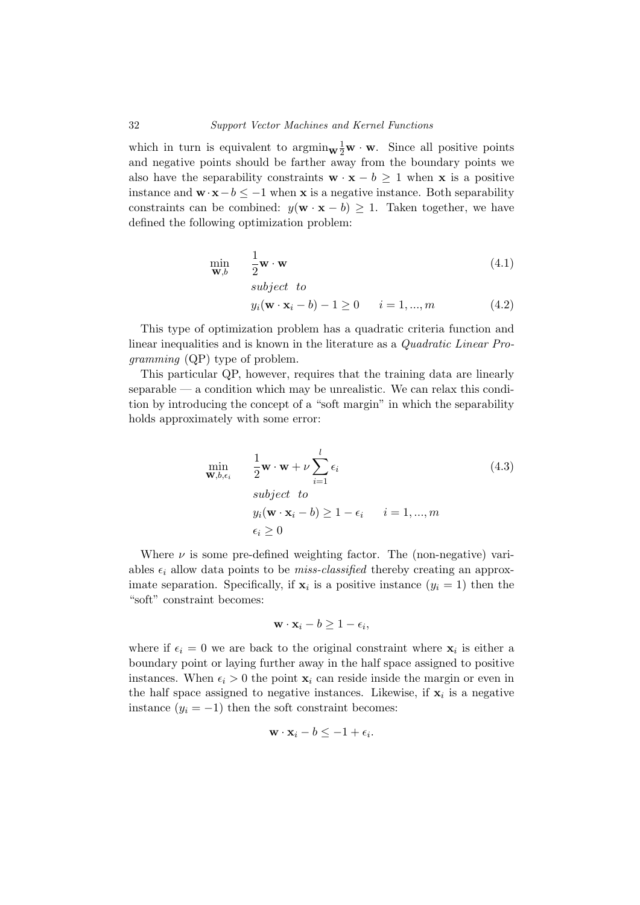which in turn is equivalent to  $\operatorname{argmin}_{\mathbf{W}} \frac{1}{2} \mathbf{w} \cdot \mathbf{w}$ . Since all positive points and negative points should be farther away from the boundary points we also have the separability constraints  $\mathbf{w} \cdot \mathbf{x} - b \geq 1$  when x is a positive instance and  $\mathbf{w} \cdot \mathbf{x} - b \leq -1$  when x is a negative instance. Both separability constraints can be combined:  $y(\mathbf{w} \cdot \mathbf{x} - b) \geq 1$ . Taken together, we have defined the following optimization problem:

$$
\min_{\mathbf{W},b} \qquad \frac{1}{2}\mathbf{w} \cdot \mathbf{w} \tag{4.1}
$$

$$
y_i(\mathbf{w} \cdot \mathbf{x}_i - b) - 1 \ge 0
$$
  $i = 1, ..., m$  (4.2)

This type of optimization problem has a quadratic criteria function and linear inequalities and is known in the literature as a Quadratic Linear Programming (QP) type of problem.

subject to

This particular QP, however, requires that the training data are linearly  $separable$  — a condition which may be unrealistic. We can relax this condition by introducing the concept of a "soft margin" in which the separability holds approximately with some error:

$$
\min_{\mathbf{w}, b, \epsilon_i} \quad \frac{1}{2} \mathbf{w} \cdot \mathbf{w} + \nu \sum_{i=1}^l \epsilon_i
$$
\n
$$
\text{subject to}
$$
\n
$$
y_i(\mathbf{w} \cdot \mathbf{x}_i - b) \ge 1 - \epsilon_i \quad i = 1, ..., m
$$
\n
$$
\epsilon_i \ge 0
$$
\n(4.3)

Where  $\nu$  is some pre-defined weighting factor. The (non-negative) variables  $\epsilon_i$  allow data points to be *miss-classified* thereby creating an approximate separation. Specifically, if  $\mathbf{x}_i$  is a positive instance  $(y_i = 1)$  then the "soft" constraint becomes:

$$
\mathbf{w} \cdot \mathbf{x}_i - b \ge 1 - \epsilon_i,
$$

where if  $\epsilon_i = 0$  we are back to the original constraint where  $\mathbf{x}_i$  is either a boundary point or laying further away in the half space assigned to positive instances. When  $\epsilon_i > 0$  the point  $\mathbf{x}_i$  can reside inside the margin or even in the half space assigned to negative instances. Likewise, if  $x_i$  is a negative instance  $(y_i = -1)$  then the soft constraint becomes:

$$
\mathbf{w} \cdot \mathbf{x}_i - b \leq -1 + \epsilon_i.
$$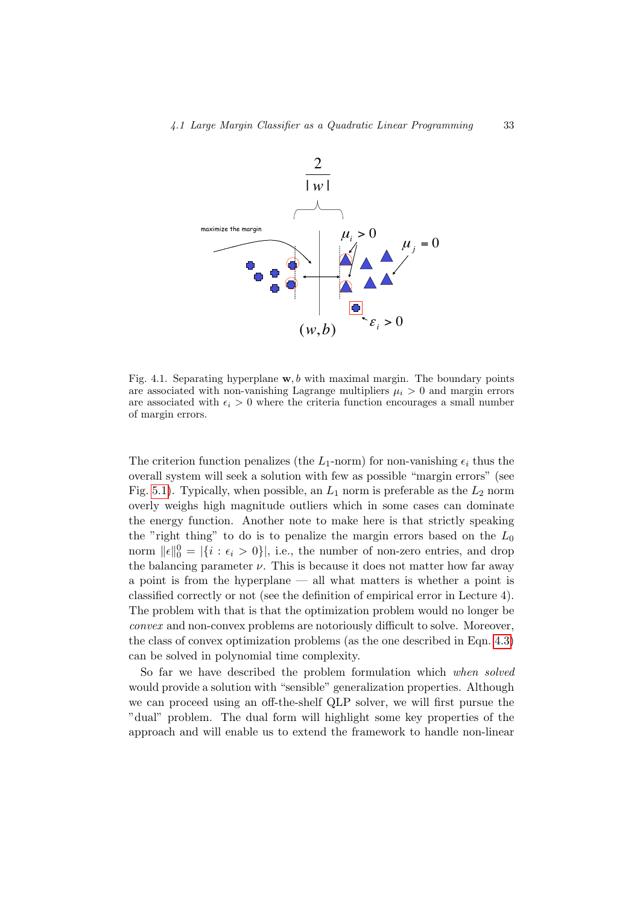

Fig. 4.1. Separating hyperplane  $\mathbf{w}, b$  with maximal margin. The boundary points are associated with non-vanishing Lagrange multipliers  $\mu_i > 0$  and margin errors are associated with  $\epsilon_i > 0$  where the criteria function encourages a small number of margin errors.

The criterion function penalizes (the  $L_1$ -norm) for non-vanishing  $\epsilon_i$  thus the overall system will seek a solution with few as possible "margin errors" (see Fig. [5.1\)](#page-54-0). Typically, when possible, an  $L_1$  norm is preferable as the  $L_2$  norm overly weighs high magnitude outliers which in some cases can dominate the energy function. Another note to make here is that strictly speaking the "right thing" to do is to penalize the margin errors based on the  $L_0$ norm  $||\epsilon||_0^0 = |\{i : \epsilon_i > 0\}|$ , i.e., the number of non-zero entries, and drop the balancing parameter  $\nu$ . This is because it does not matter how far away a point is from the hyperplane — all what matters is whether a point is classified correctly or not (see the definition of empirical error in Lecture 4). The problem with that is that the optimization problem would no longer be convex and non-convex problems are notoriously difficult to solve. Moreover, the class of convex optimization problems (as the one described in Eqn. [4.3\)](#page-35-0) can be solved in polynomial time complexity.

So far we have described the problem formulation which when solved would provide a solution with "sensible" generalization properties. Although we can proceed using an off-the-shelf QLP solver, we will first pursue the "dual" problem. The dual form will highlight some key properties of the approach and will enable us to extend the framework to handle non-linear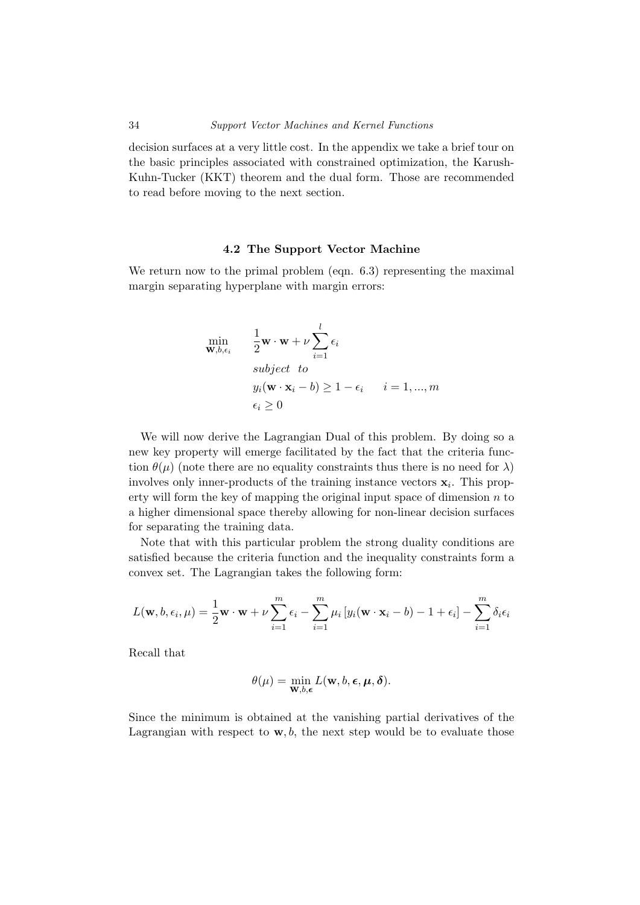decision surfaces at a very little cost. In the appendix we take a brief tour on the basic principles associated with constrained optimization, the Karush-Kuhn-Tucker (KKT) theorem and the dual form. Those are recommended to read before moving to the next section.

#### 4.2 The Support Vector Machine

We return now to the primal problem (eqn. 6.3) representing the maximal margin separating hyperplane with margin errors:

<span id="page-37-0"></span>
$$
\min_{\mathbf{w}, b, \epsilon_i} \qquad \frac{1}{2} \mathbf{w} \cdot \mathbf{w} + \nu \sum_{i=1}^l \epsilon_i
$$
\n
$$
\text{subject to}
$$
\n
$$
y_i(\mathbf{w} \cdot \mathbf{x}_i - b) \ge 1 - \epsilon_i \qquad i = 1, ..., m
$$
\n
$$
\epsilon_i \ge 0
$$

We will now derive the Lagrangian Dual of this problem. By doing so a new key property will emerge facilitated by the fact that the criteria function  $\theta(\mu)$  (note there are no equality constraints thus there is no need for  $\lambda$ ) involves only inner-products of the training instance vectors  $x_i$ . This property will form the key of mapping the original input space of dimension  $n$  to a higher dimensional space thereby allowing for non-linear decision surfaces for separating the training data.

Note that with this particular problem the strong duality conditions are satisfied because the criteria function and the inequality constraints form a convex set. The Lagrangian takes the following form:

$$
L(\mathbf{w}, b, \epsilon_i, \mu) = \frac{1}{2}\mathbf{w} \cdot \mathbf{w} + \nu \sum_{i=1}^{m} \epsilon_i - \sum_{i=1}^{m} \mu_i \left[ y_i(\mathbf{w} \cdot \mathbf{x}_i - b) - 1 + \epsilon_i \right] - \sum_{i=1}^{m} \delta_i \epsilon_i
$$

Recall that

$$
\theta(\mu) = \min_{\mathbf{W},b,\boldsymbol{\epsilon}} L(\mathbf{w},b,\boldsymbol{\epsilon},\boldsymbol{\mu},\boldsymbol{\delta}).
$$

Since the minimum is obtained at the vanishing partial derivatives of the Lagrangian with respect to  $\mathbf{w}, b$ , the next step would be to evaluate those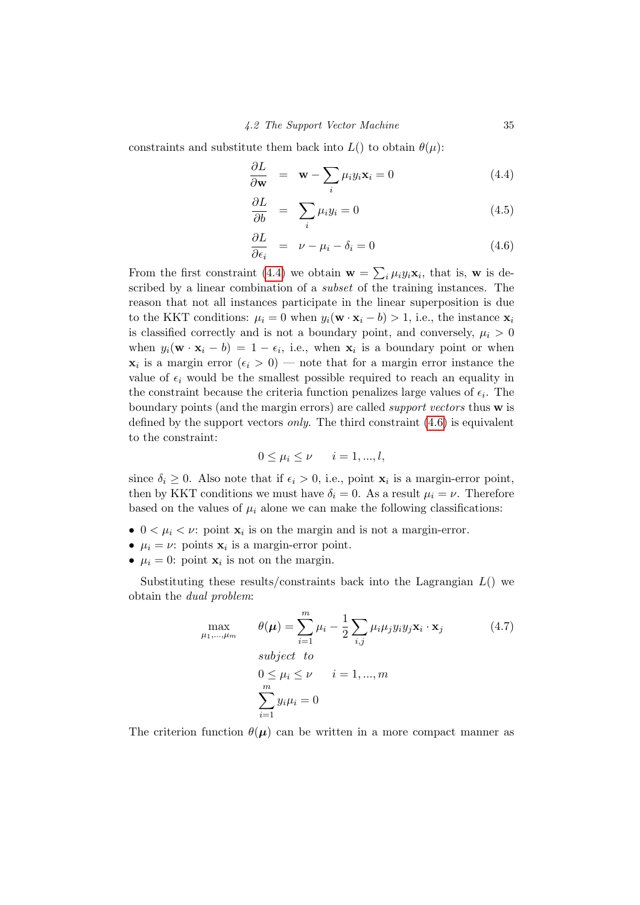constraints and substitute them back into  $L()$  to obtain  $\theta(\mu)$ :

$$
\frac{\partial L}{\partial \mathbf{w}} = \mathbf{w} - \sum_{i} \mu_i y_i \mathbf{x}_i = 0 \tag{4.4}
$$

$$
\frac{\partial L}{\partial b} = \sum_{i} \mu_i y_i = 0 \tag{4.5}
$$

$$
\frac{\partial L}{\partial \epsilon_i} = \nu - \mu_i - \delta_i = 0 \tag{4.6}
$$

From the first constraint [\(4.4\)](#page-37-0) we obtain  $\mathbf{w} = \sum_i \mu_i y_i \mathbf{x}_i$ , that is, w is described by a linear combination of a *subset* of the training instances. The reason that not all instances participate in the linear superposition is due to the KKT conditions:  $\mu_i = 0$  when  $y_i(\mathbf{w} \cdot \mathbf{x}_i - b) > 1$ , i.e., the instance  $\mathbf{x}_i$ is classified correctly and is not a boundary point, and conversely,  $\mu_i > 0$ when  $y_i(\mathbf{w} \cdot \mathbf{x}_i - b) = 1 - \epsilon_i$ , i.e., when  $\mathbf{x}_i$  is a boundary point or when  $\mathbf{x}_i$  is a margin error  $(\epsilon_i > 0)$  — note that for a margin error instance the value of  $\epsilon_i$  would be the smallest possible required to reach an equality in the constraint because the criteria function penalizes large values of  $\epsilon_i$ . The boundary points (and the margin errors) are called support vectors thus w is defined by the support vectors *only*. The third constraint  $(4.6)$  is equivalent to the constraint:

$$
0 \le \mu_i \le \nu \qquad i = 1, ..., l,
$$

since  $\delta_i \geq 0$ . Also note that if  $\epsilon_i > 0$ , i.e., point  $\mathbf{x}_i$  is a margin-error point, then by KKT conditions we must have  $\delta_i = 0$ . As a result  $\mu_i = \nu$ . Therefore based on the values of  $\mu_i$  alone we can make the following classifications:

- $0 < \mu_i < \nu$ : point  $\mathbf{x}_i$  is on the margin and is not a margin-error.
- $\mu_i = \nu$ : points  $\mathbf{x}_i$  is a margin-error point.
- $\mu_i = 0$ : point  $\mathbf{x}_i$  is not on the margin.

Substituting these results/constraints back into the Lagrangian  $L()$  we obtain the dual problem:

$$
\max_{\mu_1,\dots,\mu_m} \qquad \theta(\mu) = \sum_{i=1}^m \mu_i - \frac{1}{2} \sum_{i,j} \mu_i \mu_j y_i y_j \mathbf{x}_i \cdot \mathbf{x}_j
$$
\n
$$
\text{subject to}
$$
\n
$$
0 \le \mu_i \le \nu \qquad i = 1, \dots, m
$$
\n
$$
\sum_{i=1}^m y_i \mu_i = 0
$$
\n(4.7)

The criterion function  $\theta(\mu)$  can be written in a more compact manner as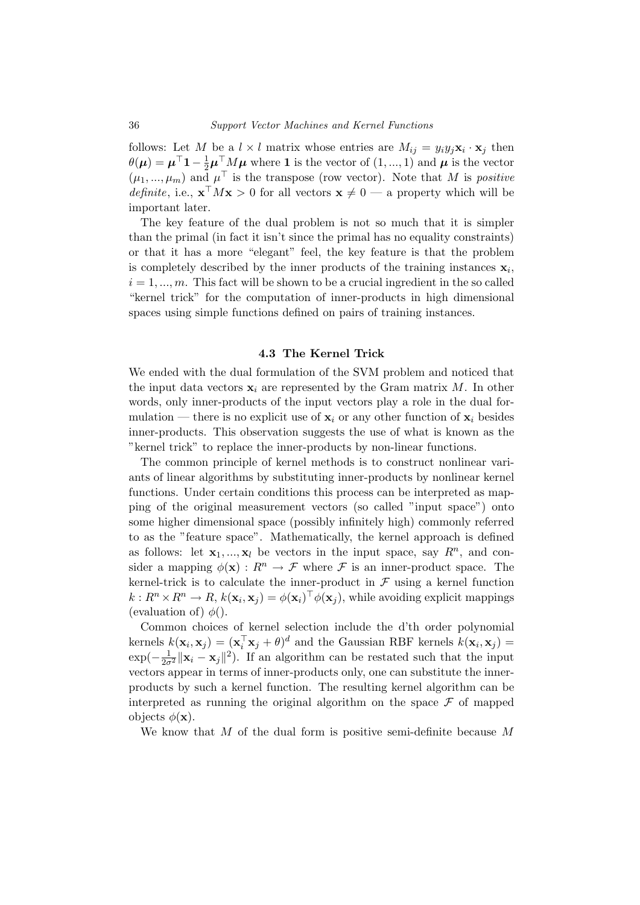follows: Let M be a  $l \times l$  matrix whose entries are  $M_{ij} = y_i y_j \mathbf{x}_i \cdot \mathbf{x}_j$  then  $\theta(\mu) = \mu^{\top} \mathbf{1} - \frac{1}{2} \mu^{\top} M \mu$  where 1 is the vector of  $(1, ..., 1)$  and  $\mu$  is the vector  $(\mu_1, ..., \mu_m)$  and  $\mu^{\top}$  is the transpose (row vector). Note that M is positive *definite*, i.e.,  $\mathbf{x}^\top M \mathbf{x} > 0$  for all vectors  $\mathbf{x} \neq 0$  — a property which will be important later.

The key feature of the dual problem is not so much that it is simpler than the primal (in fact it isn't since the primal has no equality constraints) or that it has a more "elegant" feel, the key feature is that the problem is completely described by the inner products of the training instances  $\mathbf{x}_i$ ,  $i = 1, \ldots, m$ . This fact will be shown to be a crucial ingredient in the so called "kernel trick" for the computation of inner-products in high dimensional spaces using simple functions defined on pairs of training instances.

#### 4.3 The Kernel Trick

We ended with the dual formulation of the SVM problem and noticed that the input data vectors  $x_i$  are represented by the Gram matrix M. In other words, only inner-products of the input vectors play a role in the dual formulation — there is no explicit use of  $x_i$  or any other function of  $x_i$  besides inner-products. This observation suggests the use of what is known as the "kernel trick" to replace the inner-products by non-linear functions.

The common principle of kernel methods is to construct nonlinear variants of linear algorithms by substituting inner-products by nonlinear kernel functions. Under certain conditions this process can be interpreted as mapping of the original measurement vectors (so called "input space") onto some higher dimensional space (possibly infinitely high) commonly referred to as the "feature space". Mathematically, the kernel approach is defined as follows: let  $x_1, ..., x_l$  be vectors in the input space, say  $R^n$ , and consider a mapping  $\phi(\mathbf{x}) : R^n \to \mathcal{F}$  where  $\mathcal{F}$  is an inner-product space. The kernel-trick is to calculate the inner-product in  $\mathcal F$  using a kernel function  $k: R^n \times R^n \to R$ ,  $k(\mathbf{x}_i, \mathbf{x}_j) = \phi(\mathbf{x}_i)^\top \phi(\mathbf{x}_j)$ , while avoiding explicit mappings (evaluation of)  $\phi$ ().

Common choices of kernel selection include the d'th order polynomial kernels  $k(\mathbf{x}_i, \mathbf{x}_j) = (\mathbf{x}_i^{\top} \mathbf{x}_j + \theta)^d$  and the Gaussian RBF kernels  $k(\mathbf{x}_i, \mathbf{x}_j) =$  $\exp(-\frac{1}{2\sigma^2}||\mathbf{x}_i - \mathbf{x}_j||^2)$ . If an algorithm can be restated such that the input vectors appear in terms of inner-products only, one can substitute the innerproducts by such a kernel function. The resulting kernel algorithm can be interpreted as running the original algorithm on the space  $\mathcal F$  of mapped objects  $\phi(\mathbf{x})$ .

We know that  $M$  of the dual form is positive semi-definite because  $M$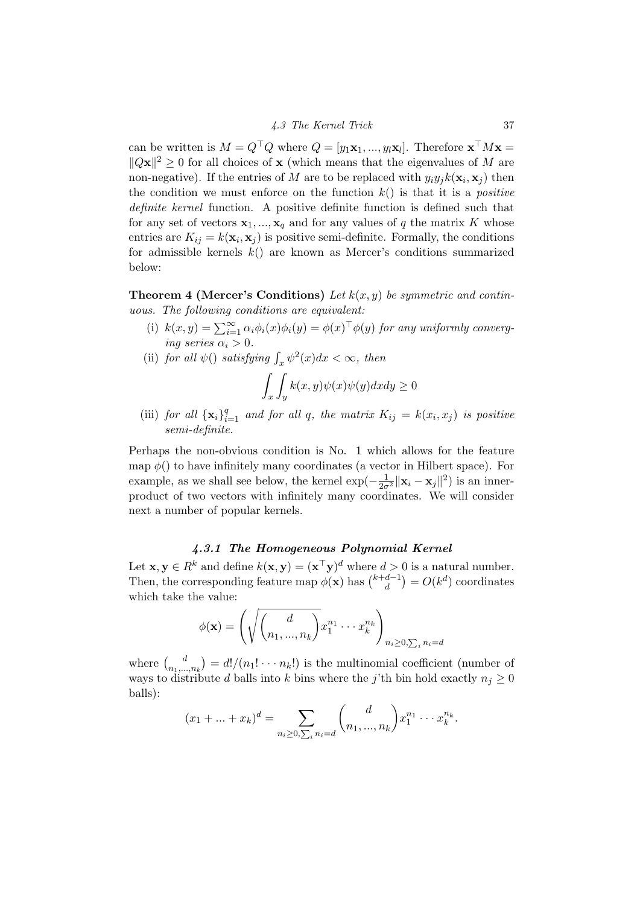can be written is  $M = Q^{\top} Q$  where  $Q = [y_1 \mathbf{x}_1, ..., y_l \mathbf{x}_l]$ . Therefore  $\mathbf{x}^{\top} M \mathbf{x} =$  $||Q\mathbf{x}||^2 \geq 0$  for all choices of **x** (which means that the eigenvalues of M are non-negative). If the entries of M are to be replaced with  $y_i y_j k(\mathbf{x}_i, \mathbf{x}_j)$  then the condition we must enforce on the function  $k()$  is that it is a *positive* definite kernel function. A positive definite function is defined such that for any set of vectors  $x_1, ..., x_q$  and for any values of q the matrix K whose entries are  $K_{ij} = k(\mathbf{x}_i, \mathbf{x}_j)$  is positive semi-definite. Formally, the conditions for admissible kernels  $k()$  are known as Mercer's conditions summarized below:

**Theorem 4 (Mercer's Conditions)** Let  $k(x, y)$  be symmetric and continuous. The following conditions are equivalent:

- (i)  $k(x, y) = \sum_{i=1}^{\infty} \alpha_i \phi_i(x) \phi_i(y) = \phi(x)^{\top} \phi(y)$  for any uniformly converging series  $\alpha_i > 0$ .
- (ii) for all  $\psi()$  satisfying  $\int_x \psi^2(x)dx < \infty$ , then

$$
\int_x \int_y k(x,y)\psi(x)\psi(y)dxdy \ge 0
$$

(iii) for all  $\{x_i\}_{i=1}^q$  and for all q, the matrix  $K_{ij} = k(x_i, x_j)$  is positive semi-definite.

Perhaps the non-obvious condition is No. 1 which allows for the feature map  $\phi()$  to have infinitely many coordinates (a vector in Hilbert space). For example, as we shall see below, the kernel  $\exp(-\frac{1}{2\sigma^2} ||\mathbf{x}_i - \mathbf{x}_j||^2)$  is an innerproduct of two vectors with infinitely many coordinates. We will consider next a number of popular kernels.

#### 4.3.1 The Homogeneous Polynomial Kernel

Let  $\mathbf{x}, \mathbf{y} \in R^k$  and define  $k(\mathbf{x}, \mathbf{y}) = (\mathbf{x}^\top \mathbf{y})^d$  where  $d > 0$  is a natural number. Then, the corresponding feature map  $\phi(\mathbf{x})$  has  $\binom{k+d-1}{d}$  $\binom{d-1}{d} = O(k^d)$  coordinates which take the value:

$$
\phi(\mathbf{x}) = \left(\sqrt{\binom{d}{n_1, ..., n_k}} x_1^{n_1} \cdots x_k^{n_k}\right)_{n_i \ge 0, \sum_i n_i = d}
$$

where  $\int_{a}^{b}$  $\binom{d}{n_1,\ldots,n_k} = d!/(n_1!\cdots n_k!)$  is the multinomial coefficient (number of ways to distribute d balls into k bins where the j'th bin hold exactly  $n_j \geq 0$ balls):

$$
(x_1 + \ldots + x_k)^d = \sum_{n_i \ge 0, \sum_i n_i = d} {d \choose n_1, \ldots, n_k} x_1^{n_1} \cdots x_k^{n_k}.
$$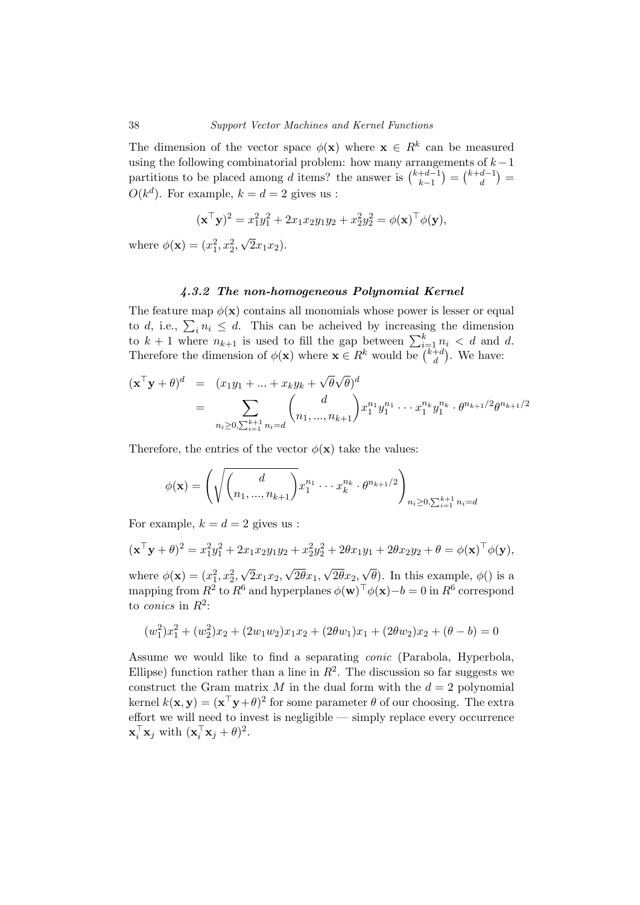The dimension of the vector space  $\phi(\mathbf{x})$  where  $\mathbf{x} \in \mathbb{R}^k$  can be measured using the following combinatorial problem: how many arrangements of  $k-1$ partitions to be placed among d items? the answer is  $\binom{k+d-1}{k-1}$  $\binom{+d-1}{k-1} = \binom{k+d-1}{d}$  $\binom{d-1}{d} =$  $O(k^d)$ . For example,  $k = d = 2$  gives us :

$$
(\mathbf{x}^\top \mathbf{y})^2 = x_1^2 y_1^2 + 2x_1 x_2 y_1 y_2 + x_2^2 y_2^2 = \phi(\mathbf{x})^\top \phi(\mathbf{y}),
$$

where  $\phi(\mathbf{x}) = (x_1^2, x_2^2,$ √  $(2x_1x_2).$ 

#### 4.3.2 The non-homogeneous Polynomial Kernel

The feature map  $\phi(\mathbf{x})$  contains all monomials whose power is lesser or equal to d, i.e.,  $\sum_i n_i \leq d$ . This can be acheived by increasing the dimension to  $k+1$  where  $n_{k+1}$  is used to fill the gap between  $\sum_{i=1}^{k} n_i < d$  and d. Therefore the dimension of  $\phi(\mathbf{x})$  where  $\mathbf{x} \in R^k$  would be  $\binom{k+d}{d}$  $\binom{+d}{d}$ . We have:

$$
(\mathbf{x}^{\top}\mathbf{y} + \theta)^d = (x_1y_1 + ... + x_ky_k + \sqrt{\theta}\sqrt{\theta})^d
$$
  
= 
$$
\sum_{n_i \ge 0, \sum_{i=1}^{k+1} n_i = d} {d \choose n_1, ..., n_{k+1}} x_1^{n_1} y_1^{n_1} ... x_1^{n_k} y_1^{n_k} \cdot \theta^{n_{k+1}/2} \theta^{n_{k+1}/2}
$$

Therefore, the entries of the vector  $\phi(\mathbf{x})$  take the values:

$$
\phi(\mathbf{x}) = \left(\sqrt{\binom{d}{n_1, ..., n_{k+1}}} x_1^{n_1} \cdots x_k^{n_k} \cdot \theta^{n_{k+1}/2}\right)_{n_i \ge 0, \sum_{i=1}^{k+1} n_i = d}
$$

For example,  $k = d = 2$  gives us :

$$
(\mathbf{x}^{\top}\mathbf{y} + \theta)^2 = x_1^2 y_1^2 + 2x_1 x_2 y_1 y_2 + x_2^2 y_2^2 + 2\theta x_1 y_1 + 2\theta x_2 y_2 + \theta = \phi(\mathbf{x})^{\top} \phi(\mathbf{y}),
$$

where  $\phi(\mathbf{x}) = (x_1^2, x_2^2,$  $2x_1x_2,$  $2\theta x_1$  $2\theta x_2$  $\theta$ ). In this example,  $\phi$ () is a mapping from  $R^2$  to  $R^6$  and hyperplanes  $\phi(\mathbf{w})^{\top} \phi(\mathbf{x}) - b = 0$  in  $R^6$  correspond to *conics* in  $R^2$ :

$$
(w_1^2)x_1^2 + (w_2^2)x_2 + (2w_1w_2)x_1x_2 + (2\theta w_1)x_1 + (2\theta w_2)x_2 + (\theta - b) = 0
$$

Assume we would like to find a separating conic (Parabola, Hyperbola, Ellipse) function rather than a line in  $R^2$ . The discussion so far suggests we construct the Gram matrix  $M$  in the dual form with the  $d = 2$  polynomial kernel  $k(\mathbf{x}, \mathbf{y}) = (\mathbf{x}^\top \mathbf{y} + \theta)^2$  for some parameter  $\theta$  of our choosing. The extra effort we will need to invest is negligible — simply replace every occurrence  $\mathbf{x}_i^{\top} \mathbf{x}_j$  with  $(\mathbf{x}_i^{\top} \mathbf{x}_j + \theta)^2$ .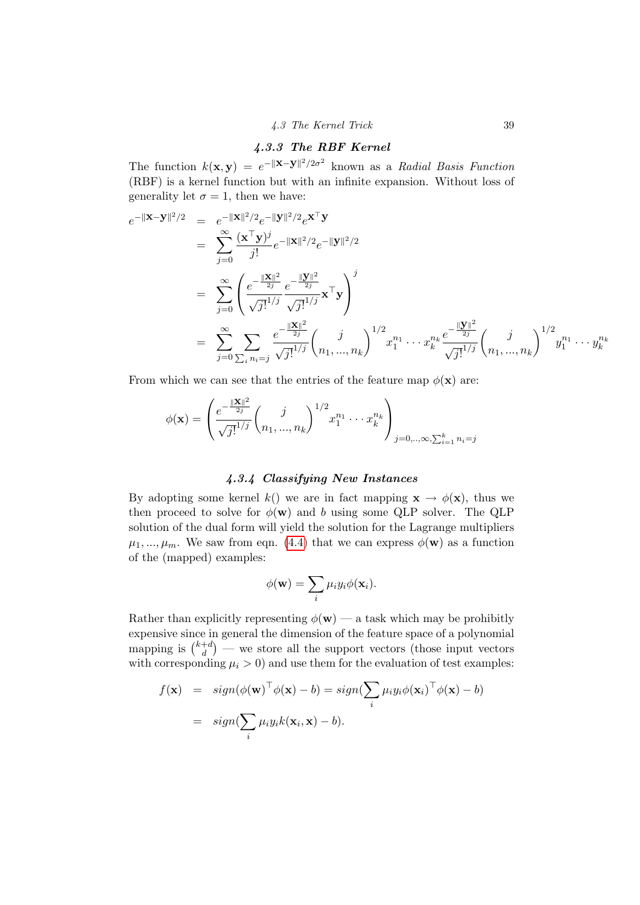### 4.3.3 The RBF Kernel

The function  $k(\mathbf{x}, \mathbf{y}) = e^{-\|\mathbf{x} - \mathbf{y}\|^2/2\sigma^2}$  known as a Radial Basis Function (RBF) is a kernel function but with an infinite expansion. Without loss of generality let  $\sigma = 1$ , then we have:

$$
e^{-\|\mathbf{x}-\mathbf{y}\|^2/2} = e^{-\|\mathbf{x}\|^2/2}e^{-\|\mathbf{y}\|^2/2}e^{\mathbf{x}^\top\mathbf{y}}= \sum_{j=0}^{\infty} \frac{(\mathbf{x}^\top\mathbf{y})^j}{j!} e^{-\|\mathbf{x}\|^2/2}e^{-\|\mathbf{y}\|^2/2}= \sum_{j=0}^{\infty} \left(\frac{e^{-\frac{\|\mathbf{X}\|^2}{2j}}}{\sqrt{j!}^{1/j}} \frac{e^{-\frac{\|\mathbf{y}\|^2}{2j}}}{\sqrt{j!}^{1/j}} \mathbf{x}^\top\mathbf{y}\right)^j= \sum_{j=0}^{\infty} \sum_{\sum_i n_i=j} \frac{e^{-\frac{\|\mathbf{X}\|^2}{2j}}}{\sqrt{j!}^{1/j}} \left(\frac{j}{n_1,...,n_k}\right)^{1/2} x_1^{n_1} \cdots x_k^{n_k} \frac{e^{-\frac{\|\mathbf{y}\|^2}{2j}}}{\sqrt{j!}^{1/j}} \left(\frac{j}{n_1,...,n_k}\right)^{1/2} y_1^{n_1} \cdots y_k^{n_k}
$$

From which we can see that the entries of the feature map  $\phi(\mathbf{x})$  are:

$$
\phi(\mathbf{x}) = \left(\frac{e^{-\frac{\|\mathbf{X}\|^{2}}{2j}}}{\sqrt{j!}^{1/j}} \binom{j}{n_{1},...,n_{k}}^{1/2} x_{1}^{n_{1}} \cdots x_{k}^{n_{k}}\right)_{j=0, ..., \infty, \sum_{i=1}^{k} n_{i}=j}
$$

#### 4.3.4 Classifying New Instances

By adopting some kernel k() we are in fact mapping  $\mathbf{x} \to \phi(\mathbf{x})$ , thus we then proceed to solve for  $\phi(\mathbf{w})$  and b using some QLP solver. The QLP solution of the dual form will yield the solution for the Lagrange multipliers  $\mu_1, ..., \mu_m$ . We saw from eqn. [\(4.4\)](#page-37-0) that we can express  $\phi(\mathbf{w})$  as a function of the (mapped) examples:

$$
\phi(\mathbf{w}) = \sum_i \mu_i y_i \phi(\mathbf{x}_i).
$$

Rather than explicitly representing  $\phi(\mathbf{w})$  — a task which may be prohibitly expensive since in general the dimension of the feature space of a polynomial mapping is  $\binom{k+d}{d}$  $\binom{+d}{d}$  — we store all the support vectors (those input vectors with corresponding  $\mu_i > 0$  and use them for the evaluation of test examples:

$$
f(\mathbf{x}) = sign(\phi(\mathbf{w})^{\top} \phi(\mathbf{x}) - b) = sign(\sum_{i} \mu_{i} y_{i} \phi(\mathbf{x}_{i})^{\top} \phi(\mathbf{x}) - b)
$$
  
=  $sign(\sum_{i} \mu_{i} y_{i} k(\mathbf{x}_{i}, \mathbf{x}) - b).$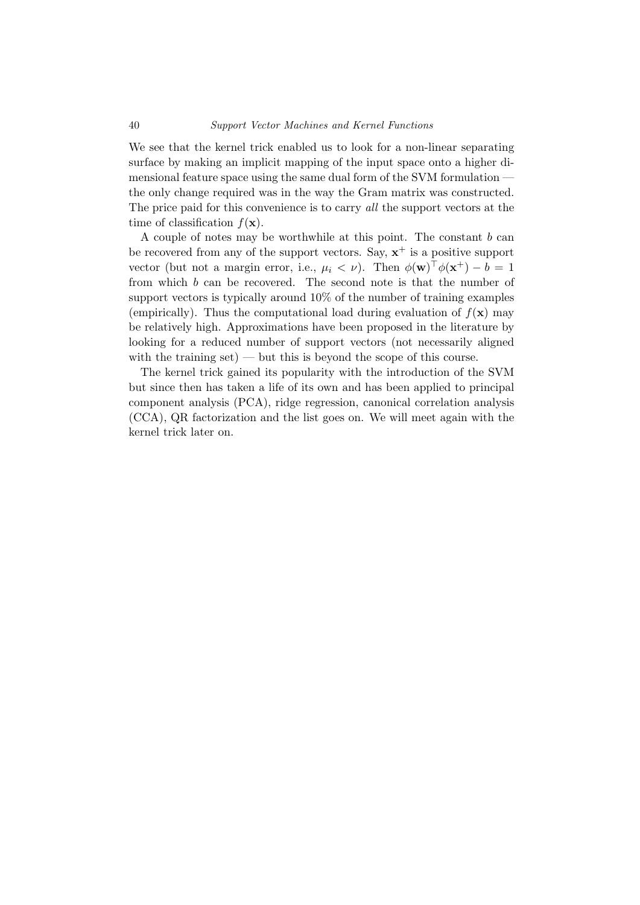#### 40 Support Vector Machines and Kernel Functions

We see that the kernel trick enabled us to look for a non-linear separating surface by making an implicit mapping of the input space onto a higher dimensional feature space using the same dual form of the SVM formulation the only change required was in the way the Gram matrix was constructed. The price paid for this convenience is to carry all the support vectors at the time of classification  $f(\mathbf{x})$ .

A couple of notes may be worthwhile at this point. The constant b can be recovered from any of the support vectors. Say,  $x^+$  is a positive support vector (but not a margin error, i.e.,  $\mu_i < \nu$ ). Then  $\phi(\mathbf{w})^{\top} \phi(\mathbf{x}^+) - b = 1$ from which b can be recovered. The second note is that the number of support vectors is typically around 10% of the number of training examples (empirically). Thus the computational load during evaluation of  $f(\mathbf{x})$  may be relatively high. Approximations have been proposed in the literature by looking for a reduced number of support vectors (not necessarily aligned with the training  $set$  — but this is beyond the scope of this course.

The kernel trick gained its popularity with the introduction of the SVM but since then has taken a life of its own and has been applied to principal component analysis (PCA), ridge regression, canonical correlation analysis (CCA), QR factorization and the list goes on. We will meet again with the kernel trick later on.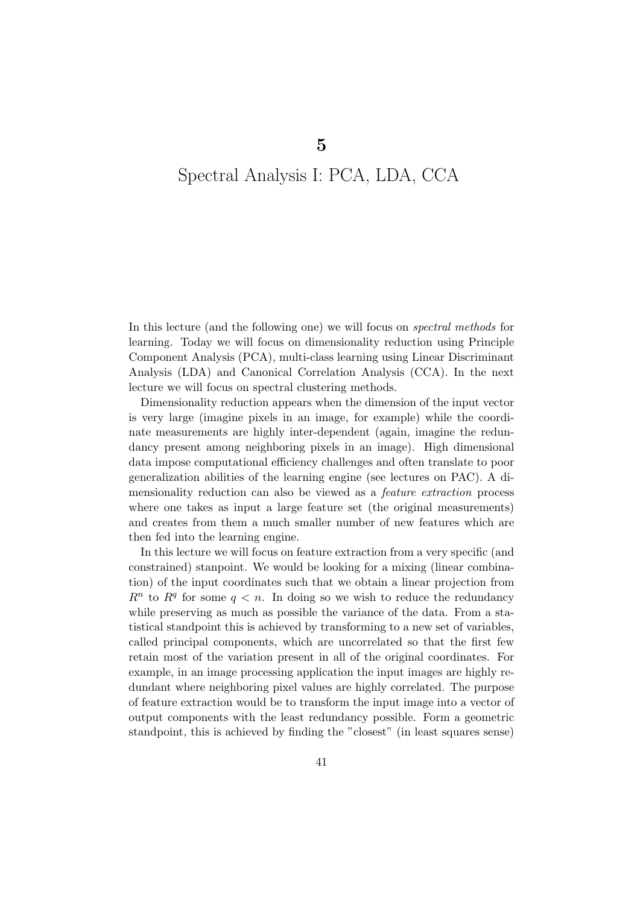# Spectral Analysis I: PCA, LDA, CCA

5

In this lecture (and the following one) we will focus on spectral methods for learning. Today we will focus on dimensionality reduction using Principle Component Analysis (PCA), multi-class learning using Linear Discriminant Analysis (LDA) and Canonical Correlation Analysis (CCA). In the next lecture we will focus on spectral clustering methods.

Dimensionality reduction appears when the dimension of the input vector is very large (imagine pixels in an image, for example) while the coordinate measurements are highly inter-dependent (again, imagine the redundancy present among neighboring pixels in an image). High dimensional data impose computational efficiency challenges and often translate to poor generalization abilities of the learning engine (see lectures on PAC). A dimensionality reduction can also be viewed as a feature extraction process where one takes as input a large feature set (the original measurements) and creates from them a much smaller number of new features which are then fed into the learning engine.

In this lecture we will focus on feature extraction from a very specific (and constrained) stanpoint. We would be looking for a mixing (linear combination) of the input coordinates such that we obtain a linear projection from  $R<sup>n</sup>$  to  $R<sup>q</sup>$  for some  $q < n$ . In doing so we wish to reduce the redundancy while preserving as much as possible the variance of the data. From a statistical standpoint this is achieved by transforming to a new set of variables, called principal components, which are uncorrelated so that the first few retain most of the variation present in all of the original coordinates. For example, in an image processing application the input images are highly redundant where neighboring pixel values are highly correlated. The purpose of feature extraction would be to transform the input image into a vector of output components with the least redundancy possible. Form a geometric standpoint, this is achieved by finding the "closest" (in least squares sense)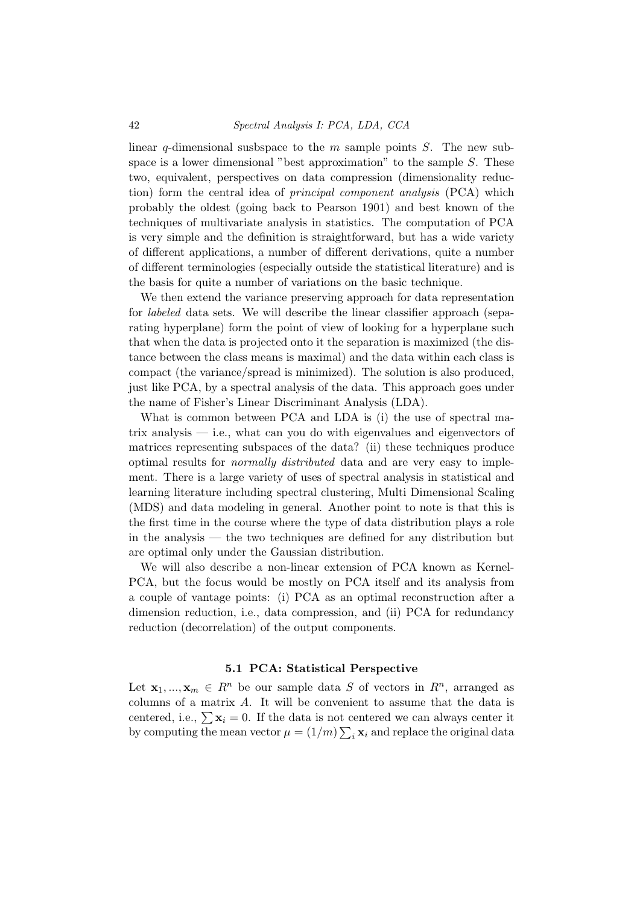linear q-dimensional susbspace to the  $m$  sample points  $S$ . The new subspace is a lower dimensional "best approximation" to the sample  $S$ . These two, equivalent, perspectives on data compression (dimensionality reduction) form the central idea of principal component analysis (PCA) which probably the oldest (going back to Pearson 1901) and best known of the techniques of multivariate analysis in statistics. The computation of PCA is very simple and the definition is straightforward, but has a wide variety of different applications, a number of different derivations, quite a number of different terminologies (especially outside the statistical literature) and is the basis for quite a number of variations on the basic technique.

We then extend the variance preserving approach for data representation for labeled data sets. We will describe the linear classifier approach (separating hyperplane) form the point of view of looking for a hyperplane such that when the data is projected onto it the separation is maximized (the distance between the class means is maximal) and the data within each class is compact (the variance/spread is minimized). The solution is also produced, just like PCA, by a spectral analysis of the data. This approach goes under the name of Fisher's Linear Discriminant Analysis (LDA).

What is common between PCA and LDA is (i) the use of spectral matrix analysis — i.e., what can you do with eigenvalues and eigenvectors of matrices representing subspaces of the data? (ii) these techniques produce optimal results for normally distributed data and are very easy to implement. There is a large variety of uses of spectral analysis in statistical and learning literature including spectral clustering, Multi Dimensional Scaling (MDS) and data modeling in general. Another point to note is that this is the first time in the course where the type of data distribution plays a role in the analysis — the two techniques are defined for any distribution but are optimal only under the Gaussian distribution.

We will also describe a non-linear extension of PCA known as Kernel-PCA, but the focus would be mostly on PCA itself and its analysis from a couple of vantage points: (i) PCA as an optimal reconstruction after a dimension reduction, i.e., data compression, and (ii) PCA for redundancy reduction (decorrelation) of the output components.

#### 5.1 PCA: Statistical Perspective

Let  $\mathbf{x}_1, ..., \mathbf{x}_m \in R^n$  be our sample data S of vectors in  $R^n$ , arranged as columns of a matrix A. It will be convenient to assume that the data is centered, i.e.,  $\sum \mathbf{x}_i = 0$ . If the data is not centered we can always center it by computing the mean vector  $\mu = (1/m) \sum_i \mathbf{x}_i$  and replace the original data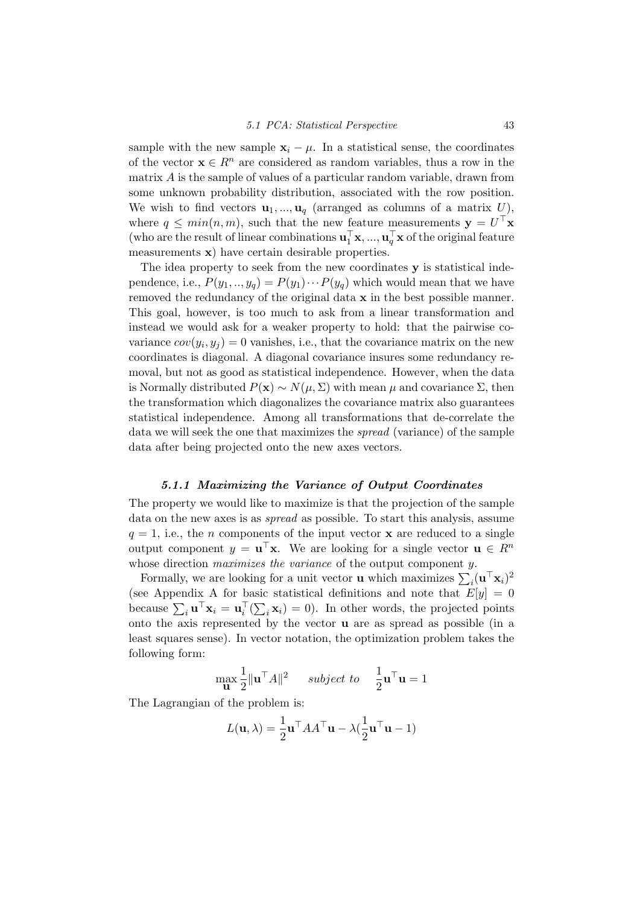sample with the new sample  $\mathbf{x}_i - \mu$ . In a statistical sense, the coordinates of the vector  $\mathbf{x} \in \mathbb{R}^n$  are considered as random variables, thus a row in the matrix A is the sample of values of a particular random variable, drawn from some unknown probability distribution, associated with the row position. We wish to find vectors  $\mathbf{u}_1, ..., \mathbf{u}_q$  (arranged as columns of a matrix U), where  $q \leq min(n, m)$ , such that the new feature measurements  $\mathbf{y} = U^{\top} \mathbf{x}$ (who are the result of linear combinations  $\mathbf{u}_1^{\top} \mathbf{x}, ..., \mathbf{u}_q^{\top} \mathbf{x}$  of the original feature measurements x) have certain desirable properties.

The idea property to seek from the new coordinates y is statistical independence, i.e.,  $P(y_1, ..., y_q) = P(y_1) \cdots P(y_q)$  which would mean that we have removed the redundancy of the original data  $x$  in the best possible manner. This goal, however, is too much to ask from a linear transformation and instead we would ask for a weaker property to hold: that the pairwise covariance  $cov(y_i, y_j) = 0$  vanishes, i.e., that the covariance matrix on the new coordinates is diagonal. A diagonal covariance insures some redundancy removal, but not as good as statistical independence. However, when the data is Normally distributed  $P(x) \sim N(\mu, \Sigma)$  with mean  $\mu$  and covariance  $\Sigma$ , then the transformation which diagonalizes the covariance matrix also guarantees statistical independence. Among all transformations that de-correlate the data we will seek the one that maximizes the spread (variance) of the sample data after being projected onto the new axes vectors.

#### 5.1.1 Maximizing the Variance of Output Coordinates

The property we would like to maximize is that the projection of the sample data on the new axes is as spread as possible. To start this analysis, assume  $q = 1$ , i.e., the *n* components of the input vector **x** are reduced to a single output component  $y = \mathbf{u}^\top \mathbf{x}$ . We are looking for a single vector  $\mathbf{u} \in R^n$ whose direction *maximizes the variance* of the output component y.

Formally, we are looking for a unit vector **u** which maximizes  $\sum_i (\mathbf{u}^\top \mathbf{x}_i)^2$ (see Appendix A for basic statistical definitions and note that  $E[y] = 0$ because  $\sum_i \mathbf{u}^\top \mathbf{x}_i = \mathbf{u}_i^\top (\sum_i \mathbf{x}_i) = 0$ . In other words, the projected points onto the axis represented by the vector u are as spread as possible (in a least squares sense). In vector notation, the optimization problem takes the following form:

$$
\max_{\mathbf{u}} \frac{1}{2} ||\mathbf{u}^\top A||^2 \quad \text{ subject to} \quad \frac{1}{2} \mathbf{u}^\top \mathbf{u} = 1
$$

The Lagrangian of the problem is:

$$
L(\mathbf{u}, \lambda) = \frac{1}{2} \mathbf{u}^\top A A^\top \mathbf{u} - \lambda (\frac{1}{2} \mathbf{u}^\top \mathbf{u} - 1)
$$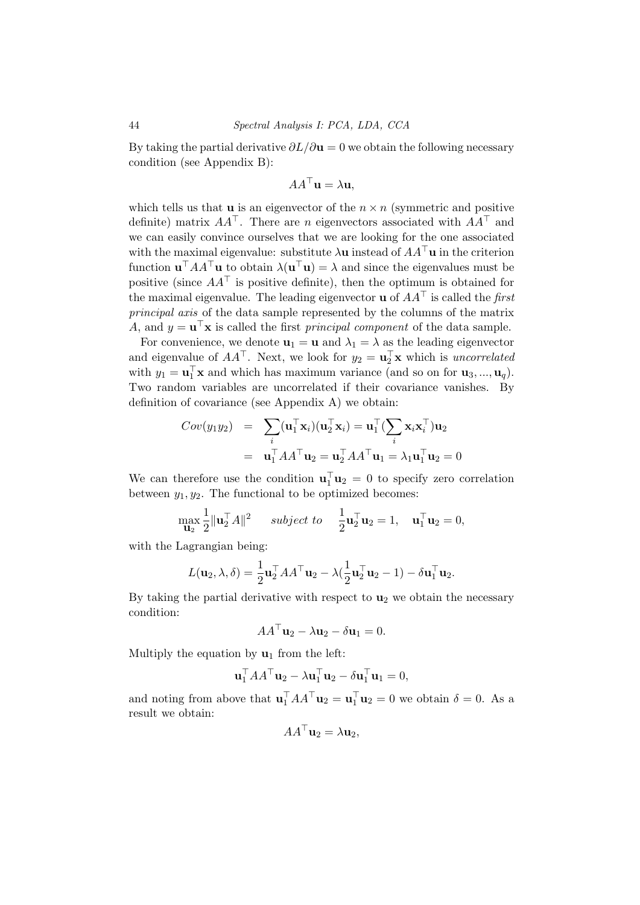By taking the partial derivative  $\partial L/\partial \mathbf{u} = 0$  we obtain the following necessary condition (see Appendix B):

$$
AA^{\top} \mathbf{u} = \lambda \mathbf{u},
$$

which tells us that **u** is an eigenvector of the  $n \times n$  (symmetric and positive definite) matrix  $AA^{\top}$ . There are n eigenvectors associated with  $AA^{\top}$  and we can easily convince ourselves that we are looking for the one associated with the maximal eigenvalue: substitute  $\lambda$ **u** instead of  $AA^{\mathsf{T}}$ **u** in the criterion function  $\mathbf{u}^\top A A^\top \mathbf{u}$  to obtain  $\lambda(\mathbf{u}^\top \mathbf{u}) = \lambda$  and since the eigenvalues must be positive (since  $AA^{\dagger}$  is positive definite), then the optimum is obtained for the maximal eigenvalue. The leading eigenvector **u** of  $AA^{\top}$  is called the first principal axis of the data sample represented by the columns of the matrix A, and  $y = \mathbf{u}^\top \mathbf{x}$  is called the first *principal component* of the data sample.

For convenience, we denote  $\mathbf{u}_1 = \mathbf{u}$  and  $\lambda_1 = \lambda$  as the leading eigenvector and eigenvalue of  $AA^{\top}$ . Next, we look for  $y_2 = \mathbf{u}_2^{\top} \mathbf{x}$  which is *uncorrelated* with  $y_1 = \mathbf{u}_1^{\top} \mathbf{x}$  and which has maximum variance (and so on for  $\mathbf{u}_3, ..., \mathbf{u}_q$ ). Two random variables are uncorrelated if their covariance vanishes. By definition of covariance (see Appendix A) we obtain:

$$
Cov(y_1y_2) = \sum_i (\mathbf{u}_1^\top \mathbf{x}_i)(\mathbf{u}_2^\top \mathbf{x}_i) = \mathbf{u}_1^\top (\sum_i \mathbf{x}_i \mathbf{x}_i^\top) \mathbf{u}_2
$$
  
=  $\mathbf{u}_1^\top A A^\top \mathbf{u}_2 = \mathbf{u}_2^\top A A^\top \mathbf{u}_1 = \lambda_1 \mathbf{u}_1^\top \mathbf{u}_2 = 0$ 

We can therefore use the condition  $\mathbf{u}_1^{\top} \mathbf{u}_2 = 0$  to specify zero correlation between  $y_1, y_2$ . The functional to be optimized becomes:

$$
\max_{\mathbf{u}_2} \frac{1}{2} ||\mathbf{u}_2^{\top} A||^2 \quad \text{ subject to} \quad \frac{1}{2} \mathbf{u}_2^{\top} \mathbf{u}_2 = 1, \quad \mathbf{u}_1^{\top} \mathbf{u}_2 = 0,
$$

with the Lagrangian being:

$$
L(\mathbf{u}_2, \lambda, \delta) = \frac{1}{2} \mathbf{u}_2^{\top} A A^{\top} \mathbf{u}_2 - \lambda (\frac{1}{2} \mathbf{u}_2^{\top} \mathbf{u}_2 - 1) - \delta \mathbf{u}_1^{\top} \mathbf{u}_2.
$$

By taking the partial derivative with respect to  $\mathbf{u}_2$  we obtain the necessary condition:

$$
AA^{\top} \mathbf{u}_2 - \lambda \mathbf{u}_2 - \delta \mathbf{u}_1 = 0.
$$

Multiply the equation by  $\mathbf{u}_1$  from the left:

$$
\mathbf{u}_1^\top A A^\top \mathbf{u}_2 - \lambda \mathbf{u}_1^\top \mathbf{u}_2 - \delta \mathbf{u}_1^\top \mathbf{u}_1 = 0,
$$

and noting from above that  $\mathbf{u}_1^{\top} A A^{\top} \mathbf{u}_2 = \mathbf{u}_1^{\top} \mathbf{u}_2 = 0$  we obtain  $\delta = 0$ . As a result we obtain:

$$
AA^{\top} \mathbf{u}_2 = \lambda \mathbf{u}_2,
$$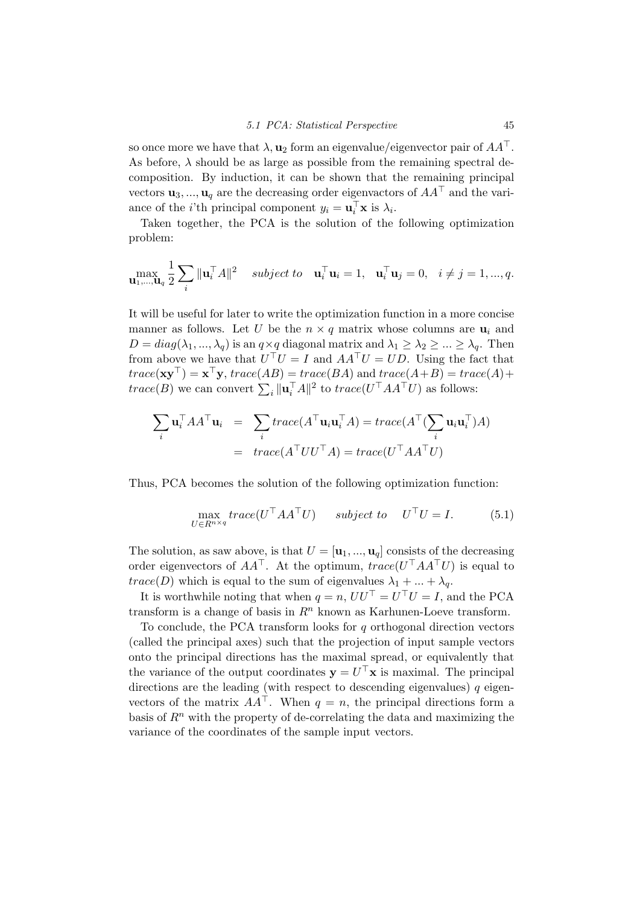so once more we have that  $\lambda$ ,  $\mathbf{u}_2$  form an eigenvalue/eigenvector pair of  $AA^{\top}$ . As before,  $\lambda$  should be as large as possible from the remaining spectral decomposition. By induction, it can be shown that the remaining principal vectors  $\mathbf{u}_3, ..., \mathbf{u}_q$  are the decreasing order eigenvactors of  $AA^{\top}$  and the variance of the *i*'th principal component  $y_i = \mathbf{u}_i^{\top} \mathbf{x}$  is  $\lambda_i$ .

Taken together, the PCA is the solution of the following optimization problem:

$$
\max_{\mathbf{u}_1,\ldots,\mathbf{u}_q} \frac{1}{2} \sum_i \|\mathbf{u}_i^{\top} A\|^2 \quad subject \ to \quad \mathbf{u}_i^{\top} \mathbf{u}_i = 1, \quad \mathbf{u}_i^{\top} \mathbf{u}_j = 0, \quad i \neq j = 1, \ldots, q.
$$

It will be useful for later to write the optimization function in a more concise manner as follows. Let U be the  $n \times q$  matrix whose columns are  $\mathbf{u}_i$  and  $D = diag(\lambda_1, ..., \lambda_q)$  is an  $q \times q$  diagonal matrix and  $\lambda_1 \geq \lambda_2 \geq ... \geq \lambda_q$ . Then from above we have that  $U^{\top}U = I$  and  $AA^{\top}U = UD$ . Using the fact that  $trace(\mathbf{xy}^{\top}) = \mathbf{x}^{\top}\mathbf{y}, trace(AB) = trace(BA)$  and  $trace(A+B) = trace(A) +$  $trace(B)$  we can convert  $\sum_i ||\mathbf{u}_i^{\top}A||^2$  to  $trace(U^{\top}AA^{\top}U)$  as follows:

$$
\sum_{i} \mathbf{u}_{i}^{\top} A A^{\top} \mathbf{u}_{i} = \sum_{i} trace(A^{\top} \mathbf{u}_{i} \mathbf{u}_{i}^{\top} A) = trace(A^{\top} (\sum_{i} \mathbf{u}_{i} \mathbf{u}_{i}^{\top}) A)
$$

$$
= trace(A^{\top} U U^{\top} A) = trace(U^{\top} A A^{\top} U)
$$

Thus, PCA becomes the solution of the following optimization function:

<span id="page-48-0"></span>
$$
\max_{U \in R^{n \times q}} trace(U^{\top}AA^{\top}U) \quad subject \ to \quad U^{\top}U = I. \tag{5.1}
$$

The solution, as saw above, is that  $U = [\mathbf{u}_1, ..., \mathbf{u}_q]$  consists of the decreasing order eigenvectors of  $AA^{\top}$ . At the optimum,  $trace(U^{\top}AA^{\top}U)$  is equal to  $trace(D)$  which is equal to the sum of eigenvalues  $\lambda_1 + ... + \lambda_q$ .

It is worthwhile noting that when  $q = n$ ,  $UU^{\top} = U^{\top}U = I$ , and the PCA transform is a change of basis in  $\mathbb{R}^n$  known as Karhunen-Loeve transform.

To conclude, the PCA transform looks for  $q$  orthogonal direction vectors (called the principal axes) such that the projection of input sample vectors onto the principal directions has the maximal spread, or equivalently that the variance of the output coordinates  $y = U^{\top}x$  is maximal. The principal directions are the leading (with respect to descending eigenvalues)  $q$  eigenvectors of the matrix  $AA^{\top}$ . When  $q = n$ , the principal directions form a basis of  $R<sup>n</sup>$  with the property of de-correlating the data and maximizing the variance of the coordinates of the sample input vectors.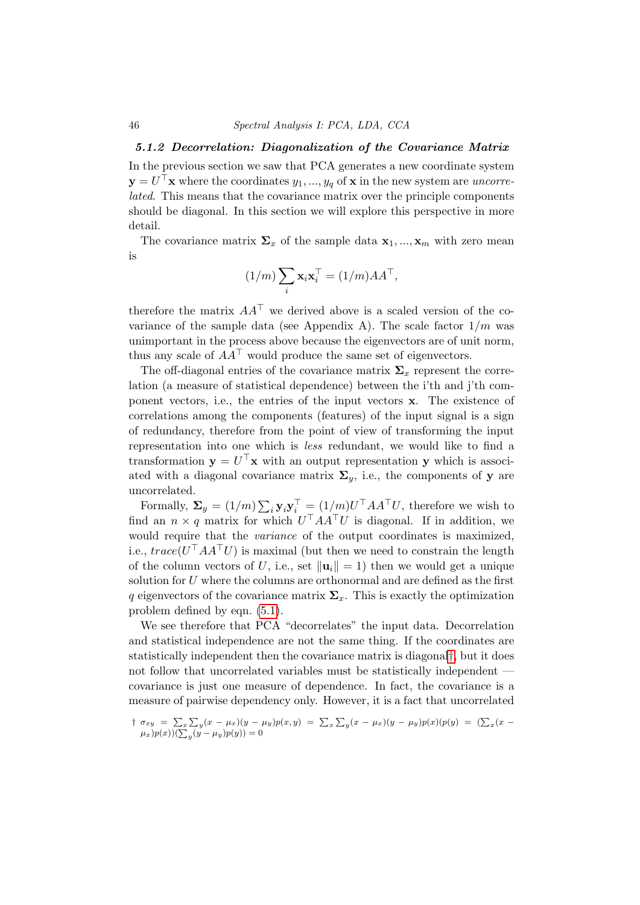#### 5.1.2 Decorrelation: Diagonalization of the Covariance Matrix

In the previous section we saw that PCA generates a new coordinate system  $\mathbf{y} = U^{\top} \mathbf{x}$  where the coordinates  $y_1, ..., y_q$  of  $\mathbf{x}$  in the new system are *uncorre*lated. This means that the covariance matrix over the principle components should be diagonal. In this section we will explore this perspective in more detail.

The covariance matrix  $\Sigma_x$  of the sample data  $\mathbf{x}_1, ..., \mathbf{x}_m$  with zero mean is

$$
(1/m)\sum_i \mathbf{x}_i \mathbf{x}_i^\top = (1/m) A A^\top,
$$

therefore the matrix  $AA^{\top}$  we derived above is a scaled version of the covariance of the sample data (see Appendix A). The scale factor  $1/m$  was unimportant in the process above because the eigenvectors are of unit norm, thus any scale of  $AA^{\top}$  would produce the same set of eigenvectors.

The off-diagonal entries of the covariance matrix  $\Sigma<sub>x</sub>$  represent the correlation (a measure of statistical dependence) between the i'th and j'th component vectors, i.e., the entries of the input vectors x. The existence of correlations among the components (features) of the input signal is a sign of redundancy, therefore from the point of view of transforming the input representation into one which is less redundant, we would like to find a transformation  $y = U^{\top}x$  with an output representation y which is associated with a diagonal covariance matrix  $\Sigma_{y}$ , i.e., the components of y are uncorrelated.

Formally,  $\Sigma_y = (1/m) \sum_i \mathbf{y}_i \mathbf{y}_i^\top = (1/m)U^\top A A^\top U$ , therefore we wish to find an  $n \times q$  matrix for which  $U<sup>T</sup> A A<sup>T</sup> U$  is diagonal. If in addition, we would require that the variance of the output coordinates is maximized, i.e.,  $trace(U<sup>T</sup> A A<sup>T</sup> U)$  is maximal (but then we need to constrain the length of the column vectors of U, i.e., set  $\|\mathbf{u}_i\| = 1$ ) then we would get a unique solution for  $U$  where the columns are orthonormal and are defined as the first q eigenvectors of the covariance matrix  $\Sigma_x$ . This is exactly the optimization problem defined by eqn. [\(5.1\)](#page-48-0).

We see therefore that PCA "decorrelates" the input data. Decorrelation and statistical independence are not the same thing. If the coordinates are statistically independent then the covariance matrix is diagonal[†](#page-49-0), but it does not follow that uncorrelated variables must be statistically independent covariance is just one measure of dependence. In fact, the covariance is a measure of pairwise dependency only. However, it is a fact that uncorrelated

<span id="page-49-0"></span> $\int \sigma_{xy} = \sum_x \sum_y (x - \mu_x)(y - \mu_y)p(x, y) = \sum_x \sum_y (x - \mu_x)(y - \mu_y)p(x)(p(y)) = (\sum_x (x - \mu_y)p(x))$  $(\mu_x)p(x))(\sum_y(y-\mu_y)p(y))=0$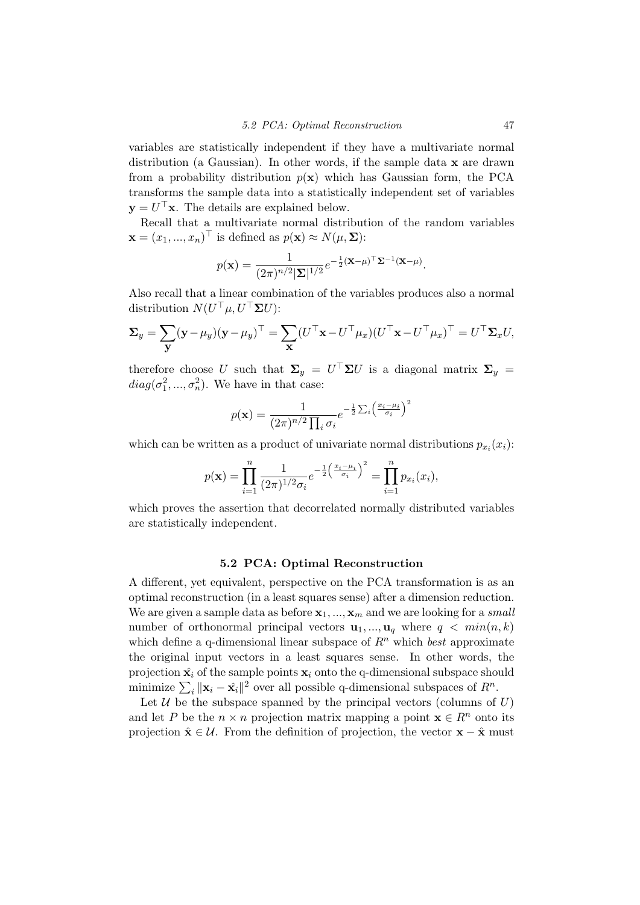variables are statistically independent if they have a multivariate normal distribution (a Gaussian). In other words, if the sample data  $x$  are drawn from a probability distribution  $p(x)$  which has Gaussian form, the PCA transforms the sample data into a statistically independent set of variables  $y = U^{\top}x$ . The details are explained below.

Recall that a multivariate normal distribution of the random variables  $\mathbf{x} = (x_1, ..., x_n)^\top$  is defined as  $p(\mathbf{x}) \approx N(\mu, \Sigma)$ :

$$
p(\mathbf{x}) = \frac{1}{(2\pi)^{n/2} |\mathbf{\Sigma}|^{1/2}} e^{-\frac{1}{2} (\mathbf{x} - \mu)^{\top} \mathbf{\Sigma}^{-1} (\mathbf{x} - \mu)}.
$$

Also recall that a linear combination of the variables produces also a normal distribution  $N(U^{\top} \mu, U^{\top} \Sigma U)$ :

$$
\Sigma_y = \sum_{\mathbf{y}} (\mathbf{y} - \mu_y)(\mathbf{y} - \mu_y)^{\top} = \sum_{\mathbf{x}} (U^{\top} \mathbf{x} - U^{\top} \mu_x)(U^{\top} \mathbf{x} - U^{\top} \mu_x)^{\top} = U^{\top} \Sigma_x U,
$$

therefore choose U such that  $\Sigma_y = U^\top \Sigma U$  is a diagonal matrix  $\Sigma_y =$  $diag(\sigma_1^2, ..., \sigma_n^2)$ . We have in that case:

$$
p(\mathbf{x}) = \frac{1}{(2\pi)^{n/2} \prod_i \sigma_i} e^{-\frac{1}{2} \sum_i \left(\frac{x_i - \mu_i}{\sigma_i}\right)^2}
$$

which can be written as a product of univariate normal distributions  $p_{x_i}(x_i)$ :

$$
p(\mathbf{x}) = \prod_{i=1}^n \frac{1}{(2\pi)^{1/2} \sigma_i} e^{-\frac{1}{2} \left( \frac{x_i - \mu_i}{\sigma_i} \right)^2} = \prod_{i=1}^n p_{x_i}(x_i),
$$

which proves the assertion that decorrelated normally distributed variables are statistically independent.

#### 5.2 PCA: Optimal Reconstruction

A different, yet equivalent, perspective on the PCA transformation is as an optimal reconstruction (in a least squares sense) after a dimension reduction. We are given a sample data as before  $x_1, ..., x_m$  and we are looking for a small number of orthonormal principal vectors  $\mathbf{u}_1, ..., \mathbf{u}_q$  where  $q < min(n, k)$ which define a q-dimensional linear subspace of  $R<sup>n</sup>$  which best approximate the original input vectors in a least squares sense. In other words, the projection  $\hat{\mathbf{x}}_i$  of the sample points  $\mathbf{x}_i$  onto the q-dimensional subspace should minimize  $\sum_i ||\mathbf{x}_i - \hat{\mathbf{x}}_i||^2$  over all possible q-dimensional subspaces of  $R^n$ .

Let  $U$  be the subspace spanned by the principal vectors (columns of  $U$ ) and let P be the  $n \times n$  projection matrix mapping a point  $\mathbf{x} \in \mathbb{R}^n$  onto its projection  $\hat{\mathbf{x}} \in \mathcal{U}$ . From the definition of projection, the vector  $\mathbf{x} - \hat{\mathbf{x}}$  must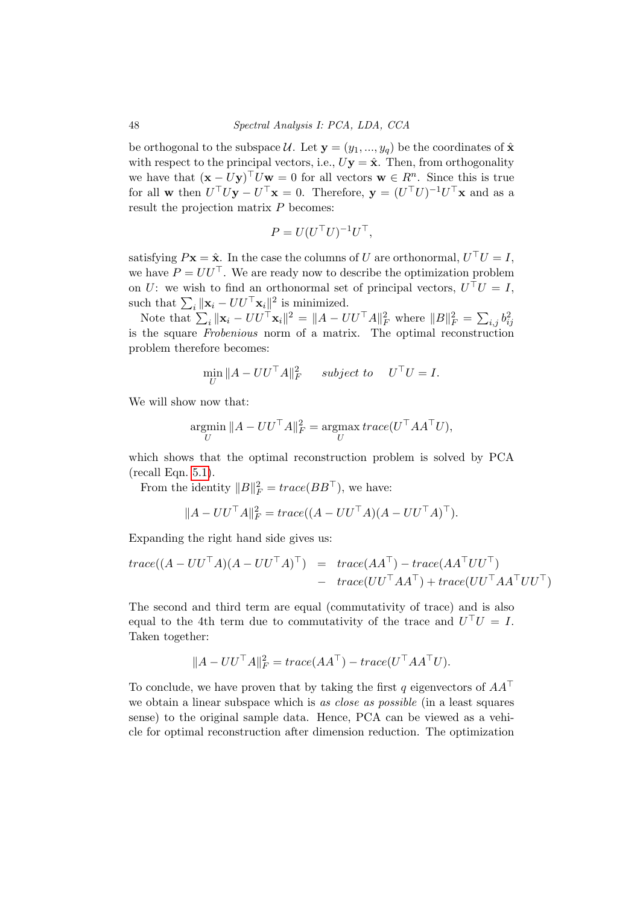be orthogonal to the subspace  $\mathcal{U}$ . Let  $\mathbf{y} = (y_1, ..., y_q)$  be the coordinates of  $\hat{\mathbf{x}}$ with respect to the principal vectors, i.e.,  $Uy = \hat{x}$ . Then, from orthogonality we have that  $(\mathbf{x} - U\mathbf{y})^\top U\mathbf{w} = 0$  for all vectors  $\mathbf{w} \in R^n$ . Since this is true for all **w** then  $U^{\top}U\mathbf{y} - U^{\top}\mathbf{x} = 0$ . Therefore,  $\mathbf{y} = (U^{\top}U)^{-1}U^{\top}\mathbf{x}$  and as a result the projection matrix P becomes:

$$
P = U(U^{\top}U)^{-1}U^{\top},
$$

satisfying  $P\mathbf{x} = \hat{\mathbf{x}}$ . In the case the columns of U are orthonormal,  $U^{\top}U = I$ , we have  $P = U U^{\top}$ . We are ready now to describe the optimization problem on U: we wish to find an orthonormal set of principal vectors,  $U^{\top}U = I$ , such that  $\sum_i ||\mathbf{x}_i - U U^{\top} \mathbf{x}_i||^2$  is minimized.

Note that  $\sum_i ||\mathbf{x}_i - U U^{\top} \mathbf{x}_i||^2 = ||A - U U^{\top} A||_F^2$  where  $||B||_F^2 = \sum_{i,j} b_{ij}^2$ is the square Frobenious norm of a matrix. The optimal reconstruction problem therefore becomes:

$$
\min_{U} \|A - UU^{\top}A\|_{F}^{2} \qquad subject \ to \qquad U^{\top}U = I.
$$

We will show now that:

$$
\operatornamewithlimits{argmin}_U \|A - U U^\top A\|_F^2 = \operatornamewithlimits{argmax}_U trace(U^\top A A^\top U),
$$

which shows that the optimal reconstruction problem is solved by PCA (recall Eqn. [5.1\)](#page-48-0).

From the identity  $||B||_F^2 = trace(BB^{\top})$ , we have:

$$
||A - UU^{\top}A||_F^2 = trace((A - UU^{\top}A)(A - UU^{\top}A)^{\top}).
$$

Expanding the right hand side gives us:

$$
trace((A - UU^{\top}A)(A - UU^{\top}A)^{\top}) = trace(AA^{\top}) - trace(AA^{\top}UU^{\top})
$$
  
- 
$$
trace(UU^{\top}AA^{\top}) + trace(UU^{\top}AA^{\top}UU^{\top})
$$

The second and third term are equal (commutativity of trace) and is also equal to the 4th term due to commutativity of the trace and  $U^{\top}U = I$ . Taken together:

$$
||A - UU^{\top}A||_F^2 = trace(AA^{\top}) - trace(U^{\top}AA^{\top}U).
$$

To conclude, we have proven that by taking the first q eigenvectors of  $AA^{\top}$ we obtain a linear subspace which is as close as possible (in a least squares sense) to the original sample data. Hence, PCA can be viewed as a vehicle for optimal reconstruction after dimension reduction. The optimization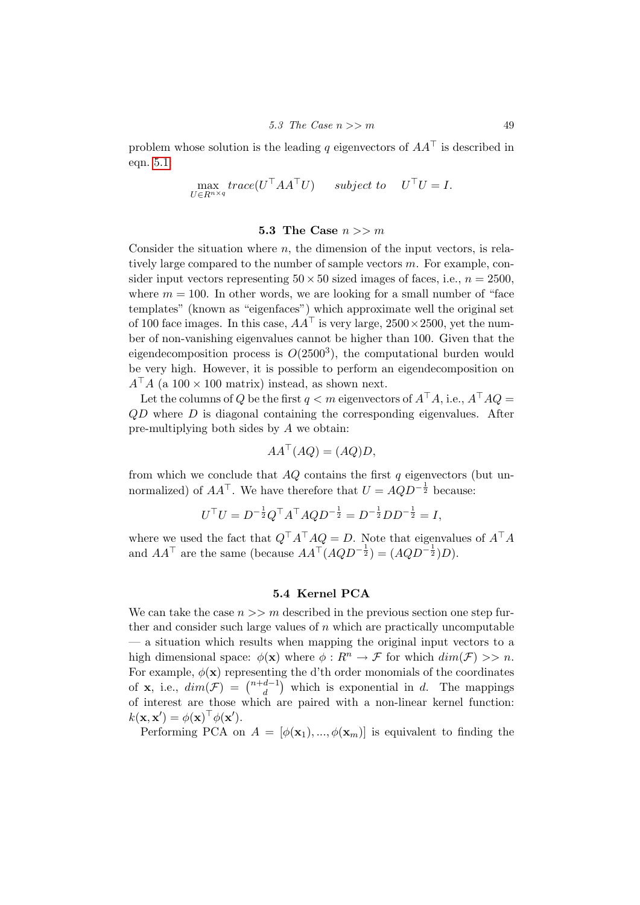problem whose solution is the leading q eigenvectors of  $AA^{\dagger}$  is described in eqn. [5.1:](#page-48-0)

$$
\max_{U \in R^{n \times q}} trace(U^{\top}AA^{\top}U) \qquad subject \ to \quad U^{\top}U = I.
$$

#### 5.3 The Case  $n >> m$

Consider the situation where  $n$ , the dimension of the input vectors, is relatively large compared to the number of sample vectors  $m$ . For example, consider input vectors representing  $50 \times 50$  sized images of faces, i.e.,  $n = 2500$ , where  $m = 100$ . In other words, we are looking for a small number of "face templates" (known as "eigenfaces") which approximate well the original set of 100 face images. In this case,  $AA^{\dagger}$  is very large, 2500 × 2500, yet the number of non-vanishing eigenvalues cannot be higher than 100. Given that the eigendecomposition process is  $O(2500^3)$ , the computational burden would be very high. However, it is possible to perform an eigendecomposition on  $A^{\dagger}A$  (a 100 × 100 matrix) instead, as shown next.

Let the columns of Q be the first  $q < m$  eigenvectors of  $A^{\top}A$ , i.e.,  $A^{\top}AQ =$  $QD$  where  $D$  is diagonal containing the corresponding eigenvalues. After pre-multiplying both sides by A we obtain:

$$
AA^{\top}(AQ) = (AQ)D,
$$

from which we conclude that  $AQ$  contains the first  $q$  eigenvectors (but unnormalized) of  $AA^{\top}$ . We have therefore that  $U = AQD^{-\frac{1}{2}}$  because:

$$
U^{\top}U = D^{-\frac{1}{2}}Q^{\top}A^{\top}AQD^{-\frac{1}{2}} = D^{-\frac{1}{2}}DD^{-\frac{1}{2}} = I,
$$

where we used the fact that  $Q^{\top}A^{\top}AQ = D$ . Note that eigenvalues of  $A^{\top}A$ and  $AA^{\top}$  are the same (because  $AA^{\top}(AQD^{-\frac{1}{2}}) = (AQD^{-\frac{1}{2}})D$ ).

#### 5.4 Kernel PCA

We can take the case  $n >> m$  described in the previous section one step further and consider such large values of  $n$  which are practically uncomputable — a situation which results when mapping the original input vectors to a high dimensional space:  $\phi(\mathbf{x})$  where  $\phi: R^n \to \mathcal{F}$  for which  $dim(\mathcal{F}) >> n$ . For example,  $\phi(\mathbf{x})$  representing the d'th order monomials of the coordinates of **x**, i.e.,  $dim(\mathcal{F}) = \begin{pmatrix} n+d-1 \\ d \end{pmatrix}$  $\binom{d-1}{d}$  which is exponential in d. The mappings of interest are those which are paired with a non-linear kernel function:  $k(\mathbf{x}, \mathbf{x}') = \phi(\mathbf{x})^{\top} \phi(\mathbf{x}').$ 

Performing PCA on  $A = [\phi(\mathbf{x}_1), ..., \phi(\mathbf{x}_m)]$  is equivalent to finding the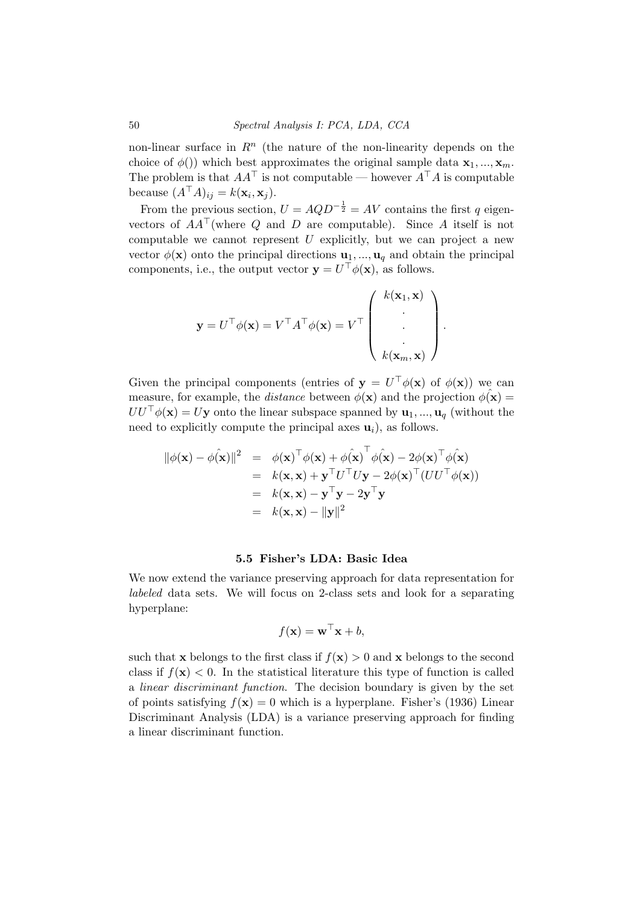non-linear surface in  $\mathbb{R}^n$  (the nature of the non-linearity depends on the choice of  $\phi()$ ) which best approximates the original sample data  $\mathbf{x}_1, ..., \mathbf{x}_m$ . The problem is that  $AA^{\top}$  is not computable — however  $A^{\top}A$  is computable because  $(A^{\top}A)_{ij} = k(\mathbf{x}_i, \mathbf{x}_j)$ .

From the previous section,  $U = AQD^{-\frac{1}{2}} = AV$  contains the first q eigenvectors of  $AA^{\top}$  (where Q and D are computable). Since A itself is not computable we cannot represent  $U$  explicitly, but we can project a new vector  $\phi(\mathbf{x})$  onto the principal directions  $\mathbf{u}_1, \dots, \mathbf{u}_q$  and obtain the principal components, i.e., the output vector  $\mathbf{y} = U^{\top} \phi(\mathbf{x})$ , as follows.

$$
\mathbf{y} = U^{\top} \phi(\mathbf{x}) = V^{\top} A^{\top} \phi(\mathbf{x}) = V^{\top} \begin{pmatrix} k(\mathbf{x}_1, \mathbf{x}) \\ \cdot \\ \cdot \\ \cdot \\ k(\mathbf{x}_m, \mathbf{x}) \end{pmatrix}
$$

.

Given the principal components (entries of  $y = U^{\top} \phi(x)$  of  $\phi(x)$ ) we can measure, for example, the *distance* between  $\phi(\mathbf{x})$  and the projection  $\phi(\mathbf{x}) =$  $UU^{\top}\phi(\mathbf{x}) = U\mathbf{y}$  onto the linear subspace spanned by  $\mathbf{u}_1, ..., \mathbf{u}_q$  (without the need to explicitly compute the principal axes  $\mathbf{u}_i$ ), as follows.

$$
\begin{array}{rcl}\n\|\phi(\mathbf{x}) - \phi(\mathbf{\hat{x}})\|^2 & = & \phi(\mathbf{x})^\top \phi(\mathbf{x}) + \phi(\mathbf{\hat{x}})^\top \phi(\mathbf{\hat{x}}) - 2\phi(\mathbf{x})^\top \phi(\mathbf{\hat{x}}) \\
& = & k(\mathbf{x}, \mathbf{x}) + \mathbf{y}^\top U^\top U \mathbf{y} - 2\phi(\mathbf{x})^\top (UU^\top \phi(\mathbf{x})) \\
& = & k(\mathbf{x}, \mathbf{x}) - \mathbf{y}^\top \mathbf{y} - 2\mathbf{y}^\top \mathbf{y} \\
& = & k(\mathbf{x}, \mathbf{x}) - \|\mathbf{y}\|^2\n\end{array}
$$

#### 5.5 Fisher's LDA: Basic Idea

We now extend the variance preserving approach for data representation for labeled data sets. We will focus on 2-class sets and look for a separating hyperplane:

$$
f(\mathbf{x}) = \mathbf{w}^\top \mathbf{x} + b,
$$

such that **x** belongs to the first class if  $f(\mathbf{x}) > 0$  and **x** belongs to the second class if  $f(\mathbf{x}) < 0$ . In the statistical literature this type of function is called a linear discriminant function. The decision boundary is given by the set of points satisfying  $f(\mathbf{x}) = 0$  which is a hyperplane. Fisher's (1936) Linear Discriminant Analysis (LDA) is a variance preserving approach for finding a linear discriminant function.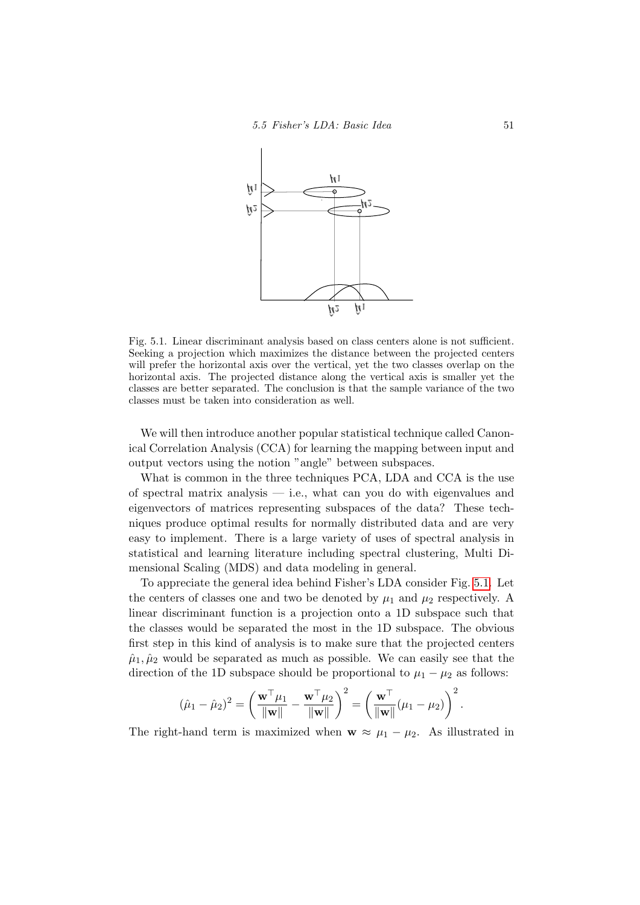

<span id="page-54-0"></span>Fig. 5.1. Linear discriminant analysis based on class centers alone is not sufficient. Seeking a projection which maximizes the distance between the projected centers will prefer the horizontal axis over the vertical, yet the two classes overlap on the horizontal axis. The projected distance along the vertical axis is smaller yet the classes are better separated. The conclusion is that the sample variance of the two classes must be taken into consideration as well.

We will then introduce another popular statistical technique called Canonical Correlation Analysis (CCA) for learning the mapping between input and output vectors using the notion "angle" between subspaces.

What is common in the three techniques PCA, LDA and CCA is the use of spectral matrix analysis — i.e., what can you do with eigenvalues and eigenvectors of matrices representing subspaces of the data? These techniques produce optimal results for normally distributed data and are very easy to implement. There is a large variety of uses of spectral analysis in statistical and learning literature including spectral clustering, Multi Dimensional Scaling (MDS) and data modeling in general.

To appreciate the general idea behind Fisher's LDA consider Fig. [5.1.](#page-54-0) Let the centers of classes one and two be denoted by  $\mu_1$  and  $\mu_2$  respectively. A linear discriminant function is a projection onto a 1D subspace such that the classes would be separated the most in the 1D subspace. The obvious first step in this kind of analysis is to make sure that the projected centers  $\hat{\mu}_1, \hat{\mu}_2$  would be separated as much as possible. We can easily see that the direction of the 1D subspace should be proportional to  $\mu_1 - \mu_2$  as follows:

$$
(\hat{\mu}_1 - \hat{\mu}_2)^2 = \left(\frac{\mathbf{w}^\top \mu_1}{\|\mathbf{w}\|} - \frac{\mathbf{w}^\top \mu_2}{\|\mathbf{w}\|}\right)^2 = \left(\frac{\mathbf{w}^\top}{\|\mathbf{w}\|}(\mu_1 - \mu_2)\right)^2.
$$

The right-hand term is maximized when  $\mathbf{w} \approx \mu_1 - \mu_2$ . As illustrated in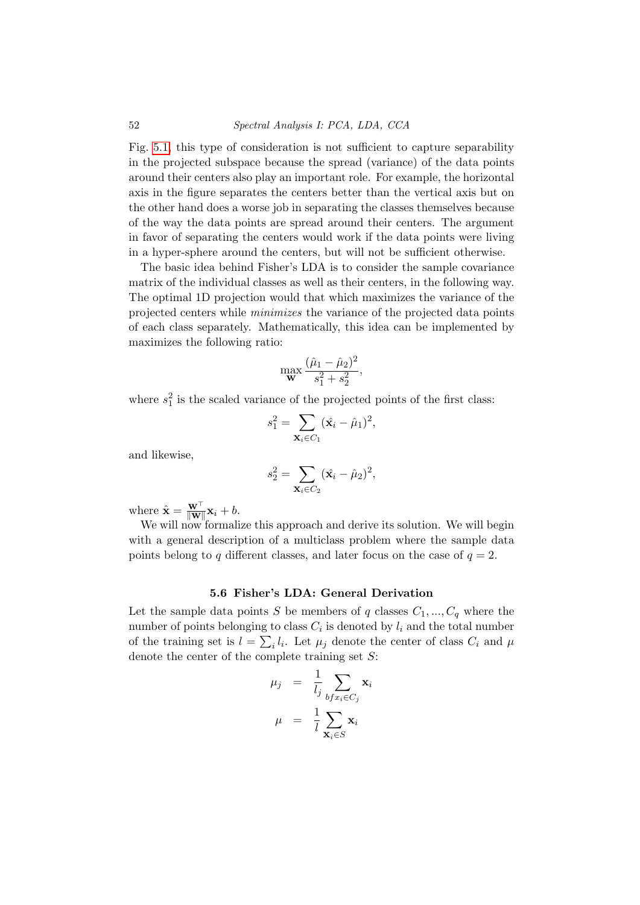Fig. [5.1,](#page-54-0) this type of consideration is not sufficient to capture separability in the projected subspace because the spread (variance) of the data points around their centers also play an important role. For example, the horizontal axis in the figure separates the centers better than the vertical axis but on the other hand does a worse job in separating the classes themselves because of the way the data points are spread around their centers. The argument in favor of separating the centers would work if the data points were living in a hyper-sphere around the centers, but will not be sufficient otherwise.

The basic idea behind Fisher's LDA is to consider the sample covariance matrix of the individual classes as well as their centers, in the following way. The optimal 1D projection would that which maximizes the variance of the projected centers while minimizes the variance of the projected data points of each class separately. Mathematically, this idea can be implemented by maximizes the following ratio:

$$
\max_{\mathbf{W}} \frac{(\hat{\mu}_1 - \hat{\mu}_2)^2}{s_1^2 + s_2^2},
$$

where  $s_1^2$  is the scaled variance of the projected points of the first class:

$$
s_1^2 = \sum_{\mathbf{X}_i \in C_1} (\hat{\mathbf{x}}_i - \hat{\mu}_1)^2,
$$

and likewise,

$$
s_2^2 = \sum_{\mathbf{X}_i \in C_2} (\hat{\mathbf{x}_i} - \hat{\mu}_2)^2,
$$

where  $\hat{\mathbf{x}} = \frac{\mathbf{w}^\top}{\|\mathbf{w}\|} \mathbf{x}_i + b$ .

We will now formalize this approach and derive its solution. We will begin with a general description of a multiclass problem where the sample data points belong to q different classes, and later focus on the case of  $q = 2$ .

#### 5.6 Fisher's LDA: General Derivation

Let the sample data points S be members of q classes  $C_1, ..., C_q$  where the number of points belonging to class  $C_i$  is denoted by  $l_i$  and the total number of the training set is  $l = \sum_i l_i$ . Let  $\mu_j$  denote the center of class  $C_i$  and  $\mu$ denote the center of the complete training set  $S$ :

$$
\mu_j = \frac{1}{l_j} \sum_{bf x_i \in C_j} \mathbf{x}_i
$$

$$
\mu = \frac{1}{l} \sum_{\mathbf{x}_i \in S} \mathbf{x}_i
$$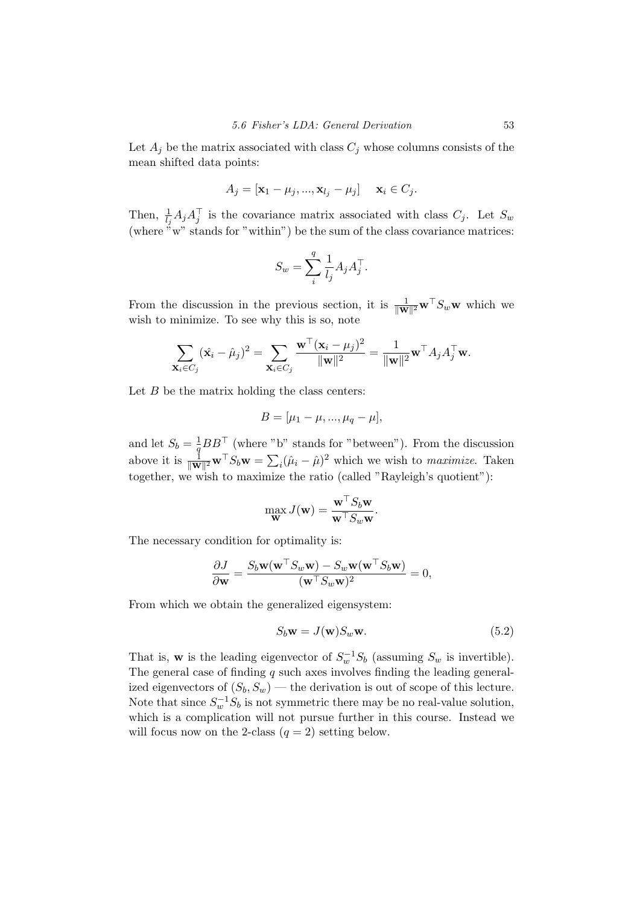Let  $A_j$  be the matrix associated with class  $C_j$  whose columns consists of the mean shifted data points:

$$
A_j = [\mathbf{x}_1 - \mu_j, ..., \mathbf{x}_{l_j} - \mu_j] \quad \mathbf{x}_i \in C_j.
$$

Then,  $\frac{1}{l_j}A_jA_j^{\top}$  is the covariance matrix associated with class  $C_j$ . Let  $S_w$ (where  $\sim w$ " stands for "within") be the sum of the class covariance matrices:

$$
S_w = \sum_i^q \frac{1}{l_j} A_j A_j^\top.
$$

From the discussion in the previous section, it is  $\frac{1}{\|\mathbf{W}\|^2} \mathbf{w}^\top S_w \mathbf{w}$  which we wish to minimize. To see why this is so, note

$$
\sum_{\mathbf{X}_i \in C_j} (\hat{\mathbf{x}}_i - \hat{\mu}_j)^2 = \sum_{\mathbf{X}_i \in C_j} \frac{\mathbf{w}^\top (\mathbf{x}_i - \mu_j)^2}{\|\mathbf{w}\|^2} = \frac{1}{\|\mathbf{w}\|^2} \mathbf{w}^\top A_j A_j^\top \mathbf{w}.
$$

Let  $B$  be the matrix holding the class centers:

$$
B = [\mu_1 - \mu, ..., \mu_q - \mu],
$$

and let  $S_b = \frac{1}{a}$  $\frac{1}{q}BB^{\top}$  (where "b" stands for "between"). From the discussion above it is  $\frac{1}{\|\mathbf{W}\|^2} \mathbf{w}^\top S_b \mathbf{w} = \sum_i (\hat{\mu}_i - \hat{\mu})^2$  which we wish to *maximize*. Taken together, we wish to maximize the ratio (called "Rayleigh's quotient"):

$$
\max_{\mathbf{W}} J(\mathbf{w}) = \frac{\mathbf{w}^\top S_b \mathbf{w}}{\mathbf{w}^\top S_w \mathbf{w}}.
$$

The necessary condition for optimality is:

$$
\frac{\partial J}{\partial \mathbf{w}} = \frac{S_b \mathbf{w} (\mathbf{w}^\top S_w \mathbf{w}) - S_w \mathbf{w} (\mathbf{w}^\top S_b \mathbf{w})}{(\mathbf{w}^\top S_w \mathbf{w})^2} = 0,
$$

From which we obtain the generalized eigensystem:

<span id="page-56-0"></span>
$$
S_b \mathbf{w} = J(\mathbf{w}) S_w \mathbf{w}.
$$
 (5.2)

That is, **w** is the leading eigenvector of  $S_w^{-1}S_b$  (assuming  $S_w$  is invertible). The general case of finding  $q$  such axes involves finding the leading generalized eigenvectors of  $(S_b, S_w)$  — the derivation is out of scope of this lecture. Note that since  $S_w^{-1}S_b$  is not symmetric there may be no real-value solution, which is a complication will not pursue further in this course. Instead we will focus now on the 2-class  $(q = 2)$  setting below.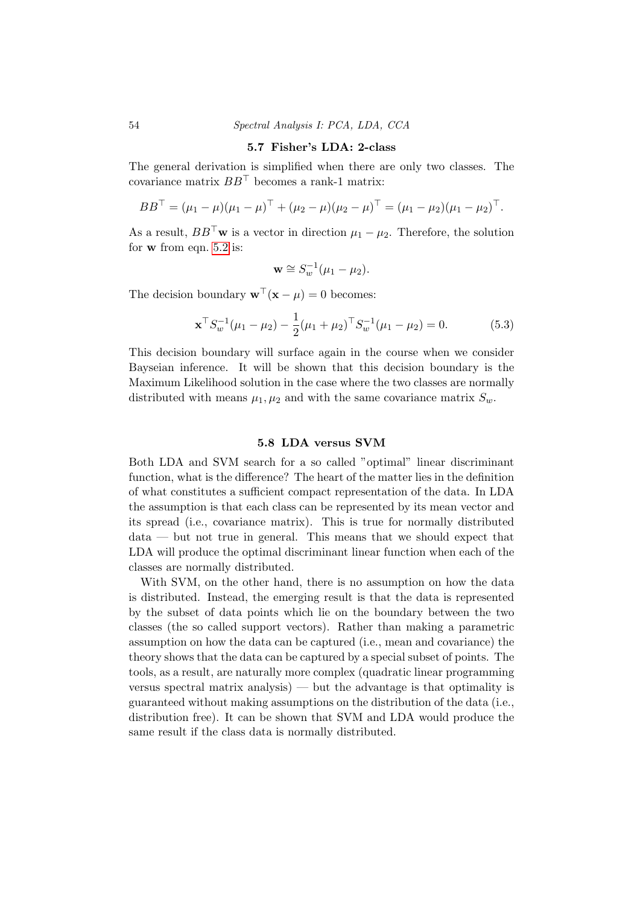#### 5.7 Fisher's LDA: 2-class

The general derivation is simplified when there are only two classes. The covariance matrix  $BB^{\top}$  becomes a rank-1 matrix:

$$
BB^{\top} = (\mu_1 - \mu)(\mu_1 - \mu)^{\top} + (\mu_2 - \mu)(\mu_2 - \mu)^{\top} = (\mu_1 - \mu_2)(\mu_1 - \mu_2)^{\top}.
$$

As a result,  $BB^{\top}$ w is a vector in direction  $\mu_1 - \mu_2$ . Therefore, the solution for w from eqn. [5.2](#page-56-0) is:

$$
\mathbf{w} \cong S_w^{-1}(\mu_1 - \mu_2).
$$

The decision boundary  $\mathbf{w}^{\top}(\mathbf{x} - \mu) = 0$  becomes:

$$
\mathbf{x}^{\top} S_{w}^{-1}(\mu_1 - \mu_2) - \frac{1}{2}(\mu_1 + \mu_2)^{\top} S_{w}^{-1}(\mu_1 - \mu_2) = 0.
$$
 (5.3)

This decision boundary will surface again in the course when we consider Bayseian inference. It will be shown that this decision boundary is the Maximum Likelihood solution in the case where the two classes are normally distributed with means  $\mu_1, \mu_2$  and with the same covariance matrix  $S_w$ .

#### 5.8 LDA versus SVM

Both LDA and SVM search for a so called "optimal" linear discriminant function, what is the difference? The heart of the matter lies in the definition of what constitutes a sufficient compact representation of the data. In LDA the assumption is that each class can be represented by its mean vector and its spread (i.e., covariance matrix). This is true for normally distributed data — but not true in general. This means that we should expect that LDA will produce the optimal discriminant linear function when each of the classes are normally distributed.

With SVM, on the other hand, there is no assumption on how the data is distributed. Instead, the emerging result is that the data is represented by the subset of data points which lie on the boundary between the two classes (the so called support vectors). Rather than making a parametric assumption on how the data can be captured (i.e., mean and covariance) the theory shows that the data can be captured by a special subset of points. The tools, as a result, are naturally more complex (quadratic linear programming versus spectral matrix analysis) — but the advantage is that optimality is guaranteed without making assumptions on the distribution of the data (i.e., distribution free). It can be shown that SVM and LDA would produce the same result if the class data is normally distributed.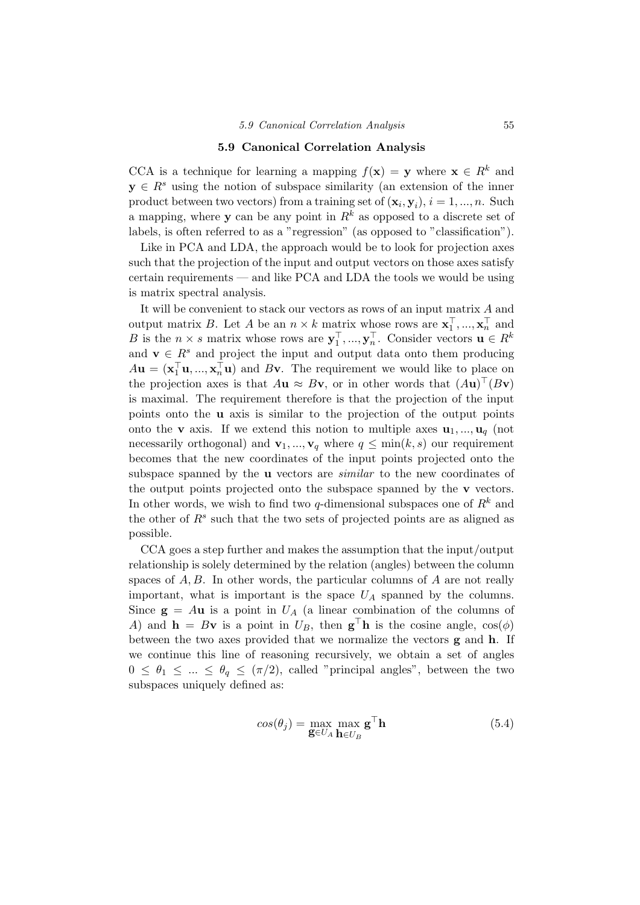#### 5.9 Canonical Correlation Analysis

CCA is a technique for learning a mapping  $f(\mathbf{x}) = \mathbf{y}$  where  $\mathbf{x} \in \mathbb{R}^k$  and  $y \in R<sup>s</sup>$  using the notion of subspace similarity (an extension of the inner product between two vectors) from a training set of  $(\mathbf{x}_i, \mathbf{y}_i)$ ,  $i = 1, ..., n$ . Such a mapping, where y can be any point in  $R^k$  as opposed to a discrete set of labels, is often referred to as a "regression" (as opposed to "classification").

Like in PCA and LDA, the approach would be to look for projection axes such that the projection of the input and output vectors on those axes satisfy certain requirements — and like PCA and LDA the tools we would be using is matrix spectral analysis.

It will be convenient to stack our vectors as rows of an input matrix A and output matrix B. Let A be an  $n \times k$  matrix whose rows are  $\mathbf{x}_1^{\top}, ..., \mathbf{x}_n^{\top}$  and B is the  $n \times s$  matrix whose rows are  $\mathbf{y}_1^{\top}, ..., \mathbf{y}_n^{\top}$ . Consider vectors  $\mathbf{u} \in R^k$ and  $\mathbf{v} \in \mathbb{R}^s$  and project the input and output data onto them producing  $A\mathbf{u} = (\mathbf{x}_1^{\mathsf{T}}\mathbf{u},...,\mathbf{x}_n^{\mathsf{T}}\mathbf{u})$  and Bv. The requirement we would like to place on the projection axes is that  $A\mathbf{u} \approx B\mathbf{v}$ , or in other words that  $(A\mathbf{u})^{\top}(B\mathbf{v})$ is maximal. The requirement therefore is that the projection of the input points onto the u axis is similar to the projection of the output points onto the **v** axis. If we extend this notion to multiple axes  $\mathbf{u}_1, \dots, \mathbf{u}_q$  (not necessarily orthogonal) and  $\mathbf{v}_1, ..., \mathbf{v}_q$  where  $q \leq \min(k, s)$  our requirement becomes that the new coordinates of the input points projected onto the subspace spanned by the **u** vectors are *similar* to the new coordinates of the output points projected onto the subspace spanned by the v vectors. In other words, we wish to find two  $q$ -dimensional subspaces one of  $R^k$  and the other of  $R^s$  such that the two sets of projected points are as aligned as possible.

CCA goes a step further and makes the assumption that the input/output relationship is solely determined by the relation (angles) between the column spaces of  $A, B$ . In other words, the particular columns of  $A$  are not really important, what is important is the space  $U_A$  spanned by the columns. Since  $g = Au$  is a point in  $U_A$  (a linear combination of the columns of A) and  $\mathbf{h} = B\mathbf{v}$  is a point in  $U_B$ , then  $\mathbf{g}^\top \mathbf{h}$  is the cosine angle,  $\cos(\phi)$ between the two axes provided that we normalize the vectors g and h. If we continue this line of reasoning recursively, we obtain a set of angles  $0 \leq \theta_1 \leq ... \leq \theta_q \leq (\pi/2)$ , called "principal angles", between the two subspaces uniquely defined as:

$$
cos(\theta_j) = \max_{\mathbf{g} \in U_A} \max_{\mathbf{h} \in U_B} \mathbf{g}^{\top} \mathbf{h}
$$
 (5.4)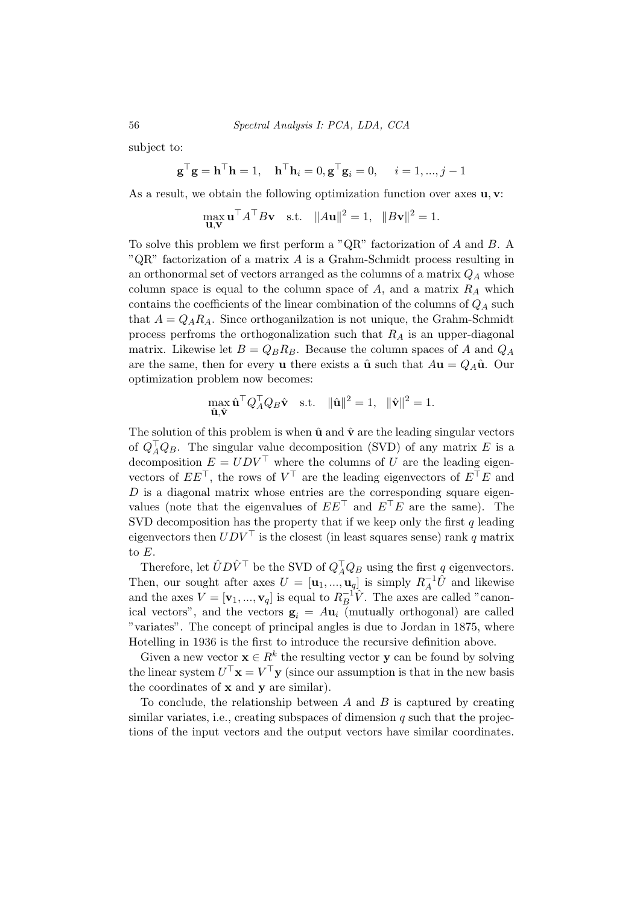subject to:

$$
\mathbf{g}^{\top}\mathbf{g} = \mathbf{h}^{\top}\mathbf{h} = 1, \quad \mathbf{h}^{\top}\mathbf{h}_i = 0, \mathbf{g}^{\top}\mathbf{g}_i = 0, \quad i = 1, ..., j - 1
$$

As a result, we obtain the following optimization function over axes **u**, **v**:

$$
\max_{\mathbf{u},\mathbf{v}} \mathbf{u}^{\top} A^{\top} B \mathbf{v} \quad \text{s.t.} \quad \|A\mathbf{u}\|^2 = 1, \quad \|B\mathbf{v}\|^2 = 1.
$$

To solve this problem we first perform a "QR" factorization of A and B. A " $QR$ " factorization of a matrix A is a Grahm-Schmidt process resulting in an orthonormal set of vectors arranged as the columns of a matrix  $Q_A$  whose column space is equal to the column space of A, and a matrix  $R_A$  which contains the coefficients of the linear combination of the columns of  $Q_A$  such that  $A = Q_A R_A$ . Since orthoganization is not unique, the Grahm-Schmidt process perfroms the orthogonalization such that  $R_A$  is an upper-diagonal matrix. Likewise let  $B = Q_B R_B$ . Because the column spaces of A and  $Q_A$ are the same, then for every **u** there exists a  $\hat{\mathbf{u}}$  such that  $A\mathbf{u} = Q_A\hat{\mathbf{u}}$ . Our optimization problem now becomes:

$$
\max_{\hat{\mathbf{u}}, \hat{\mathbf{v}}} \hat{\mathbf{u}}^\top Q_A^\top Q_B \hat{\mathbf{v}} \quad \text{s.t.} \quad \|\hat{\mathbf{u}}\|^2 = 1, \quad \|\hat{\mathbf{v}}\|^2 = 1.
$$

The solution of this problem is when  $\hat{u}$  and  $\hat{v}$  are the leading singular vectors of  $Q_A^{\dagger} Q_B$ . The singular value decomposition (SVD) of any matrix E is a decomposition  $E = U D V^{\top}$  where the columns of U are the leading eigenvectors of  $EE^{\top}$ , the rows of  $V^{\top}$  are the leading eigenvectors of  $E^{\top}E$  and  $D$  is a diagonal matrix whose entries are the corresponding square eigenvalues (note that the eigenvalues of  $EE^{\top}$  and  $E^{\top}E$  are the same). The SVD decomposition has the property that if we keep only the first  $q$  leading eigenvectors then  $UDV^{\top}$  is the closest (in least squares sense) rank q matrix to E.

Therefore, let  $\hat{U}D\hat{V}^{\top}$  be the SVD of  $Q_A^{\top}Q_B$  using the first  $q$  eigenvectors. Then, our sought after axes  $U = [\mathbf{u}_1, ..., \mathbf{u}_q]$  is simply  $R_A^{-1}\hat{U}$  and likewise and the axes  $V = [\mathbf{v}_1, ..., \mathbf{v}_q]$  is equal to  $R_B^{-1}$  $\overline{B}^{-1}\hat{V}$ . The axes are called "canonical vectors", and the vectors  $\mathbf{g}_i = A \mathbf{u}_i$  (mutually orthogonal) are called "variates". The concept of principal angles is due to Jordan in 1875, where Hotelling in 1936 is the first to introduce the recursive definition above.

Given a new vector  $\mathbf{x} \in R^k$  the resulting vector y can be found by solving the linear system  $U^{\top} \mathbf{x} = V^{\top} \mathbf{y}$  (since our assumption is that in the new basis the coordinates of x and y are similar).

To conclude, the relationship between  $A$  and  $B$  is captured by creating similar variates, i.e., creating subspaces of dimension  $q$  such that the projections of the input vectors and the output vectors have similar coordinates.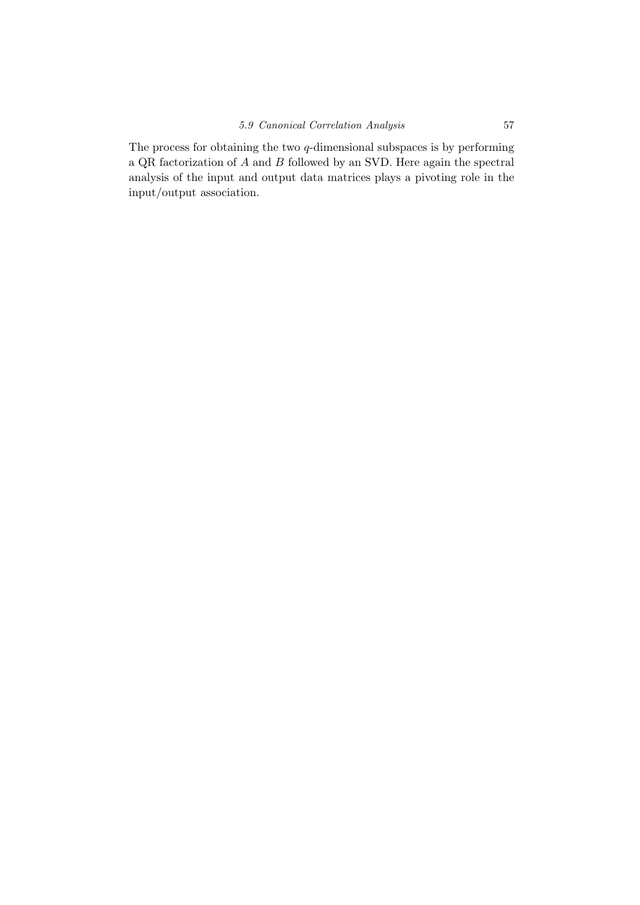The process for obtaining the two  $q$ -dimensional subspaces is by performing a QR factorization of  $A$  and  $B$  followed by an SVD. Here again the spectral analysis of the input and output data matrices plays a pivoting role in the input/output association.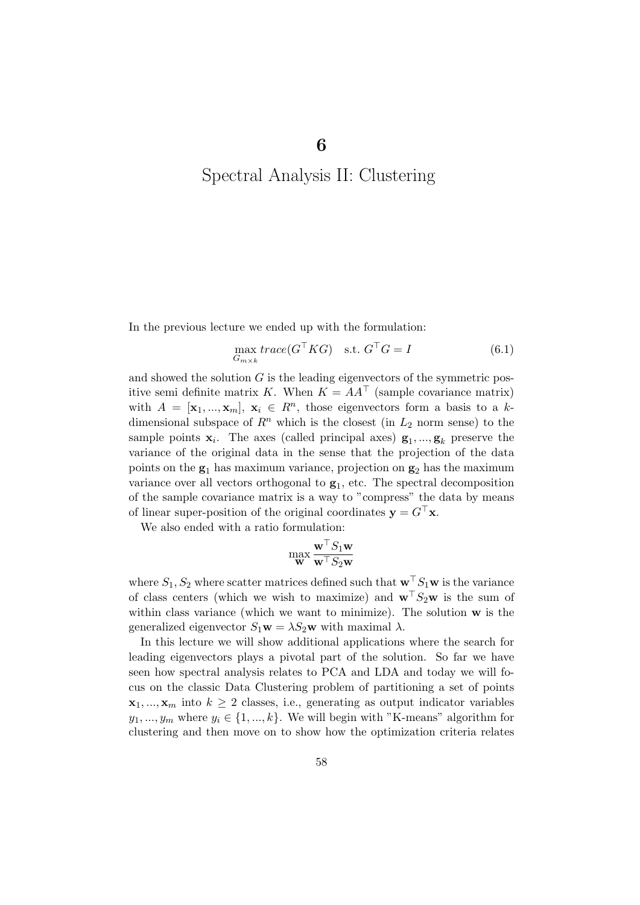## Spectral Analysis II: Clustering

In the previous lecture we ended up with the formulation:

<span id="page-61-0"></span>
$$
\max_{G_{m \times k}} trace(G^{\top}KG) \quad \text{s.t. } G^{\top}G = I \tag{6.1}
$$

and showed the solution  $G$  is the leading eigenvectors of the symmetric positive semi definite matrix K. When  $K = AA^{\top}$  (sample covariance matrix) with  $A = [\mathbf{x}_1, ..., \mathbf{x}_m], \mathbf{x}_i \in R^n$ , those eigenvectors form a basis to a kdimensional subspace of  $R^n$  which is the closest (in  $L_2$  norm sense) to the sample points  $\mathbf{x}_i$ . The axes (called principal axes)  $\mathbf{g}_1, ..., \mathbf{g}_k$  preserve the variance of the original data in the sense that the projection of the data points on the  $g_1$  has maximum variance, projection on  $g_2$  has the maximum variance over all vectors orthogonal to  $g_1$ , etc. The spectral decomposition of the sample covariance matrix is a way to "compress" the data by means of linear super-position of the original coordinates  $\mathbf{y} = G^\top \mathbf{x}$ .

We also ended with a ratio formulation:

$$
\max_{\mathbf{w}} \frac{\mathbf{w}^\top S_1 \mathbf{w}}{\mathbf{w}^\top S_2 \mathbf{w}}
$$

where  $S_1, S_2$  where scatter matrices defined such that  $\mathbf{w}^\top S_1\mathbf{w}$  is the variance of class centers (which we wish to maximize) and  $\mathbf{w}^{\top}S_2\mathbf{w}$  is the sum of within class variance (which we want to minimize). The solution  $\bf{w}$  is the generalized eigenvector  $S_1 \mathbf{w} = \lambda S_2 \mathbf{w}$  with maximal  $\lambda$ .

In this lecture we will show additional applications where the search for leading eigenvectors plays a pivotal part of the solution. So far we have seen how spectral analysis relates to PCA and LDA and today we will focus on the classic Data Clustering problem of partitioning a set of points  $\mathbf{x}_1, ..., \mathbf{x}_m$  into  $k \geq 2$  classes, i.e., generating as output indicator variables  $y_1, ..., y_m$  where  $y_i \in \{1, ..., k\}$ . We will begin with "K-means" algorithm for clustering and then move on to show how the optimization criteria relates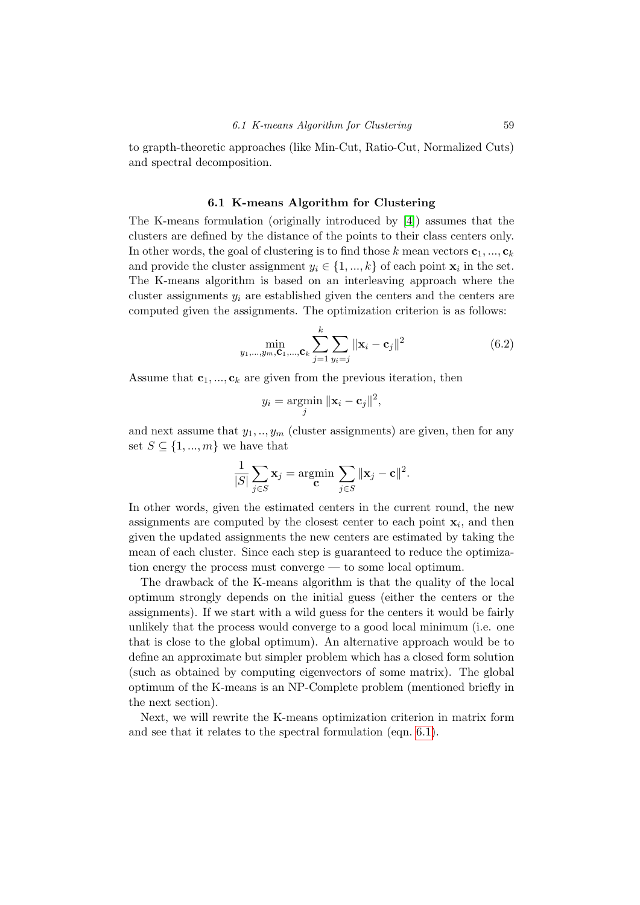to grapth-theoretic approaches (like Min-Cut, Ratio-Cut, Normalized Cuts) and spectral decomposition.

#### 6.1 K-means Algorithm for Clustering

The K-means formulation (originally introduced by [\[4\]](#page-108-0)) assumes that the clusters are defined by the distance of the points to their class centers only. In other words, the goal of clustering is to find those k mean vectors  $c_1, ..., c_k$ and provide the cluster assignment  $y_i \in \{1, ..., k\}$  of each point  $\mathbf{x}_i$  in the set. The K-means algorithm is based on an interleaving approach where the cluster assignments  $y_i$  are established given the centers and the centers are computed given the assignments. The optimization criterion is as follows:

<span id="page-62-0"></span>
$$
\min_{y_1, \dots, y_m, \mathbf{C}_1, \dots, \mathbf{C}_k} \sum_{j=1}^k \sum_{y_i = j} ||\mathbf{x}_i - \mathbf{c}_j||^2
$$
 (6.2)

Assume that  $c_1, ..., c_k$  are given from the previous iteration, then

$$
y_i = \operatorname*{argmin}_{j} \|\mathbf{x}_i - \mathbf{c}_j\|^2,
$$

and next assume that  $y_1, \ldots, y_m$  (cluster assignments) are given, then for any set  $S \subseteq \{1, ..., m\}$  we have that

$$
\frac{1}{|S|} \sum_{j \in S} \mathbf{x}_j = \operatorname*{argmin}_{\mathbf{C}} \sum_{j \in S} ||\mathbf{x}_j - \mathbf{c}||^2.
$$

In other words, given the estimated centers in the current round, the new assignments are computed by the closest center to each point  $x_i$ , and then given the updated assignments the new centers are estimated by taking the mean of each cluster. Since each step is guaranteed to reduce the optimization energy the process must converge — to some local optimum.

The drawback of the K-means algorithm is that the quality of the local optimum strongly depends on the initial guess (either the centers or the assignments). If we start with a wild guess for the centers it would be fairly unlikely that the process would converge to a good local minimum (i.e. one that is close to the global optimum). An alternative approach would be to define an approximate but simpler problem which has a closed form solution (such as obtained by computing eigenvectors of some matrix). The global optimum of the K-means is an NP-Complete problem (mentioned briefly in the next section).

Next, we will rewrite the K-means optimization criterion in matrix form and see that it relates to the spectral formulation (eqn. [6.1\)](#page-61-0).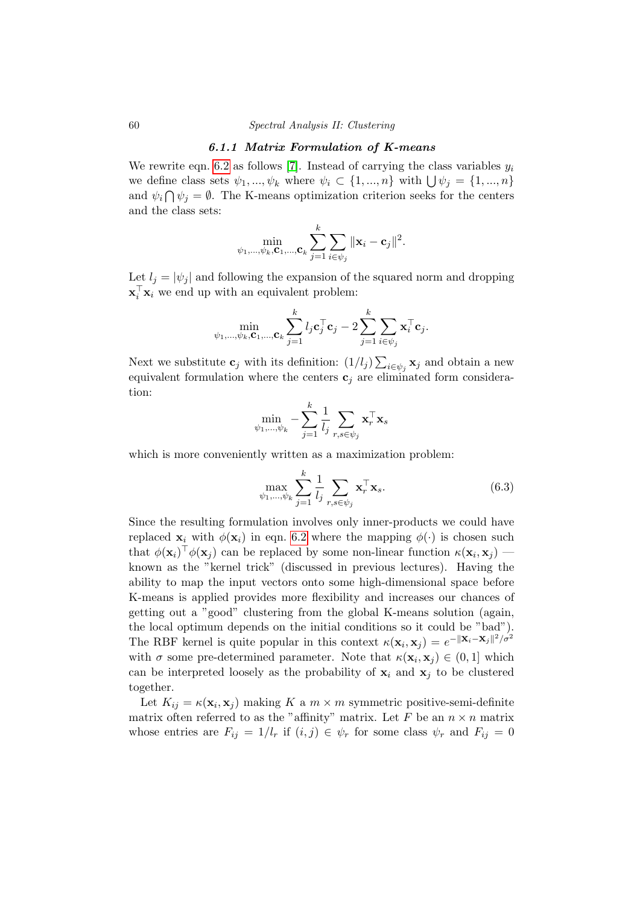#### 60 Spectral Analysis II: Clustering

#### 6.1.1 Matrix Formulation of K-means

We rewrite eqn. [6.2](#page-62-0) as follows [\[7\]](#page-108-1). Instead of carrying the class variables  $y_i$ we define class sets  $\psi_1, ..., \psi_k$  where  $\psi_i \subset \{1, ..., n\}$  with  $\bigcup \psi_j = \{1, ..., n\}$ and  $\psi_i \cap \psi_j = \emptyset$ . The K-means optimization criterion seeks for the centers and the class sets:

$$
\min_{\psi_1,...,\psi_k,\mathbf{C}_1,...,\mathbf{C}_k} \sum_{j=1}^k \sum_{i\in\psi_j} \|\mathbf{x}_i-\mathbf{c}_j\|^2.
$$

Let  $l_i = |\psi_i|$  and following the expansion of the squared norm and dropping  $\mathbf{x}_i^{\top} \mathbf{x}_i$  we end up with an equivalent problem:

$$
\min_{\psi_1,...,\psi_k, \mathbf{C}_1,...,\mathbf{C}_k} \sum_{j=1}^k l_j \mathbf{c}_j^\top \mathbf{c}_j - 2 \sum_{j=1}^k \sum_{i \in \psi_j} \mathbf{x}_i^\top \mathbf{c}_j.
$$

Next we substitute  $\mathbf{c}_j$  with its definition:  $(1/l_j) \sum_{i \in \psi_j} \mathbf{x}_j$  and obtain a new equivalent formulation where the centers  $c_i$  are eliminated form consideration:

$$
\min_{\psi_1,...,\psi_k} - \sum_{j=1}^k \frac{1}{l_j} \sum_{r,s \in \psi_j} \mathbf{x}_r^\top \mathbf{x}_s
$$

which is more conveniently written as a maximization problem:

<span id="page-63-0"></span>
$$
\max_{\psi_1,\dots,\psi_k} \sum_{j=1}^k \frac{1}{l_j} \sum_{r,s \in \psi_j} \mathbf{x}_r^\top \mathbf{x}_s. \tag{6.3}
$$

Since the resulting formulation involves only inner-products we could have replaced  $\mathbf{x}_i$  with  $\phi(\mathbf{x}_i)$  in eqn. [6.2](#page-62-0) where the mapping  $\phi(\cdot)$  is chosen such that  $\phi(\mathbf{x}_i)^\top \phi(\mathbf{x}_j)$  can be replaced by some non-linear function  $\kappa(\mathbf{x}_i, \mathbf{x}_j)$  known as the "kernel trick" (discussed in previous lectures). Having the ability to map the input vectors onto some high-dimensional space before K-means is applied provides more flexibility and increases our chances of getting out a "good" clustering from the global K-means solution (again, the local optimum depends on the initial conditions so it could be "bad"). The RBF kernel is quite popular in this context  $\kappa(\mathbf{x}_i, \mathbf{x}_j) = e^{-\|\mathbf{x}_i - \mathbf{x}_j\|^2/\sigma^2}$ with  $\sigma$  some pre-determined parameter. Note that  $\kappa(\mathbf{x}_i, \mathbf{x}_j) \in (0, 1]$  which can be interpreted loosely as the probability of  $x_i$  and  $x_j$  to be clustered together.

Let  $K_{ij} = \kappa(\mathbf{x}_i, \mathbf{x}_j)$  making K a  $m \times m$  symmetric positive-semi-definite matrix often referred to as the "affinity" matrix. Let F be an  $n \times n$  matrix whose entries are  $F_{ij} = 1/l_r$  if  $(i, j) \in \psi_r$  for some class  $\psi_r$  and  $F_{ij} = 0$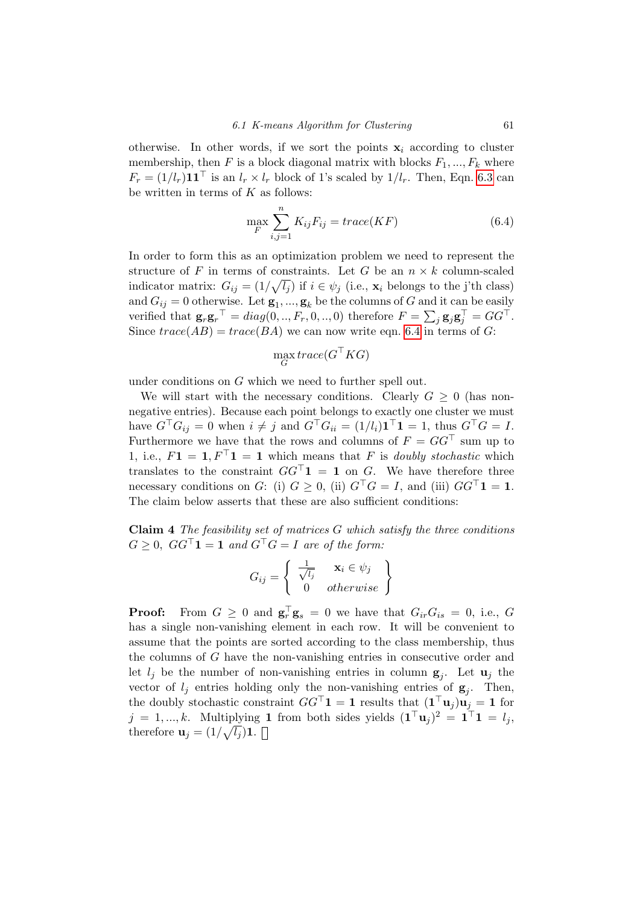otherwise. In other words, if we sort the points  $x_i$  according to cluster membership, then  $F$  is a block diagonal matrix with blocks  $F_1, ..., F_k$  where  $F_r = (1/l_r)\mathbf{1}\mathbf{1}^\top$  is an  $l_r \times l_r$  block of 1's scaled by  $1/l_r$ . Then, Eqn. [6.3](#page-63-0) can be written in terms of  $K$  as follows:

<span id="page-64-0"></span>
$$
\max_{F} \sum_{i,j=1}^{n} K_{ij} F_{ij} = trace(KF)
$$
\n(6.4)

In order to form this as an optimization problem we need to represent the structure of F in terms of constraints. Let G be an  $n \times k$  column-scaled indicator matrix:  $G_{ij} = (1/\sqrt{l_j})$  if  $i \in \psi_j$  (i.e.,  $\mathbf{x}_i$  belongs to the j'th class) and  $G_{ij} = 0$  otherwise. Let  $\mathbf{g}_1, ..., \mathbf{g}_k$  be the columns of G and it can be easily verified that  $\mathbf{g}_r \mathbf{g}_r^{\top} = diag(0, ..., F_r, 0, ..., 0)$  therefore  $F = \sum_j \mathbf{g}_j \mathbf{g}_j^{\top} = GG^{\top}$ . Since  $trace(AB) = trace(BA)$  we can now write eqn. [6.4](#page-64-0) in terms of G:

$$
\max_{G} trace(G^\top KG)
$$

under conditions on G which we need to further spell out.

We will start with the necessary conditions. Clearly  $G \geq 0$  (has nonnegative entries). Because each point belongs to exactly one cluster we must have  $G^{\top}G_{ij} = 0$  when  $i \neq j$  and  $G^{\top}G_{ii} = (1/l_i)\mathbf{1}^{\top}\mathbf{1} = 1$ , thus  $G^{\top}G = I$ . Furthermore we have that the rows and columns of  $F = GG^{\top}$  sum up to 1, i.e.,  $F1 = 1, F^{\top}1 = 1$  which means that F is *doubly stochastic* which translates to the constraint  $GG^{\top}1 = 1$  on G. We have therefore three necessary conditions on G: (i)  $G \geq 0$ , (ii)  $G^{\top}G = I$ , and (iii)  $GG^{\top}1 = 1$ . The claim below asserts that these are also sufficient conditions:

**Claim 4** The feasibility set of matrices  $G$  which satisfy the three conditions  $G \geq 0$ ,  $GG^{\top}$ **1** = **1** and  $G^{\top}G = I$  are of the form:

$$
G_{ij} = \left\{ \begin{array}{cc} \frac{1}{\sqrt{l_j}} & \mathbf{x}_i \in \psi_j \\ 0 & otherwise \end{array} \right\}
$$

**Proof:** From  $G \geq 0$  and  $\mathbf{g}_r^{\top} \mathbf{g}_s = 0$  we have that  $G_{ir} G_{is} = 0$ , i.e., G has a single non-vanishing element in each row. It will be convenient to assume that the points are sorted according to the class membership, thus the columns of G have the non-vanishing entries in consecutive order and let  $l_j$  be the number of non-vanishing entries in column  $g_j$ . Let  $u_j$  the vector of  $l_j$  entries holding only the non-vanishing entries of  $g_j$ . Then, the doubly stochastic constraint  $GG^{\top} \mathbf{1} = \mathbf{1}$  results that  $(\mathbf{1}^\top \mathbf{u}_j) \mathbf{u}_j = \mathbf{1}$  for  $j = 1, ..., k$ . Multiplying 1 from both sides yields  $(1^{\top}u_j)^2 = 1^{\top}1 = l_j$ , therefore  $\mathbf{u}_j = (1/\sqrt{l_j})\mathbf{1}.$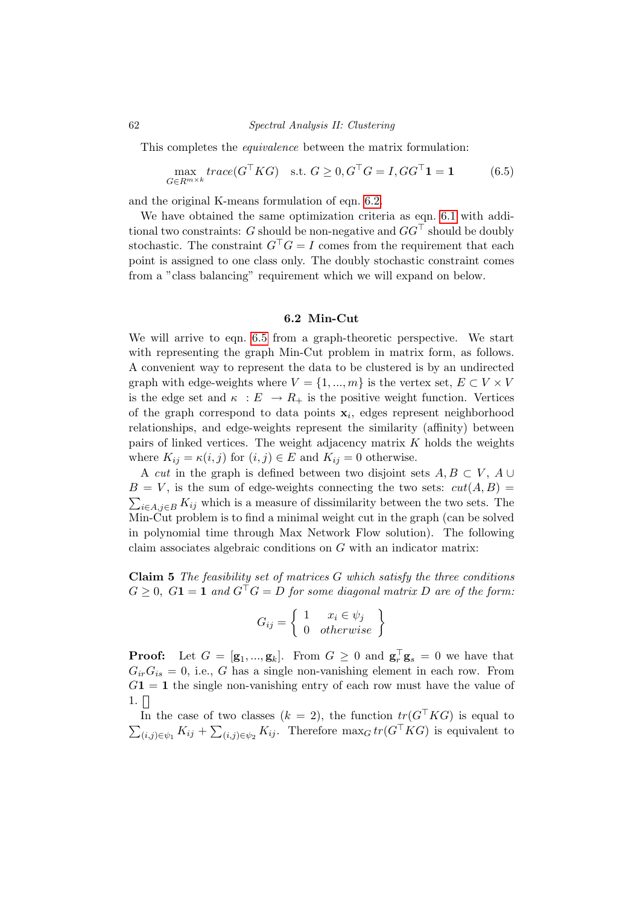#### 62 Spectral Analysis II: Clustering

This completes the *equivalence* between the matrix formulation:

<span id="page-65-0"></span>
$$
\max_{G \in R^{m \times k}} trace(G^{\top}KG) \quad \text{s.t. } G \ge 0, G^{\top}G = I, GG^{\top} \mathbf{1} = \mathbf{1}
$$
 (6.5)

and the original K-means formulation of eqn. [6.2.](#page-62-0)

We have obtained the same optimization criteria as eqn. [6.1](#page-61-0) with additional two constraints: G should be non-negative and  $GG^{\top}$  should be doubly stochastic. The constraint  $G^{\top}G = I$  comes from the requirement that each point is assigned to one class only. The doubly stochastic constraint comes from a "class balancing" requirement which we will expand on below.

#### 6.2 Min-Cut

We will arrive to eqn. [6.5](#page-65-0) from a graph-theoretic perspective. We start with representing the graph Min-Cut problem in matrix form, as follows. A convenient way to represent the data to be clustered is by an undirected graph with edge-weights where  $V = \{1, ..., m\}$  is the vertex set,  $E \subset V \times V$ is the edge set and  $\kappa : E \to R_+$  is the positive weight function. Vertices of the graph correspond to data points  $x_i$ , edges represent neighborhood relationships, and edge-weights represent the similarity (affinity) between pairs of linked vertices. The weight adjacency matrix  $K$  holds the weights where  $K_{ij} = \kappa(i, j)$  for  $(i, j) \in E$  and  $K_{ij} = 0$  otherwise.

A cut in the graph is defined between two disjoint sets  $A, B \subset V, A \cup$  $B = V$ , is the sum of edge-weights connecting the two sets:  $cut(A, B) =$  $\sum_{i\in A,j\in B} K_{ij}$  which is a measure of dissimilarity between the two sets. The Min-Cut problem is to find a minimal weight cut in the graph (can be solved in polynomial time through Max Network Flow solution). The following claim associates algebraic conditions on G with an indicator matrix:

**Claim 5** The feasibility set of matrices  $G$  which satisfy the three conditions  $G \geq 0$ ,  $G_1 = 1$  and  $G^{\dagger}G = D$  for some diagonal matrix D are of the form:

$$
G_{ij} = \left\{ \begin{array}{cc} 1 & x_i \in \psi_j \\ 0 & \text{otherwise} \end{array} \right\}
$$

**Proof:** Let  $G = [\mathbf{g}_1, ..., \mathbf{g}_k]$ . From  $G \geq 0$  and  $\mathbf{g}_r^{\top} \mathbf{g}_s = 0$  we have that  $G_{ir}G_{is} = 0$ , i.e., G has a single non-vanishing element in each row. From  $G1 = 1$  the single non-vanishing entry of each row must have the value of  $1. \Box$ 

In the case of two classes  $(k = 2)$ , the function  $tr(G^{T}KG)$  is equal to  $\sum_{(i,j)\in\psi_1} K_{ij} + \sum_{(i,j)\in\psi_2} K_{ij}$ . Therefore  $\max_G tr(G^{\top}KG)$  is equivalent to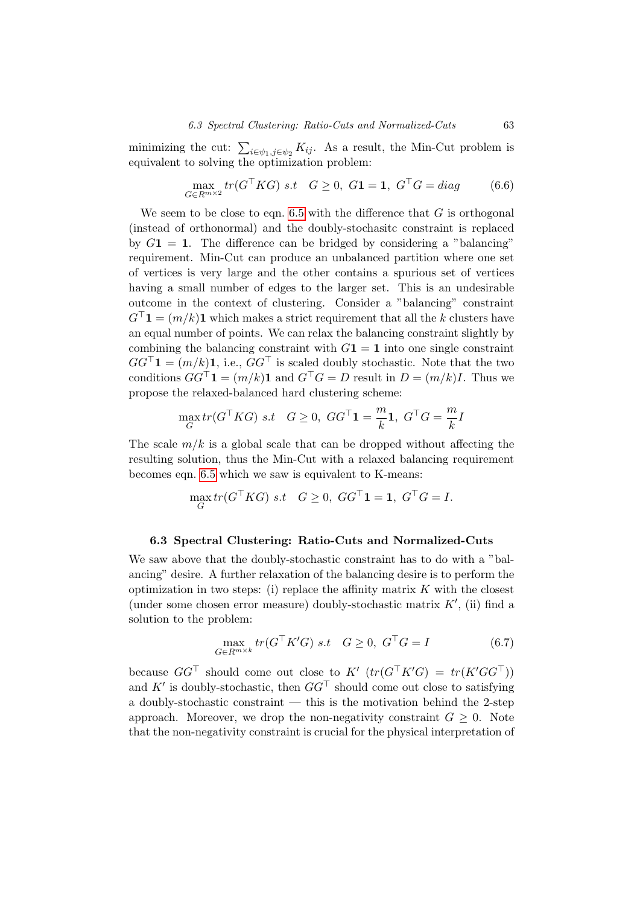minimizing the cut:  $\sum_{i \in \psi_1, j \in \psi_2} K_{ij}$ . As a result, the Min-Cut problem is equivalent to solving the optimization problem:

$$
\max_{G \in R^{m \times 2}} tr(G^{\top}KG) \text{ s.t } G \ge 0, G\mathbf{1} = \mathbf{1}, G^{\top}G = diag \qquad (6.6)
$$

We seem to be close to eqn. [6.5](#page-65-0) with the difference that  $G$  is orthogonal (instead of orthonormal) and the doubly-stochasitc constraint is replaced by  $G_1 = 1$ . The difference can be bridged by considering a "balancing" requirement. Min-Cut can produce an unbalanced partition where one set of vertices is very large and the other contains a spurious set of vertices having a small number of edges to the larger set. This is an undesirable outcome in the context of clustering. Consider a "balancing" constraint  $G^{\top}$ **1** =  $(m/k)$ **1** which makes a strict requirement that all the k clusters have an equal number of points. We can relax the balancing constraint slightly by combining the balancing constraint with  $G_1 = 1$  into one single constraint  $GG^{\top}$ **1** =  $(m/k)$ **1**, i.e.,  $GG^{\top}$  is scaled doubly stochastic. Note that the two conditions  $GG^{\dagger} \mathbf{1} = (m/k)\mathbf{1}$  and  $G^{\top} G = D$  result in  $D = (m/k)I$ . Thus we propose the relaxed-balanced hard clustering scheme:

$$
\max_{G} tr(G^{\top}KG) \ s.t \quad G \ge 0, \ GG^{\top} \mathbf{1} = \frac{m}{k} \mathbf{1}, \ G^{\top} G = \frac{m}{k} I
$$

The scale  $m/k$  is a global scale that can be dropped without affecting the resulting solution, thus the Min-Cut with a relaxed balancing requirement becomes eqn. [6.5](#page-65-0) which we saw is equivalent to K-means:

$$
\max_G tr(G^\top KG) \ s.t \quad G \geq 0, \ GG^\top \mathbf{1} = \mathbf{1}, \ G^\top G = I.
$$

#### 6.3 Spectral Clustering: Ratio-Cuts and Normalized-Cuts

We saw above that the doubly-stochastic constraint has to do with a "balancing" desire. A further relaxation of the balancing desire is to perform the optimization in two steps: (i) replace the affinity matrix  $K$  with the closest (under some chosen error measure) doubly-stochastic matrix  $K'$ , (ii) find a solution to the problem:

<span id="page-66-0"></span>
$$
\max_{G \in R^{m \times k}} tr(G^{\top} K' G) \quad s.t \quad G \ge 0, \ G^{\top} G = I \tag{6.7}
$$

because  $GG^{\top}$  should come out close to  $K'$   $(tr(G^{\top}K'G) = tr(K'GG^{\top}))$ and  $K'$  is doubly-stochastic, then  $GG<sup>T</sup>$  should come out close to satisfying a doubly-stochastic constraint  $-$  this is the motivation behind the 2-step approach. Moreover, we drop the non-negativity constraint  $G \geq 0$ . Note that the non-negativity constraint is crucial for the physical interpretation of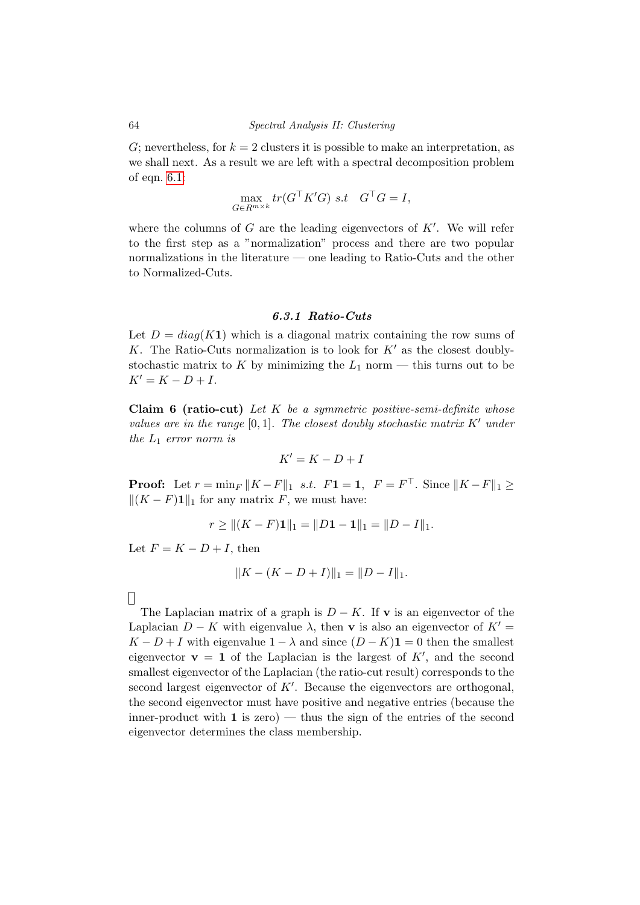G; nevertheless, for  $k = 2$  clusters it is possible to make an interpretation, as we shall next. As a result we are left with a spectral decomposition problem of eqn. [6.1:](#page-61-0)

$$
\max_{G \in R^{m \times k}} tr(G^{\top} K' G) \ s.t \quad G^{\top} G = I,
$$

where the columns of  $G$  are the leading eigenvectors of  $K'$ . We will refer to the first step as a "normalization" process and there are two popular normalizations in the literature — one leading to Ratio-Cuts and the other to Normalized-Cuts.

#### 6.3.1 Ratio-Cuts

Let  $D = diag(K1)$  which is a diagonal matrix containing the row sums of K. The Ratio-Cuts normalization is to look for  $K'$  as the closest doublystochastic matrix to K by minimizing the  $L_1$  norm — this turns out to be  $K' = K - D + I$ .

Claim 6 (ratio-cut) Let  $K$  be a symmetric positive-semi-definite whose values are in the range  $[0, 1]$ . The closest doubly stochastic matrix  $K'$  under the  $L_1$  error norm is

$$
K'=K-D+I
$$

**Proof:** Let  $r = \min_F ||K - F||_1$  s.t.  $F1 = 1$ ,  $F = F^{\top}$ . Since  $||K - F||_1 \ge$  $||(K - F)1||_1$  for any matrix F, we must have:

$$
r \ge ||(K - F)\mathbf{1}||_1 = ||D\mathbf{1} - \mathbf{1}||_1 = ||D - I||_1.
$$

Let  $F = K - D + I$ , then

$$
||K - (K - D + I)||_1 = ||D - I||_1.
$$

 $\Box$ 

The Laplacian matrix of a graph is  $D - K$ . If v is an eigenvector of the Laplacian  $D - K$  with eigenvalue  $\lambda$ , then v is also an eigenvector of  $K' =$  $K - D + I$  with eigenvalue  $1 - \lambda$  and since  $(D - K)$ **1** = 0 then the smallest eigenvector  $\mathbf{v} = \mathbf{1}$  of the Laplacian is the largest of  $K'$ , and the second smallest eigenvector of the Laplacian (the ratio-cut result) corresponds to the second largest eigenvector of  $K'$ . Because the eigenvectors are orthogonal, the second eigenvector must have positive and negative entries (because the inner-product with  $\bf{1}$  is zero) — thus the sign of the entries of the second eigenvector determines the class membership.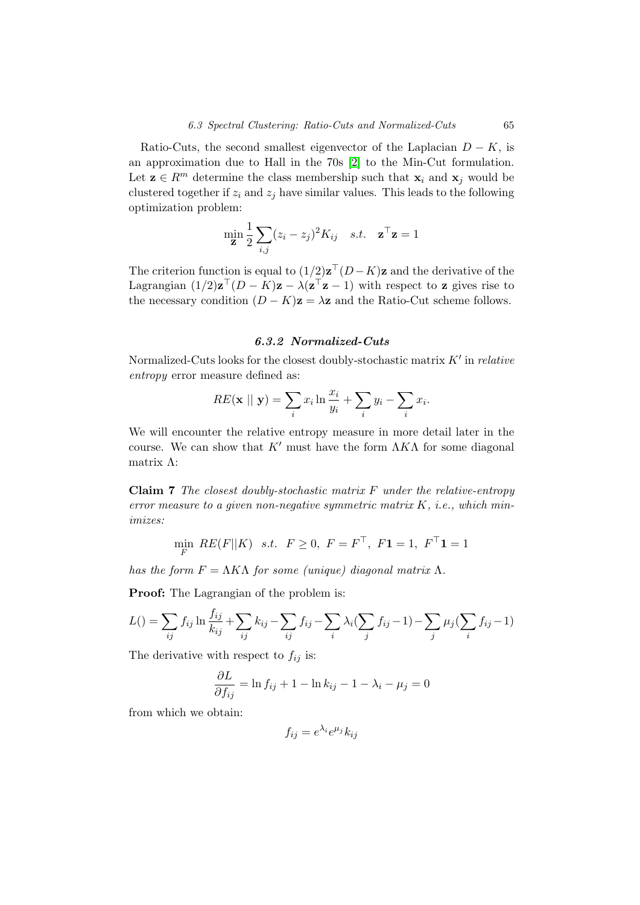Ratio-Cuts, the second smallest eigenvector of the Laplacian  $D - K$ , is an approximation due to Hall in the 70s [\[2\]](#page-108-2) to the Min-Cut formulation. Let  $z \in R^m$  determine the class membership such that  $x_i$  and  $x_j$  would be clustered together if  $z_i$  and  $z_j$  have similar values. This leads to the following optimization problem:

$$
\min_{\mathbf{z}} \frac{1}{2} \sum_{i,j} (z_i - z_j)^2 K_{ij} \quad s.t. \quad \mathbf{z}^\top \mathbf{z} = 1
$$

The criterion function is equal to  $(1/2)\mathbf{z}^\top (D-K)\mathbf{z}$  and the derivative of the Lagrangian  $(1/2)\mathbf{z}^\top (D - K)\mathbf{z} - \lambda(\mathbf{z}^\top \mathbf{z} - 1)$  with respect to **z** gives rise to the necessary condition  $(D - K)\mathbf{z} = \lambda \mathbf{z}$  and the Ratio-Cut scheme follows.

#### 6.3.2 Normalized-Cuts

Normalized-Cuts looks for the closest doubly-stochastic matrix  $K'$  in *relative* entropy error measure defined as:

$$
RE(\mathbf{x} \mid \mid \mathbf{y}) = \sum_{i} x_i \ln \frac{x_i}{y_i} + \sum_{i} y_i - \sum_{i} x_i.
$$

We will encounter the relative entropy measure in more detail later in the course. We can show that  $K'$  must have the form  $\Lambda K\Lambda$  for some diagonal matrix Λ:

**Claim 7** The closest doubly-stochastic matrix  $F$  under the relative-entropy error measure to a given non-negative symmetric matrix  $K$ , i.e., which minimizes:

$$
\min_{F} \, RE(F||K) \quad s.t. \quad F \ge 0, \ F = F^{\top}, \ F1 = 1, \ F^{\top}1 = 1
$$

has the form  $F = \Lambda K\Lambda$  for some (unique) diagonal matrix  $\Lambda$ .

Proof: The Lagrangian of the problem is:

$$
L() = \sum_{ij} f_{ij} \ln \frac{f_{ij}}{k_{ij}} + \sum_{ij} k_{ij} - \sum_{ij} f_{ij} - \sum_{i} \lambda_i (\sum_j f_{ij} - 1) - \sum_j \mu_j (\sum_i f_{ij} - 1)
$$

The derivative with respect to  $f_{ij}$  is:

$$
\frac{\partial L}{\partial f_{ij}} = \ln f_{ij} + 1 - \ln k_{ij} - 1 - \lambda_i - \mu_j = 0
$$

from which we obtain:

$$
f_{ij} = e^{\lambda_i} e^{\mu_j} k_{ij}
$$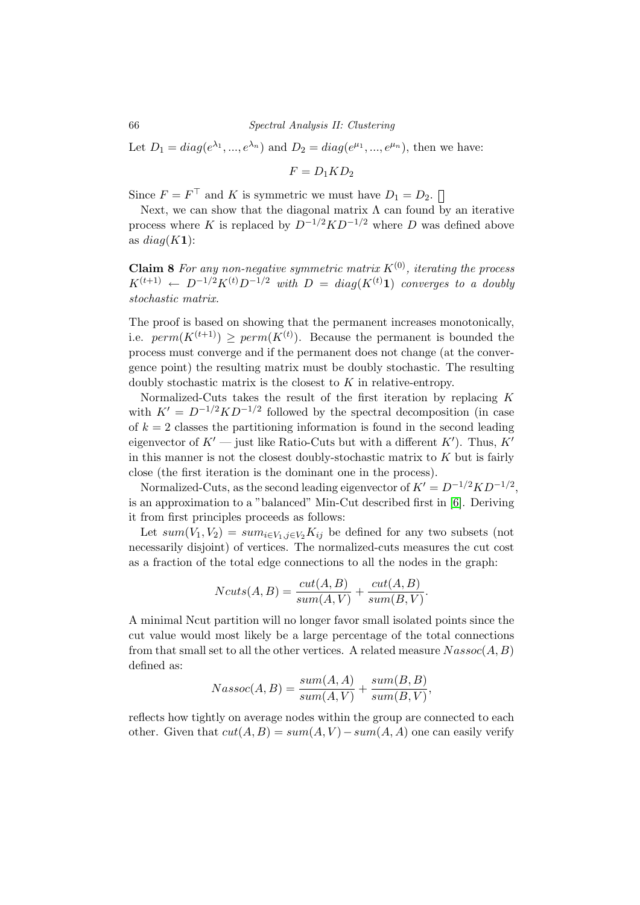Let  $D_1 = diag(e^{\lambda_1}, ..., e^{\lambda_n})$  and  $D_2 = diag(e^{\mu_1}, ..., e^{\mu_n})$ , then we have:

 $F = D_1 K D_2$ 

Since  $F = F^{\top}$  and K is symmetric we must have  $D_1 = D_2$ .

Next, we can show that the diagonal matrix  $\Lambda$  can found by an iterative process where K is replaced by  $D^{-1/2}KD^{-1/2}$  where D was defined above as  $diag(K1)$ :

**Claim 8** For any non-negative symmetric matrix  $K^{(0)}$ , iterating the process  $K^{(t+1)} \leftarrow D^{-1/2} K^{(t)} D^{-1/2}$  with  $D = diag(K^{(t)}\mathbf{1})$  converges to a doubly stochastic matrix.

The proof is based on showing that the permanent increases monotonically, i.e.  $perm(K^{(t+1)}) \geq perm(K^{(t)})$ . Because the permanent is bounded the process must converge and if the permanent does not change (at the convergence point) the resulting matrix must be doubly stochastic. The resulting doubly stochastic matrix is the closest to  $K$  in relative-entropy.

Normalized-Cuts takes the result of the first iteration by replacing K with  $K' = D^{-1/2} K D^{-1/2}$  followed by the spectral decomposition (in case of  $k = 2$  classes the partitioning information is found in the second leading eigenvector of  $K'$  — just like Ratio-Cuts but with a different  $K'$ ). Thus,  $K'$ in this manner is not the closest doubly-stochastic matrix to  $K$  but is fairly close (the first iteration is the dominant one in the process).

Normalized-Cuts, as the second leading eigenvector of  $K' = D^{-1/2}KD^{-1/2}$ , is an approximation to a "balanced" Min-Cut described first in [\[6\]](#page-108-3). Deriving it from first principles proceeds as follows:

Let  $sum(V_1, V_2) = sum_{i \in V_1, j \in V_2} K_{ij}$  be defined for any two subsets (not necessarily disjoint) of vertices. The normalized-cuts measures the cut cost as a fraction of the total edge connections to all the nodes in the graph:

$$
Ncuts(A, B) = \frac{cut(A, B)}{sum(A, V)} + \frac{cut(A, B)}{sum(B, V)}.
$$

A minimal Ncut partition will no longer favor small isolated points since the cut value would most likely be a large percentage of the total connections from that small set to all the other vertices. A related measure  $N$  assoc $(A, B)$ defined as:

$$
Nassoc(A, B) = \frac{sum(A, A)}{sum(A, V)} + \frac{sum(B, B)}{sum(B, V)},
$$

reflects how tightly on average nodes within the group are connected to each other. Given that  $cut(A, B) = sum(A, V) - sum(A, A)$  one can easily verify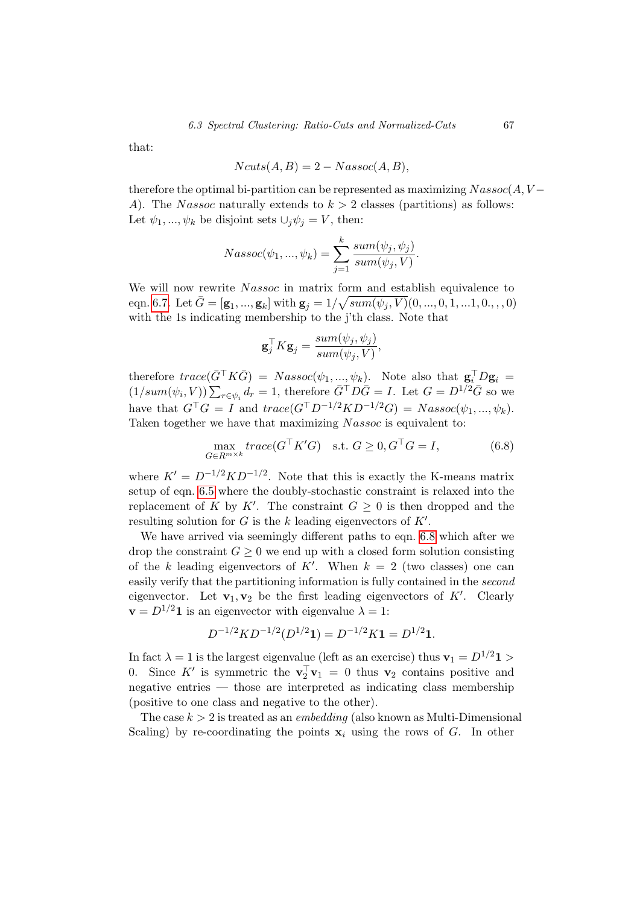that:

$$
Ncuts(A, B) = 2 - Nassoc(A, B),
$$

therefore the optimal bi-partition can be represented as maximizing  $N$  assoc $(A, V -$ A). The Nassoc naturally extends to  $k > 2$  classes (partitions) as follows: Let  $\psi_1, ..., \psi_k$  be disjoint sets  $\cup_i \psi_i = V$ , then:

$$
Nassoc(\psi_1, ..., \psi_k) = \sum_{j=1}^k \frac{sum(\psi_j, \psi_j)}{sum(\psi_j, V)}.
$$

We will now rewrite Nassoc in matrix form and establish equivalence to eqn. [6.7.](#page-66-0) Let  $\bar{G} = [\mathbf{g}_1, ..., \mathbf{g}_k]$  with  $\mathbf{g}_j = 1/\sqrt{sum(\psi_j, V)}(0, ..., 0, 1, ...1, 0., ..., 0)$ with the 1s indicating membership to the j'th class. Note that

$$
\mathbf{g}_j^{\top} K \mathbf{g}_j = \frac{sum(\psi_j, \psi_j)}{sum(\psi_j, V)},
$$

therefore  $trace(\bar{G}^{\top}K\bar{G}) = Nassoc(\psi_1, ..., \psi_k)$ . Note also that  $\mathbf{g}_i^{\top}D\mathbf{g}_i =$  $(1/sum(\psi_i, V))\sum_{r\in\psi_i}d_r=1$ , therefore  $\bar{G}^{\top}D\bar{G}=I$ . Let  $G=D^{1/2}\bar{G}$  so we have that  $G^{\top}G = I$  and  $trace(G^{\top}D^{-1/2}KD^{-1/2}G) = Nassoc(\psi_1, ..., \psi_k).$ Taken together we have that maximizing  $N$ assoc is equivalent to:

<span id="page-70-0"></span>
$$
\max_{G \in R^{m \times k}} trace(G^{\top} K' G) \quad \text{s.t. } G \ge 0, G^{\top} G = I,
$$
\n(6.8)

where  $K' = D^{-1/2} K D^{-1/2}$ . Note that this is exactly the K-means matrix setup of eqn. [6.5](#page-65-0) where the doubly-stochastic constraint is relaxed into the replacement of K by K'. The constraint  $G \geq 0$  is then dropped and the resulting solution for  $G$  is the  $k$  leading eigenvectors of  $K'$ .

We have arrived via seemingly different paths to eqn. [6.8](#page-70-0) which after we drop the constraint  $G \geq 0$  we end up with a closed form solution consisting of the k leading eigenvectors of K'. When  $k = 2$  (two classes) one can easily verify that the partitioning information is fully contained in the second eigenvector. Let  $\mathbf{v}_1, \mathbf{v}_2$  be the first leading eigenvectors of K'. Clearly  $\mathbf{v} = D^{1/2} \mathbf{1}$  is an eigenvector with eigenvalue  $\lambda = 1$ :

$$
D^{-1/2}KD^{-1/2}(D^{1/2}\mathbf{1}) = D^{-1/2}K\mathbf{1} = D^{1/2}\mathbf{1}.
$$

In fact  $\lambda = 1$  is the largest eigenvalue (left as an exercise) thus  $v_1 = D^{1/2} \mathbf{1} >$ 0. Since K' is symmetric the  $\mathbf{v}_2^{\top} \mathbf{v}_1 = 0$  thus  $\mathbf{v}_2$  contains positive and negative entries — those are interpreted as indicating class membership (positive to one class and negative to the other).

The case  $k > 2$  is treated as an *embedding* (also known as Multi-Dimensional Scaling) by re-coordinating the points  $x_i$  using the rows of G. In other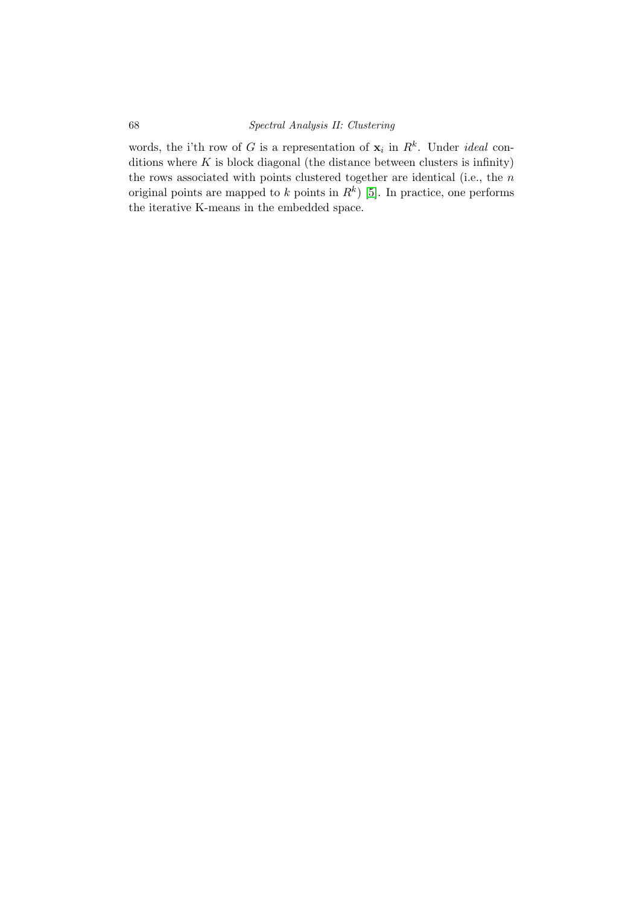words, the i'th row of G is a representation of  $x_i$  in  $R^k$ . Under *ideal* conditions where  $K$  is block diagonal (the distance between clusters is infinity) the rows associated with points clustered together are identical (i.e., the  $n$ original points are mapped to k points in  $R^k$ ) [\[5\]](#page-108-4). In practice, one performs the iterative K-means in the embedded space.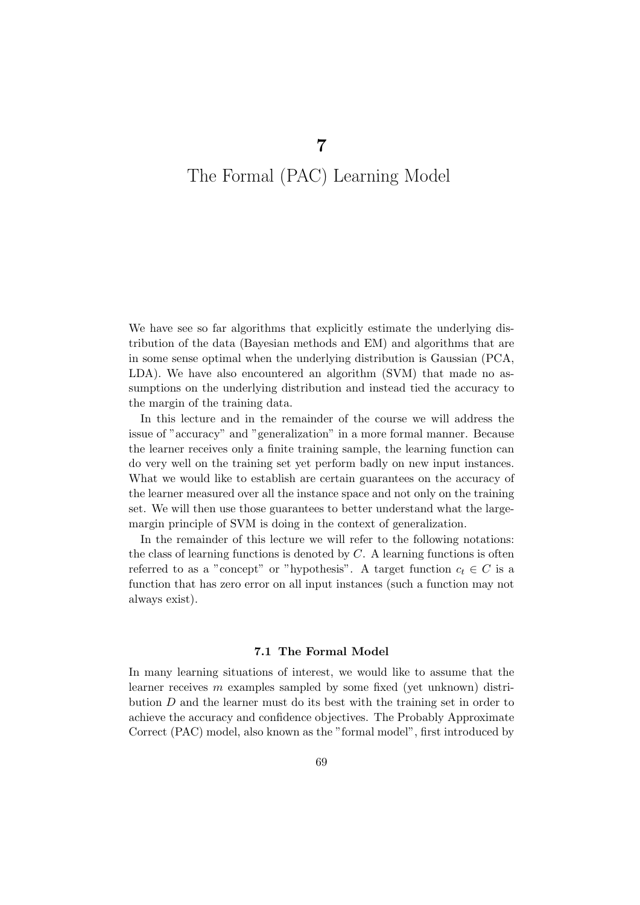### The Formal (PAC) Learning Model

We have see so far algorithms that explicitly estimate the underlying distribution of the data (Bayesian methods and EM) and algorithms that are in some sense optimal when the underlying distribution is Gaussian (PCA, LDA). We have also encountered an algorithm (SVM) that made no assumptions on the underlying distribution and instead tied the accuracy to the margin of the training data.

In this lecture and in the remainder of the course we will address the issue of "accuracy" and "generalization" in a more formal manner. Because the learner receives only a finite training sample, the learning function can do very well on the training set yet perform badly on new input instances. What we would like to establish are certain guarantees on the accuracy of the learner measured over all the instance space and not only on the training set. We will then use those guarantees to better understand what the largemargin principle of SVM is doing in the context of generalization.

In the remainder of this lecture we will refer to the following notations: the class of learning functions is denoted by  $C$ . A learning functions is often referred to as a "concept" or "hypothesis". A target function  $c_t \in C$  is a function that has zero error on all input instances (such a function may not always exist).

#### 7.1 The Formal Model

In many learning situations of interest, we would like to assume that the learner receives  $m$  examples sampled by some fixed (yet unknown) distribution  $D$  and the learner must do its best with the training set in order to achieve the accuracy and confidence objectives. The Probably Approximate Correct (PAC) model, also known as the "formal model", first introduced by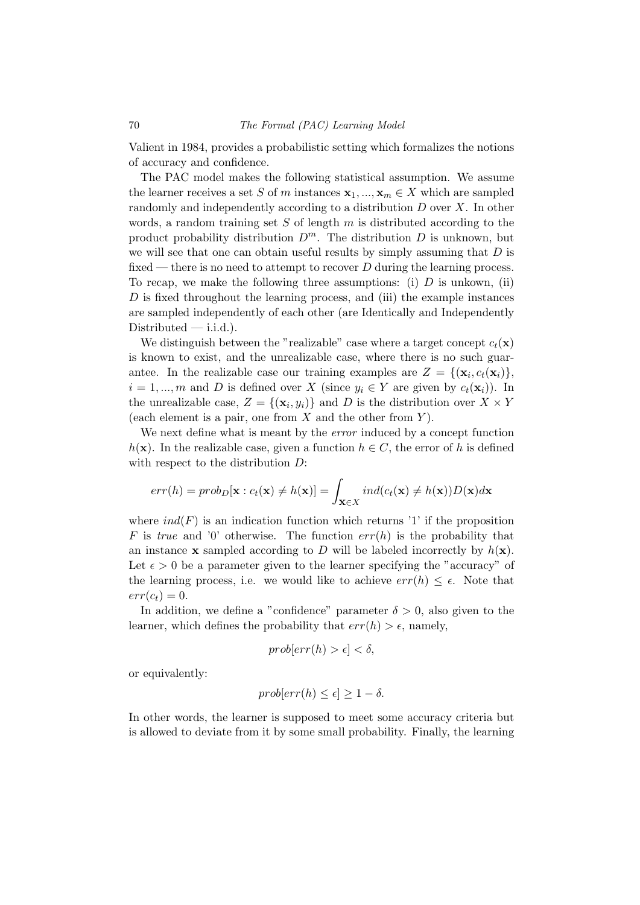Valient in 1984, provides a probabilistic setting which formalizes the notions of accuracy and confidence.

The PAC model makes the following statistical assumption. We assume the learner receives a set S of m instances  $\mathbf{x}_1, ..., \mathbf{x}_m \in X$  which are sampled randomly and independently according to a distribution D over X. In other words, a random training set S of length  $m$  is distributed according to the product probability distribution  $D^m$ . The distribution D is unknown, but we will see that one can obtain useful results by simply assuming that  $D$  is fixed — there is no need to attempt to recover  $D$  during the learning process. To recap, we make the following three assumptions: (i)  $D$  is unkown, (ii) D is fixed throughout the learning process, and (iii) the example instances are sampled independently of each other (are Identically and Independently  $Distributed$ —i.i.d.).

We distinguish between the "realizable" case where a target concept  $c_t(\mathbf{x})$ is known to exist, and the unrealizable case, where there is no such guarantee. In the realizable case our training examples are  $Z = \{(\mathbf{x}_i, c_t(\mathbf{x}_i))\},\$  $i = 1, ..., m$  and D is defined over X (since  $y_i \in Y$  are given by  $c_t(\mathbf{x}_i)$ ). In the unrealizable case,  $Z = \{(\mathbf{x}_i, y_i)\}\$ and D is the distribution over  $X \times Y$ (each element is a pair, one from  $X$  and the other from  $Y$ ).

We next define what is meant by the *error* induced by a concept function  $h(\mathbf{x})$ . In the realizable case, given a function  $h \in C$ , the error of h is defined with respect to the distribution  $D$ :

$$
err(h) = prob_D[\mathbf{x} : c_t(\mathbf{x}) \neq h(\mathbf{x})] = \int_{\mathbf{x} \in X} ind(c_t(\mathbf{x}) \neq h(\mathbf{x})) D(\mathbf{x}) d\mathbf{x}
$$

where  $ind(F)$  is an indication function which returns '1' if the proposition F is true and '0' otherwise. The function  $err(h)$  is the probability that an instance **x** sampled according to D will be labeled incorrectly by  $h(\mathbf{x})$ . Let  $\epsilon > 0$  be a parameter given to the learner specifying the "accuracy" of the learning process, i.e. we would like to achieve  $err(h) \leq \epsilon$ . Note that  $err(c_t) = 0.$ 

In addition, we define a "confidence" parameter  $\delta > 0$ , also given to the learner, which defines the probability that  $err(h) > \epsilon$ , namely,

$$
prob[err(h) > \epsilon] < \delta,
$$

or equivalently:

$$
prob[err(h) \le \epsilon] \ge 1 - \delta.
$$

In other words, the learner is supposed to meet some accuracy criteria but is allowed to deviate from it by some small probability. Finally, the learning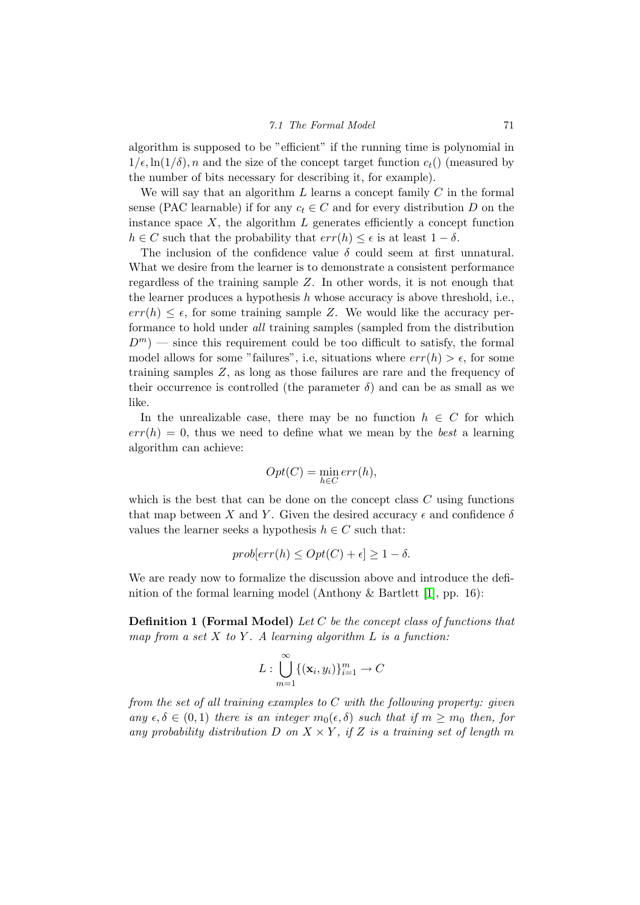#### 7.1 The Formal Model 71

algorithm is supposed to be "efficient" if the running time is polynomial in  $1/\epsilon$ ,  $\ln(1/\delta)$ , n and the size of the concept target function  $c_t$  () (measured by the number of bits necessary for describing it, for example).

We will say that an algorithm  $L$  learns a concept family  $C$  in the formal sense (PAC learnable) if for any  $c_t \in C$  and for every distribution D on the instance space  $X$ , the algorithm  $L$  generates efficiently a concept function  $h \in C$  such that the probability that  $err(h) \leq \epsilon$  is at least  $1 - \delta$ .

The inclusion of the confidence value  $\delta$  could seem at first unnatural. What we desire from the learner is to demonstrate a consistent performance regardless of the training sample Z. In other words, it is not enough that the learner produces a hypothesis  $h$  whose accuracy is above threshold, i.e.,  $err(h) \leq \epsilon$ , for some training sample Z. We would like the accuracy performance to hold under all training samples (sampled from the distribution  $D^m$ ) — since this requirement could be too difficult to satisfy, the formal model allows for some "failures", i.e, situations where  $err(h) > \epsilon$ , for some training samples Z, as long as those failures are rare and the frequency of their occurrence is controlled (the parameter  $\delta$ ) and can be as small as we like.

In the unrealizable case, there may be no function  $h \in C$  for which  $err(h) = 0$ , thus we need to define what we mean by the *best* a learning algorithm can achieve:

$$
Opt(C) = \min_{h \in C} err(h),
$$

which is the best that can be done on the concept class  $C$  using functions that map between X and Y. Given the desired accuracy  $\epsilon$  and confidence  $\delta$ values the learner seeks a hypothesis  $h \in C$  such that:

$$
prob[err(h) \le Opt(C) + \epsilon] \ge 1 - \delta.
$$

We are ready now to formalize the discussion above and introduce the definition of the formal learning model (Anthony & Bartlett [\[1\]](#page-108-0), pp. 16):

Definition 1 (Formal Model) Let C be the concept class of functions that map from a set  $X$  to  $Y$ . A learning algorithm  $L$  is a function:

$$
L:\bigcup_{m=1}^{\infty}\{(\mathbf{x}_i,y_i)\}_{i=1}^m\to C
$$

from the set of all training examples to  $C$  with the following property: given any  $\epsilon, \delta \in (0,1)$  there is an integer  $m_0(\epsilon, \delta)$  such that if  $m \geq m_0$  then, for any probability distribution D on  $X \times Y$ , if Z is a training set of length m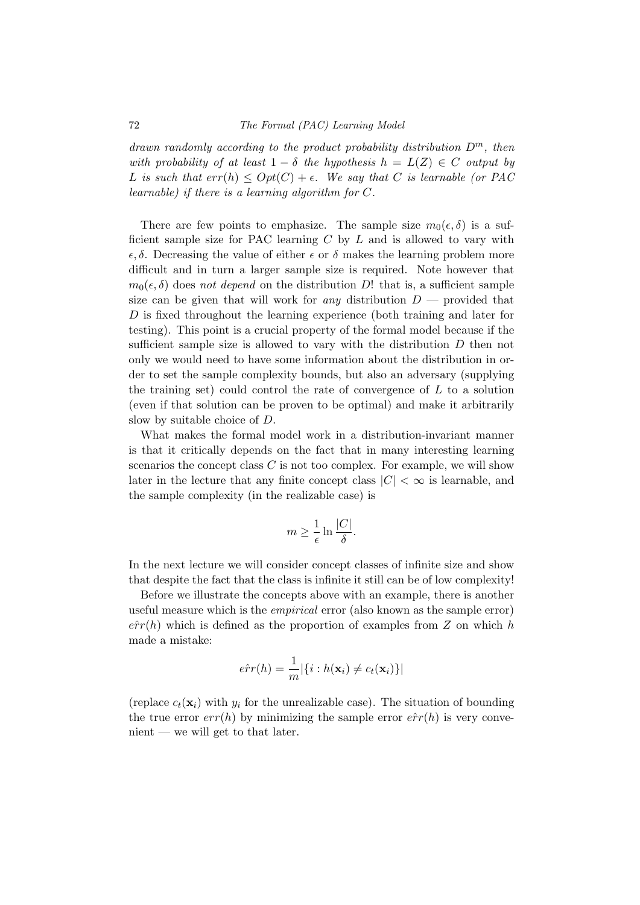drawn randomly according to the product probability distribution  $D^m$ , then with probability of at least  $1 - \delta$  the hypothesis  $h = L(Z) \in C$  output by L is such that  $err(h) \leq Opt(C) + \epsilon$ . We say that C is learnable (or PAC learnable) if there is a learning algorithm for C.

There are few points to emphasize. The sample size  $m_0(\epsilon, \delta)$  is a sufficient sample size for PAC learning  $C$  by  $L$  and is allowed to vary with  $\epsilon, \delta$ . Decreasing the value of either  $\epsilon$  or  $\delta$  makes the learning problem more difficult and in turn a larger sample size is required. Note however that  $m_0(\epsilon, \delta)$  does not depend on the distribution D! that is, a sufficient sample size can be given that will work for any distribution  $D$  — provided that D is fixed throughout the learning experience (both training and later for testing). This point is a crucial property of the formal model because if the sufficient sample size is allowed to vary with the distribution D then not only we would need to have some information about the distribution in order to set the sample complexity bounds, but also an adversary (supplying the training set) could control the rate of convergence of  $L$  to a solution (even if that solution can be proven to be optimal) and make it arbitrarily slow by suitable choice of D.

What makes the formal model work in a distribution-invariant manner is that it critically depends on the fact that in many interesting learning scenarios the concept class  $C$  is not too complex. For example, we will show later in the lecture that any finite concept class  $|C| < \infty$  is learnable, and the sample complexity (in the realizable case) is

$$
m \ge \frac{1}{\epsilon} \ln \frac{|C|}{\delta}.
$$

In the next lecture we will consider concept classes of infinite size and show that despite the fact that the class is infinite it still can be of low complexity!

Before we illustrate the concepts above with an example, there is another useful measure which is the empirical error (also known as the sample error)  $e\hat{r}r(h)$  which is defined as the proportion of examples from Z on which h made a mistake:

$$
\hat{err}(h) = \frac{1}{m} |\{i : h(\mathbf{x}_i) \neq c_t(\mathbf{x}_i)\}|
$$

(replace  $c_t(\mathbf{x}_i)$  with  $y_i$  for the unrealizable case). The situation of bounding the true error  $err(h)$  by minimizing the sample error  $\hat{err}(h)$  is very conve $n$ nient — we will get to that later.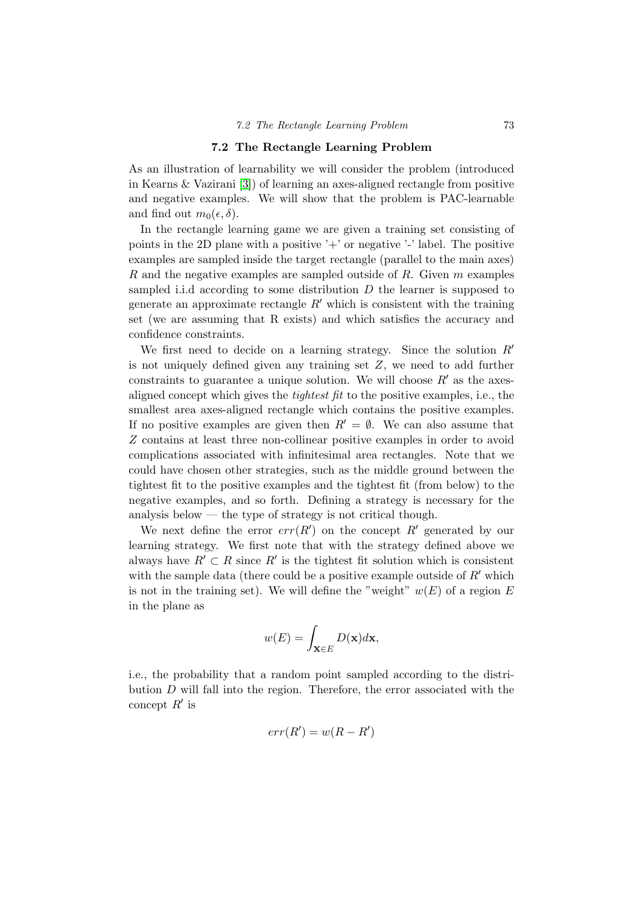#### 7.2 The Rectangle Learning Problem

As an illustration of learnability we will consider the problem (introduced in Kearns & Vazirani [\[3\]](#page-108-1)) of learning an axes-aligned rectangle from positive and negative examples. We will show that the problem is PAC-learnable and find out  $m_0(\epsilon, \delta)$ .

In the rectangle learning game we are given a training set consisting of points in the 2D plane with a positive '+' or negative '-' label. The positive examples are sampled inside the target rectangle (parallel to the main axes) R and the negative examples are sampled outside of R. Given m examples sampled i.i.d according to some distribution  $D$  the learner is supposed to generate an approximate rectangle  $R'$  which is consistent with the training set (we are assuming that R exists) and which satisfies the accuracy and confidence constraints.

We first need to decide on a learning strategy. Since the solution  $R'$ is not uniquely defined given any training set  $Z$ , we need to add further constraints to guarantee a unique solution. We will choose  $R'$  as the axesaligned concept which gives the tightest fit to the positive examples, i.e., the smallest area axes-aligned rectangle which contains the positive examples. If no positive examples are given then  $R' = \emptyset$ . We can also assume that Z contains at least three non-collinear positive examples in order to avoid complications associated with infinitesimal area rectangles. Note that we could have chosen other strategies, such as the middle ground between the tightest fit to the positive examples and the tightest fit (from below) to the negative examples, and so forth. Defining a strategy is necessary for the analysis below — the type of strategy is not critical though.

We next define the error  $err(R')$  on the concept R' generated by our learning strategy. We first note that with the strategy defined above we always have  $R' \subset R$  since  $R'$  is the tightest fit solution which is consistent with the sample data (there could be a positive example outside of  $R'$  which is not in the training set). We will define the "weight"  $w(E)$  of a region E in the plane as

$$
w(E) = \int_{\mathbf{X} \in E} D(\mathbf{x}) d\mathbf{x},
$$

i.e., the probability that a random point sampled according to the distribution  $D$  will fall into the region. Therefore, the error associated with the concept  $R'$  is

$$
err(R') = w(R - R')
$$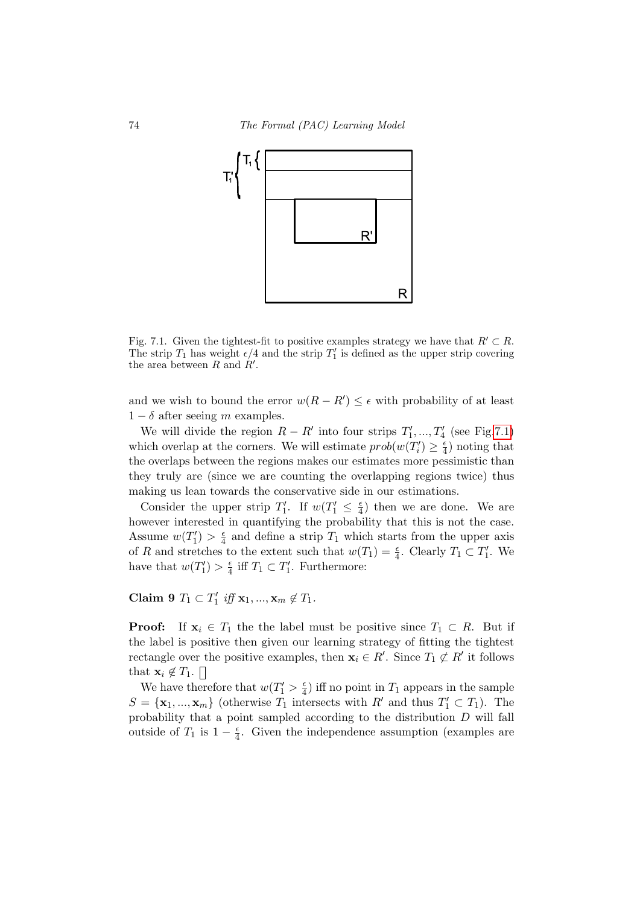

<span id="page-77-0"></span>Fig. 7.1. Given the tightest-fit to positive examples strategy we have that  $R' \subset R$ . The strip  $T_1$  has weight  $\epsilon/4$  and the strip  $T_1'$  is defined as the upper strip covering the area between  $R$  and  $R'$ .

and we wish to bound the error  $w(R - R') \leq \epsilon$  with probability of at least  $1 - \delta$  after seeing m examples.

We will divide the region  $R - R'$  into four strips  $T'_1, ..., T'_4$  (see Fig[.7.1\)](#page-77-0) which overlap at the corners. We will estimate  $prob(w(T_i') \geq \frac{\epsilon}{4})$  $\frac{\epsilon}{4}$ ) noting that the overlaps between the regions makes our estimates more pessimistic than they truly are (since we are counting the overlapping regions twice) thus making us lean towards the conservative side in our estimations.

Consider the upper strip  $T_1'$ . If  $w(T_1' \leq \frac{\epsilon}{4})$  $\frac{\epsilon}{4}$ ) then we are done. We are however interested in quantifying the probability that this is not the case. Assume  $w(T_1') > \frac{\epsilon}{4}$  $\frac{\epsilon}{4}$  and define a strip  $T_1$  which starts from the upper axis of R and stretches to the extent such that  $w(T_1) = \frac{\epsilon}{4}$ . Clearly  $T_1 \subset T_1'$ . We have that  $w(T'_1) > \frac{\epsilon}{4}$  $\frac{\epsilon}{4}$  iff  $T_1 \subset T'_1$ . Furthermore:

Claim 9  $T_1 \subset T'_1$  iff  $\mathbf{x}_1, ..., \mathbf{x}_m \notin T_1$ .

**Proof:** If  $x_i \in T_1$  the the label must be positive since  $T_1 \subset R$ . But if the label is positive then given our learning strategy of fitting the tightest rectangle over the positive examples, then  $x_i \in R'$ . Since  $T_1 \not\subset R'$  it follows that  $\mathbf{x}_i \notin T_1$ .  $\Box$ 

We have therefore that  $w(T'_1 > \frac{\epsilon}{4})$  $\frac{\epsilon}{4}$ ) iff no point in  $T_1$  appears in the sample  $S = {\mathbf{x}_1, ..., \mathbf{x}_m}$  (otherwise  $T_1$  intersects with  $R'$  and thus  $T'_1 \subset T_1$ ). The probability that a point sampled according to the distribution D will fall outside of  $T_1$  is  $1-\frac{e}{4}$  $\frac{\epsilon}{4}$ . Given the independence assumption (examples are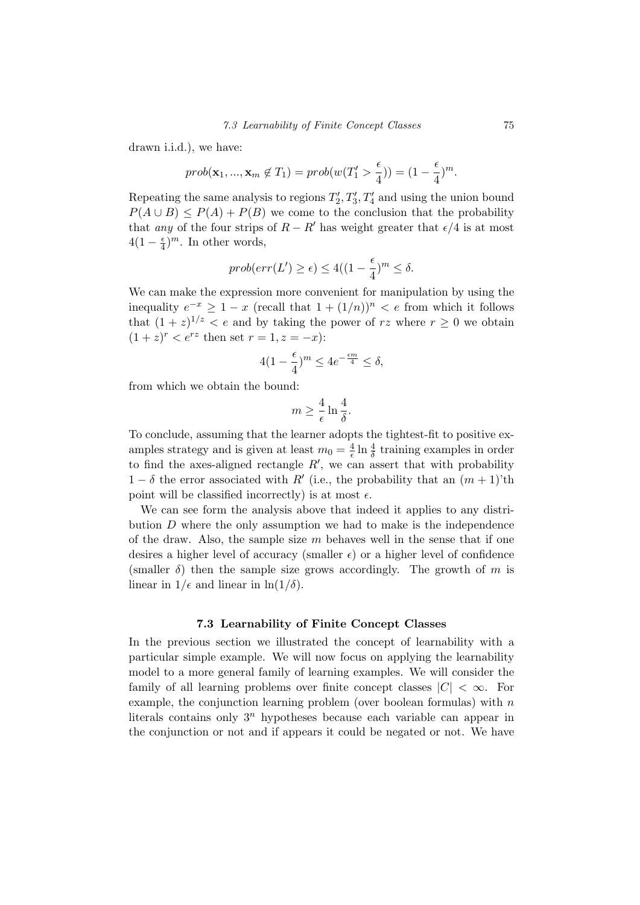drawn i.i.d.), we have:

$$
prob(\mathbf{x}_1, ..., \mathbf{x}_m \notin T_1) = prob(w(T'_1 > \frac{\epsilon}{4})) = (1 - \frac{\epsilon}{4})^m.
$$

Repeating the same analysis to regions  $T_2', T_3', T_4'$  and using the union bound  $P(A \cup B) \leq P(A) + P(B)$  we come to the conclusion that the probability that any of the four strips of  $R - R'$  has weight greater that  $\epsilon/4$  is at most  $4(1-\frac{\epsilon}{4})$  $\frac{\epsilon}{4}$ <sup>m</sup>. In other words,

$$
prob(err(L') \ge \epsilon) \le 4((1 - \frac{\epsilon}{4})^m \le \delta.
$$

We can make the expression more convenient for manipulation by using the inequality  $e^{-x} \geq 1 - x$  (recall that  $1 + (1/n))^n < e$  from which it follows that  $(1+z)^{1/z} < e$  and by taking the power of rz where  $r \geq 0$  we obtain  $(1+z)^r < e^{rz}$  then set  $r = 1, z = -x$ ):

$$
4(1 - \frac{\epsilon}{4})^m \le 4e^{-\frac{\epsilon m}{4}} \le \delta,
$$

from which we obtain the bound:

$$
m \ge \frac{4}{\epsilon} \ln \frac{4}{\delta}.
$$

To conclude, assuming that the learner adopts the tightest-fit to positive examples strategy and is given at least  $m_0 = \frac{4}{6}$  $\frac{4}{\epsilon} \ln \frac{4}{\delta}$  training examples in order to find the axes-aligned rectangle  $R'$ , we can assert that with probability  $1 - \delta$  the error associated with R' (i.e., the probability that an  $(m + 1)$ 'th point will be classified incorrectly) is at most  $\epsilon$ .

We can see form the analysis above that indeed it applies to any distribution  $D$  where the only assumption we had to make is the independence of the draw. Also, the sample size  $m$  behaves well in the sense that if one desires a higher level of accuracy (smaller  $\epsilon$ ) or a higher level of confidence (smaller  $\delta$ ) then the sample size grows accordingly. The growth of m is linear in  $1/\epsilon$  and linear in  $\ln(1/\delta)$ .

#### 7.3 Learnability of Finite Concept Classes

In the previous section we illustrated the concept of learnability with a particular simple example. We will now focus on applying the learnability model to a more general family of learning examples. We will consider the family of all learning problems over finite concept classes  $|C| < \infty$ . For example, the conjunction learning problem (over boolean formulas) with  $n$ literals contains only  $3^n$  hypotheses because each variable can appear in the conjunction or not and if appears it could be negated or not. We have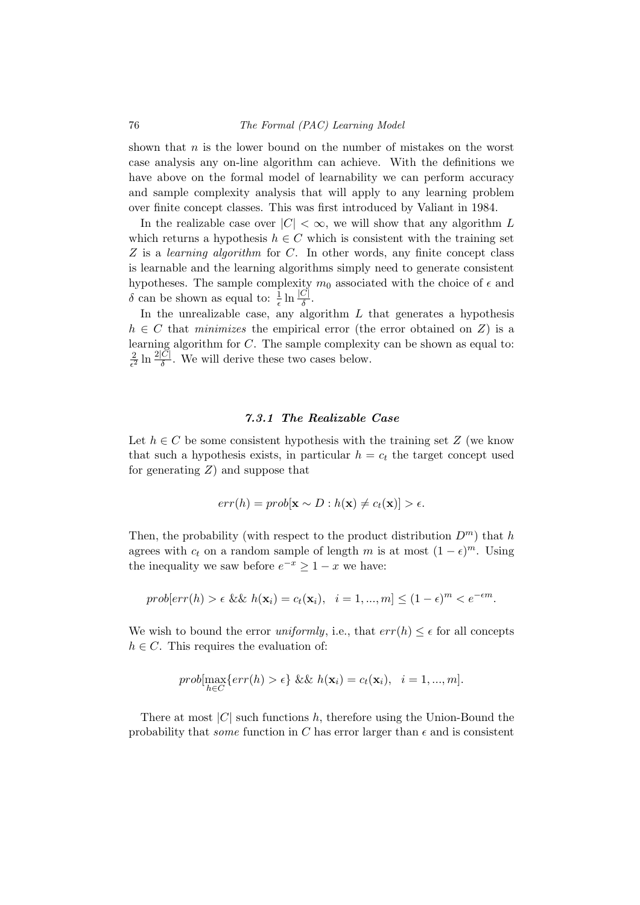shown that  $n$  is the lower bound on the number of mistakes on the worst case analysis any on-line algorithm can achieve. With the definitions we have above on the formal model of learnability we can perform accuracy and sample complexity analysis that will apply to any learning problem over finite concept classes. This was first introduced by Valiant in 1984.

In the realizable case over  $|C| < \infty$ , we will show that any algorithm L which returns a hypothesis  $h \in C$  which is consistent with the training set Z is a *learning algorithm* for C. In other words, any finite concept class is learnable and the learning algorithms simply need to generate consistent hypotheses. The sample complexity  $m_0$  associated with the choice of  $\epsilon$  and δ can be shown as equal to:  $\frac{1}{\epsilon} \ln \frac{|C|}{δ}$ .

In the unrealizable case, any algorithm  $L$  that generates a hypothesis  $h \in C$  that minimizes the empirical error (the error obtained on Z) is a learning algorithm for C. The sample complexity can be shown as equal to: 2  $\frac{2}{\epsilon^2} \ln \frac{2|C|}{\delta}$ . We will derive these two cases below.

#### 7.3.1 The Realizable Case

Let  $h \in C$  be some consistent hypothesis with the training set Z (we know that such a hypothesis exists, in particular  $h = c_t$  the target concept used for generating  $Z$ ) and suppose that

$$
err(h) = prob[\mathbf{x} \sim D : h(\mathbf{x}) \neq c_t(\mathbf{x})] > \epsilon.
$$

Then, the probability (with respect to the product distribution  $D<sup>m</sup>$ ) that h agrees with  $c_t$  on a random sample of length m is at most  $(1 - \epsilon)^m$ . Using the inequality we saw before  $e^{-x} \geq 1 - x$  we have:

$$
prob[err(h) > \epsilon \&\& h(\mathbf{x}_i) = c_t(\mathbf{x}_i), \quad i = 1, ..., m] \le (1 - \epsilon)^m < e^{-\epsilon m}.
$$

We wish to bound the error *uniformly*, i.e., that  $err(h) \leq \epsilon$  for all concepts  $h \in C$ . This requires the evaluation of:

$$
prob[\max_{h \in C} \{ err(h) > \epsilon \} \& \& h(\mathbf{x}_i) = c_t(\mathbf{x}_i), \quad i = 1, ..., m].
$$

There at most  $|C|$  such functions h, therefore using the Union-Bound the probability that *some* function in C has error larger than  $\epsilon$  and is consistent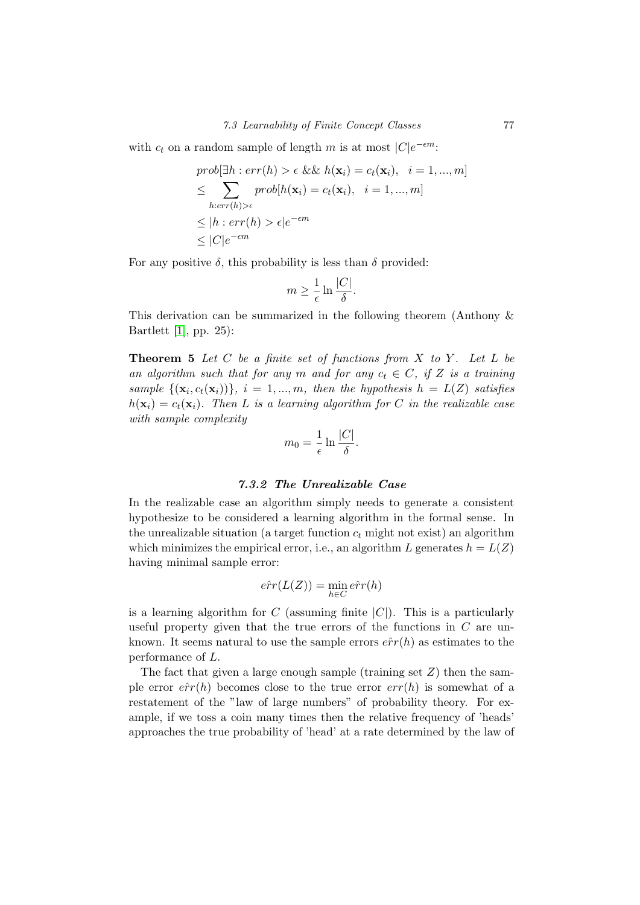with  $c_t$  on a random sample of length m is at most  $|C|e^{-\epsilon m}$ :

$$
prob[\exists h : err(h) > \epsilon \&\& h(\mathbf{x}_i) = c_t(\mathbf{x}_i), \quad i = 1, ..., m]
$$
  
\n
$$
\leq \sum_{h: err(h) > \epsilon} prob[h(\mathbf{x}_i) = c_t(\mathbf{x}_i), \quad i = 1, ..., m]
$$
  
\n
$$
\leq |h : err(h) > \epsilon|e^{-\epsilon m}
$$
  
\n
$$
\leq |C|e^{-\epsilon m}
$$

For any positive  $\delta$ , this probability is less than  $\delta$  provided:

$$
m \ge \frac{1}{\epsilon} \ln \frac{|C|}{\delta}.
$$

This derivation can be summarized in the following theorem (Anthony & Bartlett [\[1\]](#page-108-0), pp. 25):

**Theorem 5** Let C be a finite set of functions from  $X$  to  $Y$ . Let  $L$  be an algorithm such that for any m and for any  $c_t \in C$ , if Z is a training sample  $\{(\mathbf{x}_i, c_t(\mathbf{x}_i))\}, i = 1, ..., m$ , then the hypothesis  $h = L(Z)$  satisfies  $h(\mathbf{x}_i) = c_t(\mathbf{x}_i)$ . Then L is a learning algorithm for C in the realizable case with sample complexity

$$
m_0 = \frac{1}{\epsilon} \ln \frac{|C|}{\delta}.
$$

#### 7.3.2 The Unrealizable Case

In the realizable case an algorithm simply needs to generate a consistent hypothesize to be considered a learning algorithm in the formal sense. In the unrealizable situation (a target function  $c_t$  might not exist) an algorithm which minimizes the empirical error, i.e., an algorithm L generates  $h = L(Z)$ having minimal sample error:

$$
\hat{err}(L(Z)) = \min_{h \in C} \hat{err}(h)
$$

is a learning algorithm for C (assuming finite  $|C|$ ). This is a particularly useful property given that the true errors of the functions in  $C$  are unknown. It seems natural to use the sample errors  $\hat{err}(h)$  as estimates to the performance of L.

The fact that given a large enough sample (training set  $Z$ ) then the sample error  $\hat{err}(h)$  becomes close to the true error  $err(h)$  is somewhat of a restatement of the "law of large numbers" of probability theory. For example, if we toss a coin many times then the relative frequency of 'heads' approaches the true probability of 'head' at a rate determined by the law of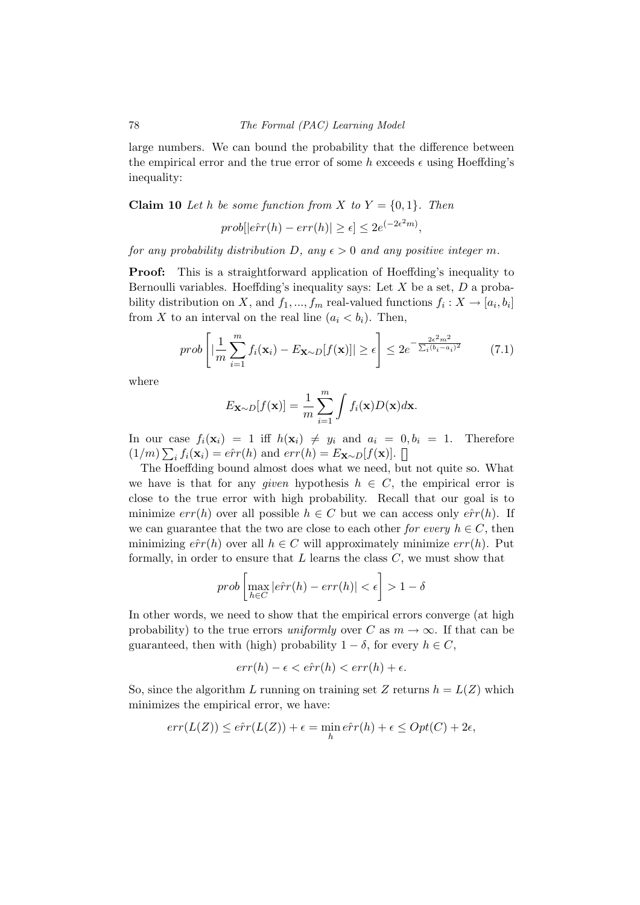large numbers. We can bound the probability that the difference between the empirical error and the true error of some h exceeds  $\epsilon$  using Hoeffding's inequality:

**Claim 10** Let h be some function from X to  $Y = \{0, 1\}$ . Then

$$
prob[|e\hat{r}r(h) - err(h)| \ge \epsilon] \le 2e^{(-2\epsilon^2 m)},
$$

for any probability distribution D, any  $\epsilon > 0$  and any positive integer m.

Proof: This is a straightforward application of Hoeffding's inequality to Bernoulli variables. Hoeffding's inequality says: Let  $X$  be a set,  $D$  a probability distribution on X, and  $f_1, ..., f_m$  real-valued functions  $f_i: X \to [a_i, b_i]$ from X to an interval on the real line  $(a_i < b_i)$ . Then,

$$
prob\left[|\frac{1}{m}\sum_{i=1}^{m}f_i(\mathbf{x}_i) - E_{\mathbf{X}\sim D}[f(\mathbf{x})]| \ge \epsilon\right] \le 2e^{-\frac{2\epsilon^2 m^2}{\sum_i (b_i - a_i)^2}} \tag{7.1}
$$

where

$$
E_{\mathbf{X}\sim D}[f(\mathbf{x})] = \frac{1}{m} \sum_{i=1}^{m} \int f_i(\mathbf{x}) D(\mathbf{x}) d\mathbf{x}.
$$

In our case  $f_i(\mathbf{x}_i) = 1$  iff  $h(\mathbf{x}_i) \neq y_i$  and  $a_i = 0, b_i = 1$ . Therefore  $(1/m)\sum_i f_i(\mathbf{x}_i) = e\hat{r}r(h)$  and  $err(h) = E_{\mathbf{X}\sim D}[f(\mathbf{x})].$ 

The Hoeffding bound almost does what we need, but not quite so. What we have is that for any *given* hypothesis  $h \in C$ , the empirical error is close to the true error with high probability. Recall that our goal is to minimize  $err(h)$  over all possible  $h \in C$  but we can access only  $\hat{err}(h)$ . If we can guarantee that the two are close to each other for every  $h \in C$ , then minimizing  $\hat{err}(h)$  over all  $h \in C$  will approximately minimize  $err(h)$ . Put formally, in order to ensure that  $L$  learns the class  $C$ , we must show that

$$
prob\left[\max_{h \in C} | \hat{err}(h) - err(h)| < \epsilon\right] > 1 - \delta
$$

In other words, we need to show that the empirical errors converge (at high probability) to the true errors uniformly over C as  $m \to \infty$ . If that can be guaranteed, then with (high) probability  $1 - \delta$ , for every  $h \in C$ ,

$$
err(h) - \epsilon < \hat{err}(h) < err(h) + \epsilon.
$$

So, since the algorithm L running on training set Z returns  $h = L(Z)$  which minimizes the empirical error, we have:

$$
err(L(Z)) \le \hat{err}(L(Z)) + \epsilon = \min_{h} \hat{err}(h) + \epsilon \le Opt(C) + 2\epsilon,
$$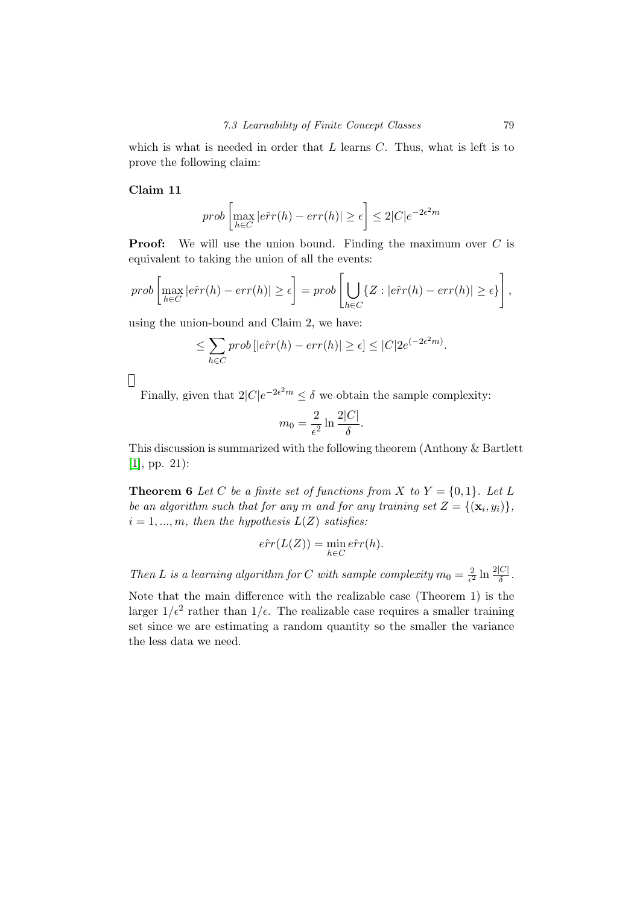which is what is needed in order that  $L$  learns  $C$ . Thus, what is left is to prove the following claim:

#### Claim 11

$$
prob\left[\max_{h \in C} |e\hat{r}r(h) - err(h)| \ge \epsilon\right] \le 2|C|e^{-2\epsilon^2 m}
$$

**Proof:** We will use the union bound. Finding the maximum over  $C$  is equivalent to taking the union of all the events:

$$
prob\left[\max_{h \in C} |e\hat{r}r(h) - err(h)| \ge \epsilon\right] = prob\left[\bigcup_{h \in C} \{Z : |e\hat{r}r(h) - err(h)| \ge \epsilon\}\right],
$$

using the union-bound and Claim 2, we have:

$$
\leq \sum_{h \in C} prob[|e\hat{r}r(h) - err(h)| \geq \epsilon] \leq |C| 2e^{(-2\epsilon^2 m)}.
$$

 $\prod$ 

Finally, given that  $2|C|e^{-2\epsilon^2 m} \leq \delta$  we obtain the sample complexity:

$$
m_0 = \frac{2}{\epsilon^2} \ln \frac{2|C|}{\delta}.
$$

This discussion is summarized with the following theorem (Anthony & Bartlett [\[1\]](#page-108-0), pp. 21):

**Theorem 6** Let C be a finite set of functions from X to  $Y = \{0, 1\}$ . Let L be an algorithm such that for any m and for any training set  $Z = \{(\mathbf{x}_i, y_i)\},\$  $i = 1, ..., m$ , then the hypothesis  $L(Z)$  satisfies:

$$
\hat{err}(L(Z)) = \min_{h \in C} \hat{err}(h).
$$

Then L is a learning algorithm for C with sample complexity  $m_0 = \frac{2}{\epsilon^2}$  $\frac{2}{\epsilon^2} \ln \frac{2|C|}{\delta}$ .

Note that the main difference with the realizable case (Theorem 1) is the larger  $1/\epsilon^2$  rather than  $1/\epsilon$ . The realizable case requires a smaller training set since we are estimating a random quantity so the smaller the variance the less data we need.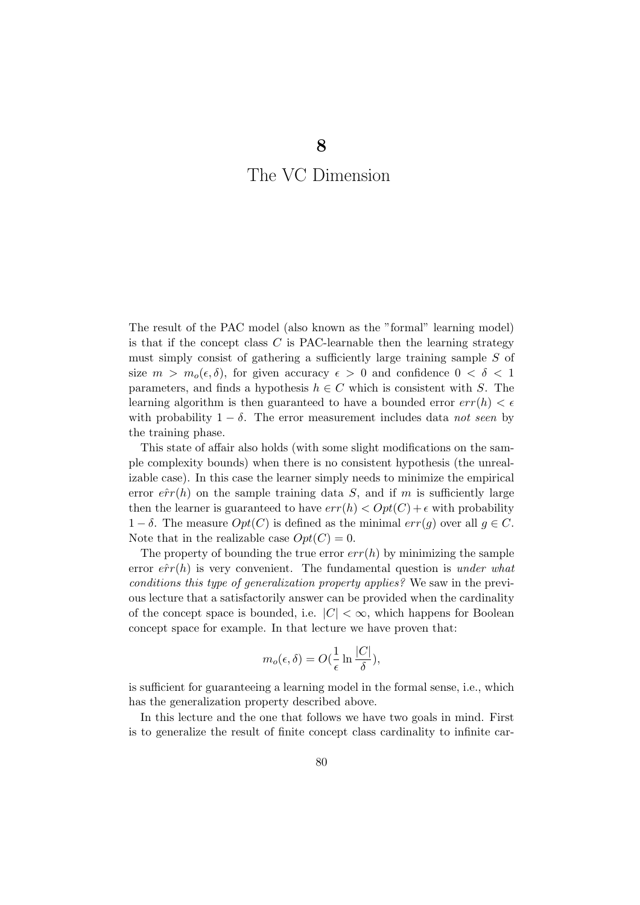# The VC Dimension

The result of the PAC model (also known as the "formal" learning model) is that if the concept class  $C$  is PAC-learnable then the learning strategy must simply consist of gathering a sufficiently large training sample S of size  $m > m_o(\epsilon, \delta)$ , for given accuracy  $\epsilon > 0$  and confidence  $0 < \delta < 1$ parameters, and finds a hypothesis  $h \in C$  which is consistent with S. The learning algorithm is then guaranteed to have a bounded error  $err(h) < \epsilon$ with probability  $1 - \delta$ . The error measurement includes data not seen by the training phase.

This state of affair also holds (with some slight modifications on the sample complexity bounds) when there is no consistent hypothesis (the unrealizable case). In this case the learner simply needs to minimize the empirical error  $\hat{err}(h)$  on the sample training data S, and if m is sufficiently large then the learner is guaranteed to have  $err(h) < Opt(C) + \epsilon$  with probability  $1 - \delta$ . The measure  $Opt(C)$  is defined as the minimal  $err(g)$  over all  $g \in C$ . Note that in the realizable case  $Opt(C) = 0$ .

The property of bounding the true error  $err(h)$  by minimizing the sample error  $\hat{err}(h)$  is very convenient. The fundamental question is under what conditions this type of generalization property applies? We saw in the previous lecture that a satisfactorily answer can be provided when the cardinality of the concept space is bounded, i.e.  $|C| < \infty$ , which happens for Boolean concept space for example. In that lecture we have proven that:

$$
m_o(\epsilon, \delta) = O(\frac{1}{\epsilon} \ln \frac{|C|}{\delta}),
$$

is sufficient for guaranteeing a learning model in the formal sense, i.e., which has the generalization property described above.

In this lecture and the one that follows we have two goals in mind. First is to generalize the result of finite concept class cardinality to infinite car-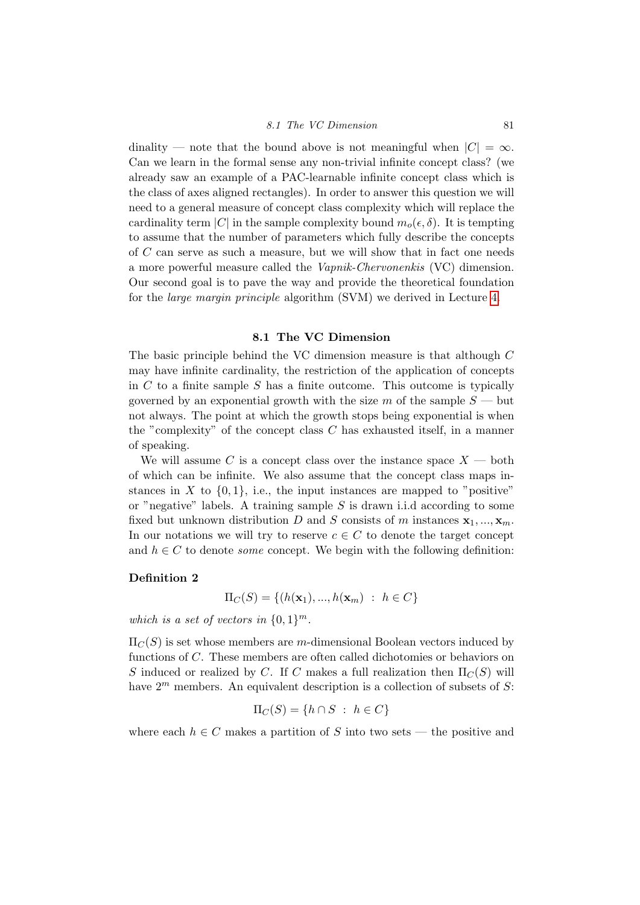#### 8.1 The VC Dimension 81

dinality — note that the bound above is not meaningful when  $|C| = \infty$ . Can we learn in the formal sense any non-trivial infinite concept class? (we already saw an example of a PAC-learnable infinite concept class which is the class of axes aligned rectangles). In order to answer this question we will need to a general measure of concept class complexity which will replace the cardinality term |C| in the sample complexity bound  $m_o(\epsilon, \delta)$ . It is tempting to assume that the number of parameters which fully describe the concepts of C can serve as such a measure, but we will show that in fact one needs a more powerful measure called the Vapnik-Chervonenkis (VC) dimension. Our second goal is to pave the way and provide the theoretical foundation for the large margin principle algorithm (SVM) we derived in Lecture [4.](#page-33-0)

#### 8.1 The VC Dimension

The basic principle behind the VC dimension measure is that although C may have infinite cardinality, the restriction of the application of concepts in  $C$  to a finite sample  $S$  has a finite outcome. This outcome is typically governed by an exponential growth with the size m of the sample  $S$  — but not always. The point at which the growth stops being exponential is when the "complexity" of the concept class C has exhausted itself, in a manner of speaking.

We will assume C is a concept class over the instance space  $X$  — both of which can be infinite. We also assume that the concept class maps instances in X to  $\{0, 1\}$ , i.e., the input instances are mapped to "positive" or "negative" labels. A training sample  $S$  is drawn i.i.d according to some fixed but unknown distribution D and S consists of m instances  $\mathbf{x}_1, ..., \mathbf{x}_m$ . In our notations we will try to reserve  $c \in C$  to denote the target concept and  $h \in C$  to denote *some* concept. We begin with the following definition:

#### Definition 2

$$
\Pi_C(S) = \{ (h(\mathbf{x}_1), ..., h(\mathbf{x}_m) : h \in C \}
$$

which is a set of vectors in  $\{0,1\}^m$ .

 $\Pi_C(S)$  is set whose members are m-dimensional Boolean vectors induced by functions of C. These members are often called dichotomies or behaviors on S induced or realized by C. If C makes a full realization then  $\Pi_C(S)$  will have  $2^m$  members. An equivalent description is a collection of subsets of S:

$$
\Pi_C(S) = \{h \cap S \ : \ h \in C\}
$$

where each  $h \in C$  makes a partition of S into two sets — the positive and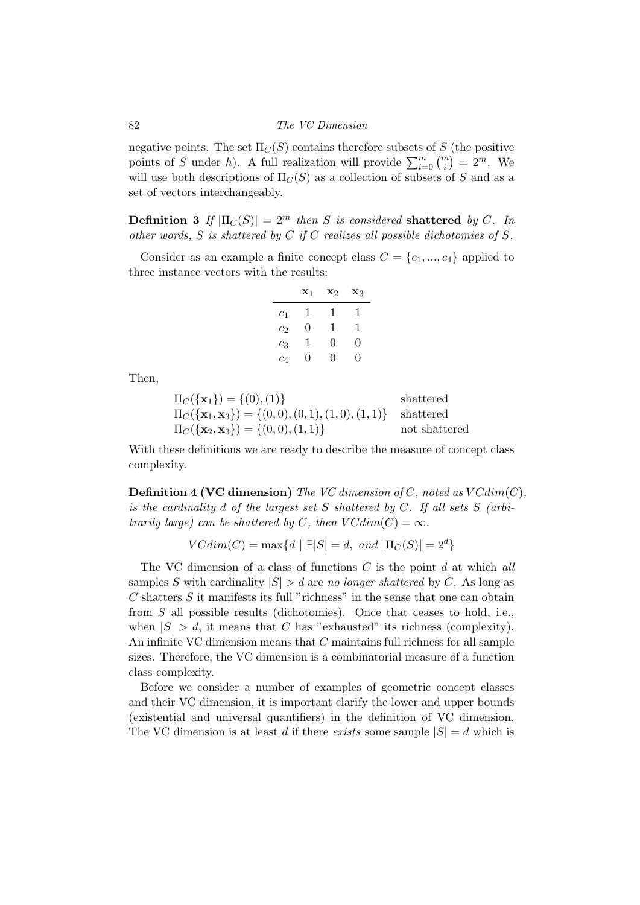negative points. The set  $\Pi_C(S)$  contains therefore subsets of S (the positive points of S under h). A full realization will provide  $\sum_{i=0}^{m} \binom{m}{i} = 2^m$ . We will use both descriptions of  $\Pi_C(S)$  as a collection of subsets of S and as a set of vectors interchangeably.

**Definition 3** If  $|\Pi_C(S)| = 2^m$  then S is considered shattered by C. In other words,  $S$  is shattered by  $C$  if  $C$  realizes all possible dichotomies of  $S$ .

Consider as an example a finite concept class  $C = \{c_1, ..., c_4\}$  applied to three instance vectors with the results:

|                | $\mathbf{x}_1$   | X2               | $\mathbf{x}_3$ |
|----------------|------------------|------------------|----------------|
| c <sub>1</sub> | 1                | 1                | 1              |
| c <sub>2</sub> | 0                | 1                | 1              |
| $c_3$          | 1                | 0                | 0              |
| $c_4$          | $\left( \right)$ | $\left( \right)$ | 0              |

Then,

| $\Pi_C(\{\mathbf{x}_1\}) = \{(0), (1)\}\$                                          | shattered     |
|------------------------------------------------------------------------------------|---------------|
| $\Pi_C(\{\mathbf{x}_1, \mathbf{x}_3\}) = \{(0,0), (0,1), (1,0), (1,1)\}$ shattered |               |
| $\Pi_C(\{\mathbf{x}_2, \mathbf{x}_3\}) = \{(0,0), (1,1)\}\$                        | not shattered |

With these definitions we are ready to describe the measure of concept class complexity.

**Definition 4 (VC dimension)** The VC dimension of C, noted as  $VCdim(C)$ , is the cardinality  $d$  of the largest set  $S$  shattered by  $C$ . If all sets  $S$  (arbitrarily large) can be shattered by C, then  $VCdim(C) = \infty$ .

$$
VCdim(C) = \max\{d \mid \exists |S| = d, \text{ and } |\Pi_C(S)| = 2^d\}
$$

The VC dimension of a class of functions  $C$  is the point  $d$  at which all samples S with cardinality  $|S| > d$  are no longer shattered by C. As long as  $C$  shatters  $S$  it manifests its full "richness" in the sense that one can obtain from S all possible results (dichotomies). Once that ceases to hold, i.e., when  $|S| > d$ , it means that C has "exhausted" its richness (complexity). An infinite VC dimension means that C maintains full richness for all sample sizes. Therefore, the VC dimension is a combinatorial measure of a function class complexity.

Before we consider a number of examples of geometric concept classes and their VC dimension, it is important clarify the lower and upper bounds (existential and universal quantifiers) in the definition of VC dimension. The VC dimension is at least d if there exists some sample  $|S| = d$  which is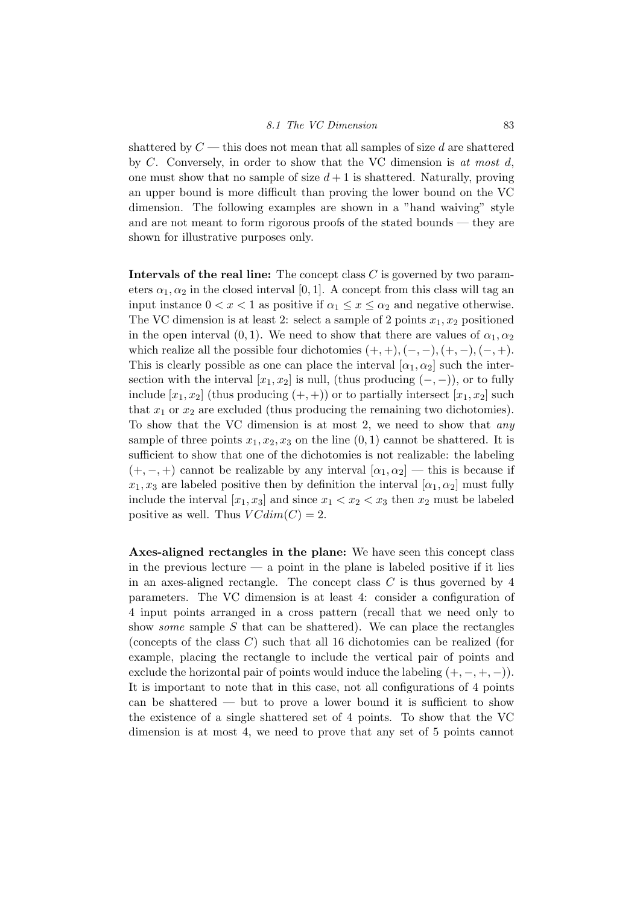shattered by  $C$  — this does not mean that all samples of size d are shattered by C. Conversely, in order to show that the VC dimension is at most d. one must show that no sample of size  $d+1$  is shattered. Naturally, proving an upper bound is more difficult than proving the lower bound on the VC dimension. The following examples are shown in a "hand waiving" style and are not meant to form rigorous proofs of the stated bounds — they are shown for illustrative purposes only.

Intervals of the real line: The concept class  $C$  is governed by two parameters  $\alpha_1, \alpha_2$  in the closed interval [0, 1]. A concept from this class will tag an input instance  $0 < x < 1$  as positive if  $\alpha_1 \leq x \leq \alpha_2$  and negative otherwise. The VC dimension is at least 2: select a sample of 2 points  $x_1, x_2$  positioned in the open interval (0, 1). We need to show that there are values of  $\alpha_1, \alpha_2$ which realize all the possible four dichotomies  $(+, +), (-, -), (+, -), (-, +)$ . This is clearly possible as one can place the interval  $[\alpha_1, \alpha_2]$  such the intersection with the interval  $[x_1, x_2]$  is null, (thus producing  $(-, -)$ ), or to fully include  $[x_1, x_2]$  (thus producing  $(+, +)$ ) or to partially intersect  $[x_1, x_2]$  such that  $x_1$  or  $x_2$  are excluded (thus producing the remaining two dichotomies). To show that the VC dimension is at most 2, we need to show that any sample of three points  $x_1, x_2, x_3$  on the line  $(0, 1)$  cannot be shattered. It is sufficient to show that one of the dichotomies is not realizable: the labeling  $(+,-,+)$  cannot be realizable by any interval  $[\alpha_1,\alpha_2]$  — this is because if  $x_1, x_3$  are labeled positive then by definition the interval  $[\alpha_1, \alpha_2]$  must fully include the interval  $[x_1, x_3]$  and since  $x_1 < x_2 < x_3$  then  $x_2$  must be labeled positive as well. Thus  $VCdim(C) = 2$ .

Axes-aligned rectangles in the plane: We have seen this concept class in the previous lecture — a point in the plane is labeled positive if it lies in an axes-aligned rectangle. The concept class  $C$  is thus governed by 4 parameters. The VC dimension is at least 4: consider a configuration of 4 input points arranged in a cross pattern (recall that we need only to show *some* sample  $S$  that can be shattered). We can place the rectangles (concepts of the class  $C$ ) such that all 16 dichotomies can be realized (for example, placing the rectangle to include the vertical pair of points and exclude the horizontal pair of points would induce the labeling  $(+, -, +, -)$ . It is important to note that in this case, not all configurations of 4 points can be shattered — but to prove a lower bound it is sufficient to show the existence of a single shattered set of 4 points. To show that the VC dimension is at most 4, we need to prove that any set of 5 points cannot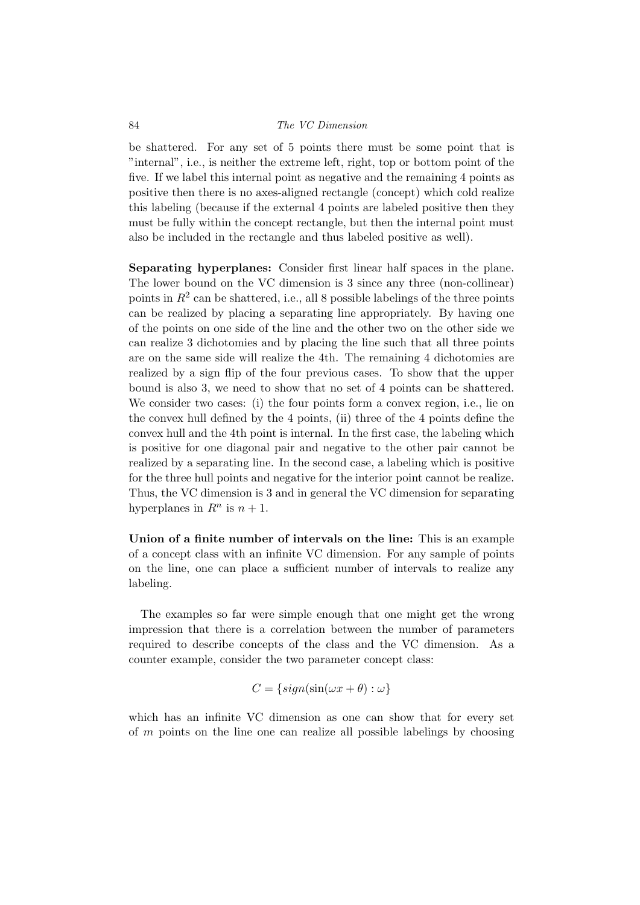#### 84 The VC Dimension

be shattered. For any set of 5 points there must be some point that is "internal", i.e., is neither the extreme left, right, top or bottom point of the five. If we label this internal point as negative and the remaining 4 points as positive then there is no axes-aligned rectangle (concept) which cold realize this labeling (because if the external 4 points are labeled positive then they must be fully within the concept rectangle, but then the internal point must also be included in the rectangle and thus labeled positive as well).

Separating hyperplanes: Consider first linear half spaces in the plane. The lower bound on the VC dimension is 3 since any three (non-collinear) points in  $R^2$  can be shattered, i.e., all 8 possible labelings of the three points can be realized by placing a separating line appropriately. By having one of the points on one side of the line and the other two on the other side we can realize 3 dichotomies and by placing the line such that all three points are on the same side will realize the 4th. The remaining 4 dichotomies are realized by a sign flip of the four previous cases. To show that the upper bound is also 3, we need to show that no set of 4 points can be shattered. We consider two cases: (i) the four points form a convex region, i.e., lie on the convex hull defined by the 4 points, (ii) three of the 4 points define the convex hull and the 4th point is internal. In the first case, the labeling which is positive for one diagonal pair and negative to the other pair cannot be realized by a separating line. In the second case, a labeling which is positive for the three hull points and negative for the interior point cannot be realize. Thus, the VC dimension is 3 and in general the VC dimension for separating hyperplanes in  $R^n$  is  $n+1$ .

Union of a finite number of intervals on the line: This is an example of a concept class with an infinite VC dimension. For any sample of points on the line, one can place a sufficient number of intervals to realize any labeling.

The examples so far were simple enough that one might get the wrong impression that there is a correlation between the number of parameters required to describe concepts of the class and the VC dimension. As a counter example, consider the two parameter concept class:

$$
C = \{ sign(\sin(\omega x + \theta) : \omega \}
$$

which has an infinite VC dimension as one can show that for every set of  $m$  points on the line one can realize all possible labelings by choosing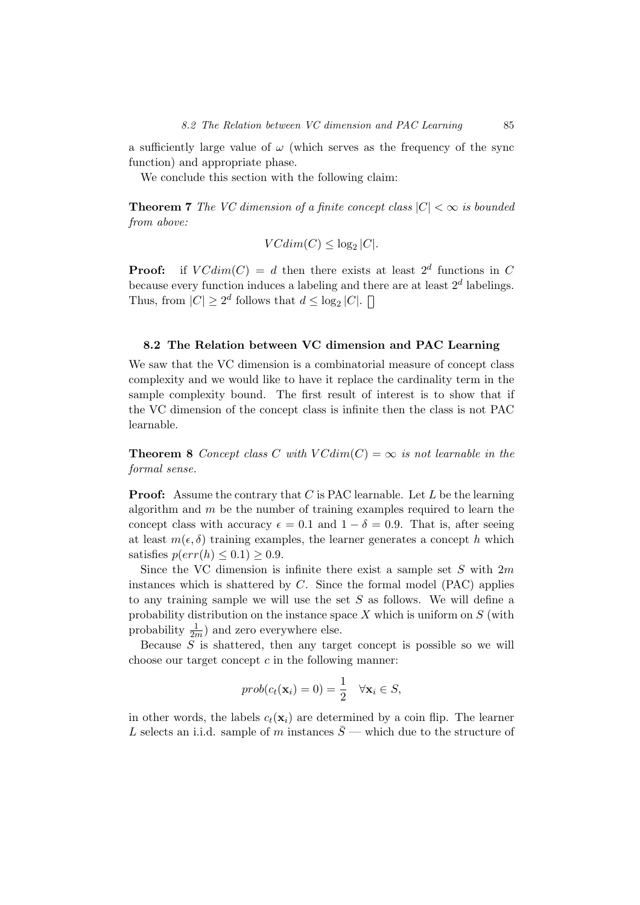a sufficiently large value of  $\omega$  (which serves as the frequency of the sync function) and appropriate phase.

We conclude this section with the following claim:

**Theorem 7** The VC dimension of a finite concept class  $|C| < \infty$  is bounded from above:

$$
VCdim(C) \le \log_2|C|.
$$

**Proof:** if  $VCdim(C) = d$  then there exists at least  $2^d$  functions in C because every function induces a labeling and there are at least  $2<sup>d</sup>$  labelings. Thus, from  $|C| \geq 2^d$  follows that  $d \leq \log_2 |C|$ .

#### 8.2 The Relation between VC dimension and PAC Learning

We saw that the VC dimension is a combinatorial measure of concept class complexity and we would like to have it replace the cardinality term in the sample complexity bound. The first result of interest is to show that if the VC dimension of the concept class is infinite then the class is not PAC learnable.

**Theorem 8** Concept class C with  $VCdim(C) = \infty$  is not learnable in the formal sense.

**Proof:** Assume the contrary that  $C$  is PAC learnable. Let  $L$  be the learning algorithm and  $m$  be the number of training examples required to learn the concept class with accuracy  $\epsilon = 0.1$  and  $1 - \delta = 0.9$ . That is, after seeing at least  $m(\epsilon, \delta)$  training examples, the learner generates a concept h which satisfies  $p(err(h) \leq 0.1) \geq 0.9$ .

Since the VC dimension is infinite there exist a sample set  $S$  with  $2m$ instances which is shattered by  $C$ . Since the formal model (PAC) applies to any training sample we will use the set  $S$  as follows. We will define a probability distribution on the instance space  $X$  which is uniform on  $S$  (with probability  $\frac{1}{2m}$ ) and zero everywhere else.

Because  $S$  is shattered, then any target concept is possible so we will choose our target concept  $c$  in the following manner:

$$
prob(c_t(\mathbf{x}_i) = 0) = \frac{1}{2} \quad \forall \mathbf{x}_i \in S,
$$

in other words, the labels  $c_t(\mathbf{x}_i)$  are determined by a coin flip. The learner L selects an i.i.d. sample of m instances  $\bar{S}$  — which due to the structure of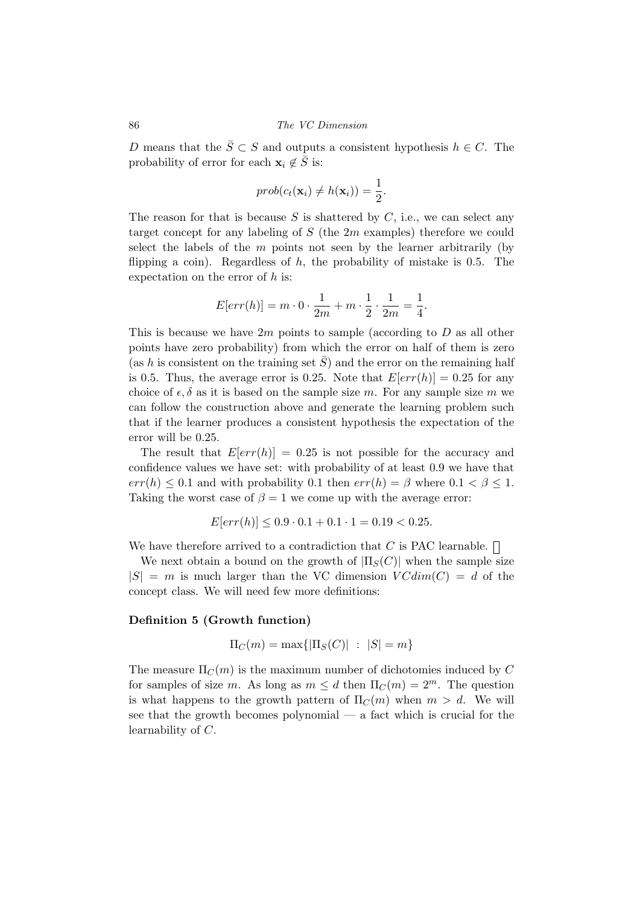D means that the  $\bar{S} \subset S$  and outputs a consistent hypothesis  $h \in C$ . The probability of error for each  $\mathbf{x}_i \notin \overline{S}$  is:

$$
prob(c_t(\mathbf{x}_i) \neq h(\mathbf{x}_i)) = \frac{1}{2}.
$$

The reason for that is because S is shattered by  $C$ , i.e., we can select any target concept for any labeling of  $S$  (the  $2m$  examples) therefore we could select the labels of the  $m$  points not seen by the learner arbitrarily (by flipping a coin). Regardless of  $h$ , the probability of mistake is 0.5. The expectation on the error of  $h$  is:

$$
E[err(h)] = m \cdot 0 \cdot \frac{1}{2m} + m \cdot \frac{1}{2} \cdot \frac{1}{2m} = \frac{1}{4}.
$$

This is because we have  $2m$  points to sample (according to D as all other points have zero probability) from which the error on half of them is zero (as h is consistent on the training set  $\overline{S}$ ) and the error on the remaining half is 0.5. Thus, the average error is 0.25. Note that  $E[err(h)] = 0.25$  for any choice of  $\epsilon$ ,  $\delta$  as it is based on the sample size m. For any sample size m we can follow the construction above and generate the learning problem such that if the learner produces a consistent hypothesis the expectation of the error will be 0.25.

The result that  $E[err(h)] = 0.25$  is not possible for the accuracy and confidence values we have set: with probability of at least 0.9 we have that  $err(h) \leq 0.1$  and with probability 0.1 then  $err(h) = \beta$  where  $0.1 < \beta \leq 1$ . Taking the worst case of  $\beta = 1$  we come up with the average error:

$$
E[err(h)] \le 0.9 \cdot 0.1 + 0.1 \cdot 1 = 0.19 < 0.25.
$$

We have therefore arrived to a contradiction that C is PAC learnable.  $\Box$ 

We next obtain a bound on the growth of  $|\Pi_S(C)|$  when the sample size  $|S| = m$  is much larger than the VC dimension  $VCdim(C) = d$  of the concept class. We will need few more definitions:

#### Definition 5 (Growth function)

$$
\Pi_C(m) = \max\{|\Pi_S(C)| : |S| = m\}
$$

The measure  $\Pi_C(m)$  is the maximum number of dichotomies induced by C for samples of size m. As long as  $m \le d$  then  $\Pi_C(m) = 2^m$ . The question is what happens to the growth pattern of  $\Pi_C(m)$  when  $m > d$ . We will see that the growth becomes polynomial — a fact which is crucial for the learnability of C.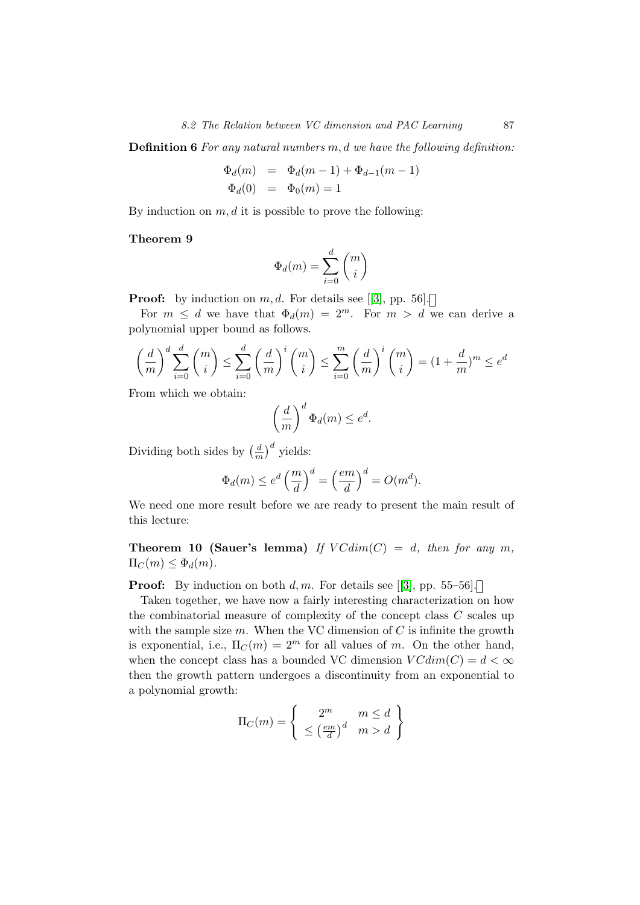Definition 6 For any natural numbers m, d we have the following definition:

$$
\Phi_d(m) = \Phi_d(m-1) + \Phi_{d-1}(m-1) \n\Phi_d(0) = \Phi_0(m) = 1
$$

By induction on  $m, d$  it is possible to prove the following:

#### Theorem 9

$$
\Phi_d(m)=\sum_{i=0}^d\binom{m}{i}
$$

**Proof:** by induction on m, d. For details see [[\[3\]](#page-108-1), pp. 56].

For  $m \leq d$  we have that  $\Phi_d(m) = 2^m$ . For  $m > d$  we can derive a polynomial upper bound as follows.

$$
\left(\frac{d}{m}\right)^d \sum_{i=0}^d \binom{m}{i} \le \sum_{i=0}^d \left(\frac{d}{m}\right)^i \binom{m}{i} \le \sum_{i=0}^m \left(\frac{d}{m}\right)^i \binom{m}{i} = (1 + \frac{d}{m})^m \le e^d
$$

From which we obtain:

$$
\left(\frac{d}{m}\right)^d \Phi_d(m) \le e^d.
$$

Dividing both sides by  $\left(\frac{d}{n}\right)$  $\frac{d}{m}$ )<sup>d</sup> yields:

$$
\Phi_d(m) \le e^d \left(\frac{m}{d}\right)^d = \left(\frac{em}{d}\right)^d = O(m^d).
$$

We need one more result before we are ready to present the main result of this lecture:

**Theorem 10 (Sauer's lemma)** If  $VCdim(C) = d$ , then for any m,  $\Pi_C(m) \leq \Phi_d(m)$ .

**Proof:** By induction on both d, m. For details see [[\[3\]](#page-108-1), pp. 55–56].

Taken together, we have now a fairly interesting characterization on how the combinatorial measure of complexity of the concept class  $C$  scales up with the sample size  $m$ . When the VC dimension of  $C$  is infinite the growth is exponential, i.e.,  $\Pi_C(m) = 2^m$  for all values of m. On the other hand, when the concept class has a bounded VC dimension  $VCdim(C) = d < \infty$ then the growth pattern undergoes a discontinuity from an exponential to a polynomial growth:

$$
\Pi_C(m) = \left\{ \begin{array}{c} 2^m & m \le d \\ \le \left(\frac{em}{d}\right)^d & m > d \end{array} \right\}
$$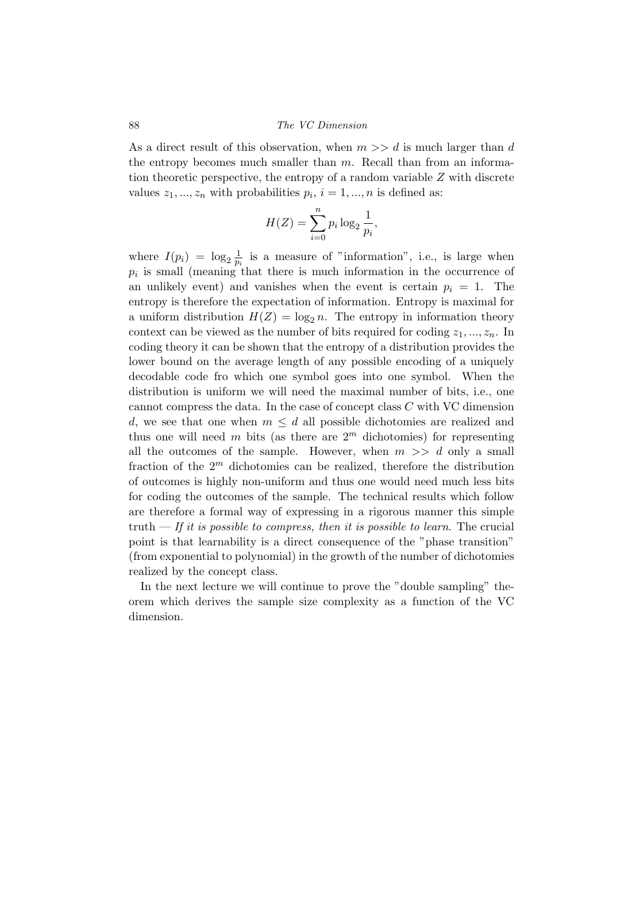#### 88 The VC Dimension

As a direct result of this observation, when  $m \gg d$  is much larger than d the entropy becomes much smaller than  $m$ . Recall than from an information theoretic perspective, the entropy of a random variable  $Z$  with discrete values  $z_1, ..., z_n$  with probabilities  $p_i, i = 1, ..., n$  is defined as:

$$
H(Z) = \sum_{i=0}^{n} p_i \log_2 \frac{1}{p_i},
$$

where  $I(p_i) = \log_2 \frac{1}{p_i}$  $\frac{1}{p_i}$  is a measure of "information", i.e., is large when  $p_i$  is small (meaning that there is much information in the occurrence of an unlikely event) and vanishes when the event is certain  $p_i = 1$ . The entropy is therefore the expectation of information. Entropy is maximal for a uniform distribution  $H(Z) = \log_2 n$ . The entropy in information theory context can be viewed as the number of bits required for coding  $z_1, ..., z_n$ . In coding theory it can be shown that the entropy of a distribution provides the lower bound on the average length of any possible encoding of a uniquely decodable code fro which one symbol goes into one symbol. When the distribution is uniform we will need the maximal number of bits, i.e., one cannot compress the data. In the case of concept class C with VC dimension d, we see that one when  $m \leq d$  all possible dichotomies are realized and thus one will need m bits (as there are  $2<sup>m</sup>$  dichotomies) for representing all the outcomes of the sample. However, when  $m \gg d$  only a small fraction of the  $2<sup>m</sup>$  dichotomies can be realized, therefore the distribution of outcomes is highly non-uniform and thus one would need much less bits for coding the outcomes of the sample. The technical results which follow are therefore a formal way of expressing in a rigorous manner this simple truth — If it is possible to compress, then it is possible to learn. The crucial point is that learnability is a direct consequence of the "phase transition" (from exponential to polynomial) in the growth of the number of dichotomies realized by the concept class.

In the next lecture we will continue to prove the "double sampling" theorem which derives the sample size complexity as a function of the VC dimension.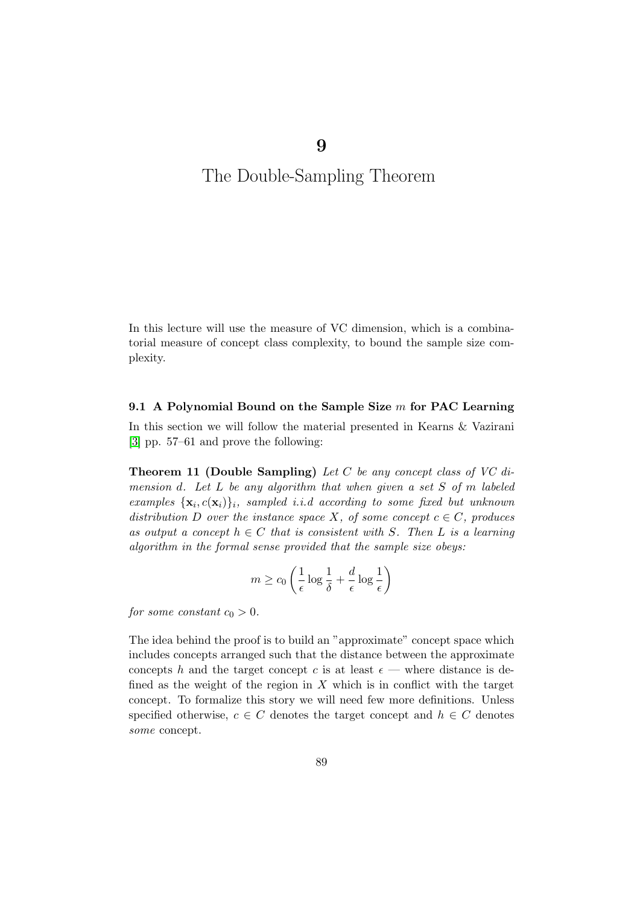## The Double-Sampling Theorem

9

In this lecture will use the measure of VC dimension, which is a combinatorial measure of concept class complexity, to bound the sample size complexity.

#### 9.1 A Polynomial Bound on the Sample Size  $m$  for PAC Learning

In this section we will follow the material presented in Kearns & Vazirani [\[3\]](#page-108-1) pp. 57–61 and prove the following:

**Theorem 11 (Double Sampling)** Let  $C$  be any concept class of  $VC$  dimension d. Let L be any algorithm that when given a set S of m labeled examples  $\{x_i, c(x_i)\}\$ i, sampled i.i.d according to some fixed but unknown distribution D over the instance space X, of some concept  $c \in C$ , produces as output a concept  $h \in C$  that is consistent with S. Then L is a learning algorithm in the formal sense provided that the sample size obeys:

$$
m \ge c_0 \left( \frac{1}{\epsilon} \log \frac{1}{\delta} + \frac{d}{\epsilon} \log \frac{1}{\epsilon} \right)
$$

for some constant  $c_0 > 0$ .

The idea behind the proof is to build an "approximate" concept space which includes concepts arranged such that the distance between the approximate concepts h and the target concept c is at least  $\epsilon$  — where distance is defined as the weight of the region in  $X$  which is in conflict with the target concept. To formalize this story we will need few more definitions. Unless specified otherwise,  $c \in C$  denotes the target concept and  $h \in C$  denotes some concept.

89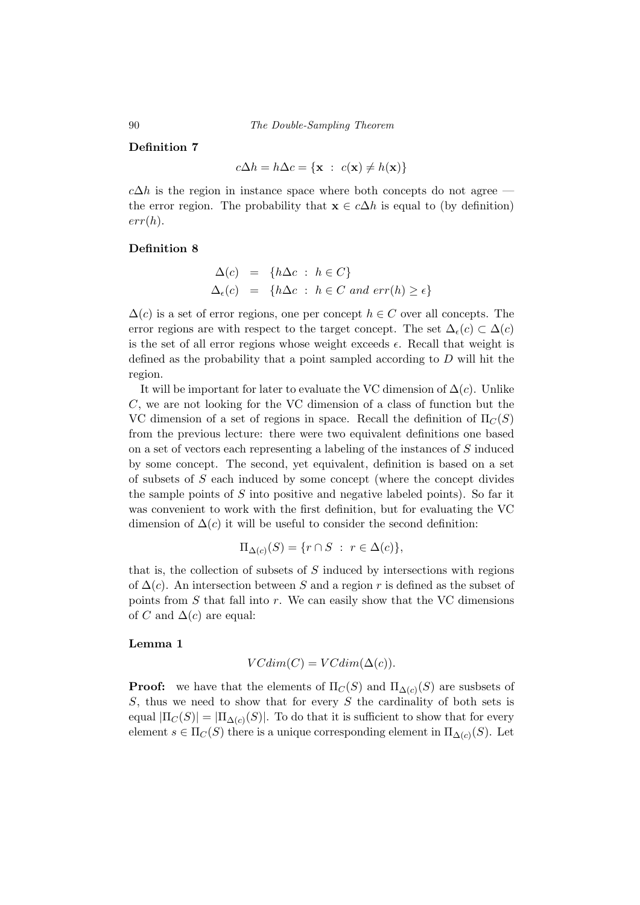90 The Double-Sampling Theorem

#### Definition 7

$$
c\Delta h = h\Delta c = \{ \mathbf{x} : c(\mathbf{x}) \neq h(\mathbf{x}) \}
$$

 $c\Delta h$  is the region in instance space where both concepts do not agree the error region. The probability that  $\mathbf{x} \in c\Delta h$  is equal to (by definition)  $err(h)$ .

#### Definition 8

$$
\Delta(c) = \{h\Delta c : h \in C\}
$$
  

$$
\Delta_{\epsilon}(c) = \{h\Delta c : h \in C \text{ and } err(h) \ge \epsilon\}
$$

 $\Delta(c)$  is a set of error regions, one per concept  $h \in C$  over all concepts. The error regions are with respect to the target concept. The set  $\Delta_{\epsilon}(c) \subset \Delta(c)$ is the set of all error regions whose weight exceeds  $\epsilon$ . Recall that weight is defined as the probability that a point sampled according to D will hit the region.

It will be important for later to evaluate the VC dimension of  $\Delta(c)$ . Unlike C, we are not looking for the VC dimension of a class of function but the VC dimension of a set of regions in space. Recall the definition of  $\Pi_C(S)$ from the previous lecture: there were two equivalent definitions one based on a set of vectors each representing a labeling of the instances of S induced by some concept. The second, yet equivalent, definition is based on a set of subsets of S each induced by some concept (where the concept divides the sample points of  $S$  into positive and negative labeled points). So far it was convenient to work with the first definition, but for evaluating the VC dimension of  $\Delta(c)$  it will be useful to consider the second definition:

$$
\Pi_{\Delta(c)}(S) = \{r \cap S : r \in \Delta(c)\},\
$$

that is, the collection of subsets of  $S$  induced by intersections with regions of  $\Delta(c)$ . An intersection between S and a region r is defined as the subset of points from  $S$  that fall into  $r$ . We can easily show that the VC dimensions of C and  $\Delta(c)$  are equal:

#### Lemma 1

$$
VCdim(C) = VCdim(\Delta(c)).
$$

**Proof:** we have that the elements of  $\Pi_C(S)$  and  $\Pi_{\Delta(C)}(S)$  are susbsets of  $S$ , thus we need to show that for every  $S$  the cardinality of both sets is equal  $|\Pi_C(S)| = |\Pi_{\Delta(c)}(S)|$ . To do that it is sufficient to show that for every element  $s \in \Pi_C(S)$  there is a unique corresponding element in  $\Pi_{\Delta(c)}(S)$ . Let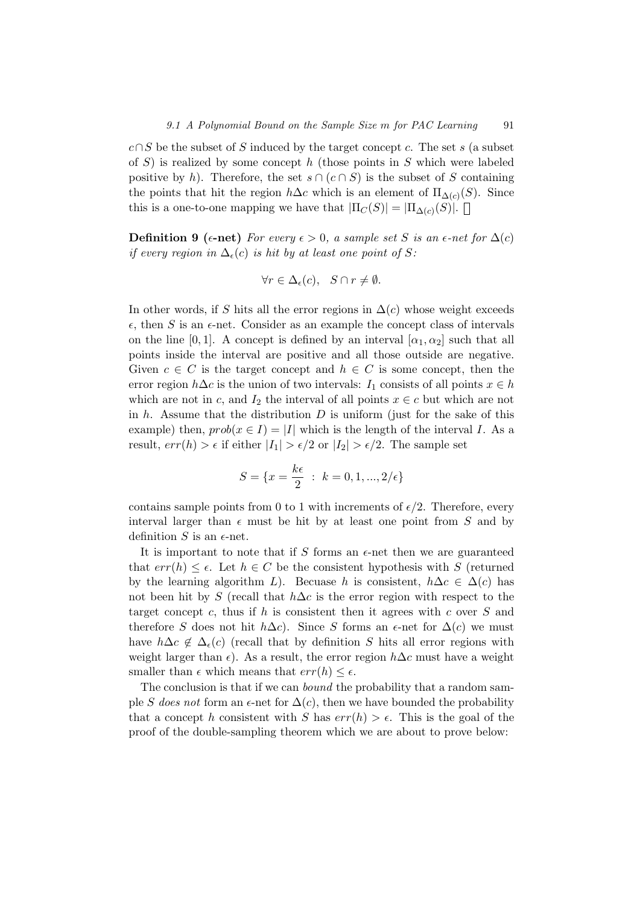$c \cap S$  be the subset of S induced by the target concept c. The set s (a subset of S) is realized by some concept h (those points in S which were labeled positive by h). Therefore, the set  $s \cap (c \cap S)$  is the subset of S containing the points that hit the region  $h\Delta c$  which is an element of  $\Pi_{\Delta(c)}(S)$ . Since this is a one-to-one mapping we have that  $|\Pi_C(S)| = |\Pi_{\Delta(C)}(S)|$ .

**Definition 9** ( $\epsilon$ -net) For every  $\epsilon > 0$ , a sample set S is an  $\epsilon$ -net for  $\Delta(c)$ if every region in  $\Delta_{\epsilon}(c)$  is hit by at least one point of S:

$$
\forall r \in \Delta_{\epsilon}(c), \quad S \cap r \neq \emptyset.
$$

In other words, if S hits all the error regions in  $\Delta(c)$  whose weight exceeds  $\epsilon$ , then S is an  $\epsilon$ -net. Consider as an example the concept class of intervals on the line [0, 1]. A concept is defined by an interval  $[\alpha_1, \alpha_2]$  such that all points inside the interval are positive and all those outside are negative. Given  $c \in C$  is the target concept and  $h \in C$  is some concept, then the error region  $h\Delta c$  is the union of two intervals:  $I_1$  consists of all points  $x \in h$ which are not in c, and  $I_2$  the interval of all points  $x \in c$  but which are not in  $h$ . Assume that the distribution  $D$  is uniform (just for the sake of this example) then,  $prob(x \in I) = |I|$  which is the length of the interval I. As a result,  $err(h) > \epsilon$  if either  $|I_1| > \epsilon/2$  or  $|I_2| > \epsilon/2$ . The sample set

$$
S = \{x = \frac{k\epsilon}{2} \; : \; k = 0, 1, ..., 2/\epsilon\}
$$

contains sample points from 0 to 1 with increments of  $\epsilon/2$ . Therefore, every interval larger than  $\epsilon$  must be hit by at least one point from S and by definition S is an  $\epsilon$ -net.

It is important to note that if S forms an  $\epsilon$ -net then we are guaranteed that  $err(h) \leq \epsilon$ . Let  $h \in C$  be the consistent hypothesis with S (returned by the learning algorithm L). Becuase h is consistent,  $h\Delta c \in \Delta(c)$  has not been hit by S (recall that  $h\Delta c$  is the error region with respect to the target concept c, thus if h is consistent then it agrees with c over  $S$  and therefore S does not hit  $h\Delta c$ . Since S forms an  $\epsilon$ -net for  $\Delta(c)$  we must have  $h\Delta c \notin \Delta_{\epsilon}(c)$  (recall that by definition S hits all error regions with weight larger than  $\epsilon$ ). As a result, the error region  $h\Delta c$  must have a weight smaller than  $\epsilon$  which means that  $err(h) \leq \epsilon$ .

The conclusion is that if we can *bound* the probability that a random sample S does not form an  $\epsilon$ -net for  $\Delta(c)$ , then we have bounded the probability that a concept h consistent with S has  $err(h) > \epsilon$ . This is the goal of the proof of the double-sampling theorem which we are about to prove below: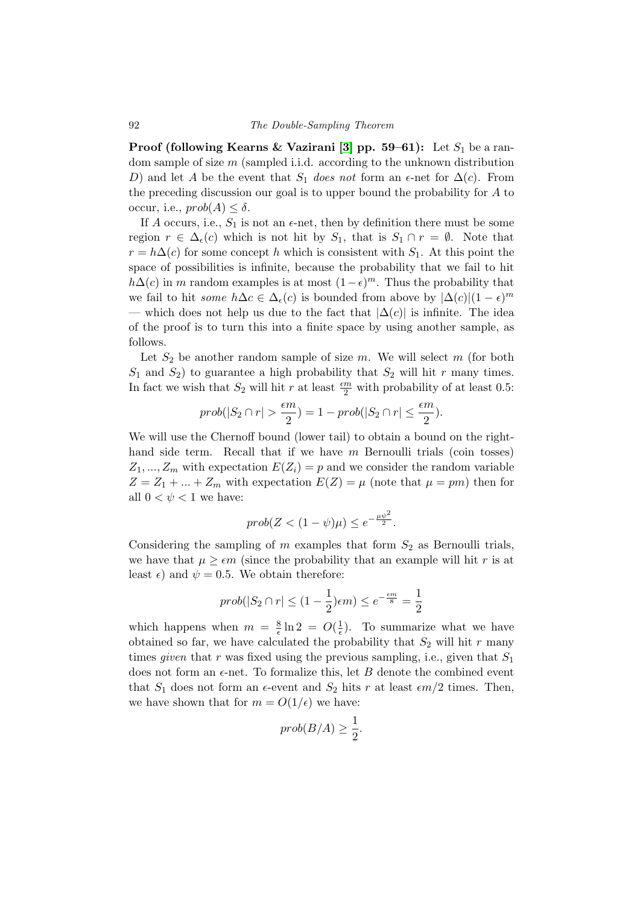**Proof (following Kearns & Vazirani [\[3\]](#page-108-1) pp. 59–61):** Let  $S_1$  be a random sample of size m (sampled i.i.d. according to the unknown distribution D) and let A be the event that  $S_1$  does not form an  $\epsilon$ -net for  $\Delta(c)$ . From the preceding discussion our goal is to upper bound the probability for A to occur, i.e.,  $prob(A) \leq \delta$ .

If A occurs, i.e.,  $S_1$  is not an  $\epsilon$ -net, then by definition there must be some region  $r \in \Delta_{\epsilon}(c)$  which is not hit by  $S_1$ , that is  $S_1 \cap r = \emptyset$ . Note that  $r = h\Delta(c)$  for some concept h which is consistent with  $S_1$ . At this point the space of possibilities is infinite, because the probability that we fail to hit  $h\Delta(c)$  in m random examples is at most  $(1-\epsilon)^m$ . Thus the probability that we fail to hit *some*  $h\Delta c \in \Delta_{\epsilon}(c)$  is bounded from above by  $|\Delta(c)|(1-\epsilon)^{m}$ — which does not help us due to the fact that  $|\Delta(c)|$  is infinite. The idea of the proof is to turn this into a finite space by using another sample, as follows.

Let  $S_2$  be another random sample of size m. We will select m (for both  $S_1$  and  $S_2$ ) to guarantee a high probability that  $S_2$  will hit r many times. In fact we wish that  $S_2$  will hit r at least  $\frac{\epsilon m}{2}$  with probability of at least 0.5:

$$
prob(|S_2 \cap r| > \frac{\epsilon m}{2}) = 1 - prob(|S_2 \cap r| \le \frac{\epsilon m}{2}).
$$

We will use the Chernoff bound (lower tail) to obtain a bound on the righthand side term. Recall that if we have  $m$  Bernoulli trials (coin tosses)  $Z_1, ..., Z_m$  with expectation  $E(Z_i) = p$  and we consider the random variable  $Z = Z_1 + ... + Z_m$  with expectation  $E(Z) = \mu$  (note that  $\mu = pm$ ) then for all  $0 < \psi < 1$  we have:

$$
prob(Z < (1 - \psi)\mu) \leq e^{-\frac{\mu\psi^2}{2}}.
$$

Considering the sampling of  $m$  examples that form  $S_2$  as Bernoulli trials, we have that  $\mu \geq \epsilon m$  (since the probability that an example will hit r is at least  $\epsilon$ ) and  $\psi = 0.5$ . We obtain therefore:

$$
prob(|S_2 \cap r| \le (1 - \frac{1}{2})\epsilon m) \le e^{-\frac{\epsilon m}{8}} = \frac{1}{2}
$$

which happens when  $m = \frac{8}{6}$  $\frac{8}{\epsilon} \ln 2 = O(\frac{1}{\epsilon})$  $(\frac{1}{\epsilon})$ . To summarize what we have obtained so far, we have calculated the probability that  $S_2$  will hit r many times *given* that r was fixed using the previous sampling, i.e., given that  $S_1$ does not form an  $\epsilon$ -net. To formalize this, let B denote the combined event that  $S_1$  does not form an  $\epsilon$ -event and  $S_2$  hits r at least  $\epsilon m/2$  times. Then, we have shown that for  $m = O(1/\epsilon)$  we have:

$$
prob(B/A)\geq \frac{1}{2}.
$$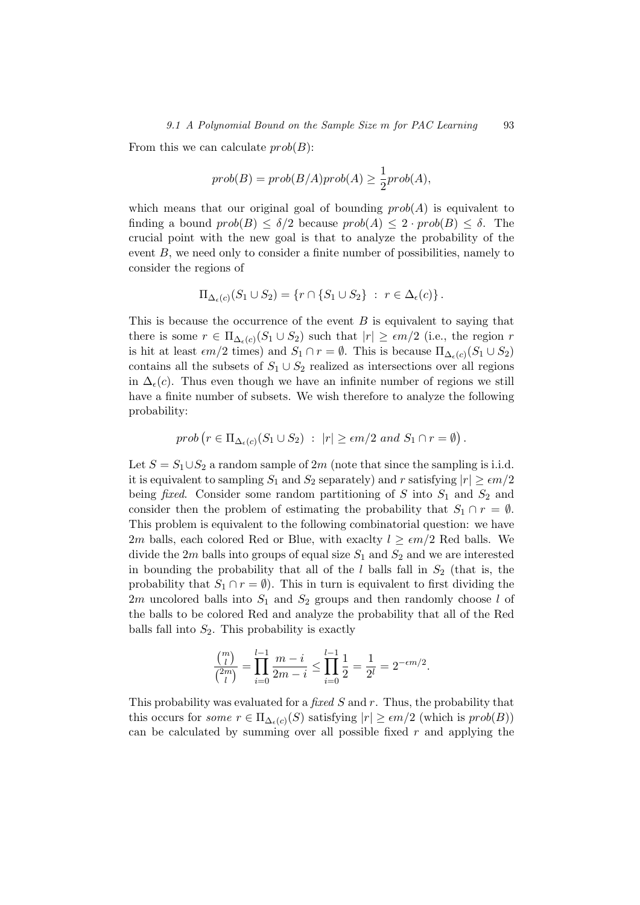From this we can calculate  $prob(B)$ :

$$
prob(B) = prob(B/A)prob(A) \ge \frac{1}{2}prob(A),
$$

which means that our original goal of bounding  $prob(A)$  is equivalent to finding a bound  $prob(B) \leq \delta/2$  because  $prob(A) \leq 2 \cdot prob(B) \leq \delta$ . The crucial point with the new goal is that to analyze the probability of the event B, we need only to consider a finite number of possibilities, namely to consider the regions of

$$
\Pi_{\Delta_{\epsilon}(c)}(S_1 \cup S_2) = \{r \cap \{S_1 \cup S_2\} : r \in \Delta_{\epsilon}(c)\}.
$$

This is because the occurrence of the event  $B$  is equivalent to saying that there is some  $r \in \Pi_{\Delta_{\epsilon}(c)}(S_1 \cup S_2)$  such that  $|r| \geq \epsilon m/2$  (i.e., the region r is hit at least  $\epsilon m/2$  times) and  $S_1 \cap r = \emptyset$ . This is because  $\Pi_{\Delta_{\epsilon}(c)}(S_1 \cup S_2)$ contains all the subsets of  $S_1 \cup S_2$  realized as intersections over all regions in  $\Delta_{\epsilon}(c)$ . Thus even though we have an infinite number of regions we still have a finite number of subsets. We wish therefore to analyze the following probability:

$$
prob (r \in \Pi_{\Delta_{\epsilon}(c)}(S_1 \cup S_2) : |r| \geq \epsilon m/2 \text{ and } S_1 \cap r = \emptyset).
$$

Let  $S = S_1 \cup S_2$  a random sample of 2m (note that since the sampling is i.i.d. it is equivalent to sampling  $S_1$  and  $S_2$  separately) and r satisfying  $|r| \ge \epsilon m/2$ being *fixed*. Consider some random partitioning of S into  $S_1$  and  $S_2$  and consider then the problem of estimating the probability that  $S_1 \cap r = \emptyset$ . This problem is equivalent to the following combinatorial question: we have 2m balls, each colored Red or Blue, with exactly  $l \geq \epsilon m/2$  Red balls. We divide the  $2m$  balls into groups of equal size  $S_1$  and  $S_2$  and we are interested in bounding the probability that all of the  $l$  balls fall in  $S_2$  (that is, the probability that  $S_1 \cap r = \emptyset$ . This in turn is equivalent to first dividing the 2m uncolored balls into  $S_1$  and  $S_2$  groups and then randomly choose l of the balls to be colored Red and analyze the probability that all of the Red balls fall into  $S_2$ . This probability is exactly

$$
\frac{\binom{m}{l}}{\binom{2m}{l}} = \prod_{i=0}^{l-1} \frac{m-i}{2m-i} \le \prod_{i=0}^{l-1} \frac{1}{2} = \frac{1}{2^l} = 2^{-\epsilon m/2}.
$$

This probability was evaluated for a fixed S and r. Thus, the probability that this occurs for *some*  $r \in \Pi_{\Delta_{\epsilon}(c)}(S)$  satisfying  $|r| \geq \epsilon m/2$  (which is  $prob(B)$ ) can be calculated by summing over all possible fixed  $r$  and applying the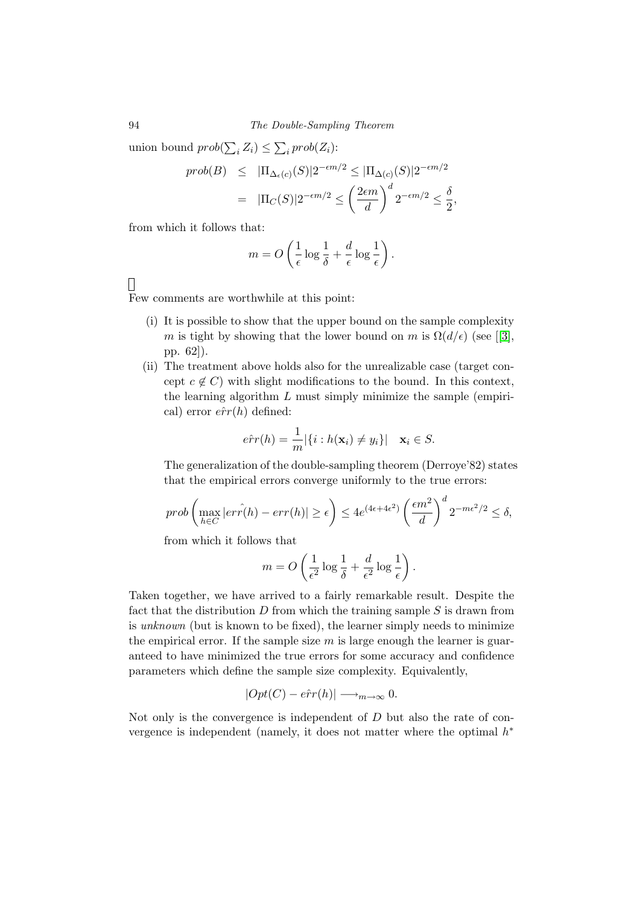94 The Double-Sampling Theorem

union bound  $prob(\sum_{i} Z_i) \leq \sum_{i} prob(Z_i)$ :

$$
prob(B) \leq |\Pi_{\Delta_{\epsilon}(c)}(S)| 2^{-\epsilon m/2} \leq |\Pi_{\Delta(c)}(S)| 2^{-\epsilon m/2}
$$
  
= 
$$
|\Pi_{C}(S)| 2^{-\epsilon m/2} \leq \left(\frac{2\epsilon m}{d}\right)^{d} 2^{-\epsilon m/2} \leq \frac{\delta}{2},
$$

from which it follows that:

$$
m = O\left(\frac{1}{\epsilon}\log\frac{1}{\delta} + \frac{d}{\epsilon}\log\frac{1}{\epsilon}\right).
$$

#### $\Box$

Few comments are worthwhile at this point:

- (i) It is possible to show that the upper bound on the sample complexity m is tight by showing that the lower bound on m is  $\Omega(d/\epsilon)$  (see [[\[3\]](#page-108-1), pp. 62]).
- (ii) The treatment above holds also for the unrealizable case (target concept  $c \notin C$ ) with slight modifications to the bound. In this context, the learning algorithm  $L$  must simply minimize the sample (empirical) error  $\hat{err}(h)$  defined:

$$
e\hat{r}r(h) = \frac{1}{m} |\{i : h(\mathbf{x}_i) \neq y_i\}| \quad \mathbf{x}_i \in S.
$$

The generalization of the double-sampling theorem (Derroye'82) states that the empirical errors converge uniformly to the true errors:

$$
prob\left(\max_{h\in C}|er\hat{r}(h)-err(h)|\geq \epsilon\right)\leq 4e^{(4\epsilon+4\epsilon^2)}\left(\frac{\epsilon m^2}{d}\right)^d 2^{-m\epsilon^2/2}\leq \delta,
$$

from which it follows that

$$
m = O\left(\frac{1}{\epsilon^2} \log \frac{1}{\delta} + \frac{d}{\epsilon^2} \log \frac{1}{\epsilon}\right).
$$

Taken together, we have arrived to a fairly remarkable result. Despite the fact that the distribution  $D$  from which the training sample  $S$  is drawn from is unknown (but is known to be fixed), the learner simply needs to minimize the empirical error. If the sample size  $m$  is large enough the learner is guaranteed to have minimized the true errors for some accuracy and confidence parameters which define the sample size complexity. Equivalently,

$$
|Opt(C) - \hat{err}(h)| \longrightarrow_{m \to \infty} 0.
$$

Not only is the convergence is independent of D but also the rate of convergence is independent (namely, it does not matter where the optimal  $h^*$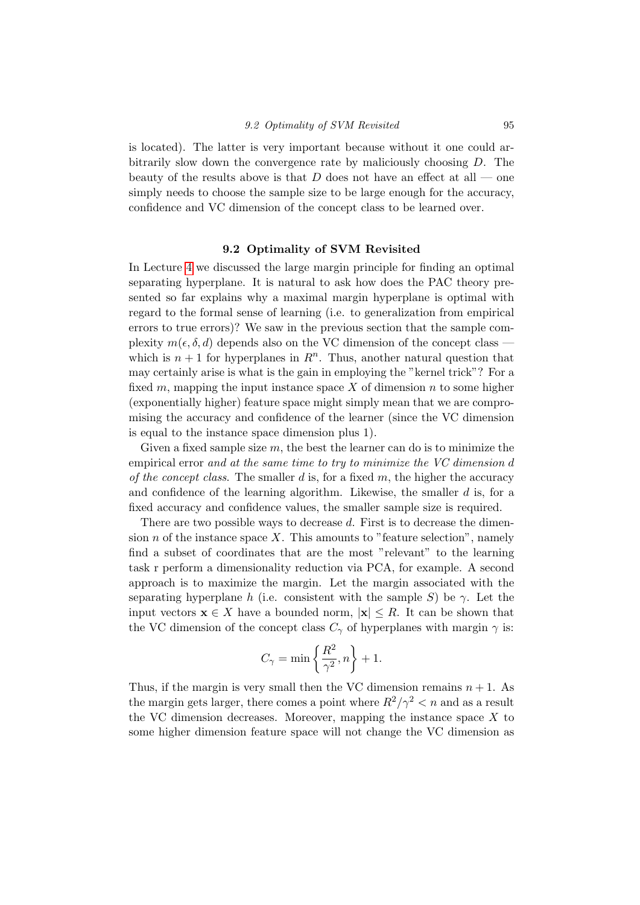is located). The latter is very important because without it one could arbitrarily slow down the convergence rate by maliciously choosing D. The beauty of the results above is that D does not have an effect at all — one simply needs to choose the sample size to be large enough for the accuracy, confidence and VC dimension of the concept class to be learned over.

#### 9.2 Optimality of SVM Revisited

In Lecture [4](#page-33-0) we discussed the large margin principle for finding an optimal separating hyperplane. It is natural to ask how does the PAC theory presented so far explains why a maximal margin hyperplane is optimal with regard to the formal sense of learning (i.e. to generalization from empirical errors to true errors)? We saw in the previous section that the sample complexity  $m(\epsilon, \delta, d)$  depends also on the VC dimension of the concept class which is  $n + 1$  for hyperplanes in  $\mathbb{R}^n$ . Thus, another natural question that may certainly arise is what is the gain in employing the "kernel trick"? For a fixed m, mapping the input instance space X of dimension n to some higher (exponentially higher) feature space might simply mean that we are compromising the accuracy and confidence of the learner (since the VC dimension is equal to the instance space dimension plus 1).

Given a fixed sample size  $m$ , the best the learner can do is to minimize the empirical error and at the same time to try to minimize the VC dimension d of the concept class. The smaller  $d$  is, for a fixed  $m$ , the higher the accuracy and confidence of the learning algorithm. Likewise, the smaller  $d$  is, for a fixed accuracy and confidence values, the smaller sample size is required.

There are two possible ways to decrease  $d$ . First is to decrease the dimension  $n$  of the instance space  $X$ . This amounts to "feature selection", namely find a subset of coordinates that are the most "relevant" to the learning task r perform a dimensionality reduction via PCA, for example. A second approach is to maximize the margin. Let the margin associated with the separating hyperplane h (i.e. consistent with the sample S) be  $\gamma$ . Let the input vectors  $\mathbf{x} \in X$  have a bounded norm,  $|\mathbf{x}| \leq R$ . It can be shown that the VC dimension of the concept class  $C_{\gamma}$  of hyperplanes with margin  $\gamma$  is:

$$
C_{\gamma}=\min\left\{\frac{R^2}{\gamma^2},n\right\}+1.
$$

Thus, if the margin is very small then the VC dimension remains  $n + 1$ . As the margin gets larger, there comes a point where  $R^2/\gamma^2 < n$  and as a result the VC dimension decreases. Moreover, mapping the instance space  $X$  to some higher dimension feature space will not change the VC dimension as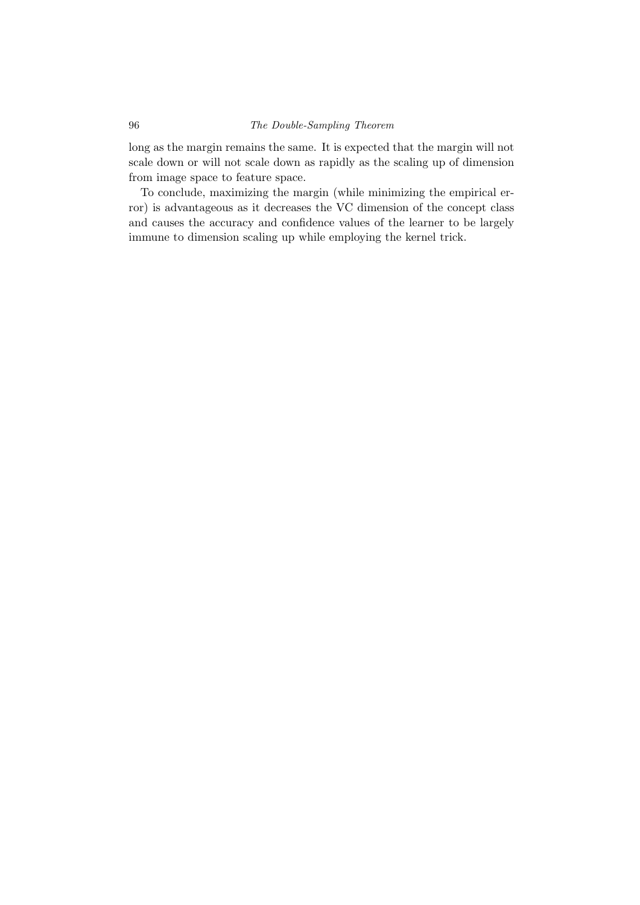long as the margin remains the same. It is expected that the margin will not scale down or will not scale down as rapidly as the scaling up of dimension from image space to feature space.

To conclude, maximizing the margin (while minimizing the empirical error) is advantageous as it decreases the VC dimension of the concept class and causes the accuracy and confidence values of the learner to be largely immune to dimension scaling up while employing the kernel trick.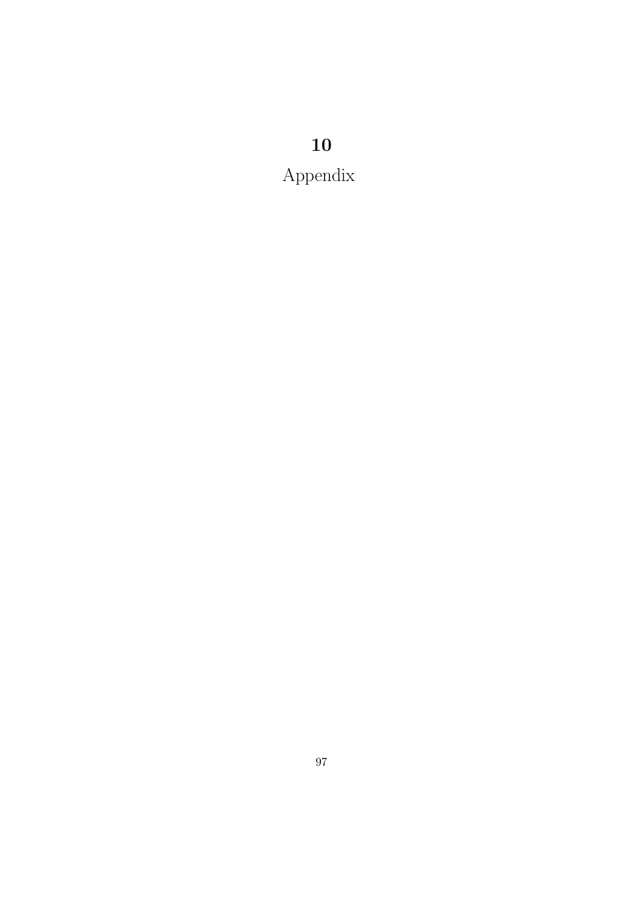## Appendix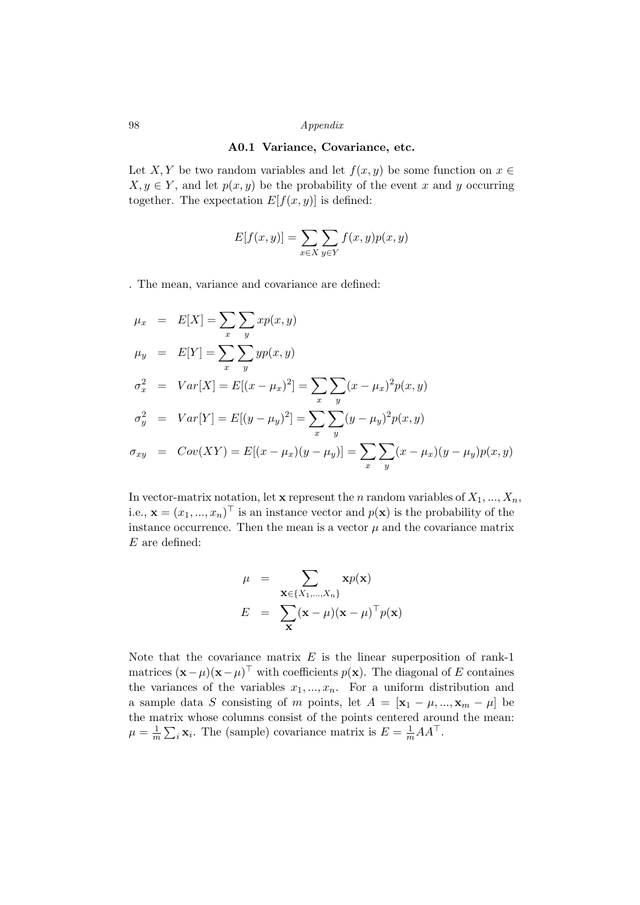#### 98 Appendix

#### A0.1 Variance, Covariance, etc.

Let X, Y be two random variables and let  $f(x, y)$  be some function on  $x \in$  $X, y \in Y$ , and let  $p(x, y)$  be the probability of the event x and y occurring together. The expectation  $E[f(x, y)]$  is defined:

$$
E[f(x,y)] = \sum_{x \in X} \sum_{y \in Y} f(x,y)p(x,y)
$$

. The mean, variance and covariance are defined:

$$
\mu_x = E[X] = \sum_{x} \sum_{y} x p(x, y)
$$
  
\n
$$
\mu_y = E[Y] = \sum_{x} \sum_{y} y p(x, y)
$$
  
\n
$$
\sigma_x^2 = Var[X] = E[(x - \mu_x)^2] = \sum_{x} \sum_{y} (x - \mu_x)^2 p(x, y)
$$
  
\n
$$
\sigma_y^2 = Var[Y] = E[(y - \mu_y)^2] = \sum_{x} \sum_{y} (y - \mu_y)^2 p(x, y)
$$
  
\n
$$
\sigma_{xy} = Cov(XY) = E[(x - \mu_x)(y - \mu_y)] = \sum_{x} \sum_{y} (x - \mu_x)(y - \mu_y) p(x, y)
$$

In vector-matrix notation, let **x** represent the *n* random variables of  $X_1, ..., X_n$ , i.e.,  $\mathbf{x} = (x_1, ..., x_n)^\top$  is an instance vector and  $p(\mathbf{x})$  is the probability of the instance occurrence. Then the mean is a vector  $\mu$  and the covariance matrix E are defined:

$$
\mu = \sum_{\mathbf{x} \in \{X_1, \dots, X_n\}} \mathbf{x} p(\mathbf{x})
$$

$$
E = \sum_{\mathbf{x}} (\mathbf{x} - \mu)(\mathbf{x} - \mu)^{\top} p(\mathbf{x})
$$

Note that the covariance matrix  $E$  is the linear superposition of rank-1 matrices  $(\mathbf{x} - \mu)(\mathbf{x} - \mu)^\top$  with coefficients  $p(\mathbf{x})$ . The diagonal of E containes the variances of the variables  $x_1, ..., x_n$ . For a uniform distribution and a sample data S consisting of m points, let  $A = [\mathbf{x}_1 - \mu, ..., \mathbf{x}_m - \mu]$  be the matrix whose columns consist of the points centered around the mean:  $\mu = \frac{1}{n}$  $\frac{1}{m} \sum_i \mathbf{x}_i$ . The (sample) covariance matrix is  $E = \frac{1}{m} A A^{\top}$ .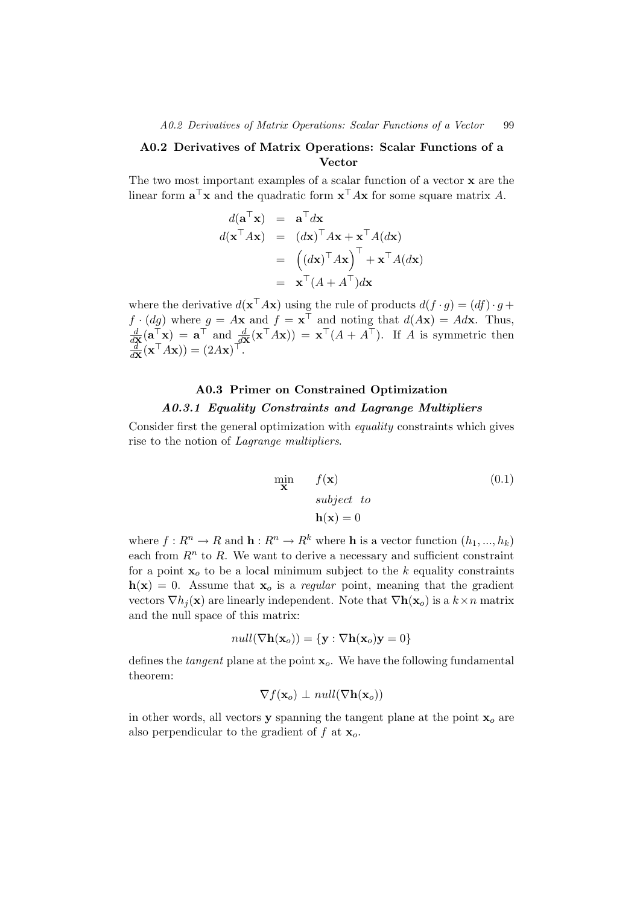#### A0.2 Derivatives of Matrix Operations: Scalar Functions of a Vector

The two most important examples of a scalar function of a vector x are the linear form  $\mathbf{a}^\top \mathbf{x}$  and the quadratic form  $\mathbf{x}^\top A \mathbf{x}$  for some square matrix A.

$$
d(\mathbf{a}^{\top}\mathbf{x}) = \mathbf{a}^{\top} d\mathbf{x}
$$
  
\n
$$
d(\mathbf{x}^{\top} A\mathbf{x}) = (d\mathbf{x})^{\top} A\mathbf{x} + \mathbf{x}^{\top} A (d\mathbf{x})
$$
  
\n
$$
= ((d\mathbf{x})^{\top} A\mathbf{x})^{\top} + \mathbf{x}^{\top} A (d\mathbf{x})
$$
  
\n
$$
= \mathbf{x}^{\top} (A + A^{\top}) d\mathbf{x}
$$

where the derivative  $d(\mathbf{x}^\top A\mathbf{x})$  using the rule of products  $d(f \cdot g) = (df) \cdot g +$  $f \cdot (dg)$  where  $g = A\mathbf{x}$  and  $f = \mathbf{x}^\top$  and noting that  $d(A\mathbf{x}) = Ad\mathbf{x}$ . Thus,  $\frac{d}{d\mathbf{x}}(\mathbf{a}_{\mathbf{x}}^{\top}\mathbf{x}) = \mathbf{a}^{\top}$  and  $\frac{d}{d\mathbf{x}}(\mathbf{x}^{\top}A\mathbf{x})) = \mathbf{x}^{\top}(A + A^{\top})$ . If A is symmetric then  $\frac{d}{d\mathbf{x}}(\mathbf{x}^\top A\mathbf{x})) = (2A\mathbf{x})^\top.$ 

#### A0.3 Primer on Constrained Optimization A0.3.1 Equality Constraints and Lagrange Multipliers

Consider first the general optimization with equality constraints which gives rise to the notion of Lagrange multipliers.

<span id="page-102-0"></span>
$$
\begin{array}{ll}\n\min \mathbf{x} & f(\mathbf{x}) \\
\text{subject to} \\
\mathbf{h}(\mathbf{x}) = 0\n\end{array} \tag{0.1}
$$

where  $f: R^n \to R$  and  $\mathbf{h}: R^n \to R^k$  where  $\mathbf{h}$  is a vector function  $(h_1, ..., h_k)$ each from  $R<sup>n</sup>$  to R. We want to derive a necessary and sufficient constraint for a point  $x_0$  to be a local minimum subject to the k equality constraints  $h(x) = 0$ . Assume that  $x_0$  is a *regular* point, meaning that the gradient vectors  $\nabla h_i(\mathbf{x})$  are linearly independent. Note that  $\nabla \mathbf{h}(\mathbf{x}_o)$  is a  $k \times n$  matrix and the null space of this matrix:

$$
null(\nabla \mathbf{h}(\mathbf{x}_o)) = {\mathbf{y} : \nabla \mathbf{h}(\mathbf{x}_o)\mathbf{y} = 0}
$$

defines the *tangent* plane at the point  $x<sub>o</sub>$ . We have the following fundamental theorem:

$$
\nabla f(\mathbf{x}_o) \perp null(\nabla \mathbf{h}(\mathbf{x}_o))
$$

in other words, all vectors **y** spanning the tangent plane at the point  $\mathbf{x}_o$  are also perpendicular to the gradient of f at  $x_o$ .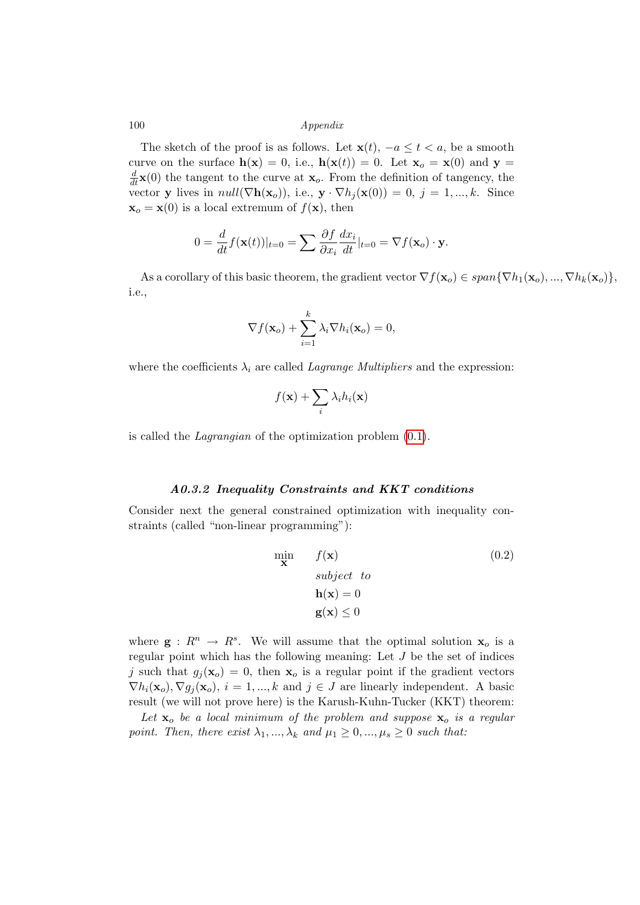#### 100 Appendix

The sketch of the proof is as follows. Let  $\mathbf{x}(t)$ ,  $-a \leq t < a$ , be a smooth curve on the surface  $h(x) = 0$ , i.e.,  $h(x(t)) = 0$ . Let  $x_0 = x(0)$  and  $y =$  $\frac{d}{dt}\mathbf{x}(0)$  the tangent to the curve at  $\mathbf{x}_o$ . From the definition of tangency, the vector y lives in  $null(\nabla h(\mathbf{x}_o))$ , i.e.,  $\mathbf{y} \cdot \nabla h_j(\mathbf{x}(0)) = 0$ ,  $j = 1, ..., k$ . Since  $\mathbf{x}_o = \mathbf{x}(0)$  is a local extremum of  $f(\mathbf{x})$ , then

$$
0 = \frac{d}{dt} f(\mathbf{x}(t))|_{t=0} = \sum \frac{\partial f}{\partial x_i} \frac{dx_i}{dt}|_{t=0} = \nabla f(\mathbf{x}_o) \cdot \mathbf{y}.
$$

As a corollary of this basic theorem, the gradient vector  $\nabla f(\mathbf{x}_o) \in span{\nabla h_1(\mathbf{x}_o), ..., \nabla h_k(\mathbf{x}_o)}$ , i.e.,

$$
\nabla f(\mathbf{x}_o) + \sum_{i=1}^k \lambda_i \nabla h_i(\mathbf{x}_o) = 0,
$$

where the coefficients  $\lambda_i$  are called *Lagrange Multipliers* and the expression:

$$
f(\mathbf{x}) + \sum_i \lambda_i h_i(\mathbf{x})
$$

is called the Lagrangian of the optimization problem [\(0.1\)](#page-102-0).

#### A0.3.2 Inequality Constraints and KKT conditions

Consider next the general constrained optimization with inequality constraints (called "non-linear programming"):

<span id="page-103-0"></span>
$$
\min_{\mathbf{x}} f(\mathbf{x})
$$
\nsubject to\n
$$
\mathbf{h}(\mathbf{x}) = 0
$$
\n
$$
\mathbf{g}(\mathbf{x}) \le 0
$$
\n(0.2)

where  $\mathbf{g}: R^n \to R^s$ . We will assume that the optimal solution  $\mathbf{x}_o$  is a regular point which has the following meaning: Let  $J$  be the set of indices j such that  $g_i(\mathbf{x}_o) = 0$ , then  $\mathbf{x}_o$  is a regular point if the gradient vectors  $\nabla h_i(\mathbf{x}_o), \nabla g_i(\mathbf{x}_o), i = 1, ..., k$  and  $j \in J$  are linearly independent. A basic result (we will not prove here) is the Karush-Kuhn-Tucker (KKT) theorem:

Let  $x_0$  be a local minimum of the problem and suppose  $x_0$  is a regular point. Then, there exist  $\lambda_1, ..., \lambda_k$  and  $\mu_1 \geq 0, ..., \mu_s \geq 0$  such that: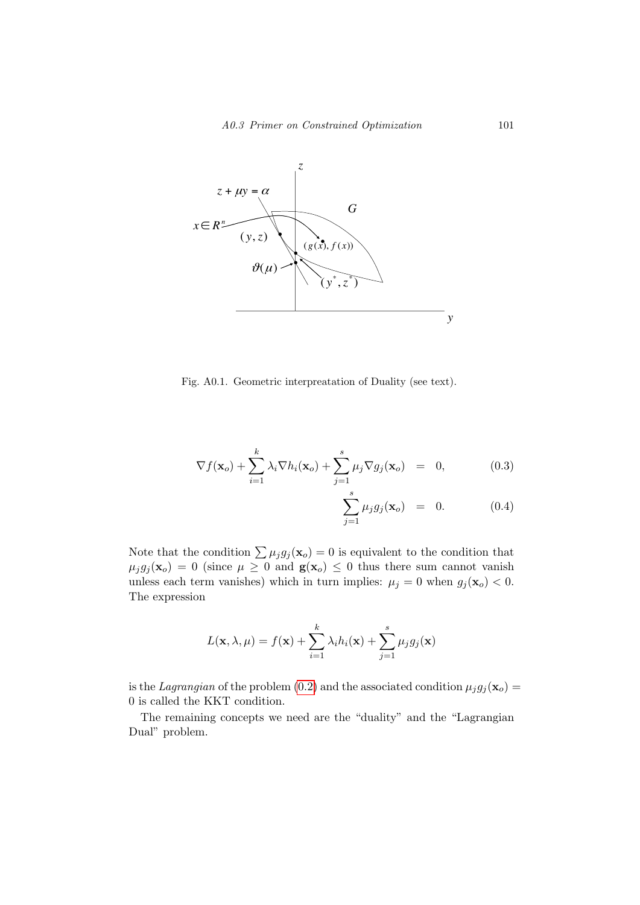

<span id="page-104-0"></span>Fig. A0.1. Geometric interpreatation of Duality (see text).

$$
\nabla f(\mathbf{x}_o) + \sum_{i=1}^k \lambda_i \nabla h_i(\mathbf{x}_o) + \sum_{j=1}^s \mu_j \nabla g_j(\mathbf{x}_o) = 0, \qquad (0.3)
$$

$$
\sum_{j=1}^{s} \mu_j g_j(\mathbf{x}_o) = 0. \tag{0.4}
$$

Note that the condition  $\sum \mu_j g_j(\mathbf{x}_o) = 0$  is equivalent to the condition that  $\mu_j g_j(\mathbf{x}_o) = 0$  (since  $\mu \geq 0$  and  $\mathbf{g}(\mathbf{x}_o) \leq 0$  thus there sum cannot vanish unless each term vanishes) which in turn implies:  $\mu_j = 0$  when  $g_j(\mathbf{x}_o) < 0$ . The expression

$$
L(\mathbf{x}, \lambda, \mu) = f(\mathbf{x}) + \sum_{i=1}^{k} \lambda_i h_i(\mathbf{x}) + \sum_{j=1}^{s} \mu_j g_j(\mathbf{x})
$$

is the Lagrangian of the problem [\(0.2\)](#page-103-0) and the associated condition  $\mu_j g_j(\mathbf{x}_o) =$ 0 is called the KKT condition.

The remaining concepts we need are the "duality" and the "Lagrangian Dual" problem.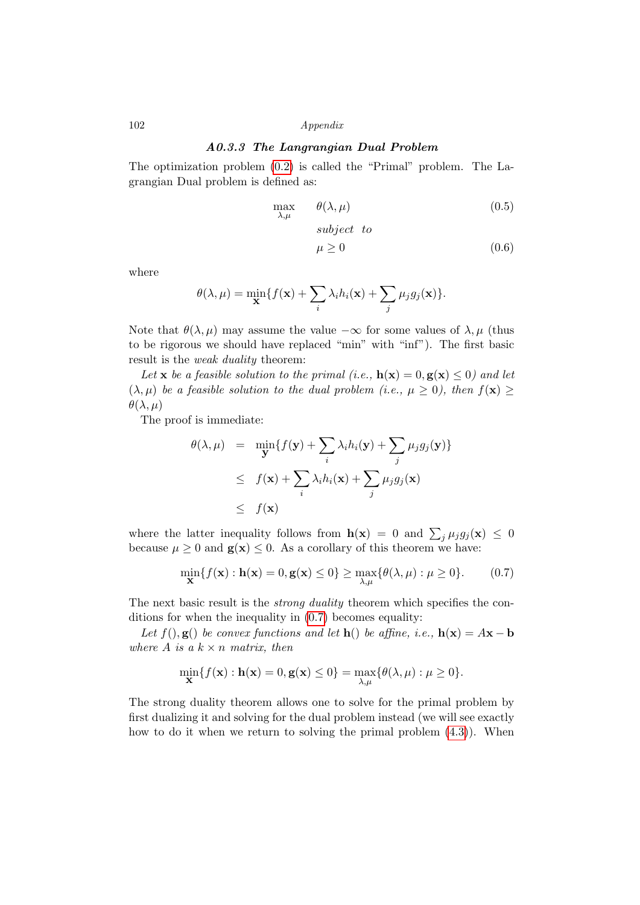#### 102 Appendix

#### A0.3.3 The Langrangian Dual Problem

The optimization problem [\(0.2\)](#page-103-0) is called the "Primal" problem. The Lagrangian Dual problem is defined as:

$$
\max_{\lambda,\mu} \qquad \theta(\lambda,\mu) \tag{0.5}
$$

$$
subject to\n\mu \ge 0
$$
\n(0.6)

where

$$
\theta(\lambda,\mu) = \min_{\mathbf{X}} \{ f(\mathbf{x}) + \sum_{i} \lambda_i h_i(\mathbf{x}) + \sum_{j} \mu_j g_j(\mathbf{x}) \}.
$$

Note that  $\theta(\lambda, \mu)$  may assume the value  $-\infty$  for some values of  $\lambda, \mu$  (thus to be rigorous we should have replaced "min" with "inf"). The first basic result is the weak duality theorem:

Let **x** be a feasible solution to the primal (i.e.,  $h(x) = 0, g(x) \le 0$ ) and let  $(\lambda, \mu)$  be a feasible solution to the dual problem (i.e.,  $\mu \geq 0$ ), then  $f(\mathbf{x}) \geq 0$  $\theta(\lambda,\mu)$ 

The proof is immediate:

$$
\theta(\lambda, \mu) = \min_{\mathbf{y}} \{ f(\mathbf{y}) + \sum_{i} \lambda_i h_i(\mathbf{y}) + \sum_{j} \mu_j g_j(\mathbf{y}) \}
$$
  
\n
$$
\leq f(\mathbf{x}) + \sum_{i} \lambda_i h_i(\mathbf{x}) + \sum_{j} \mu_j g_j(\mathbf{x})
$$
  
\n
$$
\leq f(\mathbf{x})
$$

where the latter inequality follows from  $h(\mathbf{x}) = 0$  and  $\sum_j \mu_j g_j(\mathbf{x}) \leq 0$ because  $\mu \geq 0$  and  $\mathbf{g}(\mathbf{x}) \leq 0$ . As a corollary of this theorem we have:

<span id="page-105-0"></span>
$$
\min_{\mathbf{X}} \{ f(\mathbf{x}) : \mathbf{h}(\mathbf{x}) = 0, \mathbf{g}(\mathbf{x}) \le 0 \} \ge \max_{\lambda, \mu} \{ \theta(\lambda, \mu) : \mu \ge 0 \}. \tag{0.7}
$$

The next basic result is the *strong duality* theorem which specifies the conditions for when the inequality in [\(0.7\)](#page-105-0) becomes equality:

Let  $f(.)$ ,  $g()$  be convex functions and let  $h()$  be affine, i.e.,  $h(x) = Ax - b$ where A is a  $k \times n$  matrix, then

$$
\min_{\mathbf{X}} \{f(\mathbf{x}): \mathbf{h}(\mathbf{x}) = 0, \mathbf{g}(\mathbf{x}) \le 0\} = \max_{\lambda,\mu} \{\theta(\lambda,\mu): \mu \ge 0\}.
$$

The strong duality theorem allows one to solve for the primal problem by first dualizing it and solving for the dual problem instead (we will see exactly how to do it when we return to solving the primal problem  $(4.3)$ ). When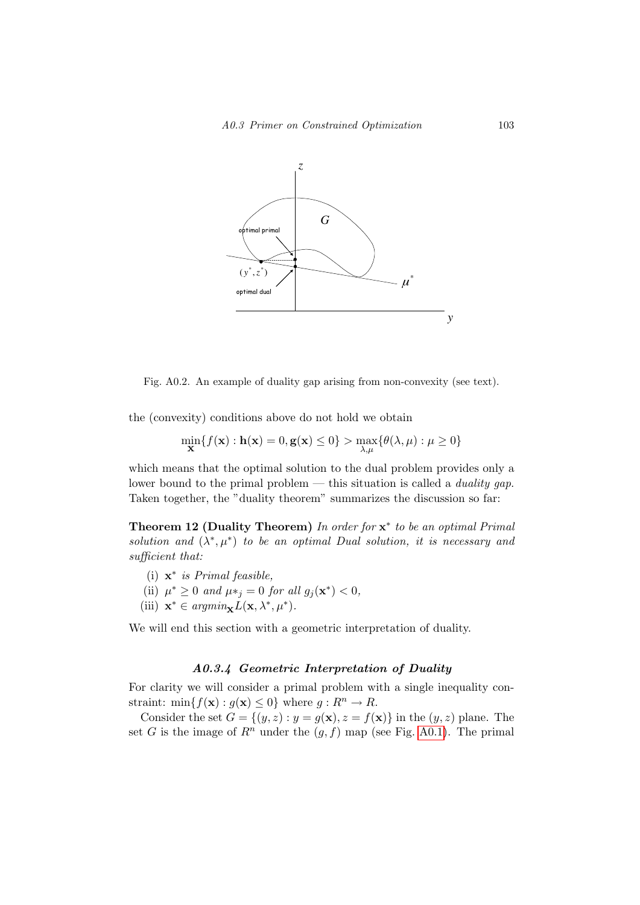

<span id="page-106-0"></span>Fig. A0.2. An example of duality gap arising from non-convexity (see text).

the (convexity) conditions above do not hold we obtain

$$
\min_{\mathbf{X}} \{ f(\mathbf{x}) : \mathbf{h}(\mathbf{x}) = 0, \mathbf{g}(\mathbf{x}) \le 0 \} > \max_{\lambda, \mu} \{ \theta(\lambda, \mu) : \mu \ge 0 \}
$$

which means that the optimal solution to the dual problem provides only a lower bound to the primal problem — this situation is called a *duality gap*. Taken together, the "duality theorem" summarizes the discussion so far:

Theorem 12 (Duality Theorem) In order for  $x^*$  to be an optimal Primal solution and  $(\lambda^*, \mu^*)$  to be an optimal Dual solution, it is necessary and sufficient that:

- (i)  $\mathbf{x}^*$  is Primal feasible,
- (ii)  $\mu^* \geq 0$  and  $\mu_{j} = 0$  for all  $g_j(\mathbf{x}^*) < 0$ ,
- (iii)  $\mathbf{x}^* \in argmin_{\mathbf{x}} L(\mathbf{x}, \lambda^*, \mu^*).$

We will end this section with a geometric interpretation of duality.

#### A0.3.4 Geometric Interpretation of Duality

For clarity we will consider a primal problem with a single inequality constraint: min ${f(\mathbf{x}) : g(\mathbf{x}) \leq 0}$  where  $g: R^n \to R$ .

Consider the set  $G = \{(y, z) : y = g(\mathbf{x}), z = f(\mathbf{x})\}$  in the  $(y, z)$  plane. The set G is the image of  $\mathbb{R}^n$  under the  $(g, f)$  map (see Fig. [A0.1\)](#page-104-0). The primal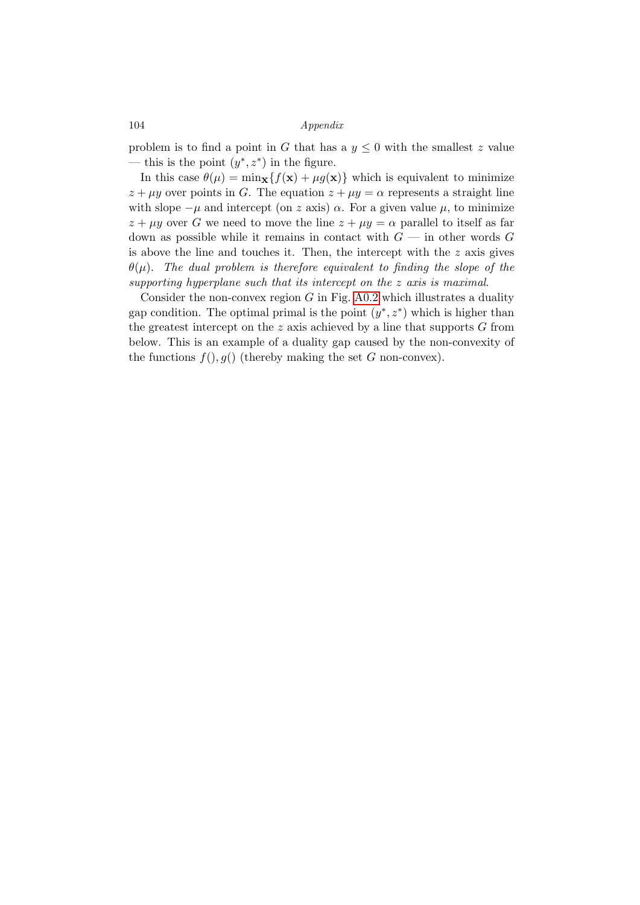#### 104 Appendix

problem is to find a point in G that has a  $y \leq 0$  with the smallest z value — this is the point  $(y^*, z^*)$  in the figure.

In this case  $\theta(\mu) = \min_{\mathbf{x}} \{f(\mathbf{x}) + \mu g(\mathbf{x})\}$  which is equivalent to minimize  $z + \mu y$  over points in G. The equation  $z + \mu y = \alpha$  represents a straight line with slope  $-\mu$  and intercept (on z axis)  $\alpha$ . For a given value  $\mu$ , to minimize  $z + \mu y$  over G we need to move the line  $z + \mu y = \alpha$  parallel to itself as far down as possible while it remains in contact with  $G$  — in other words G is above the line and touches it. Then, the intercept with the  $z$  axis gives  $\theta(\mu)$ . The dual problem is therefore equivalent to finding the slope of the supporting hyperplane such that its intercept on the z axis is maximal.

Consider the non-convex region  $G$  in Fig. [A0.2](#page-106-0) which illustrates a duality gap condition. The optimal primal is the point  $(y^*, z^*)$  which is higher than the greatest intercept on the  $z$  axis achieved by a line that supports  $G$  from below. This is an example of a duality gap caused by the non-convexity of the functions  $f(), g()$  (thereby making the set G non-convex).